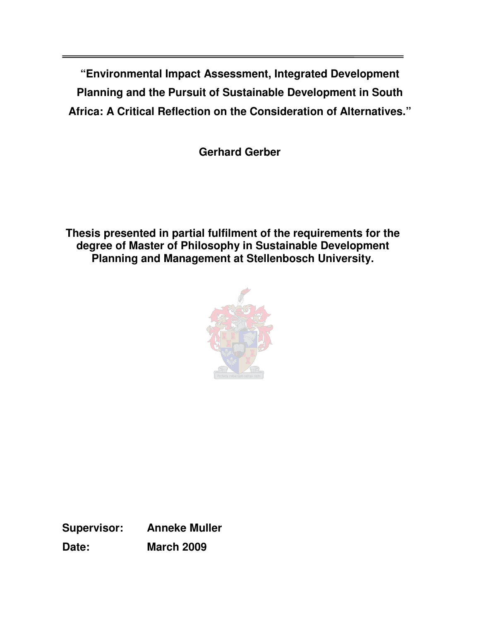**"Environmental Impact Assessment, Integrated Development Planning and the Pursuit of Sustainable Development in South Africa: A Critical Reflection on the Consideration of Alternatives."** 

**Gerhard Gerber** 

**Thesis presented in partial fulfilment of the requirements for the degree of Master of Philosophy in Sustainable Development Planning and Management at Stellenbosch University.** 



**Supervisor: Anneke Muller Date: March 2009**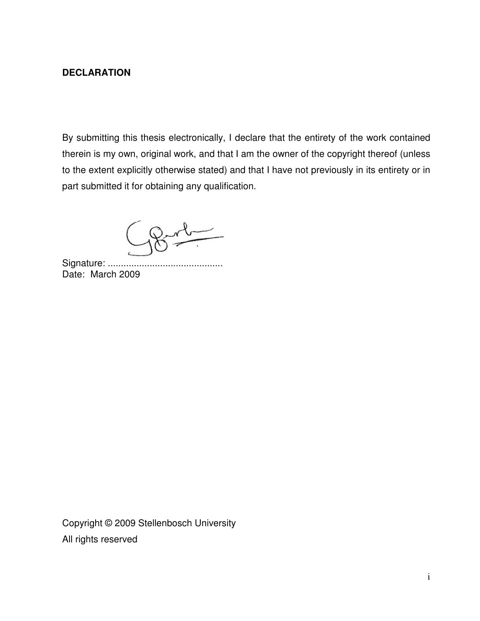## **DECLARATION**

By submitting this thesis electronically, I declare that the entirety of the work contained therein is my own, original work, and that I am the owner of the copyright thereof (unless to the extent explicitly otherwise stated) and that I have not previously in its entirety or in part submitted it for obtaining any qualification.

Signature: ............................................ Date: March 2009

Copyright © 2009 Stellenbosch University All rights reserved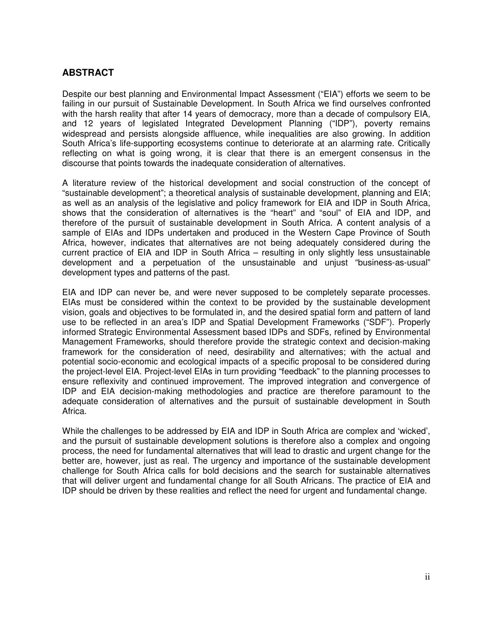## **ABSTRACT**

Despite our best planning and Environmental Impact Assessment ("EIA") efforts we seem to be failing in our pursuit of Sustainable Development. In South Africa we find ourselves confronted with the harsh reality that after 14 years of democracy, more than a decade of compulsory EIA, and 12 years of legislated Integrated Development Planning ("IDP"), poverty remains widespread and persists alongside affluence, while inequalities are also growing. In addition South Africa's life-supporting ecosystems continue to deteriorate at an alarming rate. Critically reflecting on what is going wrong, it is clear that there is an emergent consensus in the discourse that points towards the inadequate consideration of alternatives.

A literature review of the historical development and social construction of the concept of "sustainable development"; a theoretical analysis of sustainable development, planning and EIA; as well as an analysis of the legislative and policy framework for EIA and IDP in South Africa, shows that the consideration of alternatives is the "heart" and "soul" of EIA and IDP, and therefore of the pursuit of sustainable development in South Africa. A content analysis of a sample of EIAs and IDPs undertaken and produced in the Western Cape Province of South Africa, however, indicates that alternatives are not being adequately considered during the current practice of EIA and IDP in South Africa – resulting in only slightly less unsustainable development and a perpetuation of the unsustainable and unjust "business-as-usual" development types and patterns of the past.

EIA and IDP can never be, and were never supposed to be completely separate processes. EIAs must be considered within the context to be provided by the sustainable development vision, goals and objectives to be formulated in, and the desired spatial form and pattern of land use to be reflected in an area's IDP and Spatial Development Frameworks ("SDF"). Properly informed Strategic Environmental Assessment based IDPs and SDFs, refined by Environmental Management Frameworks, should therefore provide the strategic context and decision-making framework for the consideration of need, desirability and alternatives; with the actual and potential socio-economic and ecological impacts of a specific proposal to be considered during the project-level EIA. Project-level EIAs in turn providing "feedback" to the planning processes to ensure reflexivity and continued improvement. The improved integration and convergence of IDP and EIA decision-making methodologies and practice are therefore paramount to the adequate consideration of alternatives and the pursuit of sustainable development in South Africa.

While the challenges to be addressed by EIA and IDP in South Africa are complex and 'wicked', and the pursuit of sustainable development solutions is therefore also a complex and ongoing process, the need for fundamental alternatives that will lead to drastic and urgent change for the better are, however, just as real. The urgency and importance of the sustainable development challenge for South Africa calls for bold decisions and the search for sustainable alternatives that will deliver urgent and fundamental change for all South Africans. The practice of EIA and IDP should be driven by these realities and reflect the need for urgent and fundamental change.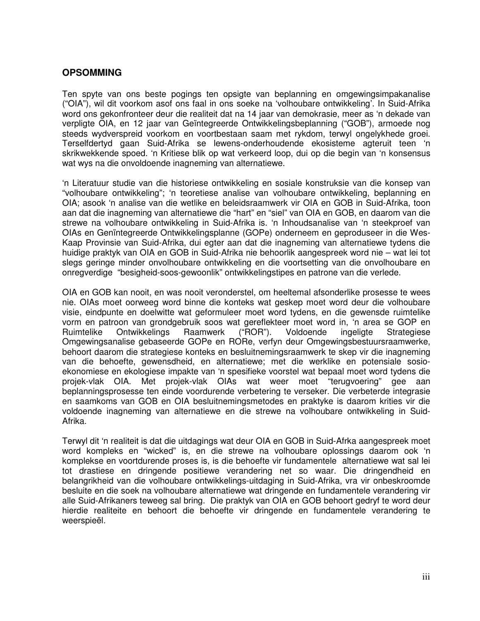#### **OPSOMMING**

Ten spyte van ons beste pogings ten opsigte van beplanning en omgewingsimpakanalise ("OIA"), wil dit voorkom asof ons faal in ons soeke na 'volhoubare ontwikkeling'. In Suid-Afrika word ons gekonfronteer deur die realiteit dat na 14 jaar van demokrasie, meer as 'n dekade van verpligte OIA, en 12 jaar van Geïntegreerde Ontwikkelingsbeplanning ("GOB"), armoede nog steeds wydverspreid voorkom en voortbestaan saam met rykdom, terwyl ongelykhede groei. Terselfdertyd gaan Suid-Afrika se lewens-onderhoudende ekosisteme agteruit teen 'n skrikwekkende spoed. 'n Kritiese blik op wat verkeerd loop, dui op die begin van 'n konsensus wat wys na die onvoldoende inagneming van alternatiewe.

'n Literatuur studie van die historiese ontwikkeling en sosiale konstruksie van die konsep van "volhoubare ontwikkeling"; 'n teoretiese analise van volhoubare ontwikkeling, beplanning en OIA; asook 'n analise van die wetlike en beleidsraamwerk vir OIA en GOB in Suid-Afrika, toon aan dat die inagneming van alternatiewe die "hart" en "siel" van OIA en GOB, en daarom van die strewe na volhoubare ontwikkeling in Suid-Afrika is. 'n Inhoudsanalise van 'n steekproef van OIAs en Genïntegreerde Ontwikkelingsplanne (GOPe) onderneem en geproduseer in die Wes-Kaap Provinsie van Suid-Afrika, dui egter aan dat die inagneming van alternatiewe tydens die huidige praktyk van OIA en GOB in Suid-Afrika nie behoorlik aangespreek word nie – wat lei tot slegs geringe minder onvolhoubare ontwikkeling en die voortsetting van die onvolhoubare en onregverdige "besigheid-soos-gewoonlik" ontwikkelingstipes en patrone van die verlede.

OIA en GOB kan nooit, en was nooit veronderstel, om heeltemal afsonderlike prosesse te wees nie. OIAs moet oorweeg word binne die konteks wat geskep moet word deur die volhoubare visie, eindpunte en doelwitte wat geformuleer moet word tydens, en die gewensde ruimtelike vorm en patroon van grondgebruik soos wat gereflekteer moet word in, 'n area se GOP en Ruimtelike Ontwikkelings Raamwerk ("ROR"). Voldoende ingeligte Strategiese Omgewingsanalise gebaseerde GOPe en RORe, verfyn deur Omgewingsbestuursraamwerke, behoort daarom die strategiese konteks en besluitnemingsraamwerk te skep vir die inagneming van die behoefte, gewensdheid, en alternatiewe; met die werklike en potensiale sosioekonomiese en ekologiese impakte van 'n spesifieke voorstel wat bepaal moet word tydens die projek-vlak OIA. Met projek-vlak OIAs wat weer moet "terugvoering" gee aan beplanningsprosesse ten einde voordurende verbetering te verseker. Die verbeterde integrasie en saamkoms van GOB en OIA besluitnemingsmetodes en praktyke is daarom krities vir die voldoende inagneming van alternatiewe en die strewe na volhoubare ontwikkeling in Suid-Afrika.

Terwyl dit 'n realiteit is dat die uitdagings wat deur OIA en GOB in Suid-Afrka aangespreek moet word kompleks en "wicked" is, en die strewe na volhoubare oplossings daarom ook 'n komplekse en voortdurende proses is, is die behoefte vir fundamentele alternatiewe wat sal lei tot drastiese en dringende positiewe verandering net so waar. Die dringendheid en belangrikheid van die volhoubare ontwikkelings-uitdaging in Suid-Afrika, vra vir onbeskroomde besluite en die soek na volhoubare alternatiewe wat dringende en fundamentele verandering vir alle Suid-Afrikaners teweeg sal bring. Die praktyk van OIA en GOB behoort gedryf te word deur hierdie realiteite en behoort die behoefte vir dringende en fundamentele verandering te weerspieël.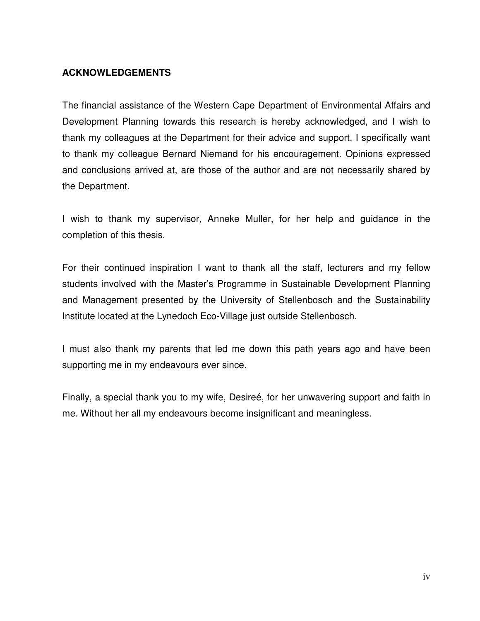## **ACKNOWLEDGEMENTS**

The financial assistance of the Western Cape Department of Environmental Affairs and Development Planning towards this research is hereby acknowledged, and I wish to thank my colleagues at the Department for their advice and support. I specifically want to thank my colleague Bernard Niemand for his encouragement. Opinions expressed and conclusions arrived at, are those of the author and are not necessarily shared by the Department.

I wish to thank my supervisor, Anneke Muller, for her help and guidance in the completion of this thesis.

For their continued inspiration I want to thank all the staff, lecturers and my fellow students involved with the Master's Programme in Sustainable Development Planning and Management presented by the University of Stellenbosch and the Sustainability Institute located at the Lynedoch Eco-Village just outside Stellenbosch.

I must also thank my parents that led me down this path years ago and have been supporting me in my endeavours ever since.

Finally, a special thank you to my wife, Desireé, for her unwavering support and faith in me. Without her all my endeavours become insignificant and meaningless.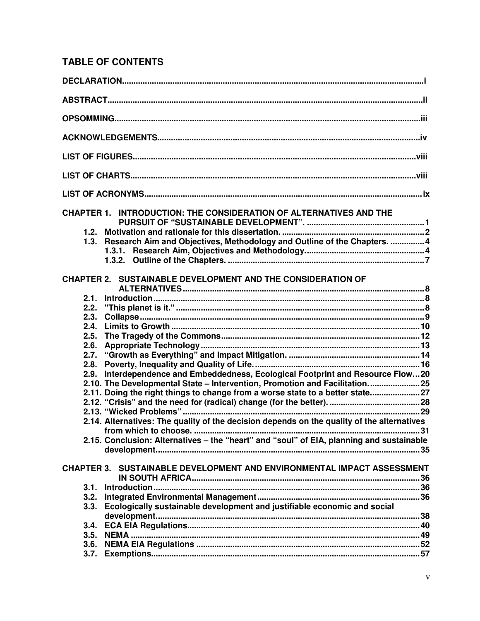# **TABLE OF CONTENTS**

|      | CHAPTER 1. INTRODUCTION: THE CONSIDERATION OF ALTERNATIVES AND THE                         |  |
|------|--------------------------------------------------------------------------------------------|--|
| 1.2. |                                                                                            |  |
| 1.3. | Research Aim and Objectives, Methodology and Outline of the Chapters.  4                   |  |
|      |                                                                                            |  |
|      |                                                                                            |  |
|      |                                                                                            |  |
|      | <b>CHAPTER 2. SUSTAINABLE DEVELOPMENT AND THE CONSIDERATION OF</b>                         |  |
|      |                                                                                            |  |
| 2.1. |                                                                                            |  |
| 2.2. |                                                                                            |  |
| 2.3. |                                                                                            |  |
| 2.4. |                                                                                            |  |
| 2.5. |                                                                                            |  |
| 2.6. |                                                                                            |  |
| 2.7. |                                                                                            |  |
| 2.8. |                                                                                            |  |
| 2.9. | Interdependence and Embeddedness, Ecological Footprint and Resource Flow20                 |  |
|      | 2.10. The Developmental State - Intervention, Promotion and Facilitation25                 |  |
|      | 2.11. Doing the right things to change from a worse state to a better state27              |  |
|      |                                                                                            |  |
|      |                                                                                            |  |
|      | 2.14. Alternatives: The quality of the decision depends on the quality of the alternatives |  |
|      |                                                                                            |  |
|      | 2.15. Conclusion: Alternatives - the "heart" and "soul" of EIA, planning and sustainable   |  |
|      |                                                                                            |  |
|      |                                                                                            |  |
|      | CHAPTER 3. SUSTAINABLE DEVELOPMENT AND ENVIRONMENTAL IMPACT ASSESSMENT                     |  |
| 3.1. |                                                                                            |  |
| 3.2. |                                                                                            |  |
| 3.3. | Ecologically sustainable development and justifiable economic and social                   |  |
| 3.4. |                                                                                            |  |
| 3.5. |                                                                                            |  |
| 3.6. |                                                                                            |  |
| 3.7. |                                                                                            |  |
|      |                                                                                            |  |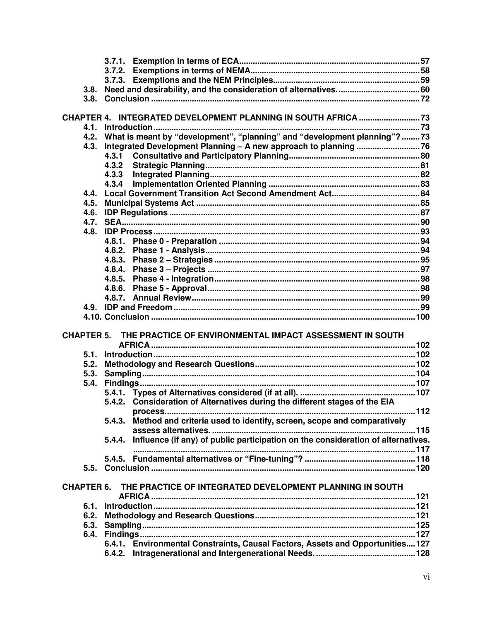| 3.8.              |        |                                                                                  |  |
|-------------------|--------|----------------------------------------------------------------------------------|--|
|                   |        |                                                                                  |  |
|                   |        |                                                                                  |  |
|                   |        | CHAPTER 4. INTEGRATED DEVELOPMENT PLANNING IN SOUTH AFRICA  73                   |  |
| 4.1.              |        | Introduction                                                                     |  |
| 4.2.              |        | What is meant by "development", "planning" and "development planning"? 73        |  |
| 4.3.              |        |                                                                                  |  |
|                   | 4.3.1  |                                                                                  |  |
|                   | 4.3.2  |                                                                                  |  |
|                   | 4.3.3  |                                                                                  |  |
|                   | 4.3.4  |                                                                                  |  |
| 4.4.              |        |                                                                                  |  |
| 4.5.              |        |                                                                                  |  |
| 4.6.              |        |                                                                                  |  |
| 4.7.              |        |                                                                                  |  |
| 4.8.              |        |                                                                                  |  |
|                   |        |                                                                                  |  |
|                   |        |                                                                                  |  |
|                   | 4.8.3. |                                                                                  |  |
|                   | 4.8.4. |                                                                                  |  |
|                   | 4.8.5. |                                                                                  |  |
|                   | 4.8.6. |                                                                                  |  |
|                   |        |                                                                                  |  |
|                   |        |                                                                                  |  |
|                   |        |                                                                                  |  |
|                   |        |                                                                                  |  |
| <b>CHAPTER 5.</b> |        | THE PRACTICE OF ENVIRONMENTAL IMPACT ASSESSMENT IN SOUTH                         |  |
|                   |        |                                                                                  |  |
| 5.1.              |        |                                                                                  |  |
| 5.2.              |        |                                                                                  |  |
| 5.3.              |        |                                                                                  |  |
| 5.4.              |        |                                                                                  |  |
|                   |        |                                                                                  |  |
|                   |        | 5.4.2. Consideration of Alternatives during the different stages of the EIA      |  |
|                   |        |                                                                                  |  |
|                   |        | 5.4.3. Method and criteria used to identify, screen, scope and comparatively     |  |
|                   |        |                                                                                  |  |
|                   | 5.4.4. | Influence (if any) of public participation on the consideration of alternatives. |  |
|                   |        |                                                                                  |  |
|                   |        |                                                                                  |  |
|                   |        |                                                                                  |  |
|                   |        |                                                                                  |  |
| <b>CHAPTER 6.</b> |        | THE PRACTICE OF INTEGRATED DEVELOPMENT PLANNING IN SOUTH                         |  |
|                   |        |                                                                                  |  |
| 6.1.              |        |                                                                                  |  |
| 6.2.              |        |                                                                                  |  |
|                   |        |                                                                                  |  |
|                   |        |                                                                                  |  |
|                   |        | 6.4.1. Environmental Constraints, Causal Factors, Assets and Opportunities127    |  |
|                   |        |                                                                                  |  |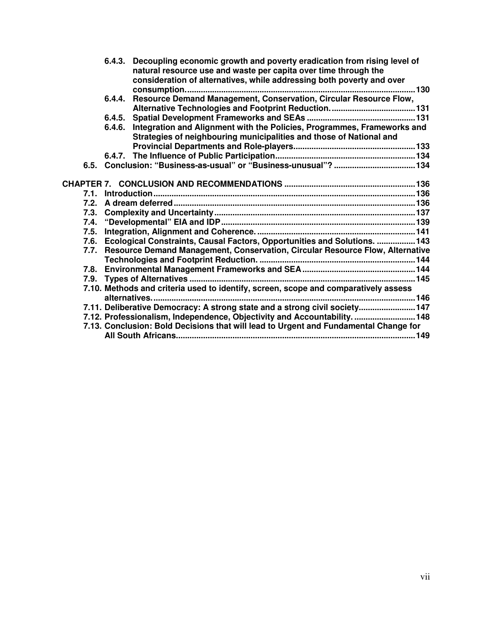|      |        | 6.4.3. Decoupling economic growth and poverty eradication from rising level of<br>natural resource use and waste per capita over time through the<br>consideration of alternatives, while addressing both poverty and over |  |
|------|--------|----------------------------------------------------------------------------------------------------------------------------------------------------------------------------------------------------------------------------|--|
|      |        |                                                                                                                                                                                                                            |  |
|      | 6.4.4. | Resource Demand Management, Conservation, Circular Resource Flow,                                                                                                                                                          |  |
|      |        |                                                                                                                                                                                                                            |  |
|      | 6.4.5. |                                                                                                                                                                                                                            |  |
|      | 6.4.6. | Integration and Alignment with the Policies, Programmes, Frameworks and<br>Strategies of neighbouring municipalities and those of National and                                                                             |  |
|      |        |                                                                                                                                                                                                                            |  |
|      |        |                                                                                                                                                                                                                            |  |
| 6.5. |        |                                                                                                                                                                                                                            |  |
|      |        |                                                                                                                                                                                                                            |  |
| 7.1. |        |                                                                                                                                                                                                                            |  |
| 7.2. |        |                                                                                                                                                                                                                            |  |
| 7.3. |        |                                                                                                                                                                                                                            |  |
| 7.4. |        |                                                                                                                                                                                                                            |  |
| 7.5. |        |                                                                                                                                                                                                                            |  |
| 7.6. |        | Ecological Constraints, Causal Factors, Opportunities and Solutions.  143                                                                                                                                                  |  |
| 7.7. |        | Resource Demand Management, Conservation, Circular Resource Flow, Alternative                                                                                                                                              |  |
|      |        |                                                                                                                                                                                                                            |  |
| 7.8. |        |                                                                                                                                                                                                                            |  |
| 7.9. |        |                                                                                                                                                                                                                            |  |
|      |        | 7.10. Methods and criteria used to identify, screen, scope and comparatively assess                                                                                                                                        |  |
|      |        | 7.11. Deliberative Democracy: A strong state and a strong civil society147                                                                                                                                                 |  |
|      |        | 7.12. Professionalism, Independence, Objectivity and Accountability.  148                                                                                                                                                  |  |
|      |        | 7.13. Conclusion: Bold Decisions that will lead to Urgent and Fundamental Change for                                                                                                                                       |  |
|      |        |                                                                                                                                                                                                                            |  |
|      |        |                                                                                                                                                                                                                            |  |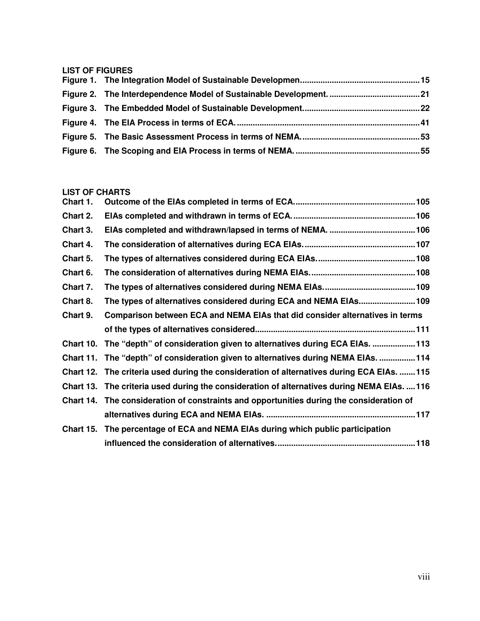#### **LIST OF FIGURES**

#### **LIST OF CHARTS**

| Chart 1.         |                                                                                          |  |
|------------------|------------------------------------------------------------------------------------------|--|
| Chart 2.         |                                                                                          |  |
| Chart 3.         |                                                                                          |  |
| Chart 4.         |                                                                                          |  |
| Chart 5.         |                                                                                          |  |
| Chart 6.         |                                                                                          |  |
| Chart 7.         |                                                                                          |  |
| Chart 8.         | The types of alternatives considered during ECA and NEMA EIAs 109                        |  |
| Chart 9.         | Comparison between ECA and NEMA EIAs that did consider alternatives in terms             |  |
|                  |                                                                                          |  |
| Chart 10.        | The "depth" of consideration given to alternatives during ECA EIAs. 113                  |  |
| Chart 11.        | The "depth" of consideration given to alternatives during NEMA EIAs. 114                 |  |
| Chart 12.        | The criteria used during the consideration of alternatives during ECA EIAs.  115         |  |
| <b>Chart 13.</b> | The criteria used during the consideration of alternatives during NEMA EIAs.  116        |  |
|                  | Chart 14. The consideration of constraints and opportunities during the consideration of |  |
|                  |                                                                                          |  |
| <b>Chart 15.</b> | The percentage of ECA and NEMA EIAs during which public participation                    |  |
|                  |                                                                                          |  |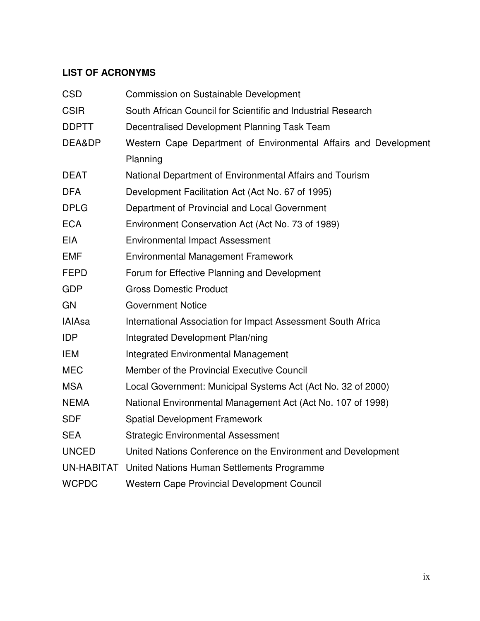## **LIST OF ACRONYMS**

| <b>CSD</b>    | Commission on Sustainable Development                            |
|---------------|------------------------------------------------------------------|
| <b>CSIR</b>   | South African Council for Scientific and Industrial Research     |
| <b>DDPTT</b>  | Decentralised Development Planning Task Team                     |
| DEA&DP        | Western Cape Department of Environmental Affairs and Development |
|               | Planning                                                         |
| <b>DEAT</b>   | National Department of Environmental Affairs and Tourism         |
| <b>DFA</b>    | Development Facilitation Act (Act No. 67 of 1995)                |
| <b>DPLG</b>   | Department of Provincial and Local Government                    |
| <b>ECA</b>    | Environment Conservation Act (Act No. 73 of 1989)                |
| <b>EIA</b>    | <b>Environmental Impact Assessment</b>                           |
| <b>EMF</b>    | <b>Environmental Management Framework</b>                        |
| <b>FEPD</b>   | Forum for Effective Planning and Development                     |
| <b>GDP</b>    | <b>Gross Domestic Product</b>                                    |
| GN            | <b>Government Notice</b>                                         |
| <b>IAIAsa</b> | International Association for Impact Assessment South Africa     |
| <b>IDP</b>    | Integrated Development Plan/ning                                 |
| <b>IEM</b>    | <b>Integrated Environmental Management</b>                       |
| <b>MEC</b>    | Member of the Provincial Executive Council                       |
| <b>MSA</b>    | Local Government: Municipal Systems Act (Act No. 32 of 2000)     |
| <b>NEMA</b>   | National Environmental Management Act (Act No. 107 of 1998)      |
| <b>SDF</b>    | <b>Spatial Development Framework</b>                             |
| <b>SEA</b>    | <b>Strategic Environmental Assessment</b>                        |
| <b>UNCED</b>  | United Nations Conference on the Environment and Development     |
| UN-HABITAT    | United Nations Human Settlements Programme                       |
| <b>WCPDC</b>  | <b>Western Cape Provincial Development Council</b>               |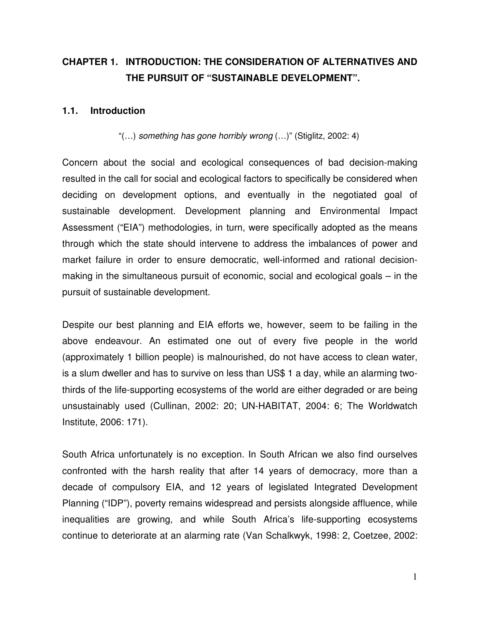# **CHAPTER 1. INTRODUCTION: THE CONSIDERATION OF ALTERNATIVES AND THE PURSUIT OF "SUSTAINABLE DEVELOPMENT".**

#### **1.1. Introduction**

"(…) *something has gone horribly wrong* (…)" (Stiglitz, 2002: 4)

Concern about the social and ecological consequences of bad decision-making resulted in the call for social and ecological factors to specifically be considered when deciding on development options, and eventually in the negotiated goal of sustainable development. Development planning and Environmental Impact Assessment ("EIA") methodologies, in turn, were specifically adopted as the means through which the state should intervene to address the imbalances of power and market failure in order to ensure democratic, well-informed and rational decisionmaking in the simultaneous pursuit of economic, social and ecological goals – in the pursuit of sustainable development.

Despite our best planning and EIA efforts we, however, seem to be failing in the above endeavour. An estimated one out of every five people in the world (approximately 1 billion people) is malnourished, do not have access to clean water, is a slum dweller and has to survive on less than US\$ 1 a day, while an alarming twothirds of the life-supporting ecosystems of the world are either degraded or are being unsustainably used (Cullinan, 2002: 20; UN-HABITAT, 2004: 6; The Worldwatch Institute, 2006: 171).

South Africa unfortunately is no exception. In South African we also find ourselves confronted with the harsh reality that after 14 years of democracy, more than a decade of compulsory EIA, and 12 years of legislated Integrated Development Planning ("IDP"), poverty remains widespread and persists alongside affluence, while inequalities are growing, and while South Africa's life-supporting ecosystems continue to deteriorate at an alarming rate (Van Schalkwyk, 1998: 2, Coetzee, 2002: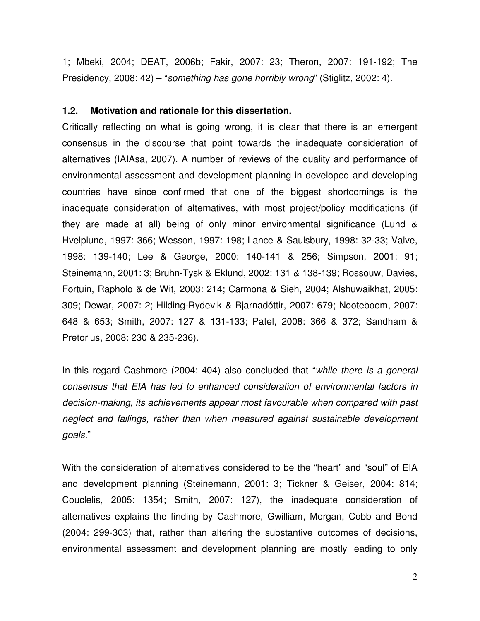1; Mbeki, 2004; DEAT, 2006b; Fakir, 2007: 23; Theron, 2007: 191-192; The Presidency, 2008: 42) – "*something has gone horribly wrong*" (Stiglitz, 2002: 4).

#### **1.2. Motivation and rationale for this dissertation.**

Critically reflecting on what is going wrong, it is clear that there is an emergent consensus in the discourse that point towards the inadequate consideration of alternatives (IAIAsa, 2007). A number of reviews of the quality and performance of environmental assessment and development planning in developed and developing countries have since confirmed that one of the biggest shortcomings is the inadequate consideration of alternatives, with most project/policy modifications (if they are made at all) being of only minor environmental significance (Lund & Hvelplund, 1997: 366; Wesson, 1997: 198; Lance & Saulsbury, 1998: 32-33; Valve, 1998: 139-140; Lee & George, 2000: 140-141 & 256; Simpson, 2001: 91; Steinemann, 2001: 3; Bruhn-Tysk & Eklund, 2002: 131 & 138-139; Rossouw, Davies, Fortuin, Rapholo & de Wit, 2003: 214; Carmona & Sieh, 2004; Alshuwaikhat, 2005: 309; Dewar, 2007: 2; Hilding-Rydevik & Bjarnadóttir, 2007: 679; Nooteboom, 2007: 648 & 653; Smith, 2007: 127 & 131-133; Patel, 2008: 366 & 372; Sandham & Pretorius, 2008: 230 & 235-236).

In this regard Cashmore (2004: 404) also concluded that "*while there is a general consensus that EIA has led to enhanced consideration of environmental factors in decision-making, its achievements appear most favourable when compared with past neglect and failings, rather than when measured against sustainable development goals.*"

With the consideration of alternatives considered to be the "heart" and "soul" of EIA and development planning (Steinemann, 2001: 3; Tickner & Geiser, 2004: 814; Couclelis, 2005: 1354; Smith, 2007: 127), the inadequate consideration of alternatives explains the finding by Cashmore, Gwilliam, Morgan, Cobb and Bond (2004: 299-303) that, rather than altering the substantive outcomes of decisions, environmental assessment and development planning are mostly leading to only

2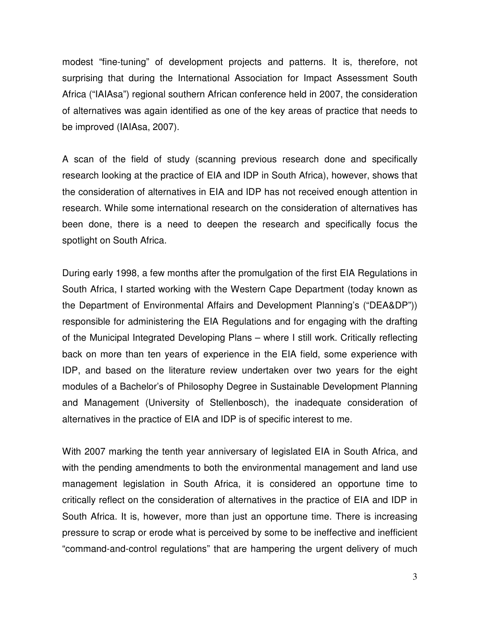modest "fine-tuning" of development projects and patterns. It is, therefore, not surprising that during the International Association for Impact Assessment South Africa ("IAIAsa") regional southern African conference held in 2007, the consideration of alternatives was again identified as one of the key areas of practice that needs to be improved (IAIAsa, 2007).

A scan of the field of study (scanning previous research done and specifically research looking at the practice of EIA and IDP in South Africa), however, shows that the consideration of alternatives in EIA and IDP has not received enough attention in research. While some international research on the consideration of alternatives has been done, there is a need to deepen the research and specifically focus the spotlight on South Africa.

During early 1998, a few months after the promulgation of the first EIA Regulations in South Africa, I started working with the Western Cape Department (today known as the Department of Environmental Affairs and Development Planning's ("DEA&DP")) responsible for administering the EIA Regulations and for engaging with the drafting of the Municipal Integrated Developing Plans – where I still work. Critically reflecting back on more than ten years of experience in the EIA field, some experience with IDP, and based on the literature review undertaken over two years for the eight modules of a Bachelor's of Philosophy Degree in Sustainable Development Planning and Management (University of Stellenbosch), the inadequate consideration of alternatives in the practice of EIA and IDP is of specific interest to me.

With 2007 marking the tenth year anniversary of legislated EIA in South Africa, and with the pending amendments to both the environmental management and land use management legislation in South Africa, it is considered an opportune time to critically reflect on the consideration of alternatives in the practice of EIA and IDP in South Africa. It is, however, more than just an opportune time. There is increasing pressure to scrap or erode what is perceived by some to be ineffective and inefficient "command-and-control regulations" that are hampering the urgent delivery of much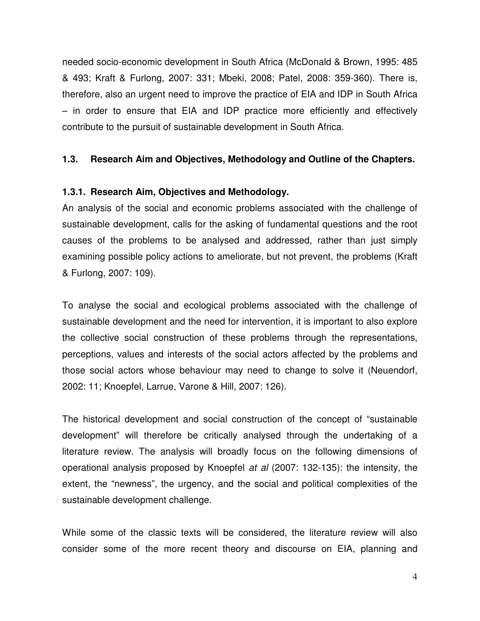needed socio-economic development in South Africa (McDonald & Brown, 1995: 485 & 493; Kraft & Furlong, 2007: 331; Mbeki, 2008; Patel, 2008: 359-360). There is, therefore, also an urgent need to improve the practice of EIA and IDP in South Africa – in order to ensure that EIA and IDP practice more efficiently and effectively contribute to the pursuit of sustainable development in South Africa.

#### **1.3. Research Aim and Objectives, Methodology and Outline of the Chapters.**

#### **1.3.1. Research Aim, Objectives and Methodology.**

An analysis of the social and economic problems associated with the challenge of sustainable development, calls for the asking of fundamental questions and the root causes of the problems to be analysed and addressed, rather than just simply examining possible policy actions to ameliorate, but not prevent, the problems (Kraft & Furlong, 2007: 109).

To analyse the social and ecological problems associated with the challenge of sustainable development and the need for intervention, it is important to also explore the collective social construction of these problems through the representations, perceptions, values and interests of the social actors affected by the problems and those social actors whose behaviour may need to change to solve it (Neuendorf, 2002: 11; Knoepfel, Larrue, Varone & Hill, 2007: 126).

The historical development and social construction of the concept of "sustainable development" will therefore be critically analysed through the undertaking of a literature review. The analysis will broadly focus on the following dimensions of operational analysis proposed by Knoepfel *at al* (2007: 132-135): the intensity, the extent, the "newness", the urgency, and the social and political complexities of the sustainable development challenge.

While some of the classic texts will be considered, the literature review will also consider some of the more recent theory and discourse on EIA, planning and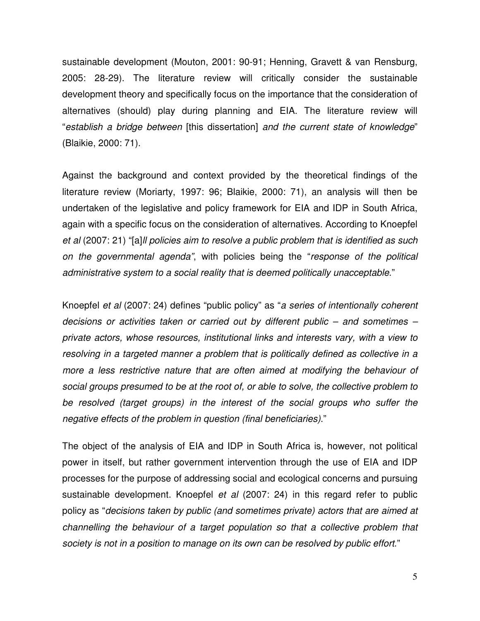sustainable development (Mouton, 2001: 90-91; Henning, Gravett & van Rensburg, 2005: 28-29). The literature review will critically consider the sustainable development theory and specifically focus on the importance that the consideration of alternatives (should) play during planning and EIA. The literature review will "*establish a bridge between* [this dissertation] *and the current state of knowledge*" (Blaikie, 2000: 71).

Against the background and context provided by the theoretical findings of the literature review (Moriarty, 1997: 96; Blaikie, 2000: 71), an analysis will then be undertaken of the legislative and policy framework for EIA and IDP in South Africa, again with a specific focus on the consideration of alternatives. According to Knoepfel *et al* (2007: 21) "[a]*ll policies aim to resolve a public problem that is identified as such on the governmental agenda"*, with policies being the "*response of the political administrative system to a social reality that is deemed politically unacceptable*."

Knoepfel *et al* (2007: 24) defines "public policy" as "*a series of intentionally coherent decisions or activities taken or carried out by different public – and sometimes – private actors, whose resources, institutional links and interests vary, with a view to resolving in a targeted manner a problem that is politically defined as collective in a more a less restrictive nature that are often aimed at modifying the behaviour of social groups presumed to be at the root of, or able to solve, the collective problem to be resolved (target groups) in the interest of the social groups who suffer the negative effects of the problem in question (final beneficiaries)*."

The object of the analysis of EIA and IDP in South Africa is, however, not political power in itself, but rather government intervention through the use of EIA and IDP processes for the purpose of addressing social and ecological concerns and pursuing sustainable development. Knoepfel *et al* (2007: 24) in this regard refer to public policy as "*decisions taken by public (and sometimes private) actors that are aimed at channelling the behaviour of a target population so that a collective problem that society is not in a position to manage on its own can be resolved by public effort*."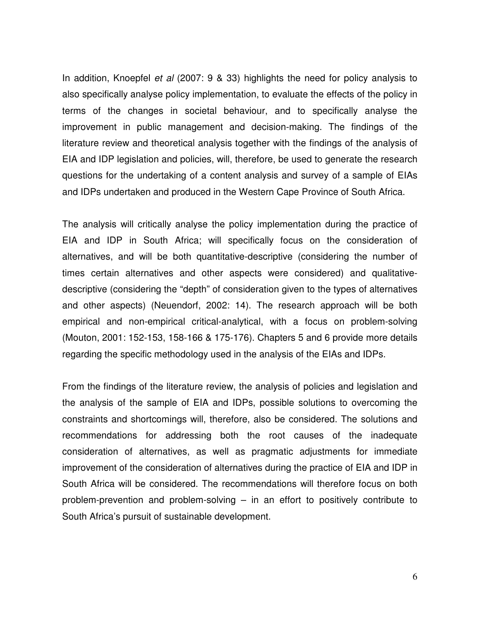In addition, Knoepfel *et al* (2007: 9 & 33) highlights the need for policy analysis to also specifically analyse policy implementation, to evaluate the effects of the policy in terms of the changes in societal behaviour, and to specifically analyse the improvement in public management and decision-making. The findings of the literature review and theoretical analysis together with the findings of the analysis of EIA and IDP legislation and policies, will, therefore, be used to generate the research questions for the undertaking of a content analysis and survey of a sample of EIAs and IDPs undertaken and produced in the Western Cape Province of South Africa.

The analysis will critically analyse the policy implementation during the practice of EIA and IDP in South Africa; will specifically focus on the consideration of alternatives, and will be both quantitative-descriptive (considering the number of times certain alternatives and other aspects were considered) and qualitativedescriptive (considering the "depth" of consideration given to the types of alternatives and other aspects) (Neuendorf, 2002: 14). The research approach will be both empirical and non-empirical critical-analytical, with a focus on problem-solving (Mouton, 2001: 152-153, 158-166 & 175-176). Chapters 5 and 6 provide more details regarding the specific methodology used in the analysis of the EIAs and IDPs.

From the findings of the literature review, the analysis of policies and legislation and the analysis of the sample of EIA and IDPs, possible solutions to overcoming the constraints and shortcomings will, therefore, also be considered. The solutions and recommendations for addressing both the root causes of the inadequate consideration of alternatives, as well as pragmatic adjustments for immediate improvement of the consideration of alternatives during the practice of EIA and IDP in South Africa will be considered. The recommendations will therefore focus on both problem-prevention and problem-solving – in an effort to positively contribute to South Africa's pursuit of sustainable development.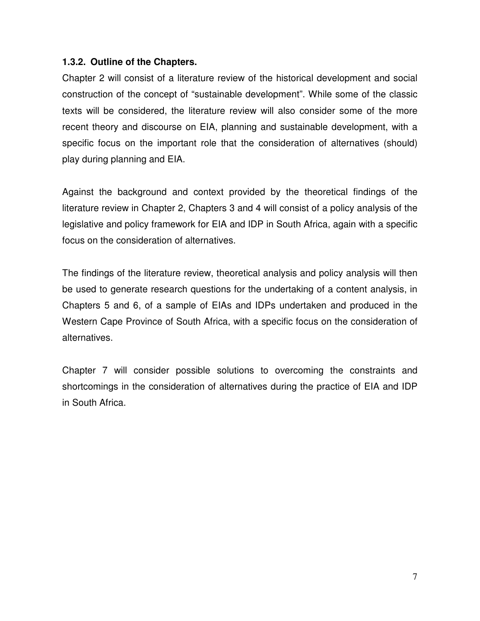### **1.3.2. Outline of the Chapters.**

Chapter 2 will consist of a literature review of the historical development and social construction of the concept of "sustainable development". While some of the classic texts will be considered, the literature review will also consider some of the more recent theory and discourse on EIA, planning and sustainable development, with a specific focus on the important role that the consideration of alternatives (should) play during planning and EIA.

Against the background and context provided by the theoretical findings of the literature review in Chapter 2, Chapters 3 and 4 will consist of a policy analysis of the legislative and policy framework for EIA and IDP in South Africa, again with a specific focus on the consideration of alternatives.

The findings of the literature review, theoretical analysis and policy analysis will then be used to generate research questions for the undertaking of a content analysis, in Chapters 5 and 6, of a sample of EIAs and IDPs undertaken and produced in the Western Cape Province of South Africa, with a specific focus on the consideration of alternatives.

Chapter 7 will consider possible solutions to overcoming the constraints and shortcomings in the consideration of alternatives during the practice of EIA and IDP in South Africa.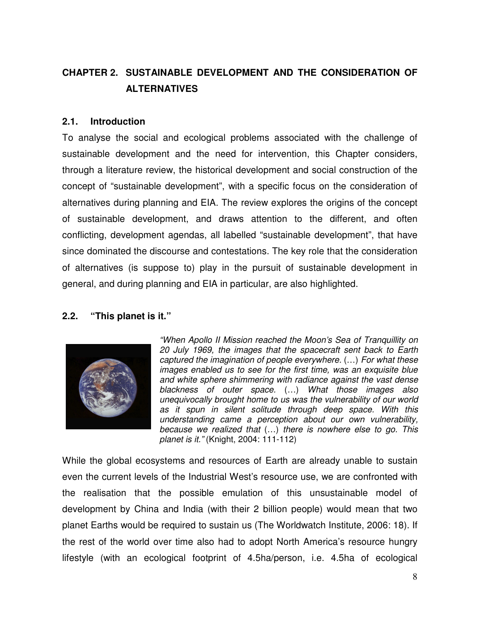# **CHAPTER 2. SUSTAINABLE DEVELOPMENT AND THE CONSIDERATION OF ALTERNATIVES**

#### **2.1. Introduction**

To analyse the social and ecological problems associated with the challenge of sustainable development and the need for intervention, this Chapter considers, through a literature review, the historical development and social construction of the concept of "sustainable development", with a specific focus on the consideration of alternatives during planning and EIA. The review explores the origins of the concept of sustainable development, and draws attention to the different, and often conflicting, development agendas, all labelled "sustainable development", that have since dominated the discourse and contestations. The key role that the consideration of alternatives (is suppose to) play in the pursuit of sustainable development in general, and during planning and EIA in particular, are also highlighted.

#### **2.2. "This planet is it."**



*"When Apollo II Mission reached the Moon's Sea of Tranquillity on 20 July 1969, the images that the spacecraft sent back to Earth captured the imagination of people everywhere.* (…) *For what these images enabled us to see for the first time, was an exquisite blue and white sphere shimmering with radiance against the vast dense blackness of outer space.* (…) *What those images also unequivocally brought home to us was the vulnerability of our world as it spun in silent solitude through deep space. With this understanding came a perception about our own vulnerability, because we realized that* (…) *there is nowhere else to go. This planet is it."* (Knight, 2004: 111-112)

While the global ecosystems and resources of Earth are already unable to sustain even the current levels of the Industrial West's resource use, we are confronted with the realisation that the possible emulation of this unsustainable model of development by China and India (with their 2 billion people) would mean that two planet Earths would be required to sustain us (The Worldwatch Institute, 2006: 18). If the rest of the world over time also had to adopt North America's resource hungry lifestyle (with an ecological footprint of 4.5ha/person, i.e. 4.5ha of ecological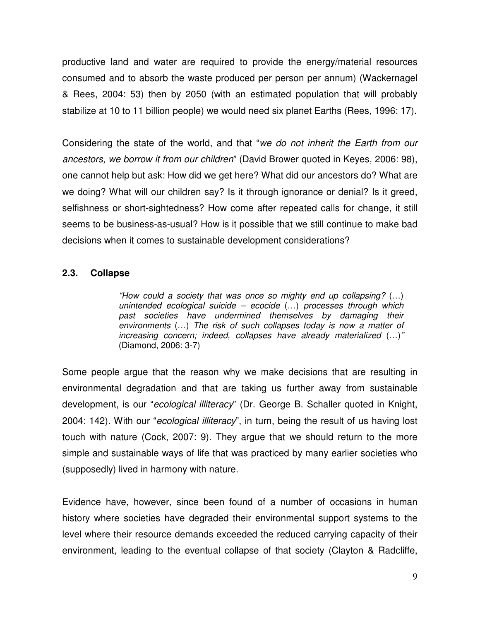productive land and water are required to provide the energy/material resources consumed and to absorb the waste produced per person per annum) (Wackernagel & Rees, 2004: 53) then by 2050 (with an estimated population that will probably stabilize at 10 to 11 billion people) we would need six planet Earths (Rees, 1996: 17).

Considering the state of the world, and that "*we do not inherit the Earth from our ancestors, we borrow it from our children*" (David Brower quoted in Keyes, 2006: 98), one cannot help but ask: How did we get here? What did our ancestors do? What are we doing? What will our children say? Is it through ignorance or denial? Is it greed, selfishness or short-sightedness? How come after repeated calls for change, it still seems to be business-as-usual? How is it possible that we still continue to make bad decisions when it comes to sustainable development considerations?

#### **2.3. Collapse**

*"How could a society that was once so mighty end up collapsing?* (…) *unintended ecological suicide – ecocide* (…) *processes through which past societies have undermined themselves by damaging their environments* (…) *The risk of such collapses today is now a matter of increasing concern; indeed, collapses have already materialized* (…)*"* (Diamond, 2006: 3-7)

Some people argue that the reason why we make decisions that are resulting in environmental degradation and that are taking us further away from sustainable development, is our "*ecological illiteracy*" (Dr. George B. Schaller quoted in Knight, 2004: 142). With our "*ecological illiteracy*", in turn, being the result of us having lost touch with nature (Cock, 2007: 9). They argue that we should return to the more simple and sustainable ways of life that was practiced by many earlier societies who (supposedly) lived in harmony with nature.

Evidence have, however, since been found of a number of occasions in human history where societies have degraded their environmental support systems to the level where their resource demands exceeded the reduced carrying capacity of their environment, leading to the eventual collapse of that society (Clayton & Radcliffe,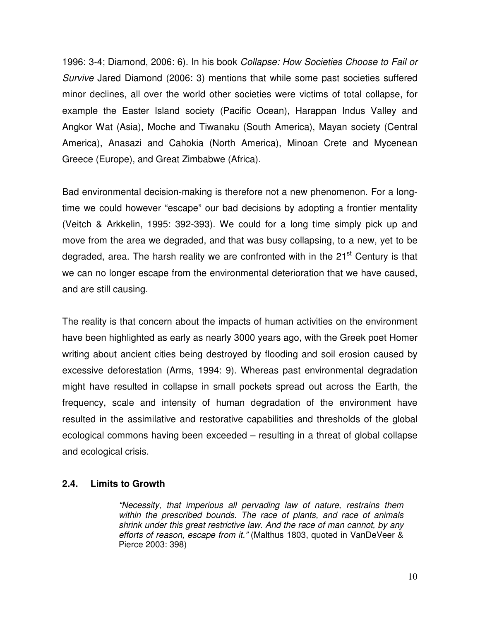1996: 3-4; Diamond, 2006: 6). In his book *Collapse: How Societies Choose to Fail or Survive* Jared Diamond (2006: 3) mentions that while some past societies suffered minor declines, all over the world other societies were victims of total collapse, for example the Easter Island society (Pacific Ocean), Harappan Indus Valley and Angkor Wat (Asia), Moche and Tiwanaku (South America), Mayan society (Central America), Anasazi and Cahokia (North America), Minoan Crete and Mycenean Greece (Europe), and Great Zimbabwe (Africa).

Bad environmental decision-making is therefore not a new phenomenon. For a longtime we could however "escape" our bad decisions by adopting a frontier mentality (Veitch & Arkkelin, 1995: 392-393). We could for a long time simply pick up and move from the area we degraded, and that was busy collapsing, to a new, yet to be degraded, area. The harsh reality we are confronted with in the 21<sup>st</sup> Century is that we can no longer escape from the environmental deterioration that we have caused, and are still causing.

The reality is that concern about the impacts of human activities on the environment have been highlighted as early as nearly 3000 years ago, with the Greek poet Homer writing about ancient cities being destroyed by flooding and soil erosion caused by excessive deforestation (Arms, 1994: 9). Whereas past environmental degradation might have resulted in collapse in small pockets spread out across the Earth, the frequency, scale and intensity of human degradation of the environment have resulted in the assimilative and restorative capabilities and thresholds of the global ecological commons having been exceeded – resulting in a threat of global collapse and ecological crisis.

#### **2.4. Limits to Growth**

*"Necessity, that imperious all pervading law of nature, restrains them within the prescribed bounds. The race of plants, and race of animals shrink under this great restrictive law. And the race of man cannot, by any efforts of reason, escape from it."* (Malthus 1803, quoted in VanDeVeer & Pierce 2003: 398)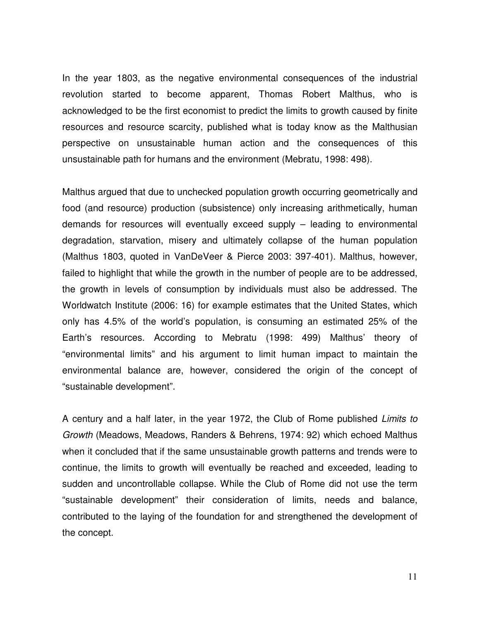In the year 1803, as the negative environmental consequences of the industrial revolution started to become apparent, Thomas Robert Malthus, who is acknowledged to be the first economist to predict the limits to growth caused by finite resources and resource scarcity, published what is today know as the Malthusian perspective on unsustainable human action and the consequences of this unsustainable path for humans and the environment (Mebratu, 1998: 498).

Malthus argued that due to unchecked population growth occurring geometrically and food (and resource) production (subsistence) only increasing arithmetically, human demands for resources will eventually exceed supply – leading to environmental degradation, starvation, misery and ultimately collapse of the human population (Malthus 1803, quoted in VanDeVeer & Pierce 2003: 397-401). Malthus, however, failed to highlight that while the growth in the number of people are to be addressed, the growth in levels of consumption by individuals must also be addressed. The Worldwatch Institute (2006: 16) for example estimates that the United States, which only has 4.5% of the world's population, is consuming an estimated 25% of the Earth's resources. According to Mebratu (1998: 499) Malthus' theory of "environmental limits" and his argument to limit human impact to maintain the environmental balance are, however, considered the origin of the concept of "sustainable development".

A century and a half later, in the year 1972, the Club of Rome published *Limits to Growth* (Meadows, Meadows, Randers & Behrens, 1974: 92) which echoed Malthus when it concluded that if the same unsustainable growth patterns and trends were to continue, the limits to growth will eventually be reached and exceeded, leading to sudden and uncontrollable collapse. While the Club of Rome did not use the term "sustainable development" their consideration of limits, needs and balance, contributed to the laying of the foundation for and strengthened the development of the concept.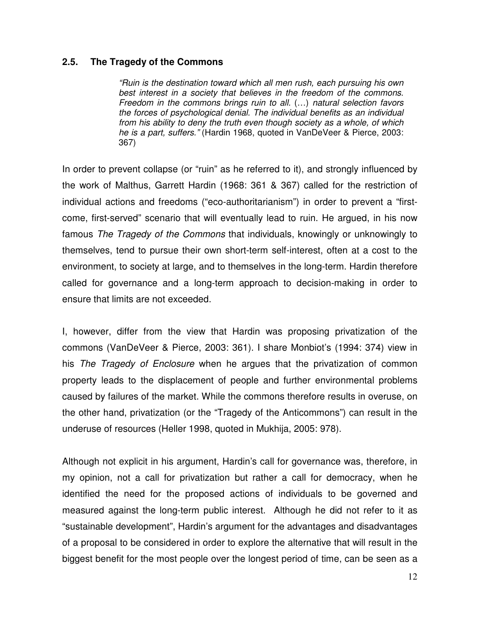#### **2.5. The Tragedy of the Commons**

*"Ruin is the destination toward which all men rush, each pursuing his own best interest in a society that believes in the freedom of the commons. Freedom in the commons brings ruin to all.* (…) *natural selection favors the forces of psychological denial. The individual benefits as an individual from his ability to deny the truth even though society as a whole, of which he is a part, suffers."* (Hardin 1968, quoted in VanDeVeer & Pierce, 2003: 367)

In order to prevent collapse (or "ruin" as he referred to it), and strongly influenced by the work of Malthus, Garrett Hardin (1968: 361 & 367) called for the restriction of individual actions and freedoms ("eco-authoritarianism") in order to prevent a "firstcome, first-served" scenario that will eventually lead to ruin. He argued, in his now famous *The Tragedy of the Commons* that individuals, knowingly or unknowingly to themselves, tend to pursue their own short-term self-interest, often at a cost to the environment, to society at large, and to themselves in the long-term. Hardin therefore called for governance and a long-term approach to decision-making in order to ensure that limits are not exceeded.

I, however, differ from the view that Hardin was proposing privatization of the commons (VanDeVeer & Pierce, 2003: 361). I share Monbiot's (1994: 374) view in his *The Tragedy of Enclosure* when he argues that the privatization of common property leads to the displacement of people and further environmental problems caused by failures of the market. While the commons therefore results in overuse, on the other hand, privatization (or the "Tragedy of the Anticommons") can result in the underuse of resources (Heller 1998, quoted in Mukhija, 2005: 978).

Although not explicit in his argument, Hardin's call for governance was, therefore, in my opinion, not a call for privatization but rather a call for democracy, when he identified the need for the proposed actions of individuals to be governed and measured against the long-term public interest. Although he did not refer to it as "sustainable development", Hardin's argument for the advantages and disadvantages of a proposal to be considered in order to explore the alternative that will result in the biggest benefit for the most people over the longest period of time, can be seen as a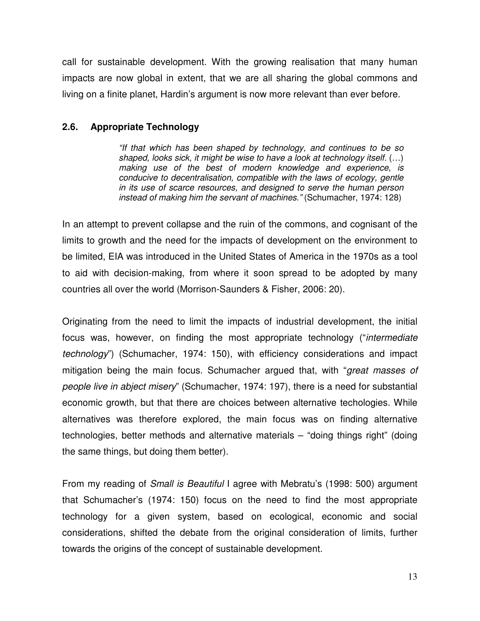call for sustainable development. With the growing realisation that many human impacts are now global in extent, that we are all sharing the global commons and living on a finite planet, Hardin's argument is now more relevant than ever before.

## **2.6. Appropriate Technology**

*"If that which has been shaped by technology, and continues to be so shaped, looks sick, it might be wise to have a look at technology itself.* (…) *making use of the best of modern knowledge and experience, is conducive to decentralisation, compatible with the laws of ecology, gentle in its use of scarce resources, and designed to serve the human person instead of making him the servant of machines."* (Schumacher, 1974: 128)

In an attempt to prevent collapse and the ruin of the commons, and cognisant of the limits to growth and the need for the impacts of development on the environment to be limited, EIA was introduced in the United States of America in the 1970s as a tool to aid with decision-making, from where it soon spread to be adopted by many countries all over the world (Morrison-Saunders & Fisher, 2006: 20).

Originating from the need to limit the impacts of industrial development, the initial focus was, however, on finding the most appropriate technology ("*intermediate technology*") (Schumacher, 1974: 150), with efficiency considerations and impact mitigation being the main focus. Schumacher argued that, with "*great masses of people live in abject misery*" (Schumacher, 1974: 197), there is a need for substantial economic growth, but that there are choices between alternative techologies. While alternatives was therefore explored, the main focus was on finding alternative technologies, better methods and alternative materials – "doing things right" (doing the same things, but doing them better).

From my reading of *Small is Beautiful* I agree with Mebratu's (1998: 500) argument that Schumacher's (1974: 150) focus on the need to find the most appropriate technology for a given system, based on ecological, economic and social considerations, shifted the debate from the original consideration of limits, further towards the origins of the concept of sustainable development.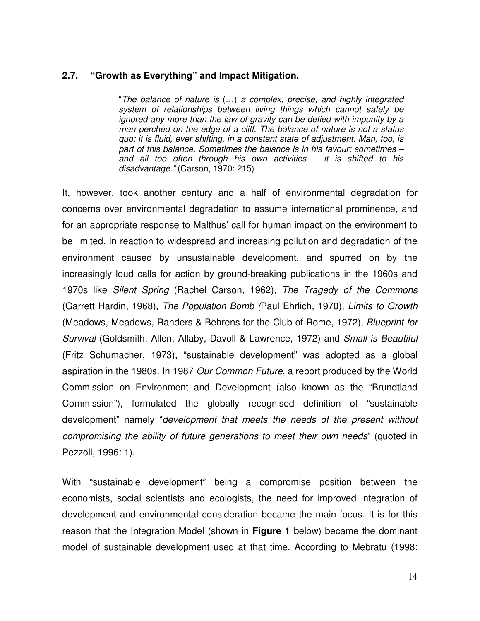#### **2.7. "Growth as Everything" and Impact Mitigation.**

"*The balance of nature is* (…) *a complex, precise, and highly integrated system of relationships between living things which cannot safely be ignored any more than the law of gravity can be defied with impunity by a man perched on the edge of a cliff. The balance of nature is not a status quo; it is fluid, ever shifting, in a constant state of adjustment. Man, too, is part of this balance. Sometimes the balance is in his favour; sometimes – and all too often through his own activities – it is shifted to his disadvantage."* (Carson, 1970: 215)

It, however, took another century and a half of environmental degradation for concerns over environmental degradation to assume international prominence, and for an appropriate response to Malthus' call for human impact on the environment to be limited. In reaction to widespread and increasing pollution and degradation of the environment caused by unsustainable development, and spurred on by the increasingly loud calls for action by ground-breaking publications in the 1960s and 1970s like *Silent Spring* (Rachel Carson, 1962), *The Tragedy of the Commons* (Garrett Hardin, 1968), *The Population Bomb (*Paul Ehrlich, 1970), *Limits to Growth* (Meadows, Meadows, Randers & Behrens for the Club of Rome, 1972), *Blueprint for Survival* (Goldsmith, Allen, Allaby, Davoll & Lawrence, 1972) and *Small is Beautiful* (Fritz Schumacher, 1973), "sustainable development" was adopted as a global aspiration in the 1980s. In 1987 *Our Common Future*, a report produced by the World Commission on Environment and Development (also known as the "Brundtland Commission"), formulated the globally recognised definition of "sustainable development" namely "*development that meets the needs of the present without compromising the ability of future generations to meet their own needs*" (quoted in Pezzoli, 1996: 1).

With "sustainable development" being a compromise position between the economists, social scientists and ecologists, the need for improved integration of development and environmental consideration became the main focus. It is for this reason that the Integration Model (shown in **Figure 1** below) became the dominant model of sustainable development used at that time. According to Mebratu (1998: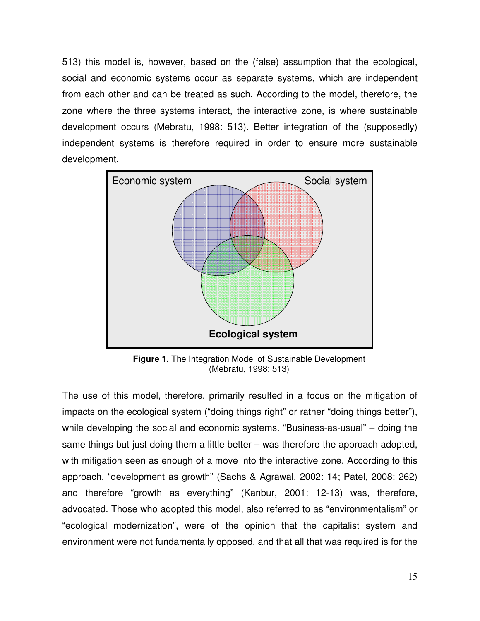513) this model is, however, based on the (false) assumption that the ecological, social and economic systems occur as separate systems, which are independent from each other and can be treated as such. According to the model, therefore, the zone where the three systems interact, the interactive zone, is where sustainable development occurs (Mebratu, 1998: 513). Better integration of the (supposedly) independent systems is therefore required in order to ensure more sustainable development.



**Figure 1.** The Integration Model of Sustainable Development (Mebratu, 1998: 513)

The use of this model, therefore, primarily resulted in a focus on the mitigation of impacts on the ecological system ("doing things right" or rather "doing things better"), while developing the social and economic systems. "Business-as-usual" – doing the same things but just doing them a little better – was therefore the approach adopted, with mitigation seen as enough of a move into the interactive zone. According to this approach, "development as growth" (Sachs & Agrawal, 2002: 14; Patel, 2008: 262) and therefore "growth as everything" (Kanbur, 2001: 12-13) was, therefore, advocated. Those who adopted this model, also referred to as "environmentalism" or "ecological modernization", were of the opinion that the capitalist system and environment were not fundamentally opposed, and that all that was required is for the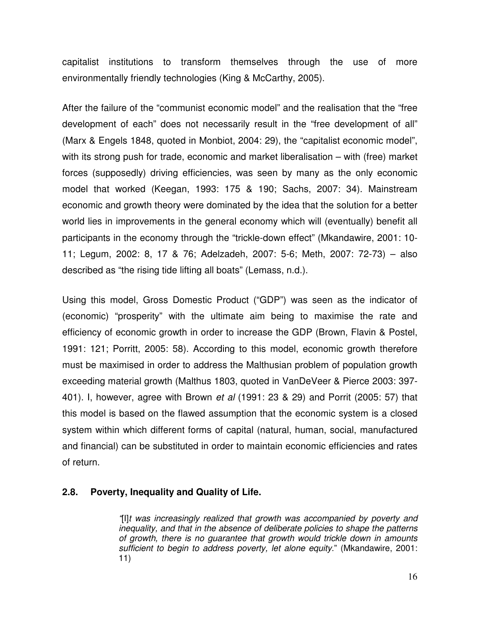capitalist institutions to transform themselves through the use of more environmentally friendly technologies (King & McCarthy, 2005).

After the failure of the "communist economic model" and the realisation that the "free development of each" does not necessarily result in the "free development of all" (Marx & Engels 1848, quoted in Monbiot, 2004: 29), the "capitalist economic model", with its strong push for trade, economic and market liberalisation – with (free) market forces (supposedly) driving efficiencies, was seen by many as the only economic model that worked (Keegan, 1993: 175 & 190; Sachs, 2007: 34). Mainstream economic and growth theory were dominated by the idea that the solution for a better world lies in improvements in the general economy which will (eventually) benefit all participants in the economy through the "trickle-down effect" (Mkandawire, 2001: 10- 11; Legum, 2002: 8, 17 & 76; Adelzadeh, 2007: 5-6; Meth, 2007: 72-73) – also described as "the rising tide lifting all boats" (Lemass, n.d.).

Using this model, Gross Domestic Product ("GDP") was seen as the indicator of (economic) "prosperity" with the ultimate aim being to maximise the rate and efficiency of economic growth in order to increase the GDP (Brown, Flavin & Postel, 1991: 121; Porritt, 2005: 58). According to this model, economic growth therefore must be maximised in order to address the Malthusian problem of population growth exceeding material growth (Malthus 1803, quoted in VanDeVeer & Pierce 2003: 397- 401). I, however, agree with Brown *et al* (1991: 23 & 29) and Porrit (2005: 57) that this model is based on the flawed assumption that the economic system is a closed system within which different forms of capital (natural, human, social, manufactured and financial) can be substituted in order to maintain economic efficiencies and rates of return.

## **2.8. Poverty, Inequality and Quality of Life.**

*"*[I]*t was increasingly realized that growth was accompanied by poverty and inequality, and that in the absence of deliberate policies to shape the patterns of growth, there is no guarantee that growth would trickle down in amounts sufficient to begin to address poverty, let alone equity*." (Mkandawire, 2001: 11)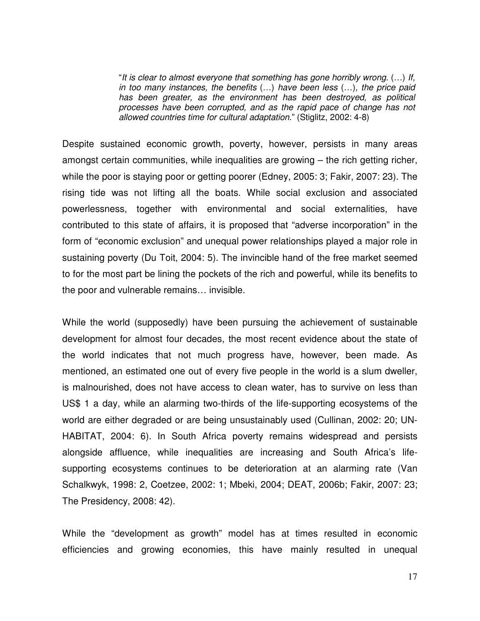"*It is clear to almost everyone that something has gone horribly wrong.* (…) *If, in too many instances, the benefits* (…) *have been less* (…)*, the price paid has been greater, as the environment has been destroyed, as political processes have been corrupted, and as the rapid pace of change has not allowed countries time for cultural adaptation*." (Stiglitz, 2002: 4-8)

Despite sustained economic growth, poverty, however, persists in many areas amongst certain communities, while inequalities are growing – the rich getting richer, while the poor is staying poor or getting poorer (Edney, 2005: 3; Fakir, 2007: 23). The rising tide was not lifting all the boats. While social exclusion and associated powerlessness, together with environmental and social externalities, have contributed to this state of affairs, it is proposed that "adverse incorporation" in the form of "economic exclusion" and unequal power relationships played a major role in sustaining poverty (Du Toit, 2004: 5). The invincible hand of the free market seemed to for the most part be lining the pockets of the rich and powerful, while its benefits to the poor and vulnerable remains… invisible.

While the world (supposedly) have been pursuing the achievement of sustainable development for almost four decades, the most recent evidence about the state of the world indicates that not much progress have, however, been made. As mentioned, an estimated one out of every five people in the world is a slum dweller, is malnourished, does not have access to clean water, has to survive on less than US\$ 1 a day, while an alarming two-thirds of the life-supporting ecosystems of the world are either degraded or are being unsustainably used (Cullinan, 2002: 20; UN-HABITAT, 2004: 6). In South Africa poverty remains widespread and persists alongside affluence, while inequalities are increasing and South Africa's lifesupporting ecosystems continues to be deterioration at an alarming rate (Van Schalkwyk, 1998: 2, Coetzee, 2002: 1; Mbeki, 2004; DEAT, 2006b; Fakir, 2007: 23; The Presidency, 2008: 42).

While the "development as growth" model has at times resulted in economic efficiencies and growing economies, this have mainly resulted in unequal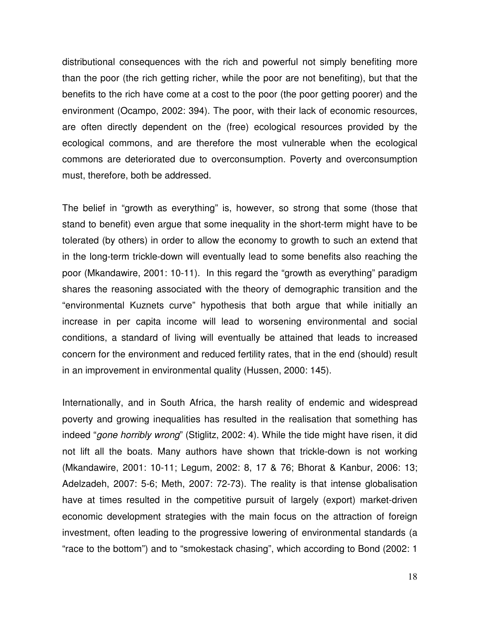distributional consequences with the rich and powerful not simply benefiting more than the poor (the rich getting richer, while the poor are not benefiting), but that the benefits to the rich have come at a cost to the poor (the poor getting poorer) and the environment (Ocampo, 2002: 394). The poor, with their lack of economic resources, are often directly dependent on the (free) ecological resources provided by the ecological commons, and are therefore the most vulnerable when the ecological commons are deteriorated due to overconsumption. Poverty and overconsumption must, therefore, both be addressed.

The belief in "growth as everything" is, however, so strong that some (those that stand to benefit) even argue that some inequality in the short-term might have to be tolerated (by others) in order to allow the economy to growth to such an extend that in the long-term trickle-down will eventually lead to some benefits also reaching the poor (Mkandawire, 2001: 10-11). In this regard the "growth as everything" paradigm shares the reasoning associated with the theory of demographic transition and the "environmental Kuznets curve" hypothesis that both argue that while initially an increase in per capita income will lead to worsening environmental and social conditions, a standard of living will eventually be attained that leads to increased concern for the environment and reduced fertility rates, that in the end (should) result in an improvement in environmental quality (Hussen, 2000: 145).

Internationally, and in South Africa, the harsh reality of endemic and widespread poverty and growing inequalities has resulted in the realisation that something has indeed "*gone horribly wrong*" (Stiglitz, 2002: 4). While the tide might have risen, it did not lift all the boats. Many authors have shown that trickle-down is not working (Mkandawire, 2001: 10-11; Legum, 2002: 8, 17 & 76; Bhorat & Kanbur, 2006: 13; Adelzadeh, 2007: 5-6; Meth, 2007: 72-73). The reality is that intense globalisation have at times resulted in the competitive pursuit of largely (export) market-driven economic development strategies with the main focus on the attraction of foreign investment, often leading to the progressive lowering of environmental standards (a "race to the bottom") and to "smokestack chasing", which according to Bond (2002: 1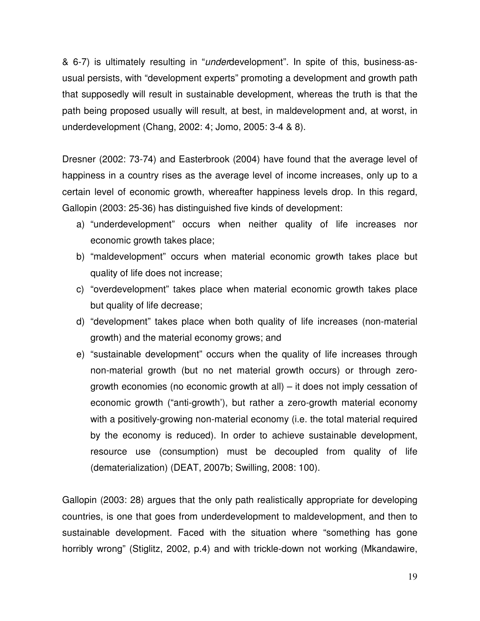& 6-7) is ultimately resulting in "*under*development". In spite of this, business-asusual persists, with "development experts" promoting a development and growth path that supposedly will result in sustainable development, whereas the truth is that the path being proposed usually will result, at best, in maldevelopment and, at worst, in underdevelopment (Chang, 2002: 4; Jomo, 2005: 3-4 & 8).

Dresner (2002: 73-74) and Easterbrook (2004) have found that the average level of happiness in a country rises as the average level of income increases, only up to a certain level of economic growth, whereafter happiness levels drop. In this regard, Gallopin (2003: 25-36) has distinguished five kinds of development:

- a) "underdevelopment" occurs when neither quality of life increases nor economic growth takes place;
- b) "maldevelopment" occurs when material economic growth takes place but quality of life does not increase;
- c) "overdevelopment" takes place when material economic growth takes place but quality of life decrease;
- d) "development" takes place when both quality of life increases (non-material growth) and the material economy grows; and
- e) "sustainable development" occurs when the quality of life increases through non-material growth (but no net material growth occurs) or through zerogrowth economies (no economic growth at all) – it does not imply cessation of economic growth ("anti-growth'), but rather a zero-growth material economy with a positively-growing non-material economy (i.e. the total material required by the economy is reduced). In order to achieve sustainable development, resource use (consumption) must be decoupled from quality of life (dematerialization) (DEAT, 2007b; Swilling, 2008: 100).

Gallopin (2003: 28) argues that the only path realistically appropriate for developing countries, is one that goes from underdevelopment to maldevelopment, and then to sustainable development. Faced with the situation where "something has gone horribly wrong" (Stiglitz, 2002, p.4) and with trickle-down not working (Mkandawire,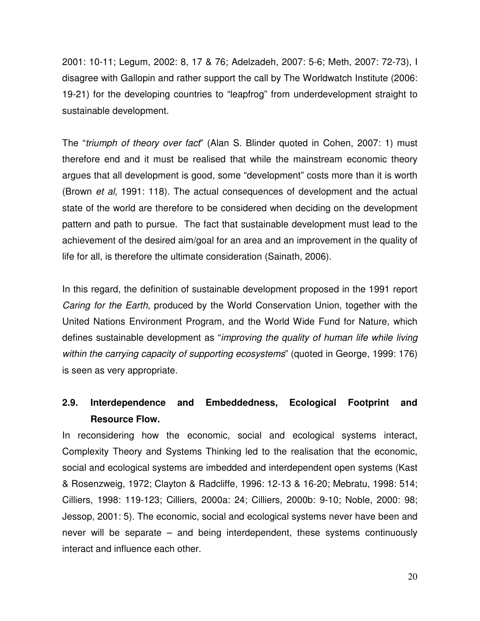2001: 10-11; Legum, 2002: 8, 17 & 76; Adelzadeh, 2007: 5-6; Meth, 2007: 72-73), I disagree with Gallopin and rather support the call by The Worldwatch Institute (2006: 19-21) for the developing countries to "leapfrog" from underdevelopment straight to sustainable development.

The "*triumph of theory over fact*" (Alan S. Blinder quoted in Cohen, 2007: 1) must therefore end and it must be realised that while the mainstream economic theory argues that all development is good, some "development" costs more than it is worth (Brown *et al*, 1991: 118). The actual consequences of development and the actual state of the world are therefore to be considered when deciding on the development pattern and path to pursue. The fact that sustainable development must lead to the achievement of the desired aim/goal for an area and an improvement in the quality of life for all, is therefore the ultimate consideration (Sainath, 2006).

In this regard, the definition of sustainable development proposed in the 1991 report *Caring for the Earth*, produced by the World Conservation Union, together with the United Nations Environment Program, and the World Wide Fund for Nature, which defines sustainable development as "*improving the quality of human life while living within the carrying capacity of supporting ecosystems*" (quoted in George, 1999: 176) is seen as very appropriate.

## **2.9. Interdependence and Embeddedness, Ecological Footprint and Resource Flow.**

In reconsidering how the economic, social and ecological systems interact, Complexity Theory and Systems Thinking led to the realisation that the economic, social and ecological systems are imbedded and interdependent open systems (Kast & Rosenzweig, 1972; Clayton & Radcliffe, 1996: 12-13 & 16-20; Mebratu, 1998: 514; Cilliers, 1998: 119-123; Cilliers, 2000a: 24; Cilliers, 2000b: 9-10; Noble, 2000: 98; Jessop, 2001: 5). The economic, social and ecological systems never have been and never will be separate – and being interdependent, these systems continuously interact and influence each other.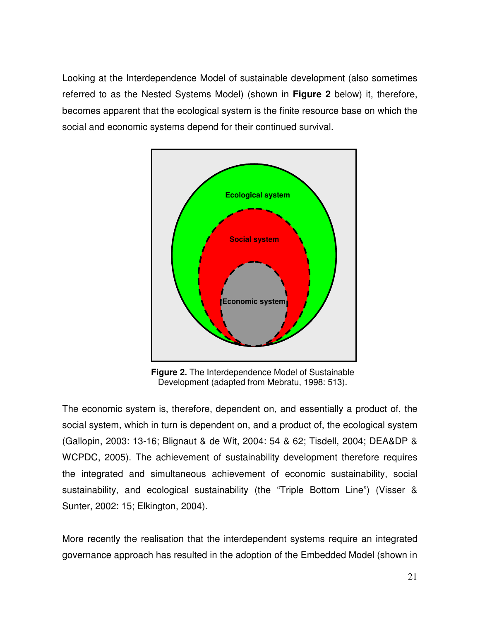Looking at the Interdependence Model of sustainable development (also sometimes referred to as the Nested Systems Model) (shown in **Figure 2** below) it, therefore, becomes apparent that the ecological system is the finite resource base on which the social and economic systems depend for their continued survival.



**Figure 2.** The Interdependence Model of Sustainable Development (adapted from Mebratu, 1998: 513).

The economic system is, therefore, dependent on, and essentially a product of, the social system, which in turn is dependent on, and a product of, the ecological system (Gallopin, 2003: 13-16; Blignaut & de Wit, 2004: 54 & 62; Tisdell, 2004; DEA&DP & WCPDC, 2005). The achievement of sustainability development therefore requires the integrated and simultaneous achievement of economic sustainability, social sustainability, and ecological sustainability (the "Triple Bottom Line") (Visser & Sunter, 2002: 15; Elkington, 2004).

More recently the realisation that the interdependent systems require an integrated governance approach has resulted in the adoption of the Embedded Model (shown in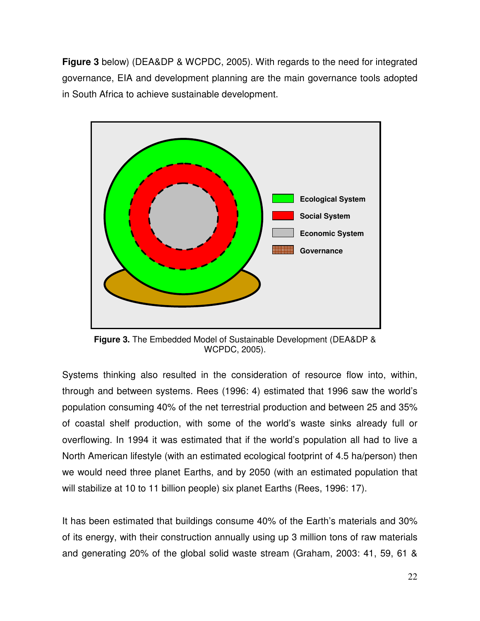**Figure 3** below) (DEA&DP & WCPDC, 2005). With regards to the need for integrated governance, EIA and development planning are the main governance tools adopted in South Africa to achieve sustainable development.



**Figure 3.** The Embedded Model of Sustainable Development (DEA&DP & WCPDC, 2005).

Systems thinking also resulted in the consideration of resource flow into, within, through and between systems. Rees (1996: 4) estimated that 1996 saw the world's population consuming 40% of the net terrestrial production and between 25 and 35% of coastal shelf production, with some of the world's waste sinks already full or overflowing. In 1994 it was estimated that if the world's population all had to live a North American lifestyle (with an estimated ecological footprint of 4.5 ha/person) then we would need three planet Earths, and by 2050 (with an estimated population that will stabilize at 10 to 11 billion people) six planet Earths (Rees, 1996: 17).

It has been estimated that buildings consume 40% of the Earth's materials and 30% of its energy, with their construction annually using up 3 million tons of raw materials and generating 20% of the global solid waste stream (Graham, 2003: 41, 59, 61 &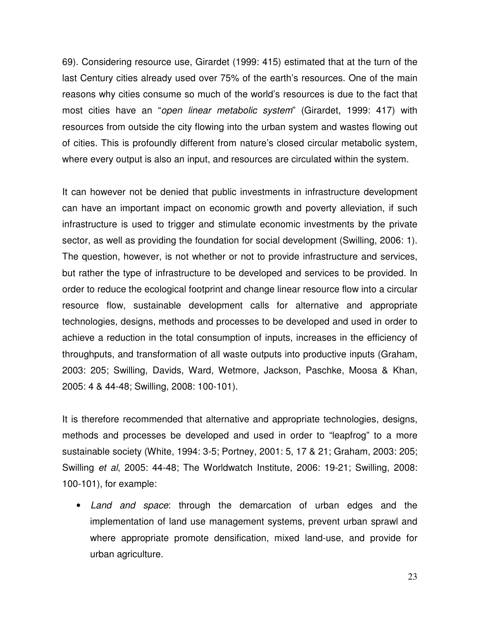69). Considering resource use, Girardet (1999: 415) estimated that at the turn of the last Century cities already used over 75% of the earth's resources. One of the main reasons why cities consume so much of the world's resources is due to the fact that most cities have an "*open linear metabolic system*" (Girardet, 1999: 417) with resources from outside the city flowing into the urban system and wastes flowing out of cities. This is profoundly different from nature's closed circular metabolic system, where every output is also an input, and resources are circulated within the system.

It can however not be denied that public investments in infrastructure development can have an important impact on economic growth and poverty alleviation, if such infrastructure is used to trigger and stimulate economic investments by the private sector, as well as providing the foundation for social development (Swilling, 2006: 1). The question, however, is not whether or not to provide infrastructure and services, but rather the type of infrastructure to be developed and services to be provided. In order to reduce the ecological footprint and change linear resource flow into a circular resource flow, sustainable development calls for alternative and appropriate technologies, designs, methods and processes to be developed and used in order to achieve a reduction in the total consumption of inputs, increases in the efficiency of throughputs, and transformation of all waste outputs into productive inputs (Graham, 2003: 205; Swilling, Davids, Ward, Wetmore, Jackson, Paschke, Moosa & Khan, 2005: 4 & 44-48; Swilling, 2008: 100-101).

It is therefore recommended that alternative and appropriate technologies, designs, methods and processes be developed and used in order to "leapfrog" to a more sustainable society (White, 1994: 3-5; Portney, 2001: 5, 17 & 21; Graham, 2003: 205; Swilling *et al*, 2005: 44-48; The Worldwatch Institute, 2006: 19-21; Swilling, 2008: 100-101), for example:

• *Land and space*: through the demarcation of urban edges and the implementation of land use management systems, prevent urban sprawl and where appropriate promote densification, mixed land-use, and provide for urban agriculture.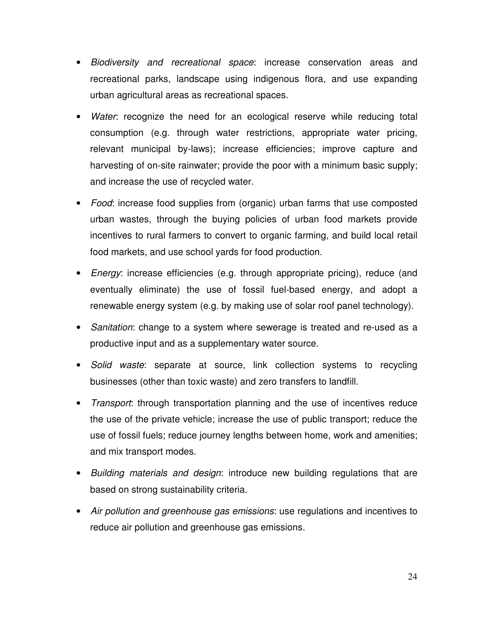- *Biodiversity and recreational space*: increase conservation areas and recreational parks, landscape using indigenous flora, and use expanding urban agricultural areas as recreational spaces*.*
- *Water*: recognize the need for an ecological reserve while reducing total consumption (e.g. through water restrictions, appropriate water pricing, relevant municipal by-laws); increase efficiencies; improve capture and harvesting of on-site rainwater; provide the poor with a minimum basic supply; and increase the use of recycled water.
- *Food*: increase food supplies from (organic) urban farms that use composted urban wastes, through the buying policies of urban food markets provide incentives to rural farmers to convert to organic farming, and build local retail food markets, and use school yards for food production.
- *Energy*: increase efficiencies (e.g. through appropriate pricing), reduce (and eventually eliminate) the use of fossil fuel-based energy, and adopt a renewable energy system (e.g. by making use of solar roof panel technology).
- *Sanitation*: change to a system where sewerage is treated and re-used as a productive input and as a supplementary water source.
- *Solid waste*: separate at source, link collection systems to recycling businesses (other than toxic waste) and zero transfers to landfill.
- *Transport*: through transportation planning and the use of incentives reduce the use of the private vehicle; increase the use of public transport; reduce the use of fossil fuels; reduce journey lengths between home, work and amenities; and mix transport modes.
- *Building materials and design*: introduce new building regulations that are based on strong sustainability criteria.
- *Air pollution and greenhouse gas emissions*: use regulations and incentives to reduce air pollution and greenhouse gas emissions*.*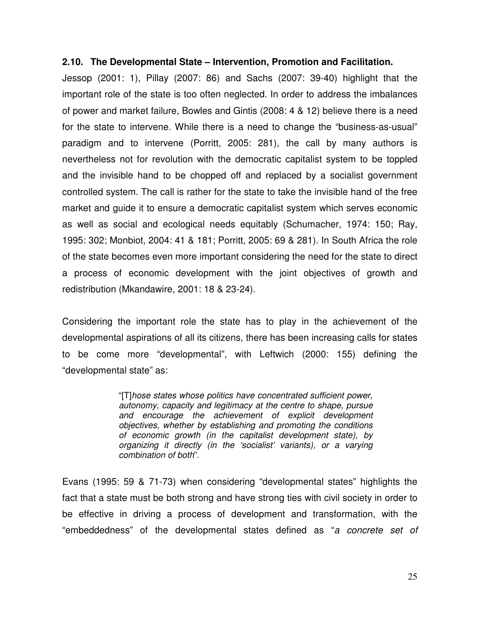#### **2.10. The Developmental State – Intervention, Promotion and Facilitation.**

Jessop (2001: 1), Pillay (2007: 86) and Sachs (2007: 39-40) highlight that the important role of the state is too often neglected. In order to address the imbalances of power and market failure, Bowles and Gintis (2008: 4 & 12) believe there is a need for the state to intervene. While there is a need to change the "business-as-usual" paradigm and to intervene (Porritt, 2005: 281), the call by many authors is nevertheless not for revolution with the democratic capitalist system to be toppled and the invisible hand to be chopped off and replaced by a socialist government controlled system. The call is rather for the state to take the invisible hand of the free market and guide it to ensure a democratic capitalist system which serves economic as well as social and ecological needs equitably (Schumacher, 1974: 150; Ray, 1995: 302; Monbiot, 2004: 41 & 181; Porritt, 2005: 69 & 281). In South Africa the role of the state becomes even more important considering the need for the state to direct a process of economic development with the joint objectives of growth and redistribution (Mkandawire, 2001: 18 & 23-24).

Considering the important role the state has to play in the achievement of the developmental aspirations of all its citizens, there has been increasing calls for states to be come more "developmental", with Leftwich (2000: 155) defining the "developmental state" as:

> "[T]*hose states whose politics have concentrated sufficient power, autonomy, capacity and legitimacy at the centre to shape, pursue and encourage the achievement of explicit development objectives, whether by establishing and promoting the conditions of economic growth (in the capitalist development state), by organizing it directly (in the 'socialist' variants), or a varying combination of both*".

Evans (1995: 59 & 71-73) when considering "developmental states" highlights the fact that a state must be both strong and have strong ties with civil society in order to be effective in driving a process of development and transformation, with the "embeddedness" of the developmental states defined as "*a concrete set of*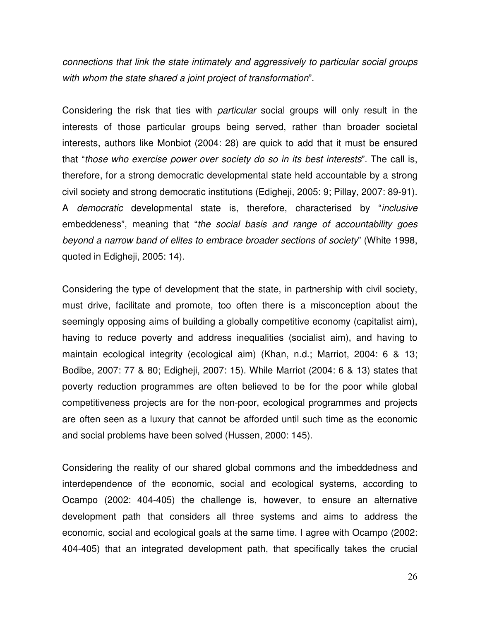*connections that link the state intimately and aggressively to particular social groups with whom the state shared a joint project of transformation*".

Considering the risk that ties with *particular* social groups will only result in the interests of those particular groups being served, rather than broader societal interests, authors like Monbiot (2004: 28) are quick to add that it must be ensured that "*those who exercise power over society do so in its best interests*". The call is, therefore, for a strong democratic developmental state held accountable by a strong civil society and strong democratic institutions (Edigheji, 2005: 9; Pillay, 2007: 89-91). A *democratic* developmental state is, therefore, characterised by "*inclusive* embeddeness", meaning that "*the social basis and range of accountability goes beyond a narrow band of elites to embrace broader sections of society*" (White 1998, quoted in Edigheji, 2005: 14).

Considering the type of development that the state, in partnership with civil society, must drive, facilitate and promote, too often there is a misconception about the seemingly opposing aims of building a globally competitive economy (capitalist aim), having to reduce poverty and address inequalities (socialist aim), and having to maintain ecological integrity (ecological aim) (Khan, n.d.; Marriot, 2004: 6 & 13; Bodibe, 2007: 77 & 80; Edigheji, 2007: 15). While Marriot (2004: 6 & 13) states that poverty reduction programmes are often believed to be for the poor while global competitiveness projects are for the non-poor, ecological programmes and projects are often seen as a luxury that cannot be afforded until such time as the economic and social problems have been solved (Hussen, 2000: 145).

Considering the reality of our shared global commons and the imbeddedness and interdependence of the economic, social and ecological systems, according to Ocampo (2002: 404-405) the challenge is, however, to ensure an alternative development path that considers all three systems and aims to address the economic, social and ecological goals at the same time. I agree with Ocampo (2002: 404-405) that an integrated development path, that specifically takes the crucial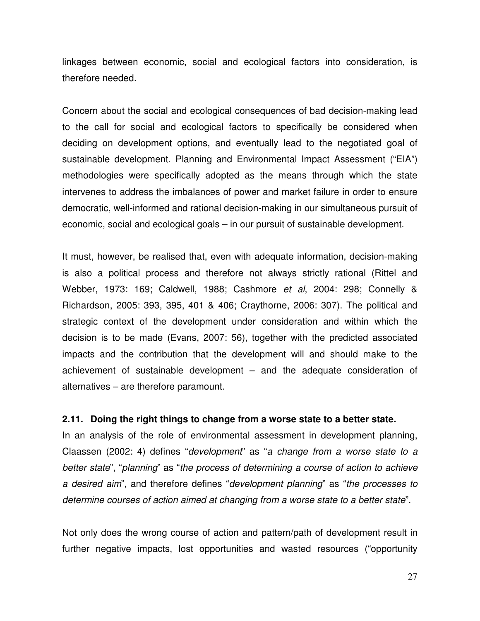linkages between economic, social and ecological factors into consideration, is therefore needed.

Concern about the social and ecological consequences of bad decision-making lead to the call for social and ecological factors to specifically be considered when deciding on development options, and eventually lead to the negotiated goal of sustainable development. Planning and Environmental Impact Assessment ("EIA") methodologies were specifically adopted as the means through which the state intervenes to address the imbalances of power and market failure in order to ensure democratic, well-informed and rational decision-making in our simultaneous pursuit of economic, social and ecological goals – in our pursuit of sustainable development.

It must, however, be realised that, even with adequate information, decision-making is also a political process and therefore not always strictly rational (Rittel and Webber, 1973: 169; Caldwell, 1988; Cashmore *et al*, 2004: 298; Connelly & Richardson, 2005: 393, 395, 401 & 406; Craythorne, 2006: 307). The political and strategic context of the development under consideration and within which the decision is to be made (Evans, 2007: 56), together with the predicted associated impacts and the contribution that the development will and should make to the achievement of sustainable development – and the adequate consideration of alternatives – are therefore paramount.

### **2.11. Doing the right things to change from a worse state to a better state.**

In an analysis of the role of environmental assessment in development planning, Claassen (2002: 4) defines "*development*" as "*a change from a worse state to a better state*", "*planning*" as "*the process of determining a course of action to achieve a desired aim*", and therefore defines "*development planning*" as "*the processes to determine courses of action aimed at changing from a worse state to a better state*".

Not only does the wrong course of action and pattern/path of development result in further negative impacts, lost opportunities and wasted resources ("opportunity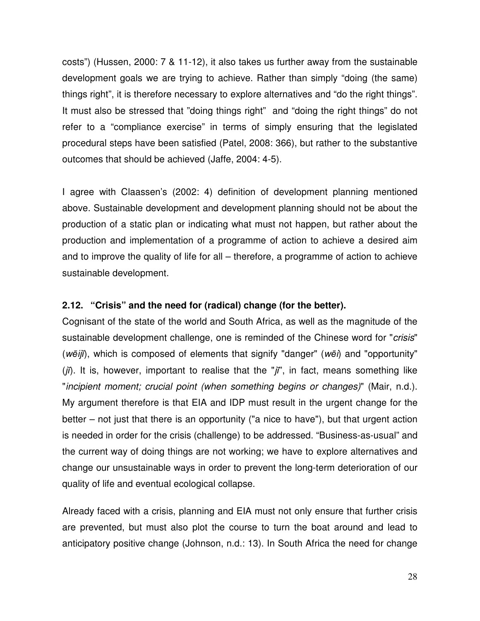costs") (Hussen, 2000: 7 & 11-12), it also takes us further away from the sustainable development goals we are trying to achieve. Rather than simply "doing (the same) things right", it is therefore necessary to explore alternatives and "do the right things". It must also be stressed that "doing things right" and "doing the right things" do not refer to a "compliance exercise" in terms of simply ensuring that the legislated procedural steps have been satisfied (Patel, 2008: 366), but rather to the substantive outcomes that should be achieved (Jaffe, 2004: 4-5).

I agree with Claassen's (2002: 4) definition of development planning mentioned above. Sustainable development and development planning should not be about the production of a static plan or indicating what must not happen, but rather about the production and implementation of a programme of action to achieve a desired aim and to improve the quality of life for all – therefore, a programme of action to achieve sustainable development.

## **2.12. "Crisis" and the need for (radical) change (for the better).**

Cognisant of the state of the world and South Africa, as well as the magnitude of the sustainable development challenge, one is reminded of the Chinese word for "*crisis*" (wēiji), which is composed of elements that signify "danger" (wei) and "opportunity" (jī). It is, however, important to realise that the "jī", in fact, means something like "*incipient moment; crucial point (when something begins or changes)*" (Mair, n.d.). My argument therefore is that EIA and IDP must result in the urgent change for the better – not just that there is an opportunity ("a nice to have"), but that urgent action is needed in order for the crisis (challenge) to be addressed. "Business-as-usual" and the current way of doing things are not working; we have to explore alternatives and change our unsustainable ways in order to prevent the long-term deterioration of our quality of life and eventual ecological collapse.

Already faced with a crisis, planning and EIA must not only ensure that further crisis are prevented, but must also plot the course to turn the boat around and lead to anticipatory positive change (Johnson, n.d.: 13). In South Africa the need for change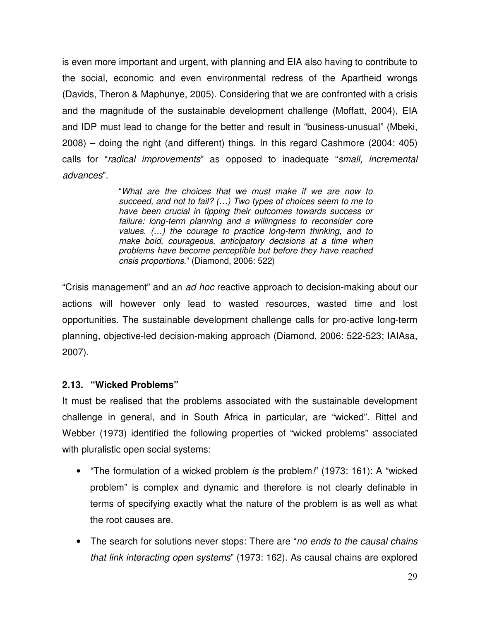is even more important and urgent, with planning and EIA also having to contribute to the social, economic and even environmental redress of the Apartheid wrongs (Davids, Theron & Maphunye, 2005). Considering that we are confronted with a crisis and the magnitude of the sustainable development challenge (Moffatt, 2004), EIA and IDP must lead to change for the better and result in "business-unusual" (Mbeki, 2008) – doing the right (and different) things. In this regard Cashmore (2004: 405) calls for "*radical improvements*" as opposed to inadequate "*small, incremental advances*".

> "*What are the choices that we must make if we are now to succeed, and not to fail? (…) Two types of choices seem to me to have been crucial in tipping their outcomes towards success or failure: long-term planning and a willingness to reconsider core values. (…) the courage to practice long-term thinking, and to make bold, courageous, anticipatory decisions at a time when problems have become perceptible but before they have reached crisis proportions*." (Diamond, 2006: 522)

"Crisis management" and an *ad hoc* reactive approach to decision-making about our actions will however only lead to wasted resources, wasted time and lost opportunities. The sustainable development challenge calls for pro-active long-term planning, objective-led decision-making approach (Diamond, 2006: 522-523; IAIAsa, 2007).

## **2.13. "Wicked Problems"**

It must be realised that the problems associated with the sustainable development challenge in general, and in South Africa in particular, are "wicked". Rittel and Webber (1973) identified the following properties of "wicked problems" associated with pluralistic open social systems:

- "The formulation of a wicked problem *is* the problem*!*" (1973: 161): A "wicked problem" is complex and dynamic and therefore is not clearly definable in terms of specifying exactly what the nature of the problem is as well as what the root causes are.
- The search for solutions never stops: There are "*no ends to the causal chains that link interacting open systems*" (1973: 162). As causal chains are explored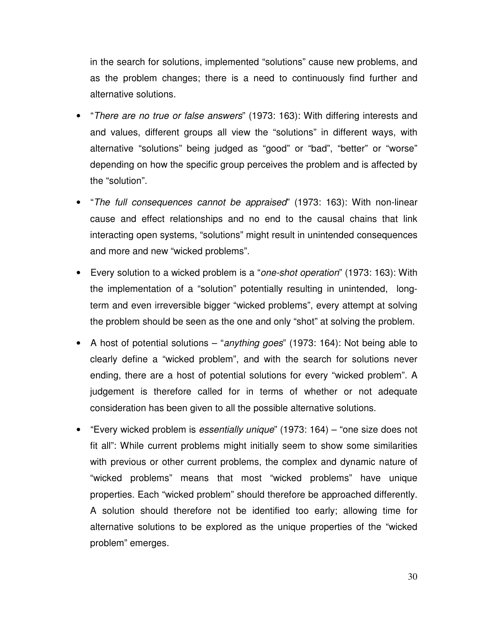in the search for solutions, implemented "solutions" cause new problems, and as the problem changes; there is a need to continuously find further and alternative solutions.

- "*There are no true or false answers*" (1973: 163): With differing interests and and values, different groups all view the "solutions" in different ways, with alternative "solutions" being judged as "good" or "bad", "better" or "worse" depending on how the specific group perceives the problem and is affected by the "solution".
- "*The full consequences cannot be appraised*" (1973: 163): With non-linear cause and effect relationships and no end to the causal chains that link interacting open systems, "solutions" might result in unintended consequences and more and new "wicked problems".
- Every solution to a wicked problem is a "*one-shot operation*" (1973: 163): With the implementation of a "solution" potentially resulting in unintended, longterm and even irreversible bigger "wicked problems", every attempt at solving the problem should be seen as the one and only "shot" at solving the problem.
- A host of potential solutions "*anything goes*" (1973: 164): Not being able to clearly define a "wicked problem", and with the search for solutions never ending, there are a host of potential solutions for every "wicked problem". A judgement is therefore called for in terms of whether or not adequate consideration has been given to all the possible alternative solutions.
- "Every wicked problem is *essentially unique*" (1973: 164) "one size does not fit all": While current problems might initially seem to show some similarities with previous or other current problems, the complex and dynamic nature of "wicked problems" means that most "wicked problems" have unique properties. Each "wicked problem" should therefore be approached differently. A solution should therefore not be identified too early; allowing time for alternative solutions to be explored as the unique properties of the "wicked problem" emerges.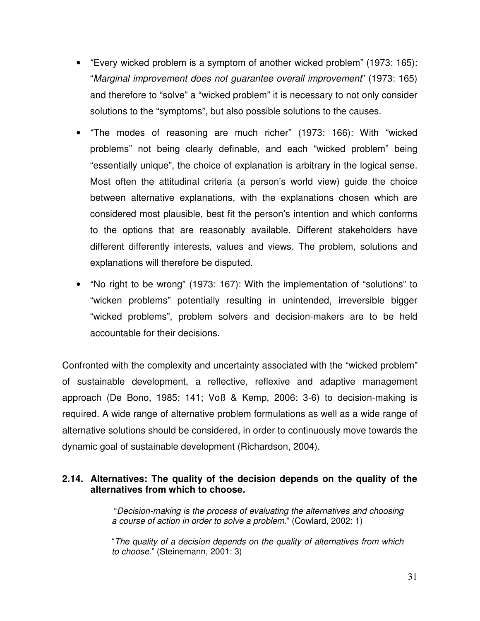- "Every wicked problem is a symptom of another wicked problem" (1973: 165): "*Marginal improvement does not guarantee overall improvement*" (1973: 165) and therefore to "solve" a "wicked problem" it is necessary to not only consider solutions to the "symptoms", but also possible solutions to the causes.
- "The modes of reasoning are much richer" (1973: 166): With "wicked problems" not being clearly definable, and each "wicked problem" being "essentially unique", the choice of explanation is arbitrary in the logical sense. Most often the attitudinal criteria (a person's world view) guide the choice between alternative explanations, with the explanations chosen which are considered most plausible, best fit the person's intention and which conforms to the options that are reasonably available. Different stakeholders have different differently interests, values and views. The problem, solutions and explanations will therefore be disputed.
- "No right to be wrong" (1973: 167): With the implementation of "solutions" to "wicken problems" potentially resulting in unintended, irreversible bigger "wicked problems", problem solvers and decision-makers are to be held accountable for their decisions.

Confronted with the complexity and uncertainty associated with the "wicked problem" of sustainable development, a reflective, reflexive and adaptive management approach (De Bono, 1985: 141; Voß & Kemp, 2006: 3-6) to decision-making is required. A wide range of alternative problem formulations as well as a wide range of alternative solutions should be considered, in order to continuously move towards the dynamic goal of sustainable development (Richardson, 2004).

## **2.14. Alternatives: The quality of the decision depends on the quality of the alternatives from which to choose.**

"*Decision-making is the process of evaluating the alternatives and choosing a course of action in order to solve a problem*." (Cowlard, 2002: 1)

"*The quality of a decision depends on the quality of alternatives from which to choose*." (Steinemann, 2001: 3)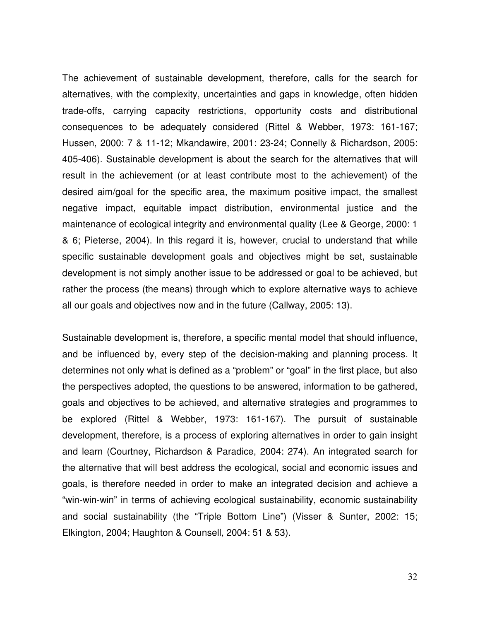The achievement of sustainable development, therefore, calls for the search for alternatives, with the complexity, uncertainties and gaps in knowledge, often hidden trade-offs, carrying capacity restrictions, opportunity costs and distributional consequences to be adequately considered (Rittel & Webber, 1973: 161-167; Hussen, 2000: 7 & 11-12; Mkandawire, 2001: 23-24; Connelly & Richardson, 2005: 405-406). Sustainable development is about the search for the alternatives that will result in the achievement (or at least contribute most to the achievement) of the desired aim/goal for the specific area, the maximum positive impact, the smallest negative impact, equitable impact distribution, environmental justice and the maintenance of ecological integrity and environmental quality (Lee & George, 2000: 1 & 6; Pieterse, 2004). In this regard it is, however, crucial to understand that while specific sustainable development goals and objectives might be set, sustainable development is not simply another issue to be addressed or goal to be achieved, but rather the process (the means) through which to explore alternative ways to achieve all our goals and objectives now and in the future (Callway, 2005: 13).

Sustainable development is, therefore, a specific mental model that should influence, and be influenced by, every step of the decision-making and planning process. It determines not only what is defined as a "problem" or "goal" in the first place, but also the perspectives adopted, the questions to be answered, information to be gathered, goals and objectives to be achieved, and alternative strategies and programmes to be explored (Rittel & Webber, 1973: 161-167). The pursuit of sustainable development, therefore, is a process of exploring alternatives in order to gain insight and learn (Courtney, Richardson & Paradice, 2004: 274). An integrated search for the alternative that will best address the ecological, social and economic issues and goals, is therefore needed in order to make an integrated decision and achieve a "win-win-win" in terms of achieving ecological sustainability, economic sustainability and social sustainability (the "Triple Bottom Line") (Visser & Sunter, 2002: 15; Elkington, 2004; Haughton & Counsell, 2004: 51 & 53).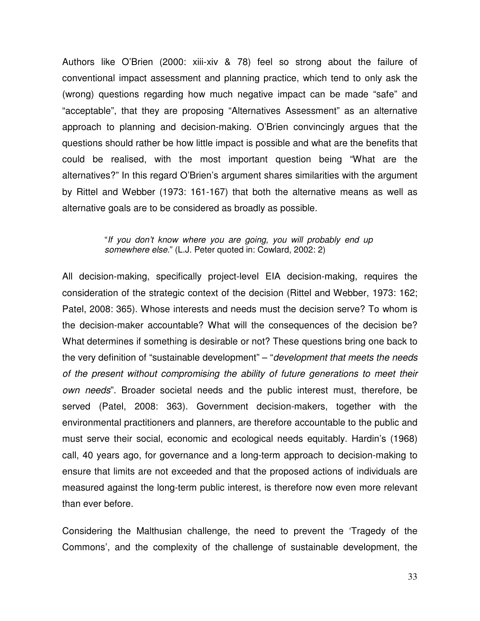Authors like O'Brien (2000: xiii-xiv & 78) feel so strong about the failure of conventional impact assessment and planning practice, which tend to only ask the (wrong) questions regarding how much negative impact can be made "safe" and "acceptable", that they are proposing "Alternatives Assessment" as an alternative approach to planning and decision-making. O'Brien convincingly argues that the questions should rather be how little impact is possible and what are the benefits that could be realised, with the most important question being "What are the alternatives?" In this regard O'Brien's argument shares similarities with the argument by Rittel and Webber (1973: 161-167) that both the alternative means as well as alternative goals are to be considered as broadly as possible.

#### "*If you don't know where you are going, you will probably end up somewhere else*." (L.J. Peter quoted in: Cowlard, 2002: 2)

All decision-making, specifically project-level EIA decision-making, requires the consideration of the strategic context of the decision (Rittel and Webber, 1973: 162; Patel, 2008: 365). Whose interests and needs must the decision serve? To whom is the decision-maker accountable? What will the consequences of the decision be? What determines if something is desirable or not? These questions bring one back to the very definition of "sustainable development" – "*development that meets the needs of the present without compromising the ability of future generations to meet their own needs*". Broader societal needs and the public interest must, therefore, be served (Patel, 2008: 363). Government decision-makers, together with the environmental practitioners and planners, are therefore accountable to the public and must serve their social, economic and ecological needs equitably. Hardin's (1968) call, 40 years ago, for governance and a long-term approach to decision-making to ensure that limits are not exceeded and that the proposed actions of individuals are measured against the long-term public interest, is therefore now even more relevant than ever before.

Considering the Malthusian challenge, the need to prevent the 'Tragedy of the Commons', and the complexity of the challenge of sustainable development, the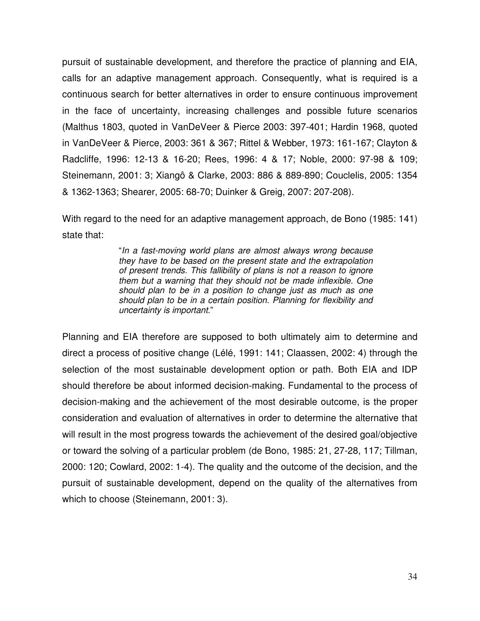pursuit of sustainable development, and therefore the practice of planning and EIA, calls for an adaptive management approach. Consequently, what is required is a continuous search for better alternatives in order to ensure continuous improvement in the face of uncertainty, increasing challenges and possible future scenarios (Malthus 1803, quoted in VanDeVeer & Pierce 2003: 397-401; Hardin 1968, quoted in VanDeVeer & Pierce, 2003: 361 & 367; Rittel & Webber, 1973: 161-167; Clayton & Radcliffe, 1996: 12-13 & 16-20; Rees, 1996: 4 & 17; Noble, 2000: 97-98 & 109; Steinemann, 2001: 3; Xiangô & Clarke, 2003: 886 & 889-890; Couclelis, 2005: 1354 & 1362-1363; Shearer, 2005: 68-70; Duinker & Greig, 2007: 207-208).

With regard to the need for an adaptive management approach, de Bono (1985: 141) state that:

> "*In a fast-moving world plans are almost always wrong because they have to be based on the present state and the extrapolation of present trends. This fallibility of plans is not a reason to ignore them but a warning that they should not be made inflexible. One should plan to be in a position to change just as much as one should plan to be in a certain position. Planning for flexibility and uncertainty is important*."

Planning and EIA therefore are supposed to both ultimately aim to determine and direct a process of positive change (Lélé, 1991: 141; Claassen, 2002: 4) through the selection of the most sustainable development option or path. Both EIA and IDP should therefore be about informed decision-making. Fundamental to the process of decision-making and the achievement of the most desirable outcome, is the proper consideration and evaluation of alternatives in order to determine the alternative that will result in the most progress towards the achievement of the desired goal/objective or toward the solving of a particular problem (de Bono, 1985: 21, 27-28, 117; Tillman, 2000: 120; Cowlard, 2002: 1-4). The quality and the outcome of the decision, and the pursuit of sustainable development, depend on the quality of the alternatives from which to choose (Steinemann, 2001: 3).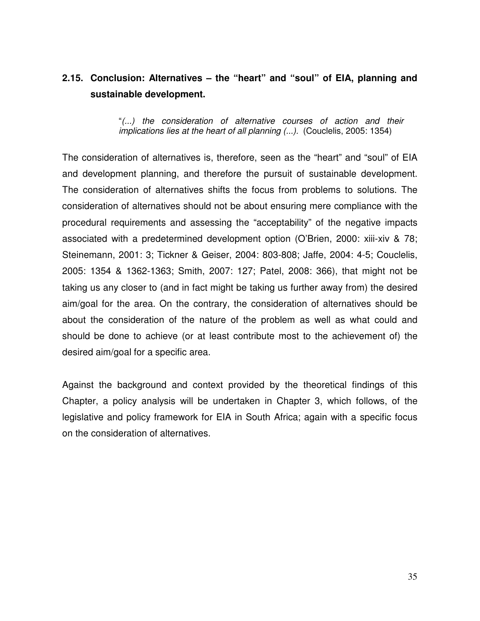# **2.15. Conclusion: Alternatives – the "heart" and "soul" of EIA, planning and sustainable development.**

"*(...) the consideration of alternative courses of action and their implications lies at the heart of all planning (...).* (Couclelis, 2005: 1354)

The consideration of alternatives is, therefore, seen as the "heart" and "soul" of EIA and development planning, and therefore the pursuit of sustainable development. The consideration of alternatives shifts the focus from problems to solutions. The consideration of alternatives should not be about ensuring mere compliance with the procedural requirements and assessing the "acceptability" of the negative impacts associated with a predetermined development option (O'Brien, 2000: xiii-xiv & 78; Steinemann, 2001: 3; Tickner & Geiser, 2004: 803-808; Jaffe, 2004: 4-5; Couclelis, 2005: 1354 & 1362-1363; Smith, 2007: 127; Patel, 2008: 366), that might not be taking us any closer to (and in fact might be taking us further away from) the desired aim/goal for the area. On the contrary, the consideration of alternatives should be about the consideration of the nature of the problem as well as what could and should be done to achieve (or at least contribute most to the achievement of) the desired aim/goal for a specific area.

Against the background and context provided by the theoretical findings of this Chapter, a policy analysis will be undertaken in Chapter 3, which follows, of the legislative and policy framework for EIA in South Africa; again with a specific focus on the consideration of alternatives.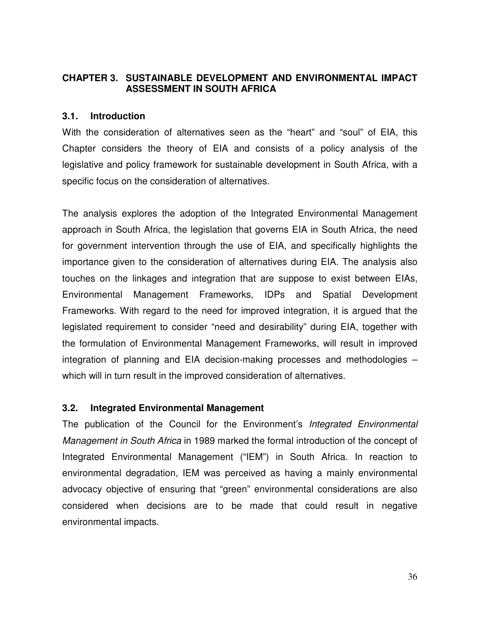## **CHAPTER 3. SUSTAINABLE DEVELOPMENT AND ENVIRONMENTAL IMPACT ASSESSMENT IN SOUTH AFRICA**

### **3.1. Introduction**

With the consideration of alternatives seen as the "heart" and "soul" of EIA, this Chapter considers the theory of EIA and consists of a policy analysis of the legislative and policy framework for sustainable development in South Africa, with a specific focus on the consideration of alternatives.

The analysis explores the adoption of the Integrated Environmental Management approach in South Africa, the legislation that governs EIA in South Africa, the need for government intervention through the use of EIA, and specifically highlights the importance given to the consideration of alternatives during EIA. The analysis also touches on the linkages and integration that are suppose to exist between EIAs, Environmental Management Frameworks, IDPs and Spatial Development Frameworks. With regard to the need for improved integration, it is argued that the legislated requirement to consider "need and desirability" during EIA, together with the formulation of Environmental Management Frameworks, will result in improved integration of planning and EIA decision-making processes and methodologies – which will in turn result in the improved consideration of alternatives.

### **3.2. Integrated Environmental Management**

The publication of the Council for the Environment's *Integrated Environmental Management in South Africa* in 1989 marked the formal introduction of the concept of Integrated Environmental Management ("IEM") in South Africa. In reaction to environmental degradation, IEM was perceived as having a mainly environmental advocacy objective of ensuring that "green" environmental considerations are also considered when decisions are to be made that could result in negative environmental impacts.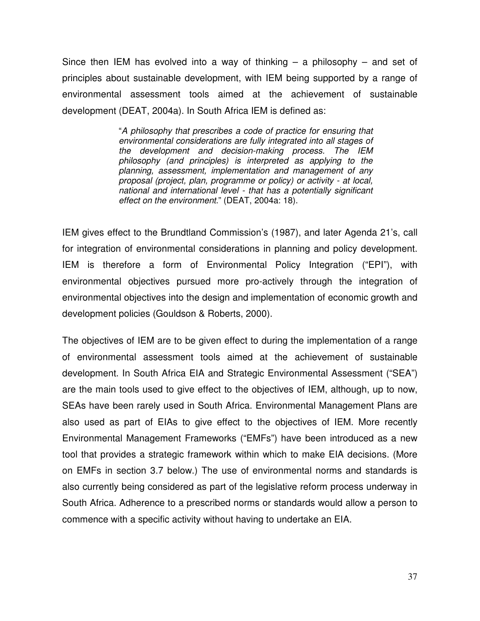Since then IEM has evolved into a way of thinking  $-$  a philosophy  $-$  and set of principles about sustainable development, with IEM being supported by a range of environmental assessment tools aimed at the achievement of sustainable development (DEAT, 2004a). In South Africa IEM is defined as:

> "*A philosophy that prescribes a code of practice for ensuring that environmental considerations are fully integrated into all stages of the development and decision-making process. The IEM philosophy (and principles) is interpreted as applying to the planning, assessment, implementation and management of any proposal (project, plan, programme or policy) or activity - at local, national and international level - that has a potentially significant effect on the environment*." (DEAT, 2004a: 18).

IEM gives effect to the Brundtland Commission's (1987), and later Agenda 21's, call for integration of environmental considerations in planning and policy development. IEM is therefore a form of Environmental Policy Integration ("EPI"), with environmental objectives pursued more pro-actively through the integration of environmental objectives into the design and implementation of economic growth and development policies (Gouldson & Roberts, 2000).

The objectives of IEM are to be given effect to during the implementation of a range of environmental assessment tools aimed at the achievement of sustainable development. In South Africa EIA and Strategic Environmental Assessment ("SEA") are the main tools used to give effect to the objectives of IEM, although, up to now, SEAs have been rarely used in South Africa. Environmental Management Plans are also used as part of EIAs to give effect to the objectives of IEM. More recently Environmental Management Frameworks ("EMFs") have been introduced as a new tool that provides a strategic framework within which to make EIA decisions. (More on EMFs in section 3.7 below.) The use of environmental norms and standards is also currently being considered as part of the legislative reform process underway in South Africa. Adherence to a prescribed norms or standards would allow a person to commence with a specific activity without having to undertake an EIA.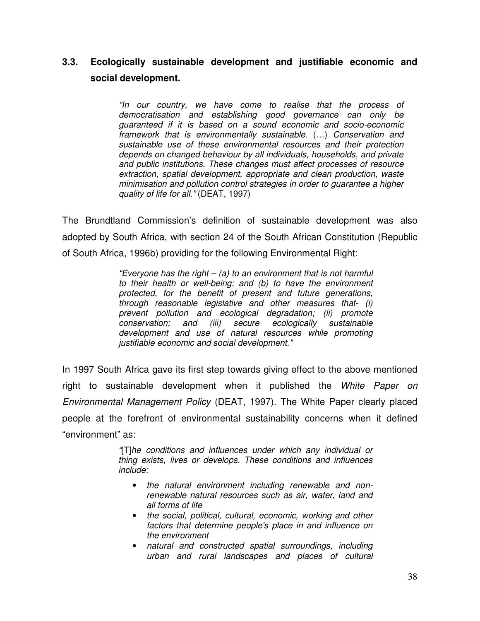# **3.3. Ecologically sustainable development and justifiable economic and social development.**

*"In our country, we have come to realise that the process of democratisation and establishing good governance can only be guaranteed if it is based on a sound economic and socio-economic framework that is environmentally sustainable.* (…) *Conservation and sustainable use of these environmental resources and their protection depends on changed behaviour by all individuals, households, and private and public institutions. These changes must affect processes of resource extraction, spatial development, appropriate and clean production, waste minimisation and pollution control strategies in order to guarantee a higher quality of life for all."* (DEAT, 1997)

The Brundtland Commission's definition of sustainable development was also adopted by South Africa, with section 24 of the South African Constitution (Republic of South Africa, 1996b) providing for the following Environmental Right:

> *"Everyone has the right – (a) to an environment that is not harmful to their health or well-being; and (b) to have the environment protected, for the benefit of present and future generations, through reasonable legislative and other measures that- (i) prevent pollution and ecological degradation; (ii) promote conservation; and (iii) secure ecologically sustainable development and use of natural resources while promoting justifiable economic and social development."*

In 1997 South Africa gave its first step towards giving effect to the above mentioned right to sustainable development when it published the *White Paper on Environmental Management Policy* (DEAT, 1997). The White Paper clearly placed people at the forefront of environmental sustainability concerns when it defined "environment" as:

> *"*[T]*he conditions and influences under which any individual or thing exists, lives or develops. These conditions and influences include:*

- *the natural environment including renewable and nonrenewable natural resources such as air, water, land and all forms of life*
- *the social, political, cultural, economic, working and other factors that determine people's place in and influence on the environment*
- *natural and constructed spatial surroundings, including urban and rural landscapes and places of cultural*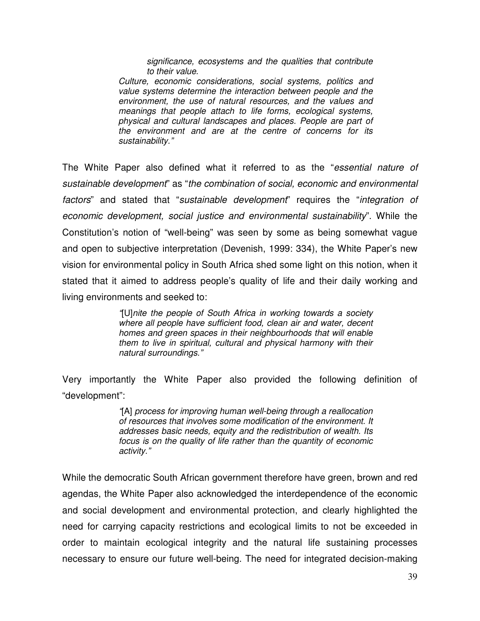*significance, ecosystems and the qualities that contribute to their value.*

*Culture, economic considerations, social systems, politics and value systems determine the interaction between people and the environment, the use of natural resources, and the values and meanings that people attach to life forms, ecological systems, physical and cultural landscapes and places. People are part of the environment and are at the centre of concerns for its sustainability."*

The White Paper also defined what it referred to as the "*essential nature of sustainable development*" as "*the combination of social, economic and environmental factors*" and stated that "*sustainable development*" requires the "*integration of economic development, social justice and environmental sustainability*". While the Constitution's notion of "well-being" was seen by some as being somewhat vague and open to subjective interpretation (Devenish, 1999: 334), the White Paper's new vision for environmental policy in South Africa shed some light on this notion, when it stated that it aimed to address people's quality of life and their daily working and living environments and seeked to:

> *"*[U]*nite the people of South Africa in working towards a society where all people have sufficient food, clean air and water, decent homes and green spaces in their neighbourhoods that will enable them to live in spiritual, cultural and physical harmony with their natural surroundings."*

Very importantly the White Paper also provided the following definition of "development":

> *"*[A] *process for improving human well-being through a reallocation of resources that involves some modification of the environment. It addresses basic needs, equity and the redistribution of wealth. Its focus is on the quality of life rather than the quantity of economic activity."*

While the democratic South African government therefore have green, brown and red agendas, the White Paper also acknowledged the interdependence of the economic and social development and environmental protection, and clearly highlighted the need for carrying capacity restrictions and ecological limits to not be exceeded in order to maintain ecological integrity and the natural life sustaining processes necessary to ensure our future well-being. The need for integrated decision-making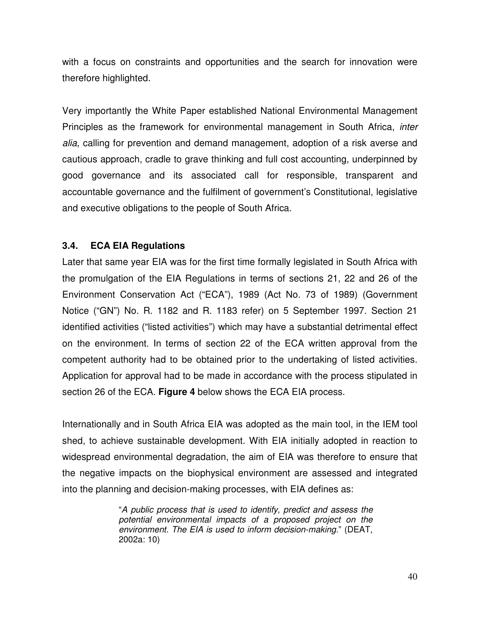with a focus on constraints and opportunities and the search for innovation were therefore highlighted.

Very importantly the White Paper established National Environmental Management Principles as the framework for environmental management in South Africa, *inter alia*, calling for prevention and demand management, adoption of a risk averse and cautious approach, cradle to grave thinking and full cost accounting, underpinned by good governance and its associated call for responsible, transparent and accountable governance and the fulfilment of government's Constitutional, legislative and executive obligations to the people of South Africa.

## **3.4. ECA EIA Regulations**

Later that same year EIA was for the first time formally legislated in South Africa with the promulgation of the EIA Regulations in terms of sections 21, 22 and 26 of the Environment Conservation Act ("ECA"), 1989 (Act No. 73 of 1989) (Government Notice ("GN") No. R. 1182 and R. 1183 refer) on 5 September 1997. Section 21 identified activities ("listed activities") which may have a substantial detrimental effect on the environment. In terms of section 22 of the ECA written approval from the competent authority had to be obtained prior to the undertaking of listed activities. Application for approval had to be made in accordance with the process stipulated in section 26 of the ECA. **Figure 4** below shows the ECA EIA process.

Internationally and in South Africa EIA was adopted as the main tool, in the IEM tool shed, to achieve sustainable development. With EIA initially adopted in reaction to widespread environmental degradation, the aim of EIA was therefore to ensure that the negative impacts on the biophysical environment are assessed and integrated into the planning and decision-making processes, with EIA defines as:

> "*A public process that is used to identify, predict and assess the potential environmental impacts of a proposed project on the environment. The EIA is used to inform decision-making.*" (DEAT, 2002a: 10)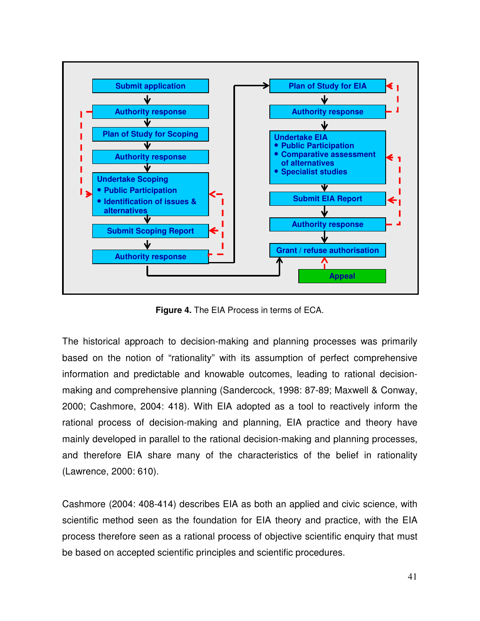

**Figure 4.** The EIA Process in terms of ECA.

The historical approach to decision-making and planning processes was primarily based on the notion of "rationality" with its assumption of perfect comprehensive information and predictable and knowable outcomes, leading to rational decisionmaking and comprehensive planning (Sandercock, 1998: 87-89; Maxwell & Conway, 2000; Cashmore, 2004: 418). With EIA adopted as a tool to reactively inform the rational process of decision-making and planning, EIA practice and theory have mainly developed in parallel to the rational decision-making and planning processes, and therefore EIA share many of the characteristics of the belief in rationality (Lawrence, 2000: 610).

Cashmore (2004: 408-414) describes EIA as both an applied and civic science, with scientific method seen as the foundation for EIA theory and practice, with the EIA process therefore seen as a rational process of objective scientific enquiry that must be based on accepted scientific principles and scientific procedures.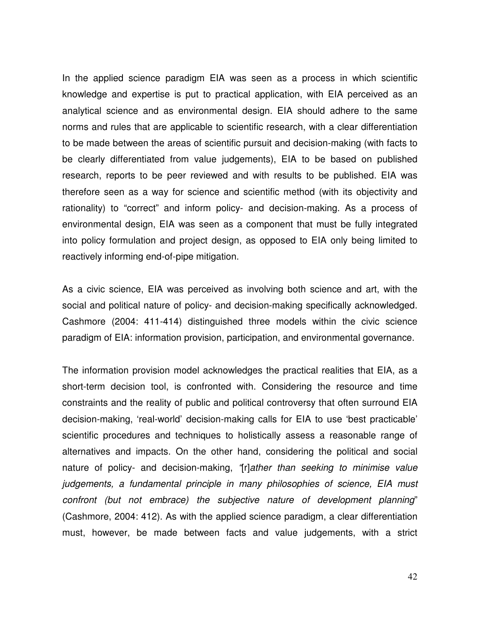In the applied science paradigm EIA was seen as a process in which scientific knowledge and expertise is put to practical application, with EIA perceived as an analytical science and as environmental design. EIA should adhere to the same norms and rules that are applicable to scientific research, with a clear differentiation to be made between the areas of scientific pursuit and decision-making (with facts to be clearly differentiated from value judgements), EIA to be based on published research, reports to be peer reviewed and with results to be published. EIA was therefore seen as a way for science and scientific method (with its objectivity and rationality) to "correct" and inform policy- and decision-making. As a process of environmental design, EIA was seen as a component that must be fully integrated into policy formulation and project design, as opposed to EIA only being limited to reactively informing end-of-pipe mitigation.

As a civic science, EIA was perceived as involving both science and art, with the social and political nature of policy- and decision-making specifically acknowledged. Cashmore (2004: 411-414) distinguished three models within the civic science paradigm of EIA: information provision, participation, and environmental governance.

The information provision model acknowledges the practical realities that EIA, as a short-term decision tool, is confronted with. Considering the resource and time constraints and the reality of public and political controversy that often surround EIA decision-making, 'real-world' decision-making calls for EIA to use 'best practicable' scientific procedures and techniques to holistically assess a reasonable range of alternatives and impacts. On the other hand, considering the political and social nature of policy- and decision-making, *"*[r]*ather than seeking to minimise value judgements, a fundamental principle in many philosophies of science, EIA must confront (but not embrace) the subjective nature of development planning*" (Cashmore, 2004: 412). As with the applied science paradigm, a clear differentiation must, however, be made between facts and value judgements, with a strict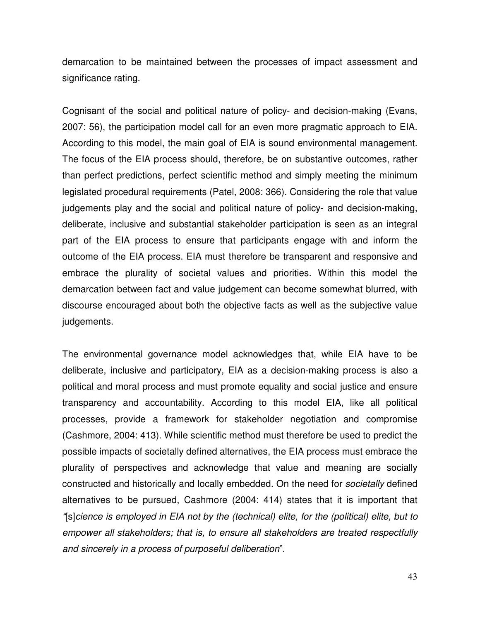demarcation to be maintained between the processes of impact assessment and significance rating.

Cognisant of the social and political nature of policy- and decision-making (Evans, 2007: 56), the participation model call for an even more pragmatic approach to EIA. According to this model, the main goal of EIA is sound environmental management. The focus of the EIA process should, therefore, be on substantive outcomes, rather than perfect predictions, perfect scientific method and simply meeting the minimum legislated procedural requirements (Patel, 2008: 366). Considering the role that value judgements play and the social and political nature of policy- and decision-making, deliberate, inclusive and substantial stakeholder participation is seen as an integral part of the EIA process to ensure that participants engage with and inform the outcome of the EIA process. EIA must therefore be transparent and responsive and embrace the plurality of societal values and priorities. Within this model the demarcation between fact and value judgement can become somewhat blurred, with discourse encouraged about both the objective facts as well as the subjective value judgements.

The environmental governance model acknowledges that, while EIA have to be deliberate, inclusive and participatory, EIA as a decision-making process is also a political and moral process and must promote equality and social justice and ensure transparency and accountability. According to this model EIA, like all political processes, provide a framework for stakeholder negotiation and compromise (Cashmore, 2004: 413). While scientific method must therefore be used to predict the possible impacts of societally defined alternatives, the EIA process must embrace the plurality of perspectives and acknowledge that value and meaning are socially constructed and historically and locally embedded. On the need for *societally* defined alternatives to be pursued, Cashmore (2004: 414) states that it is important that *"*[s]*cience is employed in EIA not by the (technical) elite, for the (political) elite, but to empower all stakeholders; that is, to ensure all stakeholders are treated respectfully and sincerely in a process of purposeful deliberation*".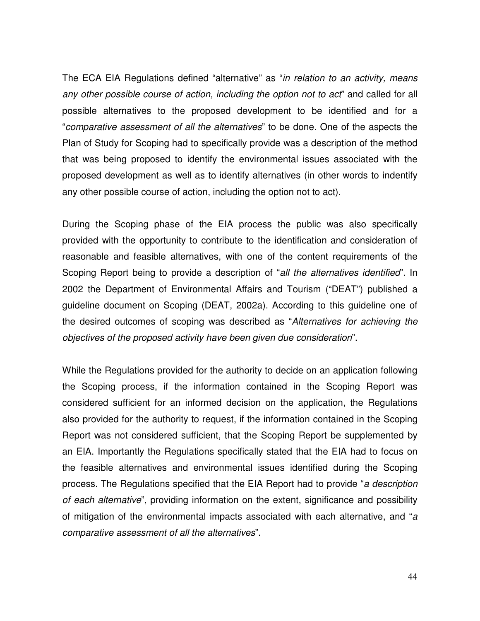The ECA EIA Regulations defined "alternative" as "*in relation to an activity, means any other possible course of action, including the option not to act*" and called for all possible alternatives to the proposed development to be identified and for a "*comparative assessment of all the alternatives*" to be done. One of the aspects the Plan of Study for Scoping had to specifically provide was a description of the method that was being proposed to identify the environmental issues associated with the proposed development as well as to identify alternatives (in other words to indentify any other possible course of action, including the option not to act).

During the Scoping phase of the EIA process the public was also specifically provided with the opportunity to contribute to the identification and consideration of reasonable and feasible alternatives, with one of the content requirements of the Scoping Report being to provide a description of "*all the alternatives identified*". In 2002 the Department of Environmental Affairs and Tourism ("DEAT") published a guideline document on Scoping (DEAT, 2002a). According to this guideline one of the desired outcomes of scoping was described as "*Alternatives for achieving the objectives of the proposed activity have been given due consideration*".

While the Regulations provided for the authority to decide on an application following the Scoping process, if the information contained in the Scoping Report was considered sufficient for an informed decision on the application, the Regulations also provided for the authority to request, if the information contained in the Scoping Report was not considered sufficient, that the Scoping Report be supplemented by an EIA. Importantly the Regulations specifically stated that the EIA had to focus on the feasible alternatives and environmental issues identified during the Scoping process. The Regulations specified that the EIA Report had to provide "*a description of each alternative*", providing information on the extent, significance and possibility of mitigation of the environmental impacts associated with each alternative, and "*a comparative assessment of all the alternatives*".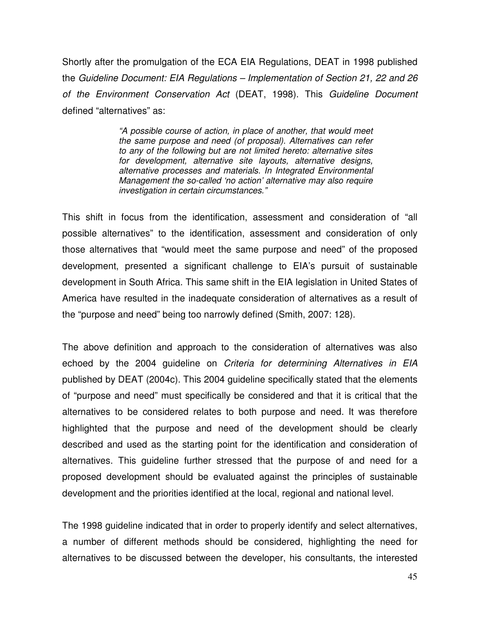Shortly after the promulgation of the ECA EIA Regulations, DEAT in 1998 published the *Guideline Document: EIA Regulations – Implementation of Section 21, 22 and 26 of the Environment Conservation Act* (DEAT, 1998). This *Guideline Document* defined "alternatives" as:

> *"A possible course of action, in place of another, that would meet the same purpose and need (of proposal). Alternatives can refer to any of the following but are not limited hereto: alternative sites for development, alternative site layouts, alternative designs, alternative processes and materials. In Integrated Environmental Management the so-called 'no action' alternative may also require investigation in certain circumstances."*

This shift in focus from the identification, assessment and consideration of "all possible alternatives" to the identification, assessment and consideration of only those alternatives that "would meet the same purpose and need" of the proposed development, presented a significant challenge to EIA's pursuit of sustainable development in South Africa. This same shift in the EIA legislation in United States of America have resulted in the inadequate consideration of alternatives as a result of the "purpose and need" being too narrowly defined (Smith, 2007: 128).

The above definition and approach to the consideration of alternatives was also echoed by the 2004 guideline on *Criteria for determining Alternatives in EIA* published by DEAT (2004c). This 2004 guideline specifically stated that the elements of "purpose and need" must specifically be considered and that it is critical that the alternatives to be considered relates to both purpose and need. It was therefore highlighted that the purpose and need of the development should be clearly described and used as the starting point for the identification and consideration of alternatives. This guideline further stressed that the purpose of and need for a proposed development should be evaluated against the principles of sustainable development and the priorities identified at the local, regional and national level.

The 1998 guideline indicated that in order to properly identify and select alternatives, a number of different methods should be considered, highlighting the need for alternatives to be discussed between the developer, his consultants, the interested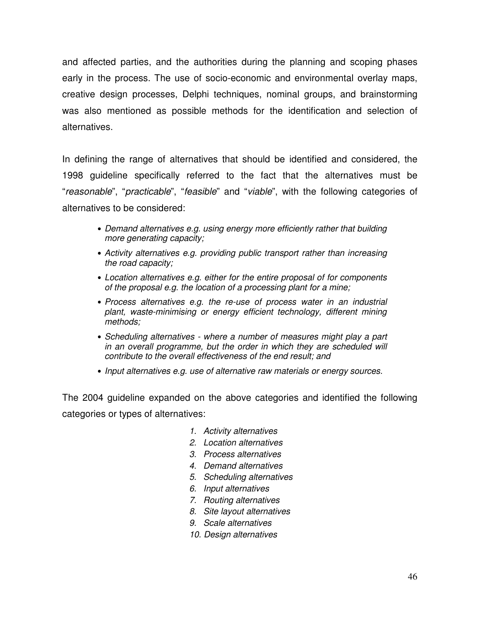and affected parties, and the authorities during the planning and scoping phases early in the process. The use of socio-economic and environmental overlay maps, creative design processes, Delphi techniques, nominal groups, and brainstorming was also mentioned as possible methods for the identification and selection of alternatives.

In defining the range of alternatives that should be identified and considered, the 1998 guideline specifically referred to the fact that the alternatives must be "*reasonable*", "*practicable*", "*feasible*" and "*viable*", with the following categories of alternatives to be considered:

- *Demand alternatives e.g. using energy more efficiently rather that building more generating capacity;*
- *Activity alternatives e.g. providing public transport rather than increasing the road capacity;*
- *Location alternatives e.g. either for the entire proposal of for components of the proposal e.g. the location of a processing plant for a mine;*
- *Process alternatives e.g. the re-use of process water in an industrial plant, waste-minimising or energy efficient technology, different mining methods;*
- *Scheduling alternatives - where a number of measures might play a part in an overall programme, but the order in which they are scheduled will contribute to the overall effectiveness of the end result; and*
- *Input alternatives e.g. use of alternative raw materials or energy sources.*

The 2004 guideline expanded on the above categories and identified the following categories or types of alternatives:

- *1. Activity alternatives*
- *2. Location alternatives*
- *3. Process alternatives*
- *4. Demand alternatives*
- *5. Scheduling alternatives*
- *6. Input alternatives*
- *7. Routing alternatives*
- *8. Site layout alternatives*
- *9. Scale alternatives*
- *10. Design alternatives*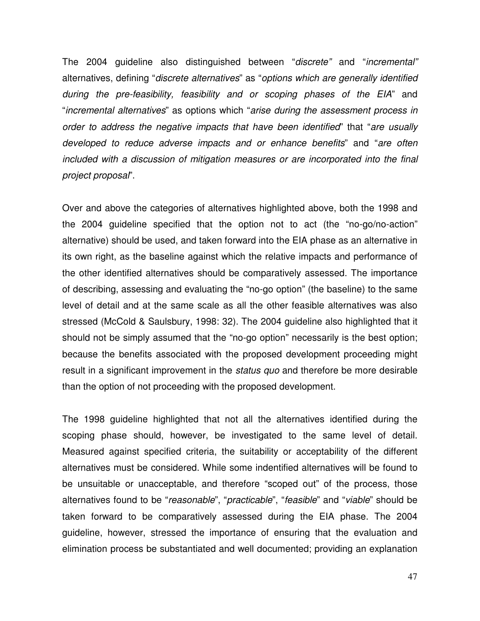The 2004 guideline also distinguished between "*discrete"* and "*incremental"* alternatives, defining "*discrete alternatives*" as "*options which are generally identified during the pre-feasibility, feasibility and or scoping phases of the EIA*" and "*incremental alternatives*" as options which "*arise during the assessment process in order to address the negative impacts that have been identified*" that "*are usually developed to reduce adverse impacts and or enhance benefits*" and "*are often included with a discussion of mitigation measures or are incorporated into the final project proposal*".

Over and above the categories of alternatives highlighted above, both the 1998 and the 2004 guideline specified that the option not to act (the "no-go/no-action" alternative) should be used, and taken forward into the EIA phase as an alternative in its own right, as the baseline against which the relative impacts and performance of the other identified alternatives should be comparatively assessed. The importance of describing, assessing and evaluating the "no-go option" (the baseline) to the same level of detail and at the same scale as all the other feasible alternatives was also stressed (McCold & Saulsbury, 1998: 32). The 2004 guideline also highlighted that it should not be simply assumed that the "no-go option" necessarily is the best option; because the benefits associated with the proposed development proceeding might result in a significant improvement in the *status quo* and therefore be more desirable than the option of not proceeding with the proposed development.

The 1998 guideline highlighted that not all the alternatives identified during the scoping phase should, however, be investigated to the same level of detail. Measured against specified criteria, the suitability or acceptability of the different alternatives must be considered. While some indentified alternatives will be found to be unsuitable or unacceptable, and therefore "scoped out" of the process, those alternatives found to be "*reasonable*", "*practicable*", "*feasible*" and "*viable*" should be taken forward to be comparatively assessed during the EIA phase. The 2004 guideline, however, stressed the importance of ensuring that the evaluation and elimination process be substantiated and well documented; providing an explanation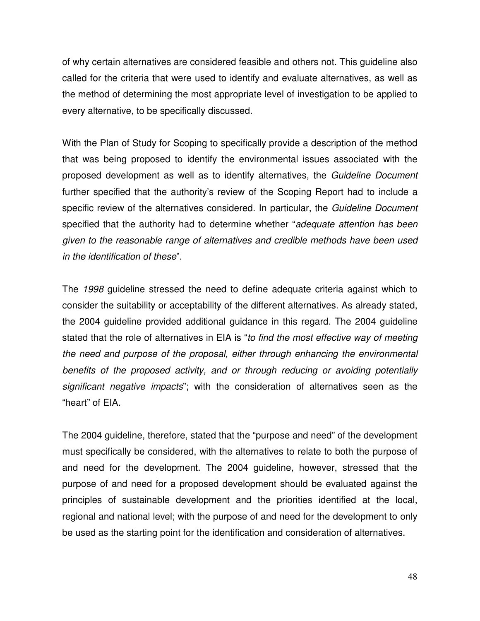of why certain alternatives are considered feasible and others not. This guideline also called for the criteria that were used to identify and evaluate alternatives, as well as the method of determining the most appropriate level of investigation to be applied to every alternative, to be specifically discussed.

With the Plan of Study for Scoping to specifically provide a description of the method that was being proposed to identify the environmental issues associated with the proposed development as well as to identify alternatives, the *Guideline Document* further specified that the authority's review of the Scoping Report had to include a specific review of the alternatives considered. In particular, the *Guideline Document* specified that the authority had to determine whether "*adequate attention has been given to the reasonable range of alternatives and credible methods have been used in the identification of these*".

The *1998* guideline stressed the need to define adequate criteria against which to consider the suitability or acceptability of the different alternatives. As already stated, the 2004 guideline provided additional guidance in this regard. The 2004 guideline stated that the role of alternatives in EIA is "*to find the most effective way of meeting the need and purpose of the proposal, either through enhancing the environmental benefits of the proposed activity, and or through reducing or avoiding potentially significant negative impacts*"; with the consideration of alternatives seen as the "heart" of EIA.

The 2004 guideline, therefore, stated that the "purpose and need" of the development must specifically be considered, with the alternatives to relate to both the purpose of and need for the development. The 2004 guideline, however, stressed that the purpose of and need for a proposed development should be evaluated against the principles of sustainable development and the priorities identified at the local, regional and national level; with the purpose of and need for the development to only be used as the starting point for the identification and consideration of alternatives.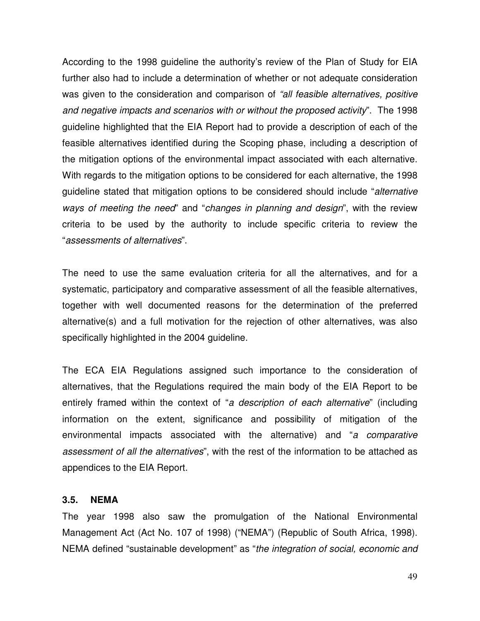According to the 1998 guideline the authority's review of the Plan of Study for EIA further also had to include a determination of whether or not adequate consideration was given to the consideration and comparison of *"all feasible alternatives, positive and negative impacts and scenarios with or without the proposed activity*". The 1998 guideline highlighted that the EIA Report had to provide a description of each of the feasible alternatives identified during the Scoping phase, including a description of the mitigation options of the environmental impact associated with each alternative. With regards to the mitigation options to be considered for each alternative, the 1998 guideline stated that mitigation options to be considered should include "*alternative ways of meeting the need*" and "*changes in planning and design*", with the review criteria to be used by the authority to include specific criteria to review the "*assessments of alternatives*".

The need to use the same evaluation criteria for all the alternatives, and for a systematic, participatory and comparative assessment of all the feasible alternatives, together with well documented reasons for the determination of the preferred alternative(s) and a full motivation for the rejection of other alternatives, was also specifically highlighted in the 2004 guideline.

The ECA EIA Regulations assigned such importance to the consideration of alternatives, that the Regulations required the main body of the EIA Report to be entirely framed within the context of "*a description of each alternative*" (including information on the extent, significance and possibility of mitigation of the environmental impacts associated with the alternative) and "*a comparative assessment of all the alternatives*", with the rest of the information to be attached as appendices to the EIA Report.

#### **3.5. NEMA**

The year 1998 also saw the promulgation of the National Environmental Management Act (Act No. 107 of 1998) ("NEMA") (Republic of South Africa, 1998). NEMA defined "sustainable development" as "*the integration of social, economic and*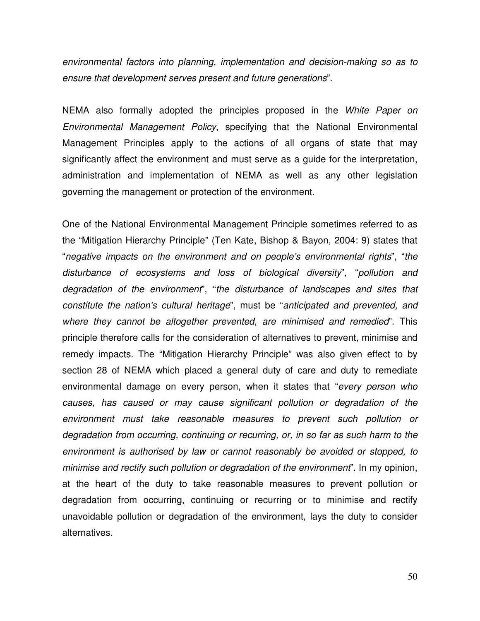*environmental factors into planning, implementation and decision-making so as to ensure that development serves present and future generations*".

NEMA also formally adopted the principles proposed in the *White Paper on Environmental Management Policy*, specifying that the National Environmental Management Principles apply to the actions of all organs of state that may significantly affect the environment and must serve as a guide for the interpretation, administration and implementation of NEMA as well as any other legislation governing the management or protection of the environment.

One of the National Environmental Management Principle sometimes referred to as the "Mitigation Hierarchy Principle" (Ten Kate, Bishop & Bayon, 2004: 9) states that "*negative impacts on the environment and on people's environmental rights*", "*the disturbance of ecosystems and loss of biological diversity*", "*pollution and degradation of the environment*", "*the disturbance of landscapes and sites that constitute the nation's cultural heritage*", must be "*anticipated and prevented, and where they cannot be altogether prevented, are minimised and remedied*". This principle therefore calls for the consideration of alternatives to prevent, minimise and remedy impacts. The "Mitigation Hierarchy Principle" was also given effect to by section 28 of NEMA which placed a general duty of care and duty to remediate environmental damage on every person, when it states that "*every person who causes, has caused or may cause significant pollution or degradation of the environment must take reasonable measures to prevent such pollution or degradation from occurring, continuing or recurring, or, in so far as such harm to the environment is authorised by law or cannot reasonably be avoided or stopped, to minimise and rectify such pollution or degradation of the environment*". In my opinion, at the heart of the duty to take reasonable measures to prevent pollution or degradation from occurring, continuing or recurring or to minimise and rectify unavoidable pollution or degradation of the environment, lays the duty to consider alternatives.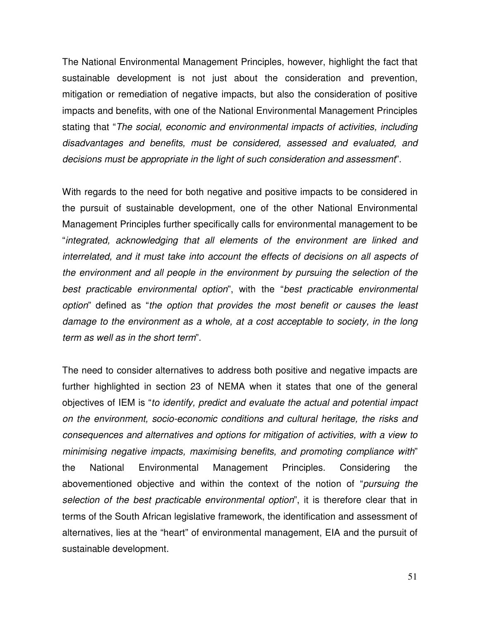The National Environmental Management Principles, however, highlight the fact that sustainable development is not just about the consideration and prevention, mitigation or remediation of negative impacts, but also the consideration of positive impacts and benefits, with one of the National Environmental Management Principles stating that "*The social, economic and environmental impacts of activities, including disadvantages and benefits, must be considered, assessed and evaluated, and decisions must be appropriate in the light of such consideration and assessment*".

With regards to the need for both negative and positive impacts to be considered in the pursuit of sustainable development, one of the other National Environmental Management Principles further specifically calls for environmental management to be "*integrated, acknowledging that all elements of the environment are linked and interrelated, and it must take into account the effects of decisions on all aspects of the environment and all people in the environment by pursuing the selection of the best practicable environmental option*", with the "*best practicable environmental option*" defined as "*the option that provides the most benefit or causes the least damage to the environment as a whole, at a cost acceptable to society, in the long term as well as in the short term*".

The need to consider alternatives to address both positive and negative impacts are further highlighted in section 23 of NEMA when it states that one of the general objectives of IEM is "*to identify, predict and evaluate the actual and potential impact on the environment, socio-economic conditions and cultural heritage, the risks and consequences and alternatives and options for mitigation of activities, with a view to minimising negative impacts, maximising benefits, and promoting compliance with*" the National Environmental Management Principles. Considering the abovementioned objective and within the context of the notion of "*pursuing the selection of the best practicable environmental option*", it is therefore clear that in terms of the South African legislative framework, the identification and assessment of alternatives, lies at the "heart" of environmental management, EIA and the pursuit of sustainable development.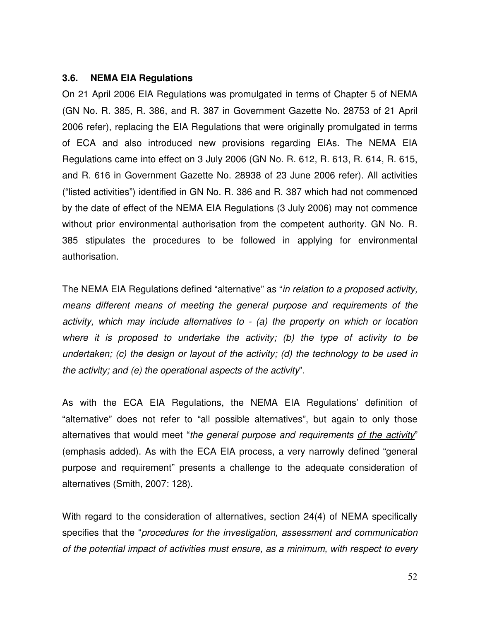### **3.6. NEMA EIA Regulations**

On 21 April 2006 EIA Regulations was promulgated in terms of Chapter 5 of NEMA (GN No. R. 385, R. 386, and R. 387 in Government Gazette No. 28753 of 21 April 2006 refer), replacing the EIA Regulations that were originally promulgated in terms of ECA and also introduced new provisions regarding EIAs. The NEMA EIA Regulations came into effect on 3 July 2006 (GN No. R. 612, R. 613, R. 614, R. 615, and R. 616 in Government Gazette No. 28938 of 23 June 2006 refer). All activities ("listed activities") identified in GN No. R. 386 and R. 387 which had not commenced by the date of effect of the NEMA EIA Regulations (3 July 2006) may not commence without prior environmental authorisation from the competent authority. GN No. R. 385 stipulates the procedures to be followed in applying for environmental authorisation.

The NEMA EIA Regulations defined "alternative" as "*in relation to a proposed activity, means different means of meeting the general purpose and requirements of the activity, which may include alternatives to - (a) the property on which or location where it is proposed to undertake the activity; (b) the type of activity to be undertaken; (c) the design or layout of the activity; (d) the technology to be used in the activity; and (e) the operational aspects of the activity*".

As with the ECA EIA Regulations, the NEMA EIA Regulations' definition of "alternative" does not refer to "all possible alternatives", but again to only those alternatives that would meet "*the general purpose and requirements of the activity*" (emphasis added). As with the ECA EIA process, a very narrowly defined "general purpose and requirement" presents a challenge to the adequate consideration of alternatives (Smith, 2007: 128).

With regard to the consideration of alternatives, section 24(4) of NEMA specifically specifies that the "*procedures for the investigation, assessment and communication of the potential impact of activities must ensure, as a minimum, with respect to every*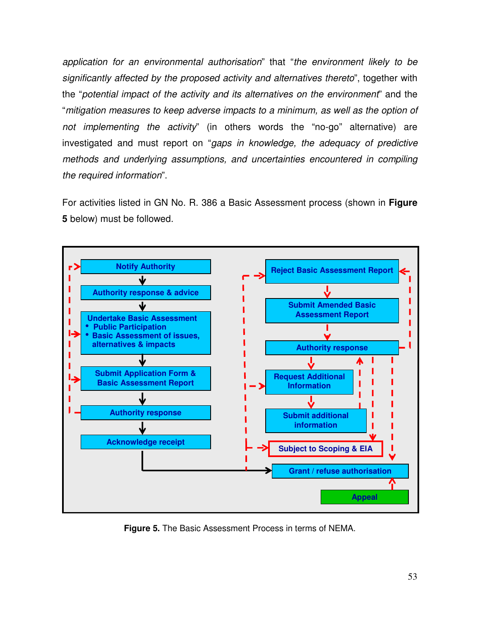*application for an environmental authorisation*" that "*the environment likely to be significantly affected by the proposed activity and alternatives thereto*", together with the "*potential impact of the activity and its alternatives on the environment*" and the "*mitigation measures to keep adverse impacts to a minimum, as well as the option of not implementing the activity*" (in others words the "no-go" alternative) are investigated and must report on "*gaps in knowledge, the adequacy of predictive methods and underlying assumptions, and uncertainties encountered in compiling the required information*".

For activities listed in GN No. R. 386 a Basic Assessment process (shown in **Figure 5** below) must be followed.



**Figure 5.** The Basic Assessment Process in terms of NEMA.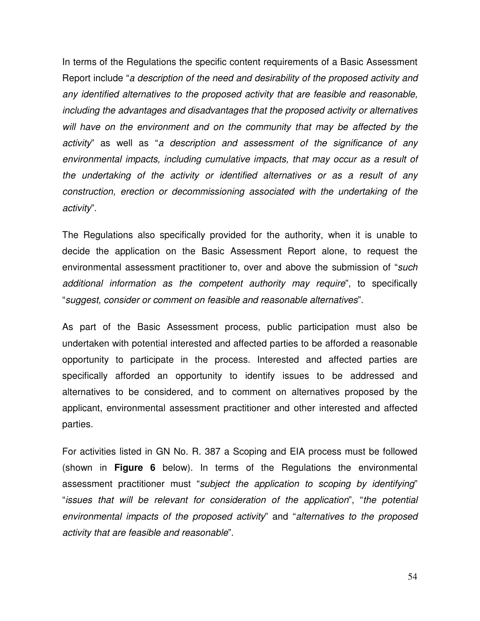In terms of the Regulations the specific content requirements of a Basic Assessment Report include "*a description of the need and desirability of the proposed activity and any identified alternatives to the proposed activity that are feasible and reasonable, including the advantages and disadvantages that the proposed activity or alternatives will have on the environment and on the community that may be affected by the activity*" as well as "*a description and assessment of the significance of any environmental impacts, including cumulative impacts, that may occur as a result of the undertaking of the activity or identified alternatives or as a result of any construction, erection or decommissioning associated with the undertaking of the activity*".

The Regulations also specifically provided for the authority, when it is unable to decide the application on the Basic Assessment Report alone, to request the environmental assessment practitioner to, over and above the submission of "*such additional information as the competent authority may require*", to specifically "*suggest, consider or comment on feasible and reasonable alternatives*".

As part of the Basic Assessment process, public participation must also be undertaken with potential interested and affected parties to be afforded a reasonable opportunity to participate in the process. Interested and affected parties are specifically afforded an opportunity to identify issues to be addressed and alternatives to be considered, and to comment on alternatives proposed by the applicant, environmental assessment practitioner and other interested and affected parties.

For activities listed in GN No. R. 387 a Scoping and EIA process must be followed (shown in **Figure 6** below). In terms of the Regulations the environmental assessment practitioner must "*subject the application to scoping by identifying*" "*issues that will be relevant for consideration of the application*", "*the potential environmental impacts of the proposed activity*" and "*alternatives to the proposed activity that are feasible and reasonable*".

54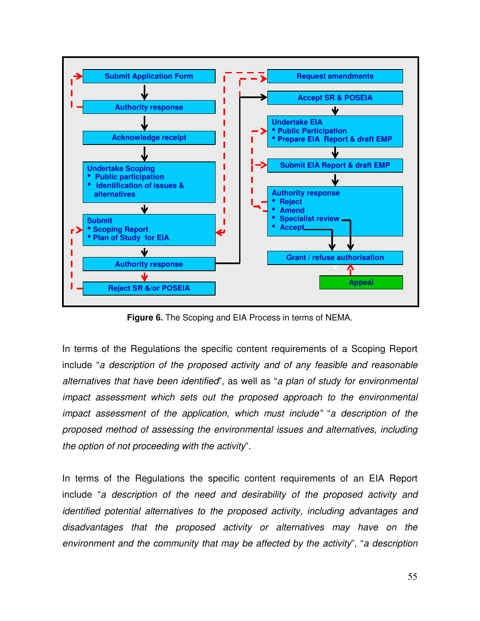

**Figure 6.** The Scoping and EIA Process in terms of NEMA.

In terms of the Regulations the specific content requirements of a Scoping Report include "*a description of the proposed activity and of any feasible and reasonable alternatives that have been identified*", as well as "*a plan of study for environmental impact assessment which sets out the proposed approach to the environmental impact assessment of the application, which must include"* "*a description of the proposed method of assessing the environmental issues and alternatives, including the option of not proceeding with the activity*".

In terms of the Regulations the specific content requirements of an EIA Report include "*a description of the need and desirability of the proposed activity and identified potential alternatives to the proposed activity, including advantages and disadvantages that the proposed activity or alternatives may have on the environment and the community that may be affected by the activity*", "*a description*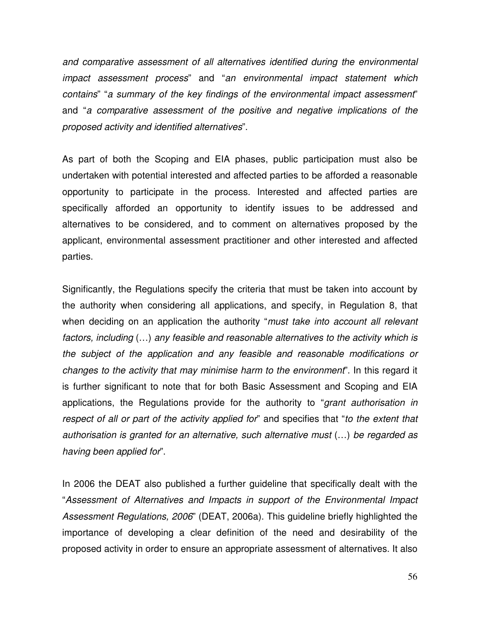*and comparative assessment of all alternatives identified during the environmental impact assessment process*" and "*an environmental impact statement which contains*" "*a summary of the key findings of the environmental impact assessment*" and "*a comparative assessment of the positive and negative implications of the proposed activity and identified alternatives*".

As part of both the Scoping and EIA phases, public participation must also be undertaken with potential interested and affected parties to be afforded a reasonable opportunity to participate in the process. Interested and affected parties are specifically afforded an opportunity to identify issues to be addressed and alternatives to be considered, and to comment on alternatives proposed by the applicant, environmental assessment practitioner and other interested and affected parties.

Significantly, the Regulations specify the criteria that must be taken into account by the authority when considering all applications, and specify, in Regulation 8, that when deciding on an application the authority "*must take into account all relevant factors, including* (…) *any feasible and reasonable alternatives to the activity which is the subject of the application and any feasible and reasonable modifications or changes to the activity that may minimise harm to the environment*". In this regard it is further significant to note that for both Basic Assessment and Scoping and EIA applications, the Regulations provide for the authority to "*grant authorisation in respect of all or part of the activity applied for*" and specifies that "*to the extent that authorisation is granted for an alternative, such alternative must* (…) *be regarded as having been applied for*".

In 2006 the DEAT also published a further guideline that specifically dealt with the "*Assessment of Alternatives and Impacts in support of the Environmental Impact Assessment Regulations, 2006*" (DEAT, 2006a). This guideline briefly highlighted the importance of developing a clear definition of the need and desirability of the proposed activity in order to ensure an appropriate assessment of alternatives. It also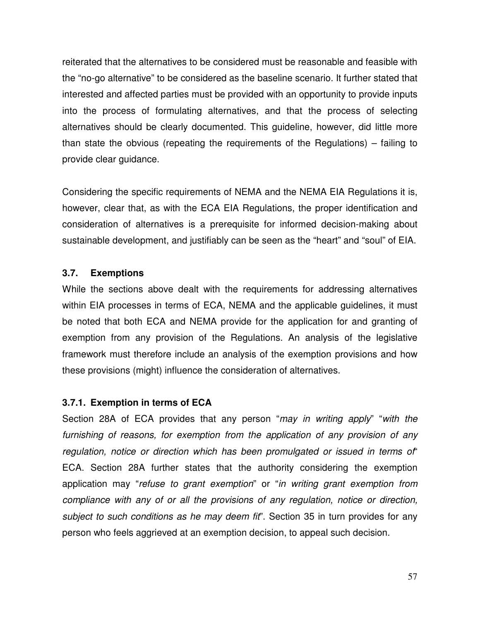reiterated that the alternatives to be considered must be reasonable and feasible with the "no-go alternative" to be considered as the baseline scenario. It further stated that interested and affected parties must be provided with an opportunity to provide inputs into the process of formulating alternatives, and that the process of selecting alternatives should be clearly documented. This guideline, however, did little more than state the obvious (repeating the requirements of the Regulations) – failing to provide clear guidance.

Considering the specific requirements of NEMA and the NEMA EIA Regulations it is, however, clear that, as with the ECA EIA Regulations, the proper identification and consideration of alternatives is a prerequisite for informed decision-making about sustainable development, and justifiably can be seen as the "heart" and "soul" of EIA.

# **3.7. Exemptions**

While the sections above dealt with the requirements for addressing alternatives within EIA processes in terms of ECA, NEMA and the applicable guidelines, it must be noted that both ECA and NEMA provide for the application for and granting of exemption from any provision of the Regulations. An analysis of the legislative framework must therefore include an analysis of the exemption provisions and how these provisions (might) influence the consideration of alternatives.

# **3.7.1. Exemption in terms of ECA**

Section 28A of ECA provides that any person "*may in writing apply*" "*with the furnishing of reasons, for exemption from the application of any provision of any regulation, notice or direction which has been promulgated or issued in terms of*" ECA. Section 28A further states that the authority considering the exemption application may "*refuse to grant exemption*" or "*in writing grant exemption from compliance with any of or all the provisions of any regulation, notice or direction, subject to such conditions as he may deem fit*". Section 35 in turn provides for any person who feels aggrieved at an exemption decision, to appeal such decision.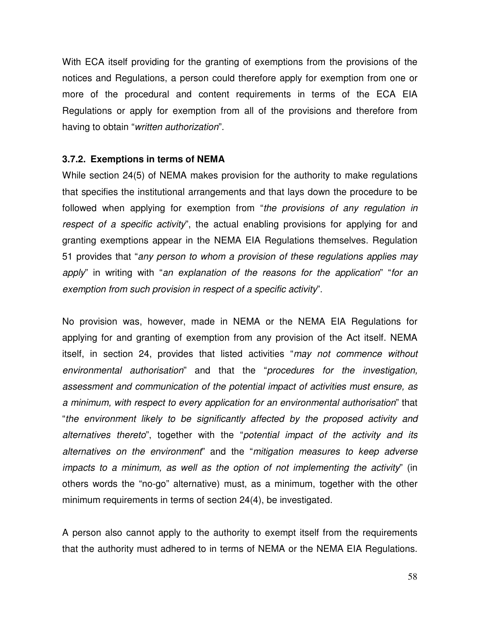With ECA itself providing for the granting of exemptions from the provisions of the notices and Regulations, a person could therefore apply for exemption from one or more of the procedural and content requirements in terms of the ECA EIA Regulations or apply for exemption from all of the provisions and therefore from having to obtain "*written authorization*".

## **3.7.2. Exemptions in terms of NEMA**

While section 24(5) of NEMA makes provision for the authority to make regulations that specifies the institutional arrangements and that lays down the procedure to be followed when applying for exemption from "*the provisions of any regulation in respect of a specific activity*", the actual enabling provisions for applying for and granting exemptions appear in the NEMA EIA Regulations themselves. Regulation 51 provides that "*any person to whom a provision of these regulations applies may apply*" in writing with "*an explanation of the reasons for the application*" "*for an exemption from such provision in respect of a specific activity*".

No provision was, however, made in NEMA or the NEMA EIA Regulations for applying for and granting of exemption from any provision of the Act itself. NEMA itself, in section 24, provides that listed activities "*may not commence without environmental authorisation*" and that the "*procedures for the investigation, assessment and communication of the potential impact of activities must ensure, as a minimum, with respect to every application for an environmental authorisation*" that "*the environment likely to be significantly affected by the proposed activity and alternatives thereto*", together with the "*potential impact of the activity and its alternatives on the environment*" and the "*mitigation measures to keep adverse impacts to a minimum, as well as the option of not implementing the activity*" (in others words the "no-go" alternative) must, as a minimum, together with the other minimum requirements in terms of section 24(4), be investigated.

A person also cannot apply to the authority to exempt itself from the requirements that the authority must adhered to in terms of NEMA or the NEMA EIA Regulations.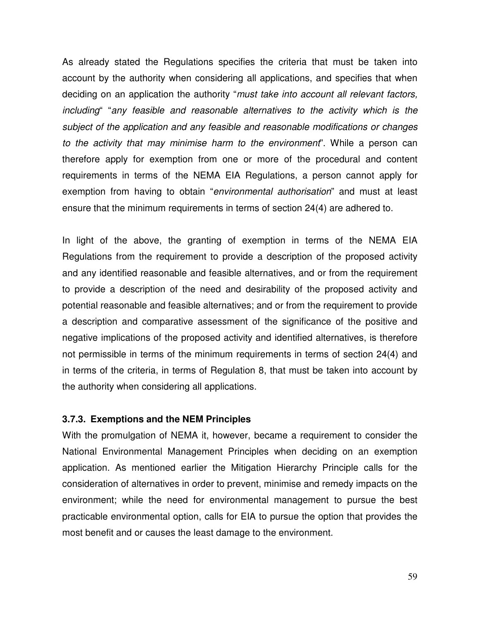As already stated the Regulations specifies the criteria that must be taken into account by the authority when considering all applications, and specifies that when deciding on an application the authority "*must take into account all relevant factors, including*" "*any feasible and reasonable alternatives to the activity which is the subject of the application and any feasible and reasonable modifications or changes to the activity that may minimise harm to the environment*". While a person can therefore apply for exemption from one or more of the procedural and content requirements in terms of the NEMA EIA Regulations, a person cannot apply for exemption from having to obtain "*environmental authorisation*" and must at least ensure that the minimum requirements in terms of section 24(4) are adhered to.

In light of the above, the granting of exemption in terms of the NEMA EIA Regulations from the requirement to provide a description of the proposed activity and any identified reasonable and feasible alternatives, and or from the requirement to provide a description of the need and desirability of the proposed activity and potential reasonable and feasible alternatives; and or from the requirement to provide a description and comparative assessment of the significance of the positive and negative implications of the proposed activity and identified alternatives, is therefore not permissible in terms of the minimum requirements in terms of section 24(4) and in terms of the criteria, in terms of Regulation 8, that must be taken into account by the authority when considering all applications.

### **3.7.3. Exemptions and the NEM Principles**

With the promulgation of NEMA it, however, became a requirement to consider the National Environmental Management Principles when deciding on an exemption application. As mentioned earlier the Mitigation Hierarchy Principle calls for the consideration of alternatives in order to prevent, minimise and remedy impacts on the environment; while the need for environmental management to pursue the best practicable environmental option, calls for EIA to pursue the option that provides the most benefit and or causes the least damage to the environment.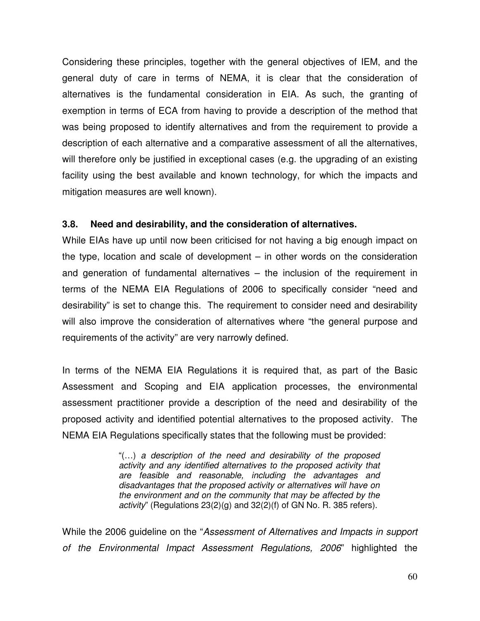Considering these principles, together with the general objectives of IEM, and the general duty of care in terms of NEMA, it is clear that the consideration of alternatives is the fundamental consideration in EIA. As such, the granting of exemption in terms of ECA from having to provide a description of the method that was being proposed to identify alternatives and from the requirement to provide a description of each alternative and a comparative assessment of all the alternatives, will therefore only be justified in exceptional cases (e.g. the upgrading of an existing facility using the best available and known technology, for which the impacts and mitigation measures are well known).

## **3.8. Need and desirability, and the consideration of alternatives.**

While EIAs have up until now been criticised for not having a big enough impact on the type, location and scale of development – in other words on the consideration and generation of fundamental alternatives – the inclusion of the requirement in terms of the NEMA EIA Regulations of 2006 to specifically consider "need and desirability" is set to change this. The requirement to consider need and desirability will also improve the consideration of alternatives where "the general purpose and requirements of the activity" are very narrowly defined.

In terms of the NEMA EIA Regulations it is required that, as part of the Basic Assessment and Scoping and EIA application processes, the environmental assessment practitioner provide a description of the need and desirability of the proposed activity and identified potential alternatives to the proposed activity. The NEMA EIA Regulations specifically states that the following must be provided:

> "(…) *a description of the need and desirability of the proposed activity and any identified alternatives to the proposed activity that are feasible and reasonable, including the advantages and disadvantages that the proposed activity or alternatives will have on the environment and on the community that may be affected by the activity*" (Regulations 23(2)(g) and 32(2)(f) of GN No. R. 385 refers).

While the 2006 guideline on the "*Assessment of Alternatives and Impacts in support of the Environmental Impact Assessment Regulations, 2006*" highlighted the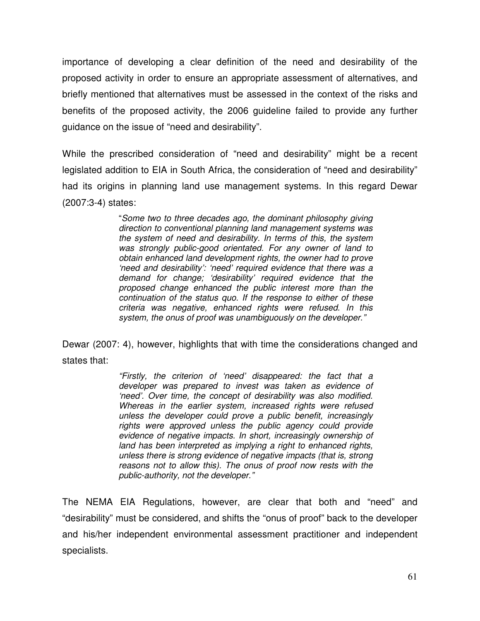importance of developing a clear definition of the need and desirability of the proposed activity in order to ensure an appropriate assessment of alternatives, and briefly mentioned that alternatives must be assessed in the context of the risks and benefits of the proposed activity, the 2006 guideline failed to provide any further guidance on the issue of "need and desirability".

While the prescribed consideration of "need and desirability" might be a recent legislated addition to EIA in South Africa, the consideration of "need and desirability" had its origins in planning land use management systems. In this regard Dewar (2007:3-4) states:

> "*Some two to three decades ago, the dominant philosophy giving direction to conventional planning land management systems was the system of need and desirability. In terms of this, the system was strongly public-good orientated. For any owner of land to obtain enhanced land development rights, the owner had to prove 'need and desirability': 'need' required evidence that there was a demand for change; 'desirability' required evidence that the proposed change enhanced the public interest more than the continuation of the status quo. If the response to either of these criteria was negative, enhanced rights were refused. In this system, the onus of proof was unambiguously on the developer."*

Dewar (2007: 4), however, highlights that with time the considerations changed and states that:

> *"Firstly, the criterion of 'need' disappeared: the fact that a developer was prepared to invest was taken as evidence of 'need'. Over time, the concept of desirability was also modified. Whereas in the earlier system, increased rights were refused unless the developer could prove a public benefit, increasingly rights were approved unless the public agency could provide evidence of negative impacts. In short, increasingly ownership of land has been interpreted as implying a right to enhanced rights, unless there is strong evidence of negative impacts (that is, strong reasons not to allow this). The onus of proof now rests with the public-authority, not the developer."*

The NEMA EIA Regulations, however, are clear that both and "need" and "desirability" must be considered, and shifts the "onus of proof" back to the developer and his/her independent environmental assessment practitioner and independent specialists.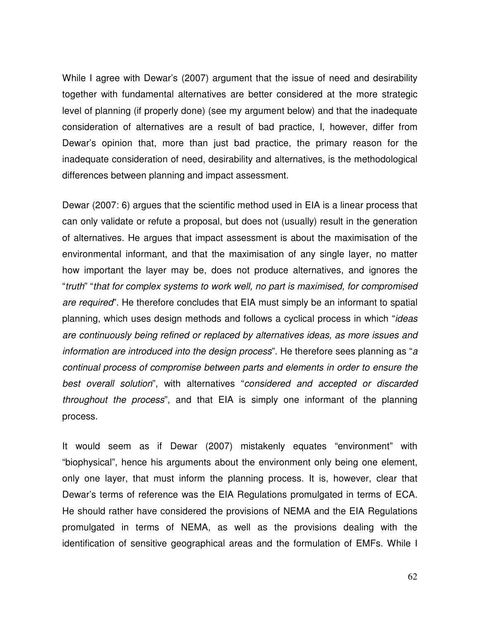While I agree with Dewar's (2007) argument that the issue of need and desirability together with fundamental alternatives are better considered at the more strategic level of planning (if properly done) (see my argument below) and that the inadequate consideration of alternatives are a result of bad practice, I, however, differ from Dewar's opinion that, more than just bad practice, the primary reason for the inadequate consideration of need, desirability and alternatives, is the methodological differences between planning and impact assessment.

Dewar (2007: 6) argues that the scientific method used in EIA is a linear process that can only validate or refute a proposal, but does not (usually) result in the generation of alternatives. He argues that impact assessment is about the maximisation of the environmental informant, and that the maximisation of any single layer, no matter how important the layer may be, does not produce alternatives, and ignores the "*truth*" "*that for complex systems to work well, no part is maximised, for compromised are required*". He therefore concludes that EIA must simply be an informant to spatial planning, which uses design methods and follows a cyclical process in which "*ideas are continuously being refined or replaced by alternatives ideas, as more issues and information are introduced into the design process*". He therefore sees planning as "*a continual process of compromise between parts and elements in order to ensure the best overall solution*", with alternatives "*considered and accepted or discarded throughout the process*", and that EIA is simply one informant of the planning process.

It would seem as if Dewar (2007) mistakenly equates "environment" with "biophysical", hence his arguments about the environment only being one element, only one layer, that must inform the planning process. It is, however, clear that Dewar's terms of reference was the EIA Regulations promulgated in terms of ECA. He should rather have considered the provisions of NEMA and the EIA Regulations promulgated in terms of NEMA, as well as the provisions dealing with the identification of sensitive geographical areas and the formulation of EMFs. While I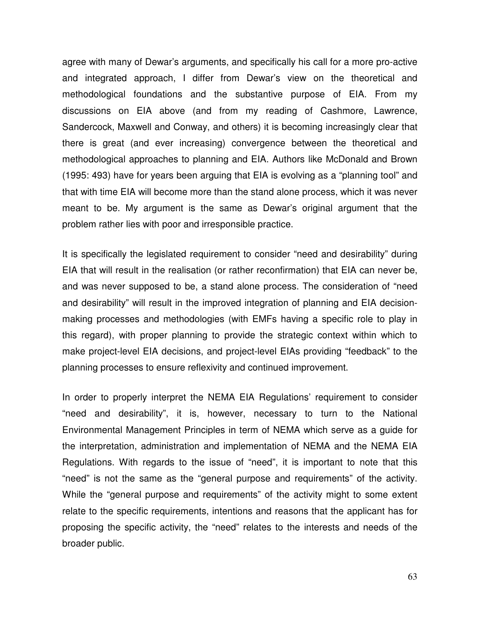agree with many of Dewar's arguments, and specifically his call for a more pro-active and integrated approach, I differ from Dewar's view on the theoretical and methodological foundations and the substantive purpose of EIA. From my discussions on EIA above (and from my reading of Cashmore, Lawrence, Sandercock, Maxwell and Conway, and others) it is becoming increasingly clear that there is great (and ever increasing) convergence between the theoretical and methodological approaches to planning and EIA. Authors like McDonald and Brown (1995: 493) have for years been arguing that EIA is evolving as a "planning tool" and that with time EIA will become more than the stand alone process, which it was never meant to be. My argument is the same as Dewar's original argument that the problem rather lies with poor and irresponsible practice.

It is specifically the legislated requirement to consider "need and desirability" during EIA that will result in the realisation (or rather reconfirmation) that EIA can never be, and was never supposed to be, a stand alone process. The consideration of "need and desirability" will result in the improved integration of planning and EIA decisionmaking processes and methodologies (with EMFs having a specific role to play in this regard), with proper planning to provide the strategic context within which to make project-level EIA decisions, and project-level EIAs providing "feedback" to the planning processes to ensure reflexivity and continued improvement.

In order to properly interpret the NEMA EIA Regulations' requirement to consider "need and desirability", it is, however, necessary to turn to the National Environmental Management Principles in term of NEMA which serve as a guide for the interpretation, administration and implementation of NEMA and the NEMA EIA Regulations. With regards to the issue of "need", it is important to note that this "need" is not the same as the "general purpose and requirements" of the activity. While the "general purpose and requirements" of the activity might to some extent relate to the specific requirements, intentions and reasons that the applicant has for proposing the specific activity, the "need" relates to the interests and needs of the broader public.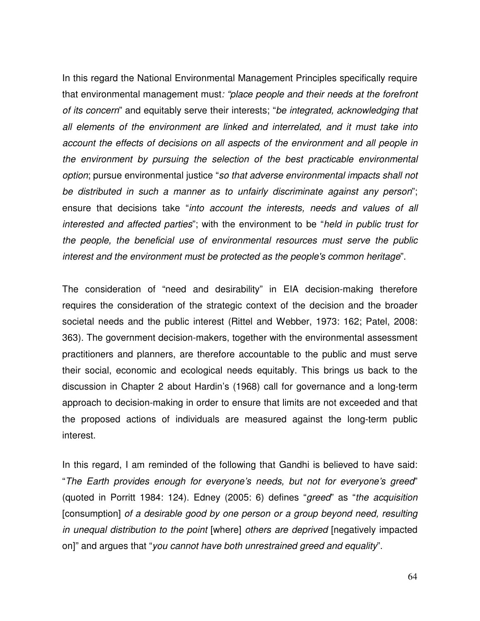In this regard the National Environmental Management Principles specifically require that environmental management must*: "place people and their needs at the forefront of its concern*" and equitably serve their interests; "*be integrated, acknowledging that all elements of the environment are linked and interrelated, and it must take into account the effects of decisions on all aspects of the environment and all people in the environment by pursuing the selection of the best practicable environmental option*; pursue environmental justice "*so that adverse environmental impacts shall not be distributed in such a manner as to unfairly discriminate against any person*"; ensure that decisions take "*into account the interests, needs and values of all interested and affected parties*"; with the environment to be "*held in public trust for the people, the beneficial use of environmental resources must serve the public interest and the environment must be protected as the people's common heritage*".

The consideration of "need and desirability" in EIA decision-making therefore requires the consideration of the strategic context of the decision and the broader societal needs and the public interest (Rittel and Webber, 1973: 162; Patel, 2008: 363). The government decision-makers, together with the environmental assessment practitioners and planners, are therefore accountable to the public and must serve their social, economic and ecological needs equitably. This brings us back to the discussion in Chapter 2 about Hardin's (1968) call for governance and a long-term approach to decision-making in order to ensure that limits are not exceeded and that the proposed actions of individuals are measured against the long-term public interest.

In this regard, I am reminded of the following that Gandhi is believed to have said: "*The Earth provides enough for everyone's needs, but not for everyone's greed*" (quoted in Porritt 1984: 124). Edney (2005: 6) defines "*greed*" as "*the acquisition* [consumption] *of a desirable good by one person or a group beyond need, resulting in unequal distribution to the point* [where] *others are deprived* [negatively impacted on]" and argues that "*you cannot have both unrestrained greed and equality*".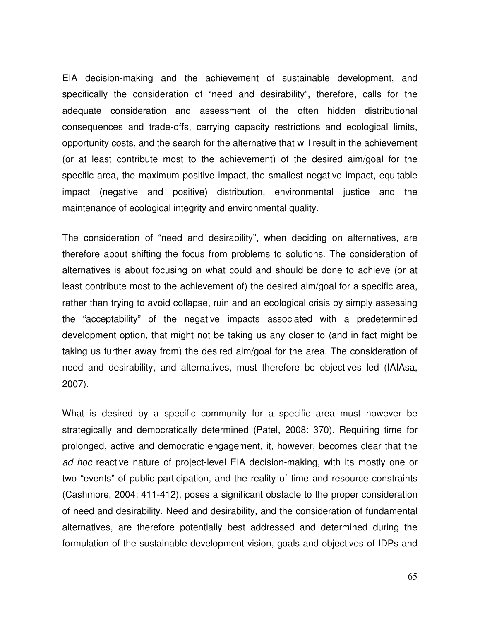EIA decision-making and the achievement of sustainable development, and specifically the consideration of "need and desirability", therefore, calls for the adequate consideration and assessment of the often hidden distributional consequences and trade-offs, carrying capacity restrictions and ecological limits, opportunity costs, and the search for the alternative that will result in the achievement (or at least contribute most to the achievement) of the desired aim/goal for the specific area, the maximum positive impact, the smallest negative impact, equitable impact (negative and positive) distribution, environmental justice and the maintenance of ecological integrity and environmental quality.

The consideration of "need and desirability", when deciding on alternatives, are therefore about shifting the focus from problems to solutions. The consideration of alternatives is about focusing on what could and should be done to achieve (or at least contribute most to the achievement of) the desired aim/goal for a specific area, rather than trying to avoid collapse, ruin and an ecological crisis by simply assessing the "acceptability" of the negative impacts associated with a predetermined development option, that might not be taking us any closer to (and in fact might be taking us further away from) the desired aim/goal for the area. The consideration of need and desirability, and alternatives, must therefore be objectives led (IAIAsa, 2007).

What is desired by a specific community for a specific area must however be strategically and democratically determined (Patel, 2008: 370). Requiring time for prolonged, active and democratic engagement, it, however, becomes clear that the *ad hoc* reactive nature of project-level EIA decision-making, with its mostly one or two "events" of public participation, and the reality of time and resource constraints (Cashmore, 2004: 411-412), poses a significant obstacle to the proper consideration of need and desirability. Need and desirability, and the consideration of fundamental alternatives, are therefore potentially best addressed and determined during the formulation of the sustainable development vision, goals and objectives of IDPs and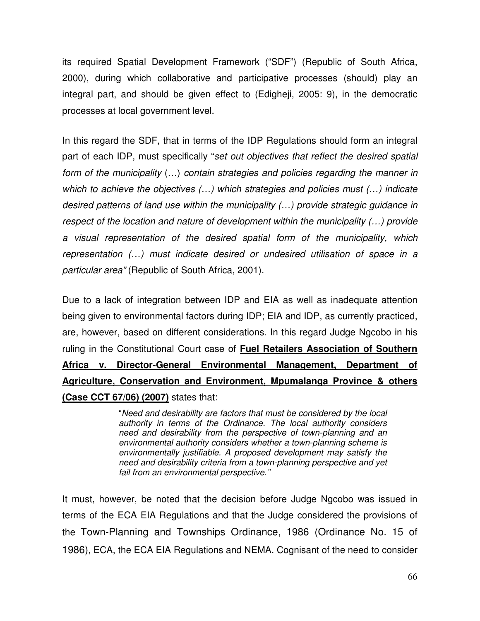its required Spatial Development Framework ("SDF") (Republic of South Africa, 2000), during which collaborative and participative processes (should) play an integral part, and should be given effect to (Edigheji, 2005: 9), in the democratic processes at local government level.

In this regard the SDF, that in terms of the IDP Regulations should form an integral part of each IDP, must specifically "*set out objectives that reflect the desired spatial form of the municipality* (…) *contain strategies and policies regarding the manner in which to achieve the objectives (…) which strategies and policies must (…) indicate desired patterns of land use within the municipality (…) provide strategic guidance in respect of the location and nature of development within the municipality (…) provide a visual representation of the desired spatial form of the municipality, which representation (…) must indicate desired or undesired utilisation of space in a particular area"* (Republic of South Africa, 2001).

Due to a lack of integration between IDP and EIA as well as inadequate attention being given to environmental factors during IDP; EIA and IDP, as currently practiced, are, however, based on different considerations. In this regard Judge Ngcobo in his ruling in the Constitutional Court case of **Fuel Retailers Association of Southern Africa v. Director-General Environmental Management, Department of Agriculture, Conservation and Environment, Mpumalanga Province & others (Case CCT 67/06) (2007)** states that:

> "*Need and desirability are factors that must be considered by the local authority in terms of the Ordinance. The local authority considers need and desirability from the perspective of town-planning and an environmental authority considers whether a town-planning scheme is environmentally justifiable. A proposed development may satisfy the need and desirability criteria from a town-planning perspective and yet fail from an environmental perspective."*

It must, however, be noted that the decision before Judge Ngcobo was issued in terms of the ECA EIA Regulations and that the Judge considered the provisions of the Town-Planning and Townships Ordinance, 1986 (Ordinance No. 15 of 1986), ECA, the ECA EIA Regulations and NEMA. Cognisant of the need to consider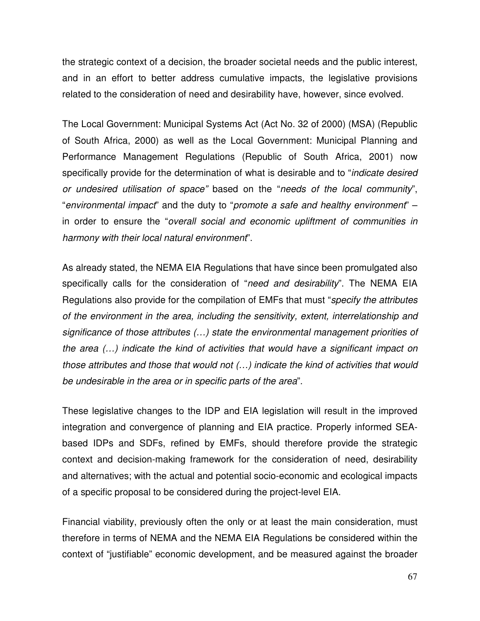the strategic context of a decision, the broader societal needs and the public interest, and in an effort to better address cumulative impacts, the legislative provisions related to the consideration of need and desirability have, however, since evolved.

The Local Government: Municipal Systems Act (Act No. 32 of 2000) (MSA) (Republic of South Africa, 2000) as well as the Local Government: Municipal Planning and Performance Management Regulations (Republic of South Africa, 2001) now specifically provide for the determination of what is desirable and to "*indicate desired or undesired utilisation of space"* based on the "*needs of the local community*", "*environmental impact*" and the duty to "*promote a safe and healthy environment*" – in order to ensure the "*overall social and economic upliftment of communities in harmony with their local natural environment*".

As already stated, the NEMA EIA Regulations that have since been promulgated also specifically calls for the consideration of "*need and desirability*". The NEMA EIA Regulations also provide for the compilation of EMFs that must "*specify the attributes of the environment in the area, including the sensitivity, extent, interrelationship and significance of those attributes (…) state the environmental management priorities of the area (…) indicate the kind of activities that would have a significant impact on those attributes and those that would not (…) indicate the kind of activities that would be undesirable in the area or in specific parts of the area*".

These legislative changes to the IDP and EIA legislation will result in the improved integration and convergence of planning and EIA practice. Properly informed SEAbased IDPs and SDFs, refined by EMFs, should therefore provide the strategic context and decision-making framework for the consideration of need, desirability and alternatives; with the actual and potential socio-economic and ecological impacts of a specific proposal to be considered during the project-level EIA.

Financial viability, previously often the only or at least the main consideration, must therefore in terms of NEMA and the NEMA EIA Regulations be considered within the context of "justifiable" economic development, and be measured against the broader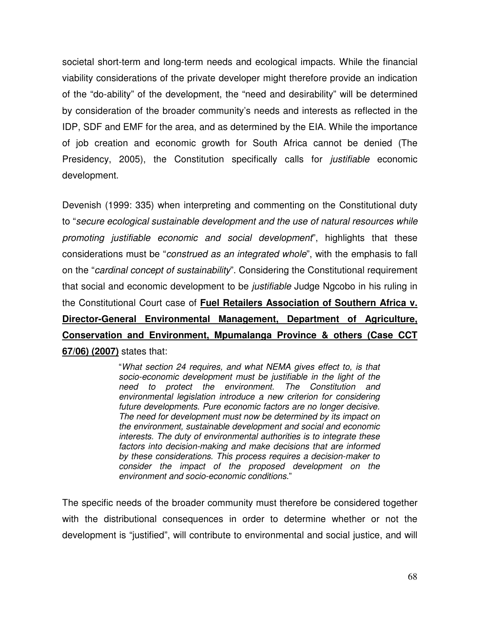societal short-term and long-term needs and ecological impacts. While the financial viability considerations of the private developer might therefore provide an indication of the "do-ability" of the development, the "need and desirability" will be determined by consideration of the broader community's needs and interests as reflected in the IDP, SDF and EMF for the area, and as determined by the EIA. While the importance of job creation and economic growth for South Africa cannot be denied (The Presidency, 2005), the Constitution specifically calls for *justifiable* economic development.

Devenish (1999: 335) when interpreting and commenting on the Constitutional duty to "*secure ecological sustainable development and the use of natural resources while promoting justifiable economic and social development*", highlights that these considerations must be "*construed as an integrated whole*", with the emphasis to fall on the "*cardinal concept of sustainability*". Considering the Constitutional requirement that social and economic development to be *justifiable* Judge Ngcobo in his ruling in the Constitutional Court case of **Fuel Retailers Association of Southern Africa v. Director-General Environmental Management, Department of Agriculture, Conservation and Environment, Mpumalanga Province & others (Case CCT 67/06) (2007)** states that:

> "*What section 24 requires, and what NEMA gives effect to, is that socio-economic development must be justifiable in the light of the need to protect the environment. The Constitution and environmental legislation introduce a new criterion for considering future developments. Pure economic factors are no longer decisive. The need for development must now be determined by its impact on the environment, sustainable development and social and economic interests. The duty of environmental authorities is to integrate these factors into decision-making and make decisions that are informed by these considerations. This process requires a decision-maker to consider the impact of the proposed development on the environment and socio-economic conditions*."

The specific needs of the broader community must therefore be considered together with the distributional consequences in order to determine whether or not the development is "justified", will contribute to environmental and social justice, and will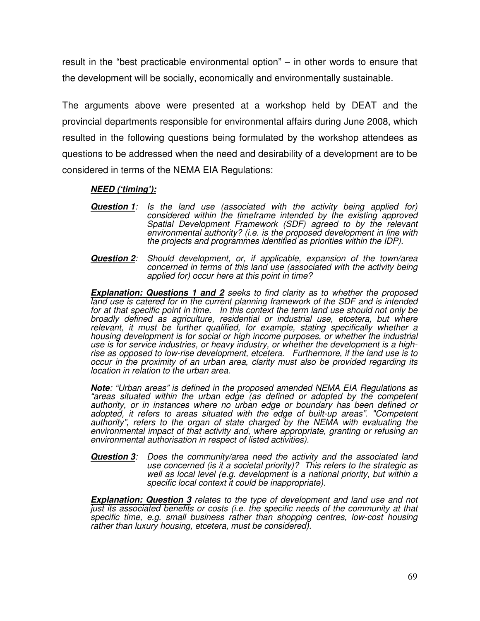result in the "best practicable environmental option" – in other words to ensure that the development will be socially, economically and environmentally sustainable.

The arguments above were presented at a workshop held by DEAT and the provincial departments responsible for environmental affairs during June 2008, which resulted in the following questions being formulated by the workshop attendees as questions to be addressed when the need and desirability of a development are to be considered in terms of the NEMA EIA Regulations:

### *NEED ('timing'):*

- *Question 1: Is the land use (associated with the activity being applied for) considered within the timeframe intended by the existing approved Spatial Development Framework (SDF) agreed to by the relevant environmental authority? (i.e. is the proposed development in line with the projects and programmes identified as priorities within the IDP).*
- *Question 2: Should development, or, if applicable, expansion of the town/area concerned in terms of this land use (associated with the activity being applied for) occur here at this point in time?*

*Explanation: Questions 1 and 2 seeks to find clarity as to whether the proposed land use is catered for in the current planning framework of the SDF and is intended for at that specific point in time. In this context the term land use should not only be broadly defined as agriculture, residential or industrial use, etcetera, but where relevant, it must be further qualified, for example, stating specifically whether a housing development is for social or high income purposes, or whether the industrial use is for service industries, or heavy industry, or whether the development is a highrise as opposed to low-rise development, etcetera. Furthermore, if the land use is to occur in the proximity of an urban area, clarity must also be provided regarding its location in relation to the urban area.*

*Note: "Urban areas" is defined in the proposed amended NEMA EIA Regulations as "areas situated within the urban edge (as defined or adopted by the competent authority, or in instances where no urban edge or boundary has been defined or adopted, it refers to areas situated with the edge of built-up areas". "Competent authority", refers to the organ of state charged by the NEMA with evaluating the environmental impact of that activity and, where appropriate, granting or refusing an environmental authorisation in respect of listed activities).*

*Question 3: Does the community/area need the activity and the associated land use concerned (is it a societal priority)? This refers to the strategic as well as local level (e.g. development is a national priority, but within a specific local context it could be inappropriate).*

*Explanation: Question 3 relates to the type of development and land use and not just its associated benefits or costs (i.e. the specific needs of the community at that specific time, e.g. small business rather than shopping centres, low-cost housing rather than luxury housing, etcetera, must be considered).*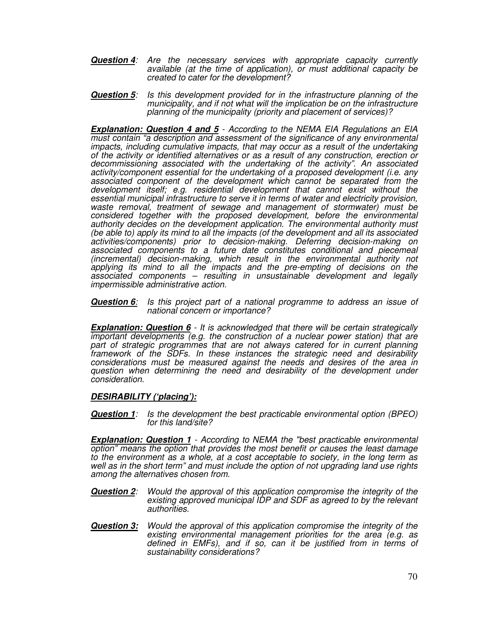- *Question 4: Are the necessary services with appropriate capacity currently available (at the time of application), or must additional capacity be created to cater for the development?*
- *Question 5: Is this development provided for in the infrastructure planning of the municipality, and if not what will the implication be on the infrastructure planning of the municipality (priority and placement of services)?*

*Explanation: Question 4 and 5 - According to the NEMA EIA Regulations an EIA must contain "a description and assessment of the significance of any environmental impacts, including cumulative impacts, that may occur as a result of the undertaking of the activity or identified alternatives or as a result of any construction, erection or decommissioning associated with the undertaking of the activity". An associated activity/component essential for the undertaking of a proposed development (i.e. any associated component of the development which cannot be separated from the development itself; e.g. residential development that cannot exist without the essential municipal infrastructure to serve it in terms of water and electricity provision, waste removal, treatment of sewage and management of stormwater) must be considered together with the proposed development, before the environmental authority decides on the development application. The environmental authority must (be able to) apply its mind to all the impacts (of the development and all its associated activities/components) prior to decision-making. Deferring decision-making on associated components to a future date constitutes conditional and piecemeal (incremental) decision-making, which result in the environmental authority not applying its mind to all the impacts and the pre-empting of decisions on the associated components – resulting in unsustainable development and legally impermissible administrative action.*

*Question 6: Is this project part of a national programme to address an issue of national concern or importance?*

*Explanation: Question 6 - It is acknowledged that there will be certain strategically important developments (e.g. the construction of a nuclear power station) that are part of strategic programmes that are not always catered for in current planning framework of the SDFs. In these instances the strategic need and desirability considerations must be measured against the needs and desires of the area in question when determining the need and desirability of the development under consideration.*

#### *DESIRABILITY ('placing'):*

*Question 1: Is the development the best practicable environmental option (BPEO) for this land/site?*

*Explanation: Question 1 - According to NEMA the "best practicable environmental option" means the option that provides the most benefit or causes the least damage to the environment as a whole, at a cost acceptable to society, in the long term as well as in the short term" and must include the option of not upgrading land use rights among the alternatives chosen from.*

- *Question 2: Would the approval of this application compromise the integrity of the existing approved municipal IDP and SDF as agreed to by the relevant authorities.*
- *Question 3: Would the approval of this application compromise the integrity of the existing environmental management priorities for the area (e.g. as defined in EMFs), and if so, can it be justified from in terms of sustainability considerations?*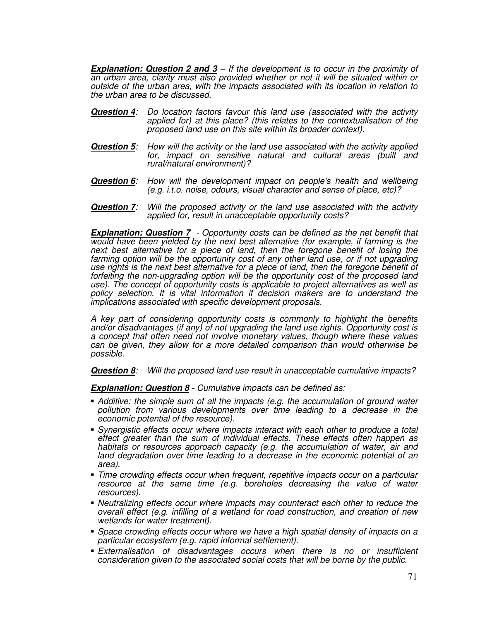*Explanation: Question 2 and 3 – If the development is to occur in the proximity of an urban area, clarity must also provided whether or not it will be situated within or outside of the urban area, with the impacts associated with its location in relation to the urban area to be discussed.*

- *Question 4: Do location factors favour this land use (associated with the activity applied for) at this place? (this relates to the contextualisation of the proposed land use on this site within its broader context).*
- *Question 5: How will the activity or the land use associated with the activity applied for, impact on sensitive natural and cultural areas (built and rural/natural environment)?*
- *Question 6: How will the development impact on people's health and wellbeing (e.g. i.t.o. noise, odours, visual character and sense of place, etc)?*
- *Question 7: Will the proposed activity or the land use associated with the activity applied for, result in unacceptable opportunity costs?*

*Explanation: Question 7 - Opportunity costs can be defined as the net benefit that would have been yielded by the next best alternative (for example, if farming is the next best alternative for a piece of land, then the foregone benefit of losing the farming option will be the opportunity cost of any other land use, or if not upgrading use rights is the next best alternative for a piece of land, then the foregone benefit of forfeiting the non-upgrading option will be the opportunity cost of the proposed land use). The concept of opportunity costs is applicable to project alternatives as well as policy selection. It is vital information if decision makers are to understand the implications associated with specific development proposals.*

*A key part of considering opportunity costs is commonly to highlight the benefits and/or disadvantages (if any) of not upgrading the land use rights. Opportunity cost is a concept that often need not involve monetary values, though where these values can be given, they allow for a more detailed comparison than would otherwise be possible.*

*Question 8: Will the proposed land use result in unacceptable cumulative impacts?*

*Explanation: Question 8 - Cumulative impacts can be defined as:*

- *Additive: the simple sum of all the impacts (e.g. the accumulation of ground water pollution from various developments over time leading to a decrease in the economic potential of the resource).*
- *Synergistic effects occur where impacts interact with each other to produce a total effect greater than the sum of individual effects. These effects often happen as habitats or resources approach capacity (e.g. the accumulation of water, air and land degradation over time leading to a decrease in the economic potential of an area).*
- *Time crowding effects occur when frequent, repetitive impacts occur on a particular resource at the same time (e.g. boreholes decreasing the value of water resources).*
- *Neutralizing effects occur where impacts may counteract each other to reduce the overall effect (e.g. infilling of a wetland for road construction, and creation of new wetlands for water treatment).*
- *Space crowding effects occur where we have a high spatial density of impacts on a particular ecosystem (e.g. rapid informal settlement).*
- *Externalisation of disadvantages occurs when there is no or insufficient consideration given to the associated social costs that will be borne by the public.*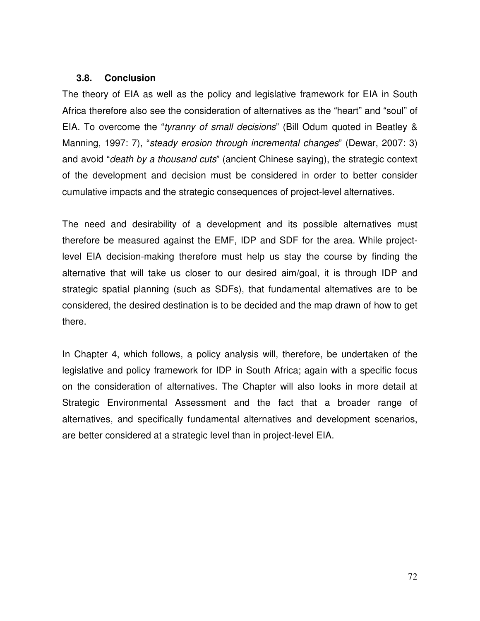#### **3.8. Conclusion**

The theory of EIA as well as the policy and legislative framework for EIA in South Africa therefore also see the consideration of alternatives as the "heart" and "soul" of EIA. To overcome the "*tyranny of small decisions*" (Bill Odum quoted in Beatley & Manning, 1997: 7), "*steady erosion through incremental changes*" (Dewar, 2007: 3) and avoid "*death by a thousand cuts*" (ancient Chinese saying), the strategic context of the development and decision must be considered in order to better consider cumulative impacts and the strategic consequences of project-level alternatives.

The need and desirability of a development and its possible alternatives must therefore be measured against the EMF, IDP and SDF for the area. While projectlevel EIA decision-making therefore must help us stay the course by finding the alternative that will take us closer to our desired aim/goal, it is through IDP and strategic spatial planning (such as SDFs), that fundamental alternatives are to be considered, the desired destination is to be decided and the map drawn of how to get there.

In Chapter 4, which follows, a policy analysis will, therefore, be undertaken of the legislative and policy framework for IDP in South Africa; again with a specific focus on the consideration of alternatives. The Chapter will also looks in more detail at Strategic Environmental Assessment and the fact that a broader range of alternatives, and specifically fundamental alternatives and development scenarios, are better considered at a strategic level than in project-level EIA.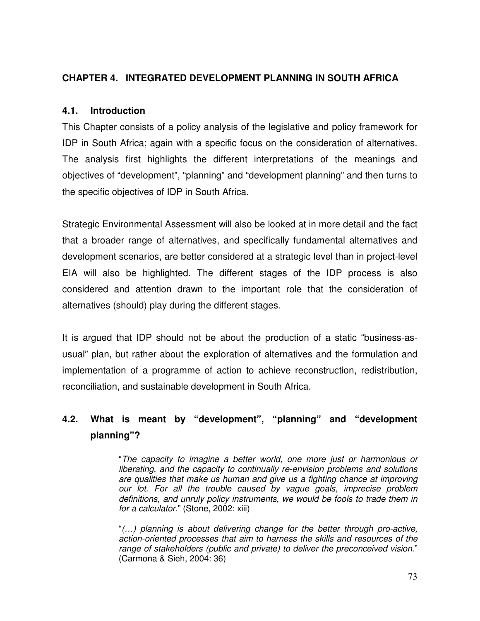# **CHAPTER 4. INTEGRATED DEVELOPMENT PLANNING IN SOUTH AFRICA**

### **4.1. Introduction**

This Chapter consists of a policy analysis of the legislative and policy framework for IDP in South Africa; again with a specific focus on the consideration of alternatives. The analysis first highlights the different interpretations of the meanings and objectives of "development", "planning" and "development planning" and then turns to the specific objectives of IDP in South Africa.

Strategic Environmental Assessment will also be looked at in more detail and the fact that a broader range of alternatives, and specifically fundamental alternatives and development scenarios, are better considered at a strategic level than in project-level EIA will also be highlighted. The different stages of the IDP process is also considered and attention drawn to the important role that the consideration of alternatives (should) play during the different stages.

It is argued that IDP should not be about the production of a static "business-asusual" plan, but rather about the exploration of alternatives and the formulation and implementation of a programme of action to achieve reconstruction, redistribution, reconciliation, and sustainable development in South Africa.

# **4.2. What is meant by "development", "planning" and "development planning"?**

"*The capacity to imagine a better world, one more just or harmonious or liberating, and the capacity to continually re-envision problems and solutions are qualities that make us human and give us a fighting chance at improving our lot. For all the trouble caused by vague goals, imprecise problem definitions, and unruly policy instruments, we would be fools to trade them in for a calculator*." (Stone, 2002: xiii)

"*(…) planning is about delivering change for the better through pro-active, action-oriented processes that aim to harness the skills and resources of the range of stakeholders (public and private) to deliver the preconceived vision*." (Carmona & Sieh, 2004: 36)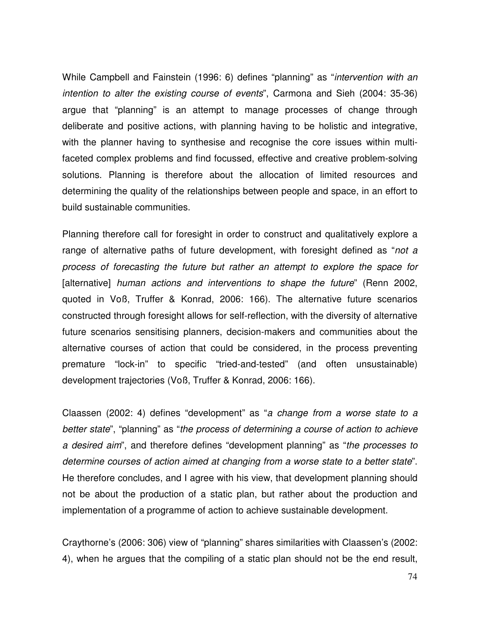While Campbell and Fainstein (1996: 6) defines "planning" as "*intervention with an intention to alter the existing course of events*", Carmona and Sieh (2004: 35-36) argue that "planning" is an attempt to manage processes of change through deliberate and positive actions, with planning having to be holistic and integrative, with the planner having to synthesise and recognise the core issues within multifaceted complex problems and find focussed, effective and creative problem-solving solutions. Planning is therefore about the allocation of limited resources and determining the quality of the relationships between people and space, in an effort to build sustainable communities.

Planning therefore call for foresight in order to construct and qualitatively explore a range of alternative paths of future development, with foresight defined as "*not a process of forecasting the future but rather an attempt to explore the space for* [alternative] *human actions and interventions to shape the future*" (Renn 2002, quoted in Voß, Truffer & Konrad, 2006: 166). The alternative future scenarios constructed through foresight allows for self-reflection, with the diversity of alternative future scenarios sensitising planners, decision-makers and communities about the alternative courses of action that could be considered, in the process preventing premature "lock-in" to specific "tried-and-tested" (and often unsustainable) development trajectories (Voß, Truffer & Konrad, 2006: 166).

Claassen (2002: 4) defines "development" as "*a change from a worse state to a better state*", "planning" as "*the process of determining a course of action to achieve a desired aim*", and therefore defines "development planning" as "*the processes to determine courses of action aimed at changing from a worse state to a better state*". He therefore concludes, and I agree with his view, that development planning should not be about the production of a static plan, but rather about the production and implementation of a programme of action to achieve sustainable development.

Craythorne's (2006: 306) view of "planning" shares similarities with Claassen's (2002: 4), when he argues that the compiling of a static plan should not be the end result,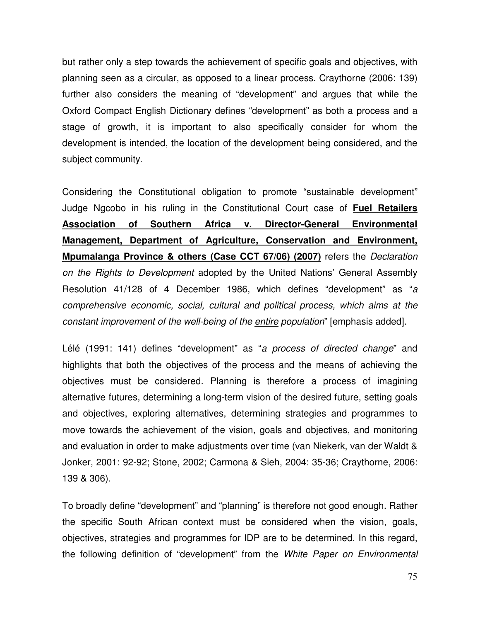but rather only a step towards the achievement of specific goals and objectives, with planning seen as a circular, as opposed to a linear process. Craythorne (2006: 139) further also considers the meaning of "development" and argues that while the Oxford Compact English Dictionary defines "development" as both a process and a stage of growth, it is important to also specifically consider for whom the development is intended, the location of the development being considered, and the subject community.

Considering the Constitutional obligation to promote "sustainable development" Judge Ngcobo in his ruling in the Constitutional Court case of **Fuel Retailers Association of Southern Africa v. Director-General Environmental Management, Department of Agriculture, Conservation and Environment, Mpumalanga Province & others (Case CCT 67/06) (2007)** refers the *Declaration on the Rights to Development* adopted by the United Nations' General Assembly Resolution 41/128 of 4 December 1986, which defines "development" as "*a comprehensive economic, social, cultural and political process, which aims at the constant improvement of the well-being of the entire population*" [emphasis added].

Lélé (1991: 141) defines "development" as "*a process of directed change*" and highlights that both the objectives of the process and the means of achieving the objectives must be considered. Planning is therefore a process of imagining alternative futures, determining a long-term vision of the desired future, setting goals and objectives, exploring alternatives, determining strategies and programmes to move towards the achievement of the vision, goals and objectives, and monitoring and evaluation in order to make adjustments over time (van Niekerk, van der Waldt & Jonker, 2001: 92-92; Stone, 2002; Carmona & Sieh, 2004: 35-36; Craythorne, 2006: 139 & 306).

To broadly define "development" and "planning" is therefore not good enough. Rather the specific South African context must be considered when the vision, goals, objectives, strategies and programmes for IDP are to be determined. In this regard, the following definition of "development" from the *White Paper on Environmental*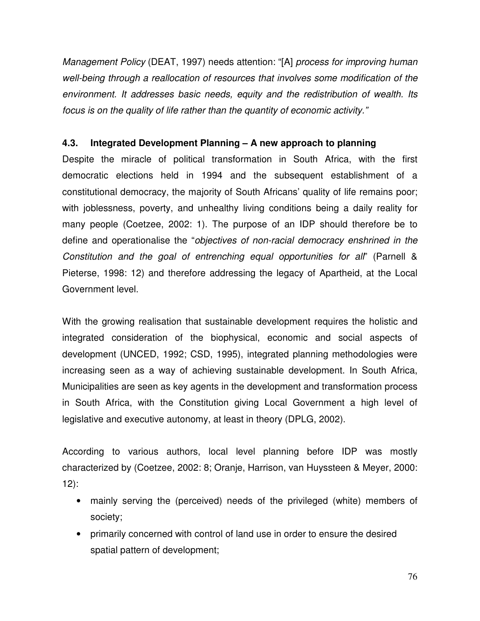*Management Policy* (DEAT, 1997) needs attention: "[A] *process for improving human well-being through a reallocation of resources that involves some modification of the environment. It addresses basic needs, equity and the redistribution of wealth. Its focus is on the quality of life rather than the quantity of economic activity."*

### **4.3. Integrated Development Planning – A new approach to planning**

Despite the miracle of political transformation in South Africa, with the first democratic elections held in 1994 and the subsequent establishment of a constitutional democracy, the majority of South Africans' quality of life remains poor; with joblessness, poverty, and unhealthy living conditions being a daily reality for many people (Coetzee, 2002: 1). The purpose of an IDP should therefore be to define and operationalise the "*objectives of non-racial democracy enshrined in the Constitution and the goal of entrenching equal opportunities for all*" (Parnell & Pieterse, 1998: 12) and therefore addressing the legacy of Apartheid, at the Local Government level.

With the growing realisation that sustainable development requires the holistic and integrated consideration of the biophysical, economic and social aspects of development (UNCED, 1992; CSD, 1995), integrated planning methodologies were increasing seen as a way of achieving sustainable development. In South Africa, Municipalities are seen as key agents in the development and transformation process in South Africa, with the Constitution giving Local Government a high level of legislative and executive autonomy, at least in theory (DPLG, 2002).

According to various authors, local level planning before IDP was mostly characterized by (Coetzee, 2002: 8; Oranje, Harrison, van Huyssteen & Meyer, 2000: 12):

- mainly serving the (perceived) needs of the privileged (white) members of society;
- primarily concerned with control of land use in order to ensure the desired spatial pattern of development;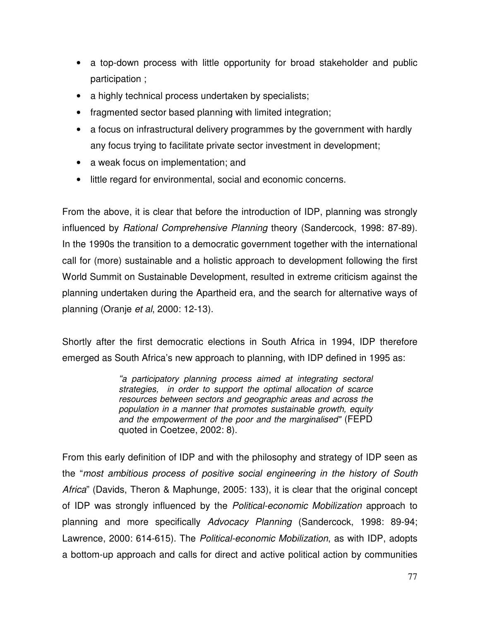- a top-down process with little opportunity for broad stakeholder and public participation ;
- a highly technical process undertaken by specialists;
- fragmented sector based planning with limited integration;
- a focus on infrastructural delivery programmes by the government with hardly any focus trying to facilitate private sector investment in development;
- a weak focus on implementation; and
- little regard for environmental, social and economic concerns.

From the above, it is clear that before the introduction of IDP, planning was strongly influenced by *Rational Comprehensive Planning* theory (Sandercock, 1998: 87-89). In the 1990s the transition to a democratic government together with the international call for (more) sustainable and a holistic approach to development following the first World Summit on Sustainable Development, resulted in extreme criticism against the planning undertaken during the Apartheid era, and the search for alternative ways of planning (Oranje *et al*, 2000: 12-13).

Shortly after the first democratic elections in South Africa in 1994, IDP therefore emerged as South Africa's new approach to planning, with IDP defined in 1995 as:

> *"a participatory planning process aimed at integrating sectoral strategies, in order to support the optimal allocation of scarce resources between sectors and geographic areas and across the population in a manner that promotes sustainable growth, equity and the empowerment of the poor and the marginalised"* (FEPD quoted in Coetzee, 2002: 8).

From this early definition of IDP and with the philosophy and strategy of IDP seen as the "*most ambitious process of positive social engineering in the history of South Africa*" (Davids, Theron & Maphunge, 2005: 133), it is clear that the original concept of IDP was strongly influenced by the *Political-economic Mobilization* approach to planning and more specifically *Advocacy Planning* (Sandercock, 1998: 89-94; Lawrence, 2000: 614-615). The *Political-economic Mobilization*, as with IDP, adopts a bottom-up approach and calls for direct and active political action by communities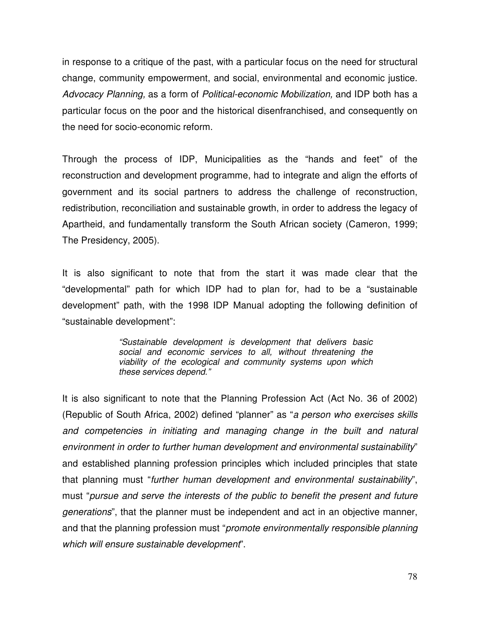in response to a critique of the past, with a particular focus on the need for structural change, community empowerment, and social, environmental and economic justice. *Advocacy Planning,* as a form of *Political-economic Mobilization,* and IDP both has a particular focus on the poor and the historical disenfranchised, and consequently on the need for socio-economic reform.

Through the process of IDP, Municipalities as the "hands and feet" of the reconstruction and development programme, had to integrate and align the efforts of government and its social partners to address the challenge of reconstruction, redistribution, reconciliation and sustainable growth, in order to address the legacy of Apartheid, and fundamentally transform the South African society (Cameron, 1999; The Presidency, 2005).

It is also significant to note that from the start it was made clear that the "developmental" path for which IDP had to plan for, had to be a "sustainable development" path, with the 1998 IDP Manual adopting the following definition of "sustainable development":

> *"Sustainable development is development that delivers basic social and economic services to all, without threatening the viability of the ecological and community systems upon which these services depend."*

It is also significant to note that the Planning Profession Act (Act No. 36 of 2002) (Republic of South Africa, 2002) defined "planner" as "*a person who exercises skills and competencies in initiating and managing change in the built and natural environment in order to further human development and environmental sustainability*" and established planning profession principles which included principles that state that planning must "*further human development and environmental sustainability*", must "*pursue and serve the interests of the public to benefit the present and future generations*", that the planner must be independent and act in an objective manner, and that the planning profession must "*promote environmentally responsible planning which will ensure sustainable development*".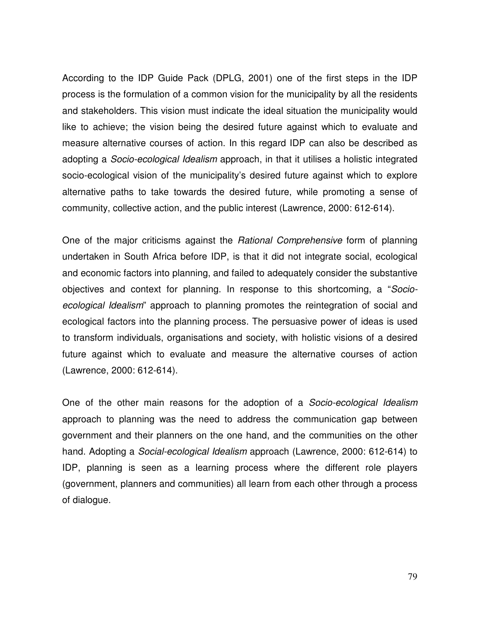According to the IDP Guide Pack (DPLG, 2001) one of the first steps in the IDP process is the formulation of a common vision for the municipality by all the residents and stakeholders. This vision must indicate the ideal situation the municipality would like to achieve; the vision being the desired future against which to evaluate and measure alternative courses of action. In this regard IDP can also be described as adopting a *Socio-ecological Idealism* approach, in that it utilises a holistic integrated socio-ecological vision of the municipality's desired future against which to explore alternative paths to take towards the desired future, while promoting a sense of community, collective action, and the public interest (Lawrence, 2000: 612-614).

One of the major criticisms against the *Rational Comprehensive* form of planning undertaken in South Africa before IDP, is that it did not integrate social, ecological and economic factors into planning, and failed to adequately consider the substantive objectives and context for planning. In response to this shortcoming, a "*Socioecological Idealism*" approach to planning promotes the reintegration of social and ecological factors into the planning process. The persuasive power of ideas is used to transform individuals, organisations and society, with holistic visions of a desired future against which to evaluate and measure the alternative courses of action (Lawrence, 2000: 612-614).

One of the other main reasons for the adoption of a *Socio-ecological Idealism* approach to planning was the need to address the communication gap between government and their planners on the one hand, and the communities on the other hand. Adopting a *Social-ecological Idealism* approach (Lawrence, 2000: 612-614) to IDP, planning is seen as a learning process where the different role players (government, planners and communities) all learn from each other through a process of dialogue.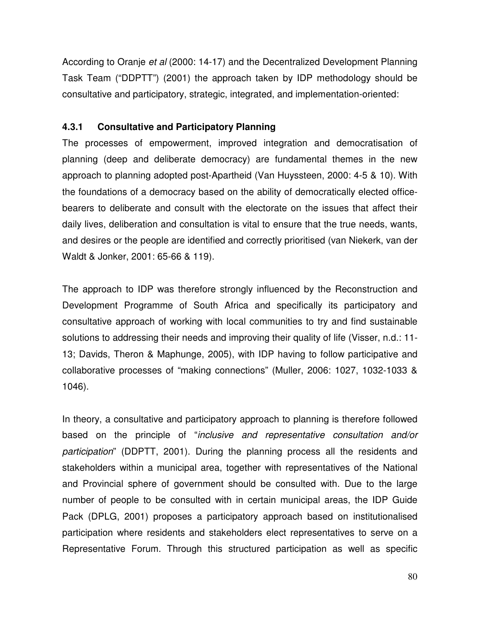According to Oranje *et al* (2000: 14-17) and the Decentralized Development Planning Task Team ("DDPTT") (2001) the approach taken by IDP methodology should be consultative and participatory, strategic, integrated, and implementation-oriented:

# **4.3.1 Consultative and Participatory Planning**

The processes of empowerment, improved integration and democratisation of planning (deep and deliberate democracy) are fundamental themes in the new approach to planning adopted post-Apartheid (Van Huyssteen, 2000: 4-5 & 10). With the foundations of a democracy based on the ability of democratically elected officebearers to deliberate and consult with the electorate on the issues that affect their daily lives, deliberation and consultation is vital to ensure that the true needs, wants, and desires or the people are identified and correctly prioritised (van Niekerk, van der Waldt & Jonker, 2001: 65-66 & 119).

The approach to IDP was therefore strongly influenced by the Reconstruction and Development Programme of South Africa and specifically its participatory and consultative approach of working with local communities to try and find sustainable solutions to addressing their needs and improving their quality of life (Visser, n.d.: 11- 13; Davids, Theron & Maphunge, 2005), with IDP having to follow participative and collaborative processes of "making connections" (Muller, 2006: 1027, 1032-1033 & 1046).

In theory, a consultative and participatory approach to planning is therefore followed based on the principle of "*inclusive and representative consultation and/or participation*" (DDPTT, 2001). During the planning process all the residents and stakeholders within a municipal area, together with representatives of the National and Provincial sphere of government should be consulted with. Due to the large number of people to be consulted with in certain municipal areas, the IDP Guide Pack (DPLG, 2001) proposes a participatory approach based on institutionalised participation where residents and stakeholders elect representatives to serve on a Representative Forum. Through this structured participation as well as specific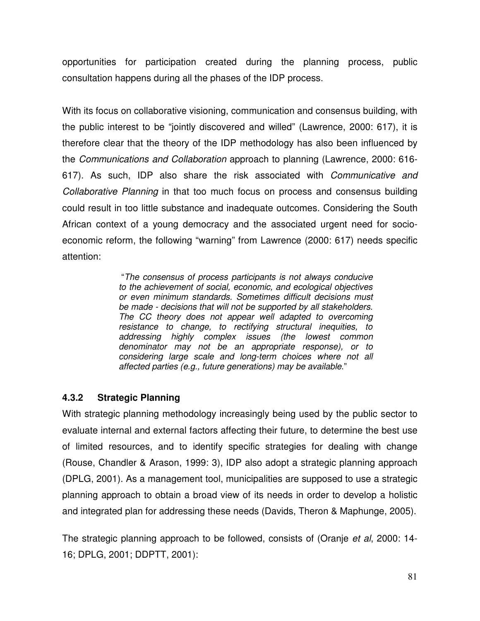opportunities for participation created during the planning process, public consultation happens during all the phases of the IDP process.

With its focus on collaborative visioning, communication and consensus building, with the public interest to be "jointly discovered and willed" (Lawrence, 2000: 617), it is therefore clear that the theory of the IDP methodology has also been influenced by the *Communications and Collaboration* approach to planning (Lawrence, 2000: 616- 617). As such, IDP also share the risk associated with *Communicative and Collaborative Planning* in that too much focus on process and consensus building could result in too little substance and inadequate outcomes. Considering the South African context of a young democracy and the associated urgent need for socioeconomic reform, the following "warning" from Lawrence (2000: 617) needs specific attention:

> "*The consensus of process participants is not always conducive to the achievement of social, economic, and ecological objectives or even minimum standards. Sometimes difficult decisions must be made - decisions that will not be supported by all stakeholders. The CC theory does not appear well adapted to overcoming resistance to change, to rectifying structural inequities, to addressing highly complex issues (the lowest common denominator may not be an appropriate response), or to considering large scale and long-term choices where not all affected parties (e.g., future generations) may be available*."

# **4.3.2 Strategic Planning**

With strategic planning methodology increasingly being used by the public sector to evaluate internal and external factors affecting their future, to determine the best use of limited resources, and to identify specific strategies for dealing with change (Rouse, Chandler & Arason, 1999: 3), IDP also adopt a strategic planning approach (DPLG, 2001). As a management tool, municipalities are supposed to use a strategic planning approach to obtain a broad view of its needs in order to develop a holistic and integrated plan for addressing these needs (Davids, Theron & Maphunge, 2005).

The strategic planning approach to be followed, consists of (Oranje *et al*, 2000: 14- 16; DPLG, 2001; DDPTT, 2001):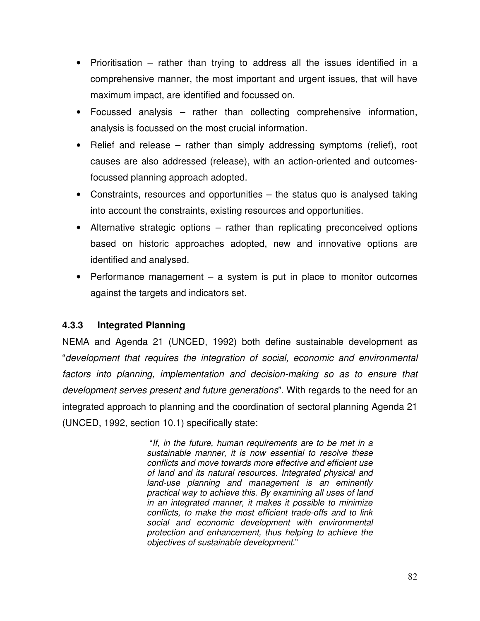- Prioritisation rather than trying to address all the issues identified in a comprehensive manner, the most important and urgent issues, that will have maximum impact, are identified and focussed on.
- Focussed analysis rather than collecting comprehensive information, analysis is focussed on the most crucial information.
- Relief and release rather than simply addressing symptoms (relief), root causes are also addressed (release), with an action-oriented and outcomesfocussed planning approach adopted.
- Constraints, resources and opportunities the status quo is analysed taking into account the constraints, existing resources and opportunities.
- Alternative strategic options rather than replicating preconceived options based on historic approaches adopted, new and innovative options are identified and analysed.
- Performance management a system is put in place to monitor outcomes against the targets and indicators set.

# **4.3.3 Integrated Planning**

NEMA and Agenda 21 (UNCED, 1992) both define sustainable development as "*development that requires the integration of social, economic and environmental factors into planning, implementation and decision-making so as to ensure that development serves present and future generations*". With regards to the need for an integrated approach to planning and the coordination of sectoral planning Agenda 21 (UNCED, 1992, section 10.1) specifically state:

> "*If, in the future, human requirements are to be met in a sustainable manner, it is now essential to resolve these conflicts and move towards more effective and efficient use of land and its natural resources. Integrated physical and land-use planning and management is an eminently practical way to achieve this. By examining all uses of land in an integrated manner, it makes it possible to minimize conflicts, to make the most efficient trade-offs and to link social and economic development with environmental protection and enhancement, thus helping to achieve the objectives of sustainable development*."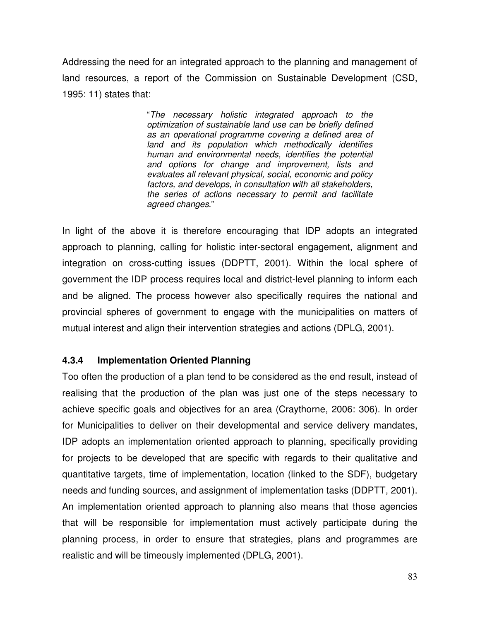Addressing the need for an integrated approach to the planning and management of land resources, a report of the Commission on Sustainable Development (CSD, 1995: 11) states that:

> "*The necessary holistic integrated approach to the optimization of sustainable land use can be briefly defined as an operational programme covering a defined area of land and its population which methodically identifies human and environmental needs, identifies the potential and options for change and improvement, lists and evaluates all relevant physical, social, economic and policy factors, and develops, in consultation with all stakeholders, the series of actions necessary to permit and facilitate agreed changes*."

In light of the above it is therefore encouraging that IDP adopts an integrated approach to planning, calling for holistic inter-sectoral engagement, alignment and integration on cross-cutting issues (DDPTT, 2001). Within the local sphere of government the IDP process requires local and district-level planning to inform each and be aligned. The process however also specifically requires the national and provincial spheres of government to engage with the municipalities on matters of mutual interest and align their intervention strategies and actions (DPLG, 2001).

# **4.3.4 Implementation Oriented Planning**

Too often the production of a plan tend to be considered as the end result, instead of realising that the production of the plan was just one of the steps necessary to achieve specific goals and objectives for an area (Craythorne, 2006: 306). In order for Municipalities to deliver on their developmental and service delivery mandates, IDP adopts an implementation oriented approach to planning, specifically providing for projects to be developed that are specific with regards to their qualitative and quantitative targets, time of implementation, location (linked to the SDF), budgetary needs and funding sources, and assignment of implementation tasks (DDPTT, 2001). An implementation oriented approach to planning also means that those agencies that will be responsible for implementation must actively participate during the planning process, in order to ensure that strategies, plans and programmes are realistic and will be timeously implemented (DPLG, 2001).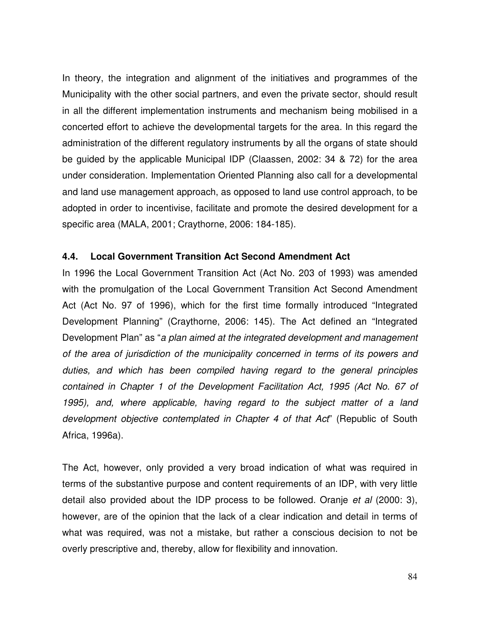In theory, the integration and alignment of the initiatives and programmes of the Municipality with the other social partners, and even the private sector, should result in all the different implementation instruments and mechanism being mobilised in a concerted effort to achieve the developmental targets for the area. In this regard the administration of the different regulatory instruments by all the organs of state should be guided by the applicable Municipal IDP (Claassen, 2002: 34 & 72) for the area under consideration. Implementation Oriented Planning also call for a developmental and land use management approach, as opposed to land use control approach, to be adopted in order to incentivise, facilitate and promote the desired development for a specific area (MALA, 2001; Craythorne, 2006: 184-185).

#### **4.4. Local Government Transition Act Second Amendment Act**

In 1996 the Local Government Transition Act (Act No. 203 of 1993) was amended with the promulgation of the Local Government Transition Act Second Amendment Act (Act No. 97 of 1996), which for the first time formally introduced "Integrated Development Planning" (Craythorne, 2006: 145). The Act defined an "Integrated Development Plan" as "*a plan aimed at the integrated development and management of the area of jurisdiction of the municipality concerned in terms of its powers and duties, and which has been compiled having regard to the general principles contained in Chapter 1 of the Development Facilitation Act, 1995 (Act No. 67 of 1995), and, where applicable, having regard to the subject matter of a land development objective contemplated in Chapter 4 of that Act*" (Republic of South Africa, 1996a).

The Act, however, only provided a very broad indication of what was required in terms of the substantive purpose and content requirements of an IDP, with very little detail also provided about the IDP process to be followed. Oranje *et al* (2000: 3), however, are of the opinion that the lack of a clear indication and detail in terms of what was required, was not a mistake, but rather a conscious decision to not be overly prescriptive and, thereby, allow for flexibility and innovation.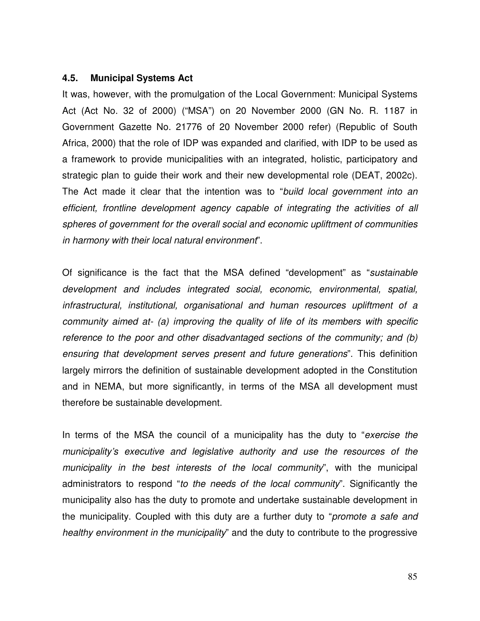#### **4.5. Municipal Systems Act**

It was, however, with the promulgation of the Local Government: Municipal Systems Act (Act No. 32 of 2000) ("MSA") on 20 November 2000 (GN No. R. 1187 in Government Gazette No. 21776 of 20 November 2000 refer) (Republic of South Africa, 2000) that the role of IDP was expanded and clarified, with IDP to be used as a framework to provide municipalities with an integrated, holistic, participatory and strategic plan to guide their work and their new developmental role (DEAT, 2002c). The Act made it clear that the intention was to "*build local government into an efficient, frontline development agency capable of integrating the activities of all spheres of government for the overall social and economic upliftment of communities in harmony with their local natural environment*".

Of significance is the fact that the MSA defined "development" as "*sustainable development and includes integrated social, economic, environmental, spatial, infrastructural, institutional, organisational and human resources upliftment of a community aimed at- (a) improving the quality of life of its members with specific reference to the poor and other disadvantaged sections of the community; and (b) ensuring that development serves present and future generations*". This definition largely mirrors the definition of sustainable development adopted in the Constitution and in NEMA, but more significantly, in terms of the MSA all development must therefore be sustainable development.

In terms of the MSA the council of a municipality has the duty to "*exercise the municipality's executive and legislative authority and use the resources of the municipality in the best interests of the local community*", with the municipal administrators to respond "*to the needs of the local community*". Significantly the municipality also has the duty to promote and undertake sustainable development in the municipality. Coupled with this duty are a further duty to "*promote a safe and healthy environment in the municipality*" and the duty to contribute to the progressive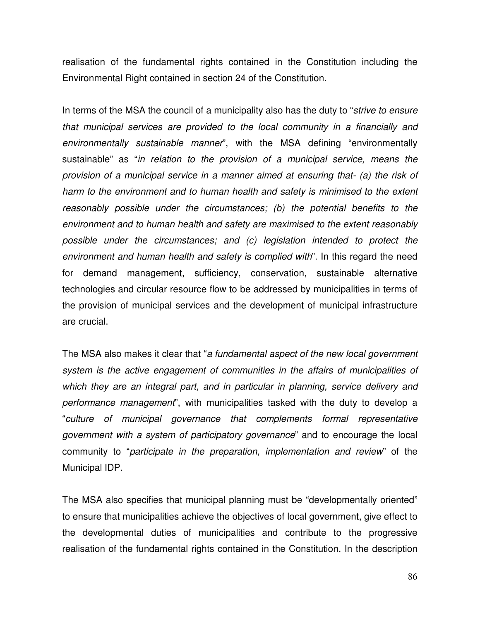realisation of the fundamental rights contained in the Constitution including the Environmental Right contained in section 24 of the Constitution.

In terms of the MSA the council of a municipality also has the duty to "*strive to ensure that municipal services are provided to the local community in a financially and environmentally sustainable manner*", with the MSA defining "environmentally sustainable" as "*in relation to the provision of a municipal service, means the provision of a municipal service in a manner aimed at ensuring that- (a) the risk of harm to the environment and to human health and safety is minimised to the extent reasonably possible under the circumstances; (b) the potential benefits to the environment and to human health and safety are maximised to the extent reasonably possible under the circumstances; and (c) legislation intended to protect the environment and human health and safety is complied with*". In this regard the need for demand management, sufficiency, conservation, sustainable alternative technologies and circular resource flow to be addressed by municipalities in terms of the provision of municipal services and the development of municipal infrastructure are crucial.

The MSA also makes it clear that "*a fundamental aspect of the new local government system is the active engagement of communities in the affairs of municipalities of which they are an integral part, and in particular in planning, service delivery and performance management*", with municipalities tasked with the duty to develop a "*culture of municipal governance that complements formal representative government with a system of participatory governance*" and to encourage the local community to "*participate in the preparation, implementation and review*" of the Municipal IDP.

The MSA also specifies that municipal planning must be "developmentally oriented" to ensure that municipalities achieve the objectives of local government, give effect to the developmental duties of municipalities and contribute to the progressive realisation of the fundamental rights contained in the Constitution. In the description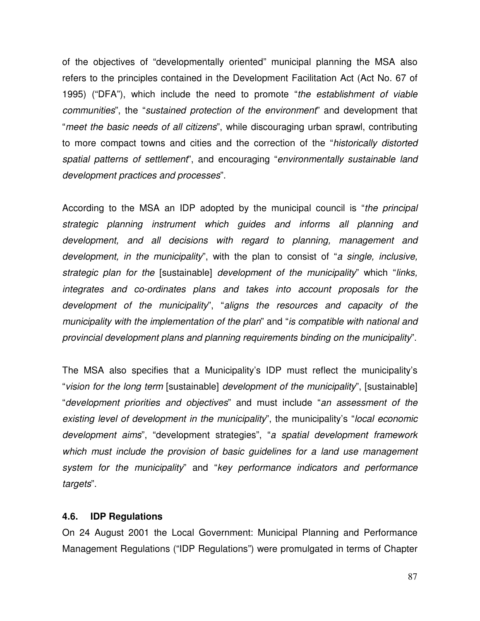of the objectives of "developmentally oriented" municipal planning the MSA also refers to the principles contained in the Development Facilitation Act (Act No. 67 of 1995) ("DFA"), which include the need to promote "*the establishment of viable communities*", the "*sustained protection of the environment*" and development that "*meet the basic needs of all citizens*", while discouraging urban sprawl, contributing to more compact towns and cities and the correction of the "*historically distorted spatial patterns of settlement*", and encouraging "*environmentally sustainable land development practices and processes*".

According to the MSA an IDP adopted by the municipal council is "*the principal strategic planning instrument which guides and informs all planning and development, and all decisions with regard to planning, management and development, in the municipality*", with the plan to consist of "*a single, inclusive, strategic plan for the* [sustainable] *development of the municipality*" which "*links, integrates and co-ordinates plans and takes into account proposals for the development of the municipality*", "*aligns the resources and capacity of the municipality with the implementation of the plan*" and "*is compatible with national and provincial development plans and planning requirements binding on the municipality*".

The MSA also specifies that a Municipality's IDP must reflect the municipality's "*vision for the long term* [sustainable] *development of the municipality*", [sustainable] "*development priorities and objectives*" and must include "*an assessment of the existing level of development in the municipality*", the municipality's "*local economic development aims*", "development strategies", "*a spatial development framework which must include the provision of basic guidelines for a land use management system for the municipality*" and "*key performance indicators and performance targets*".

#### **4.6. IDP Regulations**

On 24 August 2001 the Local Government: Municipal Planning and Performance Management Regulations ("IDP Regulations") were promulgated in terms of Chapter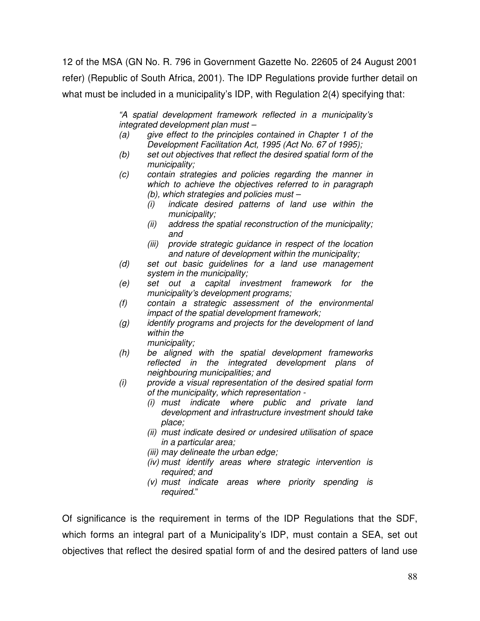12 of the MSA (GN No. R. 796 in Government Gazette No. 22605 of 24 August 2001 refer) (Republic of South Africa, 2001). The IDP Regulations provide further detail on what must be included in a municipality's IDP, with Regulation 2(4) specifying that:

> *"A spatial development framework reflected in a municipality's integrated development plan must –*

- *(a) give effect to the principles contained in Chapter 1 of the Development Facilitation Act, 1995 (Act No. 67 of 1995);*
- *(b) set out objectives that reflect the desired spatial form of the municipality;*
- *(c) contain strategies and policies regarding the manner in which to achieve the objectives referred to in paragraph (b), which strategies and policies must –*
	- *(i) indicate desired patterns of land use within the municipality;*
	- *(ii) address the spatial reconstruction of the municipality; and*
	- *(iii) provide strategic guidance in respect of the location and nature of development within the municipality;*
- *(d) set out basic guidelines for a land use management system in the municipality;*
- *(e) set out a capital investment framework for the municipality's development programs;*
- *(f) contain a strategic assessment of the environmental impact of the spatial development framework;*
- *(g) identify programs and projects for the development of land within the*
	- *municipality;*
- *(h) be aligned with the spatial development frameworks reflected in the integrated development plans of neighbouring municipalities; and*
- *(i) provide a visual representation of the desired spatial form of the municipality, which representation -*
	- *(i) must indicate where public and private land development and infrastructure investment should take place;*
	- *(ii) must indicate desired or undesired utilisation of space in a particular area;*
	- *(iii) may delineate the urban edge;*
	- *(iv) must identify areas where strategic intervention is required; and*
	- *(v) must indicate areas where priority spending is required.*"

Of significance is the requirement in terms of the IDP Regulations that the SDF, which forms an integral part of a Municipality's IDP, must contain a SEA, set out objectives that reflect the desired spatial form of and the desired patters of land use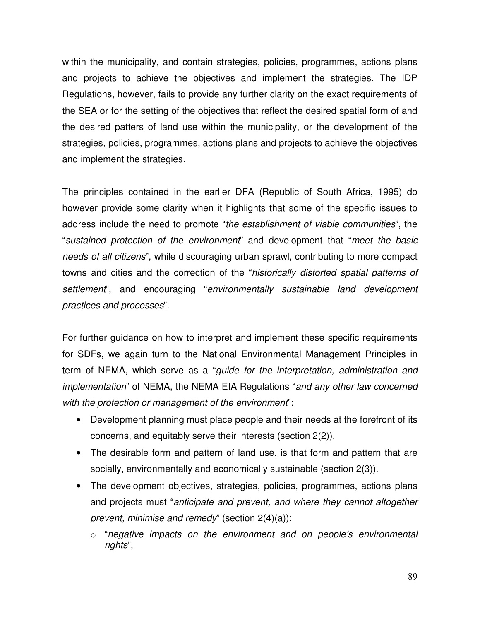within the municipality, and contain strategies, policies, programmes, actions plans and projects to achieve the objectives and implement the strategies. The IDP Regulations, however, fails to provide any further clarity on the exact requirements of the SEA or for the setting of the objectives that reflect the desired spatial form of and the desired patters of land use within the municipality, or the development of the strategies, policies, programmes, actions plans and projects to achieve the objectives and implement the strategies.

The principles contained in the earlier DFA (Republic of South Africa, 1995) do however provide some clarity when it highlights that some of the specific issues to address include the need to promote "*the establishment of viable communities*", the "*sustained protection of the environment*" and development that "*meet the basic needs of all citizens*", while discouraging urban sprawl, contributing to more compact towns and cities and the correction of the "*historically distorted spatial patterns of settlement*", and encouraging "*environmentally sustainable land development practices and processes*".

For further guidance on how to interpret and implement these specific requirements for SDFs, we again turn to the National Environmental Management Principles in term of NEMA, which serve as a "*guide for the interpretation, administration and implementation*" of NEMA, the NEMA EIA Regulations "*and any other law concerned with the protection or management of the environment*":

- Development planning must place people and their needs at the forefront of its concerns, and equitably serve their interests (section 2(2)).
- The desirable form and pattern of land use, is that form and pattern that are socially, environmentally and economically sustainable (section 2(3)).
- The development objectives, strategies, policies, programmes, actions plans and projects must "*anticipate and prevent, and where they cannot altogether prevent, minimise and remedy*" (section 2(4)(a)):
	- o "*negative impacts on the environment and on people's environmental rights*",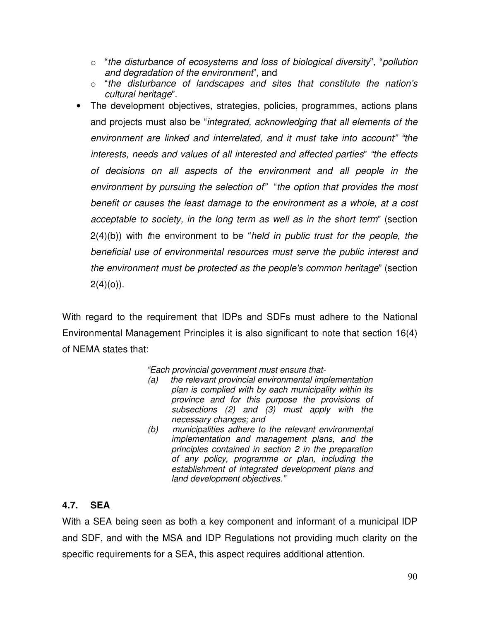- o "*the disturbance of ecosystems and loss of biological diversity*", "*pollution and degradation of the environment*", and
- o "*the disturbance of landscapes and sites that constitute the nation's cultural heritage*".
- The development objectives, strategies, policies, programmes, actions plans and projects must also be "*integrated, acknowledging that all elements of the environment are linked and interrelated, and it must take into account" "the interests, needs and values of all interested and affected parties*" *"the effects of decisions on all aspects of the environment and all people in the environment by pursuing the selection of"* "*the option that provides the most benefit or causes the least damage to the environment as a whole, at a cost acceptable to society, in the long term as well as in the short term*" (section 2(4)(b)) with *t*he environment to be "*held in public trust for the people, the beneficial use of environmental resources must serve the public interest and the environment must be protected as the people's common heritage*" (section  $2(4)(0)$ ).

With regard to the requirement that IDPs and SDFs must adhere to the National Environmental Management Principles it is also significant to note that section 16(4) of NEMA states that:

*"Each provincial government must ensure that-*

- *(a) the relevant provincial environmental implementation plan is complied with by each municipality within its province and for this purpose the provisions of subsections (2) and (3) must apply with the necessary changes; and*
- *(b) municipalities adhere to the relevant environmental implementation and management plans, and the principles contained in section 2 in the preparation of any policy, programme or plan, including the establishment of integrated development plans and land development objectives."*

# **4.7. SEA**

With a SEA being seen as both a key component and informant of a municipal IDP and SDF, and with the MSA and IDP Regulations not providing much clarity on the specific requirements for a SEA, this aspect requires additional attention.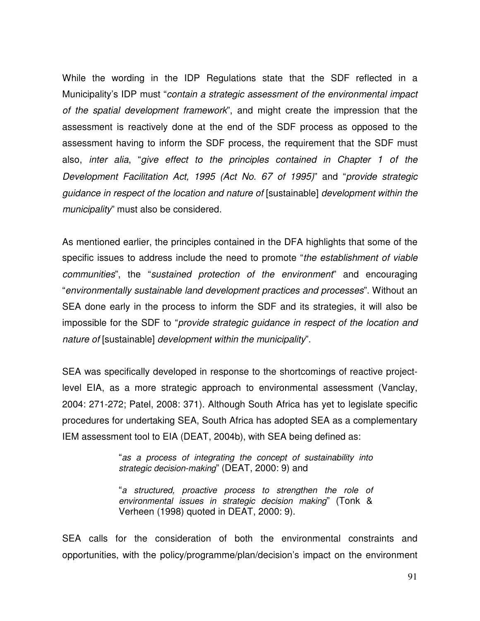While the wording in the IDP Regulations state that the SDF reflected in a Municipality's IDP must "*contain a strategic assessment of the environmental impact of the spatial development framework*", and might create the impression that the assessment is reactively done at the end of the SDF process as opposed to the assessment having to inform the SDF process, the requirement that the SDF must also, *inter alia*, "*give effect to the principles contained in Chapter 1 of the Development Facilitation Act, 1995 (Act No. 67 of 1995)*" and "*provide strategic guidance in respect of the location and nature of* [sustainable] *development within the municipality*" must also be considered.

As mentioned earlier, the principles contained in the DFA highlights that some of the specific issues to address include the need to promote "*the establishment of viable communities*", the "*sustained protection of the environment*" and encouraging "*environmentally sustainable land development practices and processes*". Without an SEA done early in the process to inform the SDF and its strategies, it will also be impossible for the SDF to "*provide strategic guidance in respect of the location and nature of* [sustainable] *development within the municipality*".

SEA was specifically developed in response to the shortcomings of reactive projectlevel EIA, as a more strategic approach to environmental assessment (Vanclay, 2004: 271-272; Patel, 2008: 371). Although South Africa has yet to legislate specific procedures for undertaking SEA, South Africa has adopted SEA as a complementary IEM assessment tool to EIA (DEAT, 2004b), with SEA being defined as:

> "*as a process of integrating the concept of sustainability into strategic decision-making*" (DEAT, 2000: 9) and

> "*a structured, proactive process to strengthen the role of environmental issues in strategic decision making*" (Tonk & Verheen (1998) quoted in DEAT, 2000: 9).

SEA calls for the consideration of both the environmental constraints and opportunities, with the policy/programme/plan/decision's impact on the environment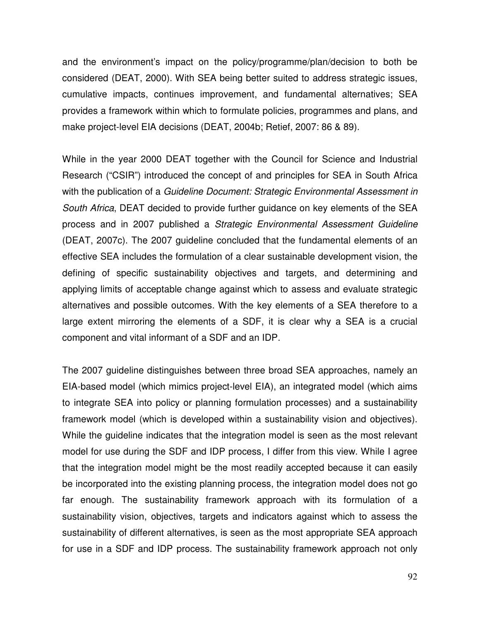and the environment's impact on the policy/programme/plan/decision to both be considered (DEAT, 2000). With SEA being better suited to address strategic issues, cumulative impacts, continues improvement, and fundamental alternatives; SEA provides a framework within which to formulate policies, programmes and plans, and make project-level EIA decisions (DEAT, 2004b; Retief, 2007: 86 & 89).

While in the year 2000 DEAT together with the Council for Science and Industrial Research ("CSIR") introduced the concept of and principles for SEA in South Africa with the publication of a *Guideline Document: Strategic Environmental Assessment in South Africa*, DEAT decided to provide further guidance on key elements of the SEA process and in 2007 published a *Strategic Environmental Assessment Guideline* (DEAT, 2007c). The 2007 guideline concluded that the fundamental elements of an effective SEA includes the formulation of a clear sustainable development vision, the defining of specific sustainability objectives and targets, and determining and applying limits of acceptable change against which to assess and evaluate strategic alternatives and possible outcomes. With the key elements of a SEA therefore to a large extent mirroring the elements of a SDF, it is clear why a SEA is a crucial component and vital informant of a SDF and an IDP.

The 2007 guideline distinguishes between three broad SEA approaches, namely an EIA-based model (which mimics project-level EIA), an integrated model (which aims to integrate SEA into policy or planning formulation processes) and a sustainability framework model (which is developed within a sustainability vision and objectives). While the guideline indicates that the integration model is seen as the most relevant model for use during the SDF and IDP process, I differ from this view. While I agree that the integration model might be the most readily accepted because it can easily be incorporated into the existing planning process, the integration model does not go far enough. The sustainability framework approach with its formulation of a sustainability vision, objectives, targets and indicators against which to assess the sustainability of different alternatives, is seen as the most appropriate SEA approach for use in a SDF and IDP process. The sustainability framework approach not only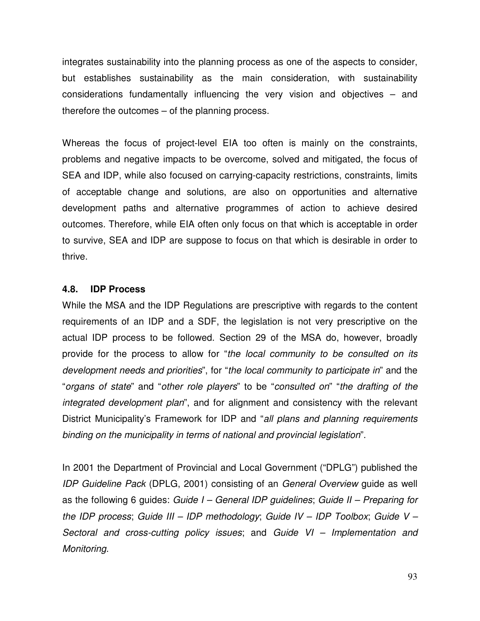integrates sustainability into the planning process as one of the aspects to consider, but establishes sustainability as the main consideration, with sustainability considerations fundamentally influencing the very vision and objectives – and therefore the outcomes – of the planning process.

Whereas the focus of project-level EIA too often is mainly on the constraints, problems and negative impacts to be overcome, solved and mitigated, the focus of SEA and IDP, while also focused on carrying-capacity restrictions, constraints, limits of acceptable change and solutions, are also on opportunities and alternative development paths and alternative programmes of action to achieve desired outcomes. Therefore, while EIA often only focus on that which is acceptable in order to survive, SEA and IDP are suppose to focus on that which is desirable in order to thrive.

#### **4.8. IDP Process**

While the MSA and the IDP Regulations are prescriptive with regards to the content requirements of an IDP and a SDF, the legislation is not very prescriptive on the actual IDP process to be followed. Section 29 of the MSA do, however, broadly provide for the process to allow for "*the local community to be consulted on its development needs and priorities*", for "*the local community to participate in*" and the "*organs of state*" and "*other role players*" to be "*consulted on*" "*the drafting of the integrated development plan*", and for alignment and consistency with the relevant District Municipality's Framework for IDP and "*all plans and planning requirements binding on the municipality in terms of national and provincial legislation*".

In 2001 the Department of Provincial and Local Government ("DPLG") published the *IDP Guideline Pack* (DPLG, 2001) consisting of an *General Overview* guide as well as the following 6 guides: *Guide I – General IDP guidelines*; *Guide II – Preparing for the IDP process*; *Guide III – IDP methodology*; *Guide IV – IDP Toolbox*; *Guide V – Sectoral and cross-cutting policy issues*; and *Guide VI – Implementation and Monitoring*.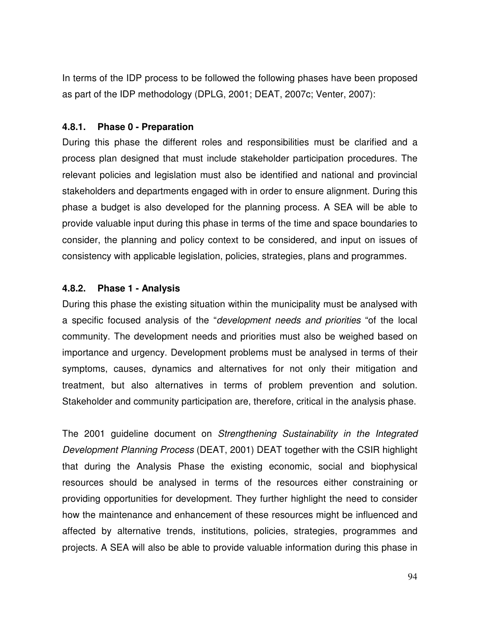In terms of the IDP process to be followed the following phases have been proposed as part of the IDP methodology (DPLG, 2001; DEAT, 2007c; Venter, 2007):

#### **4.8.1. Phase 0 - Preparation**

During this phase the different roles and responsibilities must be clarified and a process plan designed that must include stakeholder participation procedures. The relevant policies and legislation must also be identified and national and provincial stakeholders and departments engaged with in order to ensure alignment. During this phase a budget is also developed for the planning process. A SEA will be able to provide valuable input during this phase in terms of the time and space boundaries to consider, the planning and policy context to be considered, and input on issues of consistency with applicable legislation, policies, strategies, plans and programmes.

# **4.8.2. Phase 1 - Analysis**

During this phase the existing situation within the municipality must be analysed with a specific focused analysis of the "*development needs and priorities* "of the local community. The development needs and priorities must also be weighed based on importance and urgency. Development problems must be analysed in terms of their symptoms, causes, dynamics and alternatives for not only their mitigation and treatment, but also alternatives in terms of problem prevention and solution. Stakeholder and community participation are, therefore, critical in the analysis phase.

The 2001 guideline document on *Strengthening Sustainability in the Integrated Development Planning Process* (DEAT, 2001) DEAT together with the CSIR highlight that during the Analysis Phase the existing economic, social and biophysical resources should be analysed in terms of the resources either constraining or providing opportunities for development. They further highlight the need to consider how the maintenance and enhancement of these resources might be influenced and affected by alternative trends, institutions, policies, strategies, programmes and projects. A SEA will also be able to provide valuable information during this phase in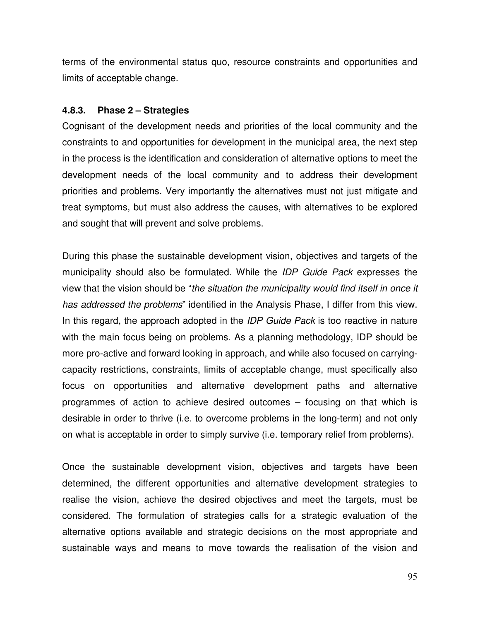terms of the environmental status quo, resource constraints and opportunities and limits of acceptable change.

#### **4.8.3. Phase 2 – Strategies**

Cognisant of the development needs and priorities of the local community and the constraints to and opportunities for development in the municipal area, the next step in the process is the identification and consideration of alternative options to meet the development needs of the local community and to address their development priorities and problems. Very importantly the alternatives must not just mitigate and treat symptoms, but must also address the causes, with alternatives to be explored and sought that will prevent and solve problems.

During this phase the sustainable development vision, objectives and targets of the municipality should also be formulated. While the *IDP Guide Pack* expresses the view that the vision should be "*the situation the municipality would find itself in once it has addressed the problems*" identified in the Analysis Phase, I differ from this view. In this regard, the approach adopted in the *IDP Guide Pack* is too reactive in nature with the main focus being on problems. As a planning methodology, IDP should be more pro-active and forward looking in approach, and while also focused on carryingcapacity restrictions, constraints, limits of acceptable change, must specifically also focus on opportunities and alternative development paths and alternative programmes of action to achieve desired outcomes – focusing on that which is desirable in order to thrive (i.e. to overcome problems in the long-term) and not only on what is acceptable in order to simply survive (i.e. temporary relief from problems).

Once the sustainable development vision, objectives and targets have been determined, the different opportunities and alternative development strategies to realise the vision, achieve the desired objectives and meet the targets, must be considered. The formulation of strategies calls for a strategic evaluation of the alternative options available and strategic decisions on the most appropriate and sustainable ways and means to move towards the realisation of the vision and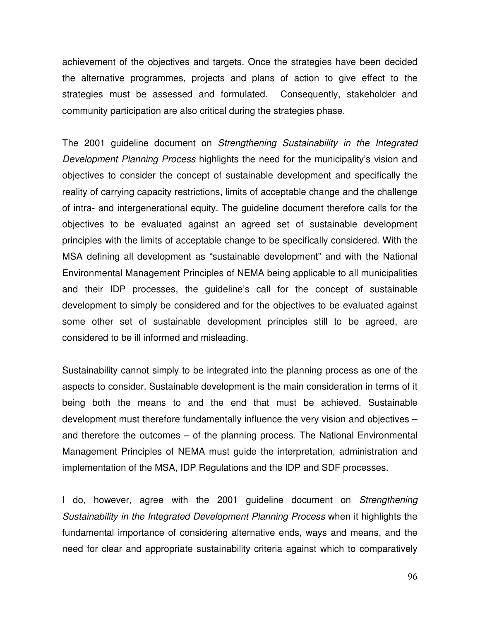achievement of the objectives and targets. Once the strategies have been decided the alternative programmes, projects and plans of action to give effect to the strategies must be assessed and formulated. Consequently, stakeholder and community participation are also critical during the strategies phase.

The 2001 guideline document on *Strengthening Sustainability in the Integrated Development Planning Process* highlights the need for the municipality's vision and objectives to consider the concept of sustainable development and specifically the reality of carrying capacity restrictions, limits of acceptable change and the challenge of intra- and intergenerational equity. The guideline document therefore calls for the objectives to be evaluated against an agreed set of sustainable development principles with the limits of acceptable change to be specifically considered. With the MSA defining all development as "sustainable development" and with the National Environmental Management Principles of NEMA being applicable to all municipalities and their IDP processes, the guideline's call for the concept of sustainable development to simply be considered and for the objectives to be evaluated against some other set of sustainable development principles still to be agreed, are considered to be ill informed and misleading.

Sustainability cannot simply to be integrated into the planning process as one of the aspects to consider. Sustainable development is the main consideration in terms of it being both the means to and the end that must be achieved. Sustainable development must therefore fundamentally influence the very vision and objectives – and therefore the outcomes – of the planning process. The National Environmental Management Principles of NEMA must guide the interpretation, administration and implementation of the MSA, IDP Regulations and the IDP and SDF processes.

I do, however, agree with the 2001 guideline document on *Strengthening Sustainability in the Integrated Development Planning Process* when it highlights the fundamental importance of considering alternative ends, ways and means, and the need for clear and appropriate sustainability criteria against which to comparatively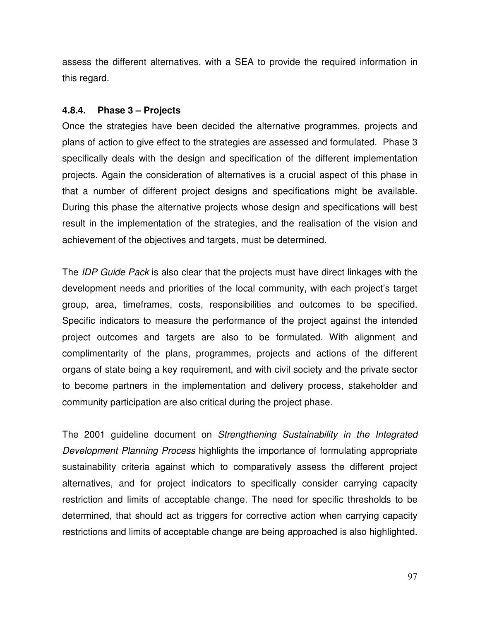assess the different alternatives, with a SEA to provide the required information in this regard.

#### **4.8.4. Phase 3 – Projects**

Once the strategies have been decided the alternative programmes, projects and plans of action to give effect to the strategies are assessed and formulated. Phase 3 specifically deals with the design and specification of the different implementation projects. Again the consideration of alternatives is a crucial aspect of this phase in that a number of different project designs and specifications might be available. During this phase the alternative projects whose design and specifications will best result in the implementation of the strategies, and the realisation of the vision and achievement of the objectives and targets, must be determined.

The *IDP Guide Pack* is also clear that the projects must have direct linkages with the development needs and priorities of the local community, with each project's target group, area, timeframes, costs, responsibilities and outcomes to be specified. Specific indicators to measure the performance of the project against the intended project outcomes and targets are also to be formulated. With alignment and complimentarity of the plans, programmes, projects and actions of the different organs of state being a key requirement, and with civil society and the private sector to become partners in the implementation and delivery process, stakeholder and community participation are also critical during the project phase.

The 2001 guideline document on *Strengthening Sustainability in the Integrated Development Planning Process* highlights the importance of formulating appropriate sustainability criteria against which to comparatively assess the different project alternatives, and for project indicators to specifically consider carrying capacity restriction and limits of acceptable change. The need for specific thresholds to be determined, that should act as triggers for corrective action when carrying capacity restrictions and limits of acceptable change are being approached is also highlighted.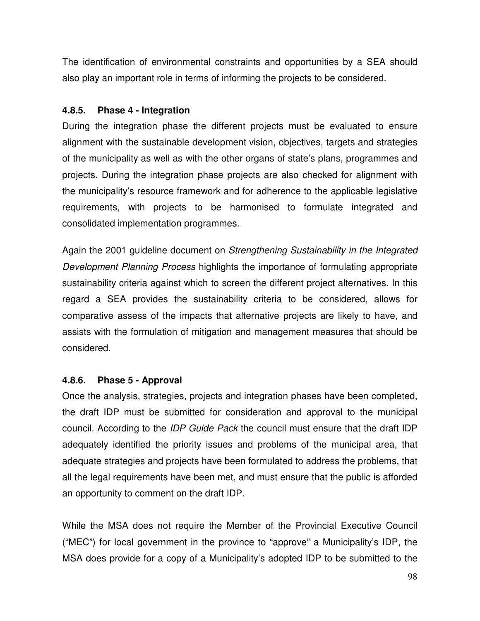The identification of environmental constraints and opportunities by a SEA should also play an important role in terms of informing the projects to be considered.

# **4.8.5. Phase 4 - Integration**

During the integration phase the different projects must be evaluated to ensure alignment with the sustainable development vision, objectives, targets and strategies of the municipality as well as with the other organs of state's plans, programmes and projects. During the integration phase projects are also checked for alignment with the municipality's resource framework and for adherence to the applicable legislative requirements, with projects to be harmonised to formulate integrated and consolidated implementation programmes.

Again the 2001 guideline document on *Strengthening Sustainability in the Integrated Development Planning Process* highlights the importance of formulating appropriate sustainability criteria against which to screen the different project alternatives. In this regard a SEA provides the sustainability criteria to be considered, allows for comparative assess of the impacts that alternative projects are likely to have, and assists with the formulation of mitigation and management measures that should be considered.

# **4.8.6. Phase 5 - Approval**

Once the analysis, strategies, projects and integration phases have been completed, the draft IDP must be submitted for consideration and approval to the municipal council. According to the *IDP Guide Pack* the council must ensure that the draft IDP adequately identified the priority issues and problems of the municipal area, that adequate strategies and projects have been formulated to address the problems, that all the legal requirements have been met, and must ensure that the public is afforded an opportunity to comment on the draft IDP.

While the MSA does not require the Member of the Provincial Executive Council ("MEC") for local government in the province to "approve" a Municipality's IDP, the MSA does provide for a copy of a Municipality's adopted IDP to be submitted to the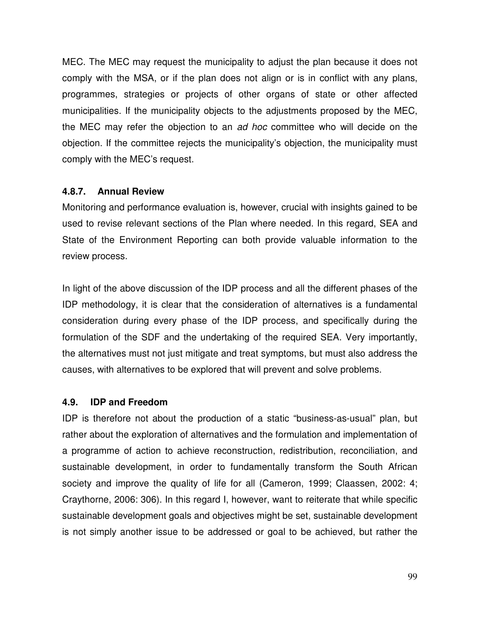MEC. The MEC may request the municipality to adjust the plan because it does not comply with the MSA, or if the plan does not align or is in conflict with any plans, programmes, strategies or projects of other organs of state or other affected municipalities. If the municipality objects to the adjustments proposed by the MEC, the MEC may refer the objection to an *ad hoc* committee who will decide on the objection. If the committee rejects the municipality's objection, the municipality must comply with the MEC's request.

#### **4.8.7. Annual Review**

Monitoring and performance evaluation is, however, crucial with insights gained to be used to revise relevant sections of the Plan where needed. In this regard, SEA and State of the Environment Reporting can both provide valuable information to the review process.

In light of the above discussion of the IDP process and all the different phases of the IDP methodology, it is clear that the consideration of alternatives is a fundamental consideration during every phase of the IDP process, and specifically during the formulation of the SDF and the undertaking of the required SEA. Very importantly, the alternatives must not just mitigate and treat symptoms, but must also address the causes, with alternatives to be explored that will prevent and solve problems.

## **4.9. IDP and Freedom**

IDP is therefore not about the production of a static "business-as-usual" plan, but rather about the exploration of alternatives and the formulation and implementation of a programme of action to achieve reconstruction, redistribution, reconciliation, and sustainable development, in order to fundamentally transform the South African society and improve the quality of life for all (Cameron, 1999; Claassen, 2002: 4; Craythorne, 2006: 306). In this regard I, however, want to reiterate that while specific sustainable development goals and objectives might be set, sustainable development is not simply another issue to be addressed or goal to be achieved, but rather the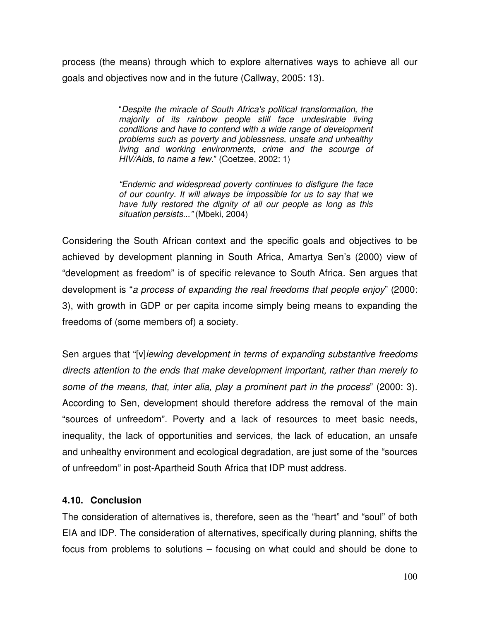process (the means) through which to explore alternatives ways to achieve all our goals and objectives now and in the future (Callway, 2005: 13).

> "*Despite the miracle of South Africa's political transformation, the majority of its rainbow people still face undesirable living conditions and have to contend with a wide range of development problems such as poverty and joblessness, unsafe and unhealthy living and working environments, crime and the scourge of HIV/Aids, to name a few*." (Coetzee, 2002: 1)

> *"Endemic and widespread poverty continues to disfigure the face of our country. It will always be impossible for us to say that we have fully restored the dignity of all our people as long as this situation persists..."* (Mbeki, 2004)

Considering the South African context and the specific goals and objectives to be achieved by development planning in South Africa, Amartya Sen's (2000) view of "development as freedom" is of specific relevance to South Africa. Sen argues that development is "*a process of expanding the real freedoms that people enjoy*" (2000: 3), with growth in GDP or per capita income simply being means to expanding the freedoms of (some members of) a society.

Sen argues that "[v]*iewing development in terms of expanding substantive freedoms directs attention to the ends that make development important, rather than merely to some of the means, that, inter alia, play a prominent part in the process*" (2000: 3). According to Sen, development should therefore address the removal of the main "sources of unfreedom". Poverty and a lack of resources to meet basic needs, inequality, the lack of opportunities and services, the lack of education, an unsafe and unhealthy environment and ecological degradation, are just some of the "sources of unfreedom" in post-Apartheid South Africa that IDP must address.

#### **4.10. Conclusion**

The consideration of alternatives is, therefore, seen as the "heart" and "soul" of both EIA and IDP. The consideration of alternatives, specifically during planning, shifts the focus from problems to solutions – focusing on what could and should be done to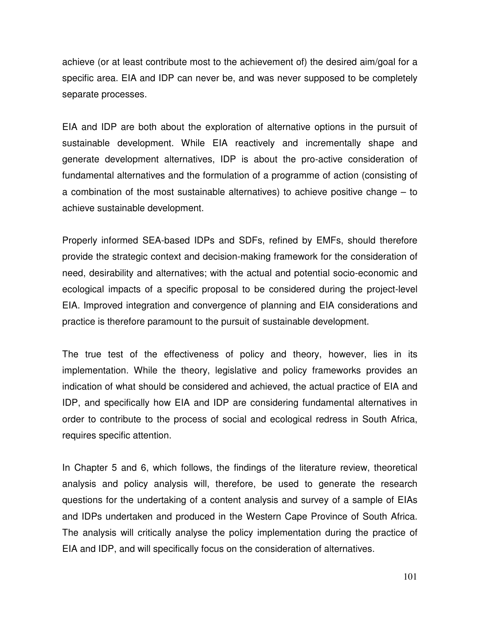achieve (or at least contribute most to the achievement of) the desired aim/goal for a specific area. EIA and IDP can never be, and was never supposed to be completely separate processes.

EIA and IDP are both about the exploration of alternative options in the pursuit of sustainable development. While EIA reactively and incrementally shape and generate development alternatives, IDP is about the pro-active consideration of fundamental alternatives and the formulation of a programme of action (consisting of a combination of the most sustainable alternatives) to achieve positive change – to achieve sustainable development.

Properly informed SEA-based IDPs and SDFs, refined by EMFs, should therefore provide the strategic context and decision-making framework for the consideration of need, desirability and alternatives; with the actual and potential socio-economic and ecological impacts of a specific proposal to be considered during the project-level EIA. Improved integration and convergence of planning and EIA considerations and practice is therefore paramount to the pursuit of sustainable development.

The true test of the effectiveness of policy and theory, however, lies in its implementation. While the theory, legislative and policy frameworks provides an indication of what should be considered and achieved, the actual practice of EIA and IDP, and specifically how EIA and IDP are considering fundamental alternatives in order to contribute to the process of social and ecological redress in South Africa, requires specific attention.

In Chapter 5 and 6, which follows, the findings of the literature review, theoretical analysis and policy analysis will, therefore, be used to generate the research questions for the undertaking of a content analysis and survey of a sample of EIAs and IDPs undertaken and produced in the Western Cape Province of South Africa. The analysis will critically analyse the policy implementation during the practice of EIA and IDP, and will specifically focus on the consideration of alternatives.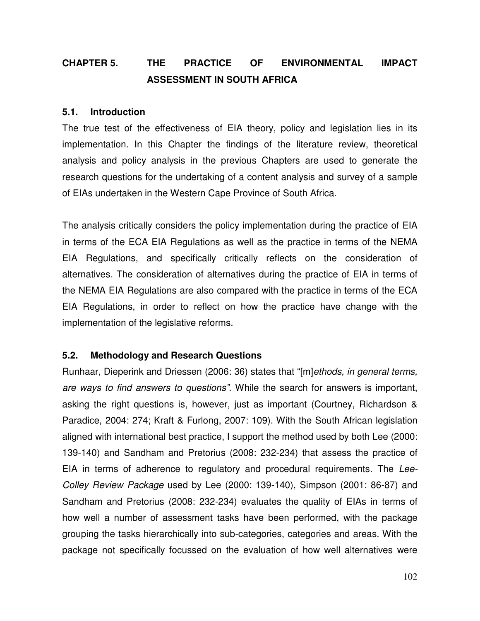# **CHAPTER 5. THE PRACTICE OF ENVIRONMENTAL IMPACT ASSESSMENT IN SOUTH AFRICA**

#### **5.1. Introduction**

The true test of the effectiveness of EIA theory, policy and legislation lies in its implementation. In this Chapter the findings of the literature review, theoretical analysis and policy analysis in the previous Chapters are used to generate the research questions for the undertaking of a content analysis and survey of a sample of EIAs undertaken in the Western Cape Province of South Africa.

The analysis critically considers the policy implementation during the practice of EIA in terms of the ECA EIA Regulations as well as the practice in terms of the NEMA EIA Regulations, and specifically critically reflects on the consideration of alternatives. The consideration of alternatives during the practice of EIA in terms of the NEMA EIA Regulations are also compared with the practice in terms of the ECA EIA Regulations, in order to reflect on how the practice have change with the implementation of the legislative reforms.

#### **5.2. Methodology and Research Questions**

Runhaar, Dieperink and Driessen (2006: 36) states that "[m]*ethods, in general terms, are ways to find answers to questions"*. While the search for answers is important, asking the right questions is, however, just as important (Courtney, Richardson & Paradice, 2004: 274; Kraft & Furlong, 2007: 109). With the South African legislation aligned with international best practice, I support the method used by both Lee (2000: 139-140) and Sandham and Pretorius (2008: 232-234) that assess the practice of EIA in terms of adherence to regulatory and procedural requirements. The *Lee-Colley Review Package* used by Lee (2000: 139-140), Simpson (2001: 86-87) and Sandham and Pretorius (2008: 232-234) evaluates the quality of EIAs in terms of how well a number of assessment tasks have been performed, with the package grouping the tasks hierarchically into sub-categories, categories and areas. With the package not specifically focussed on the evaluation of how well alternatives were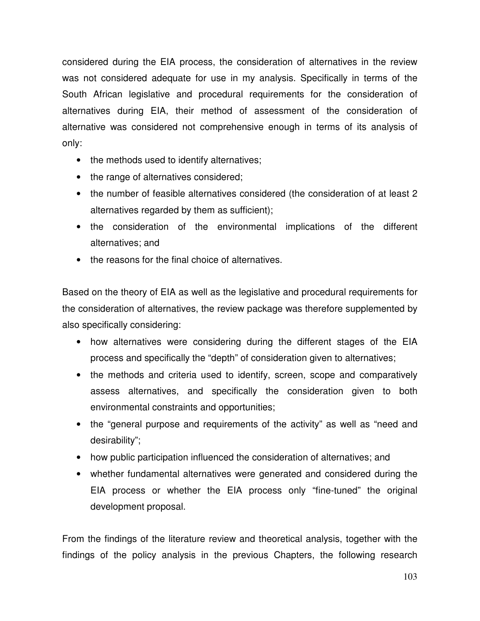considered during the EIA process, the consideration of alternatives in the review was not considered adequate for use in my analysis. Specifically in terms of the South African legislative and procedural requirements for the consideration of alternatives during EIA, their method of assessment of the consideration of alternative was considered not comprehensive enough in terms of its analysis of only:

- the methods used to identify alternatives;
- the range of alternatives considered;
- the number of feasible alternatives considered (the consideration of at least 2 alternatives regarded by them as sufficient);
- the consideration of the environmental implications of the different alternatives; and
- the reasons for the final choice of alternatives.

Based on the theory of EIA as well as the legislative and procedural requirements for the consideration of alternatives, the review package was therefore supplemented by also specifically considering:

- how alternatives were considering during the different stages of the EIA process and specifically the "depth" of consideration given to alternatives;
- the methods and criteria used to identify, screen, scope and comparatively assess alternatives, and specifically the consideration given to both environmental constraints and opportunities;
- the "general purpose and requirements of the activity" as well as "need and desirability";
- how public participation influenced the consideration of alternatives; and
- whether fundamental alternatives were generated and considered during the EIA process or whether the EIA process only "fine-tuned" the original development proposal.

From the findings of the literature review and theoretical analysis, together with the findings of the policy analysis in the previous Chapters, the following research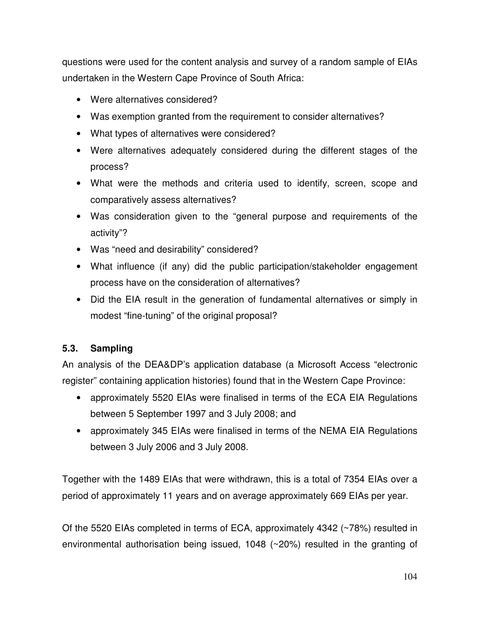questions were used for the content analysis and survey of a random sample of EIAs undertaken in the Western Cape Province of South Africa:

- Were alternatives considered?
- Was exemption granted from the requirement to consider alternatives?
- What types of alternatives were considered?
- Were alternatives adequately considered during the different stages of the process?
- What were the methods and criteria used to identify, screen, scope and comparatively assess alternatives?
- Was consideration given to the "general purpose and requirements of the activity"?
- Was "need and desirability" considered?
- What influence (if any) did the public participation/stakeholder engagement process have on the consideration of alternatives?
- Did the EIA result in the generation of fundamental alternatives or simply in modest "fine-tuning" of the original proposal?

## **5.3. Sampling**

An analysis of the DEA&DP's application database (a Microsoft Access "electronic register" containing application histories) found that in the Western Cape Province:

- approximately 5520 EIAs were finalised in terms of the ECA EIA Regulations between 5 September 1997 and 3 July 2008; and
- approximately 345 EIAs were finalised in terms of the NEMA EIA Regulations between 3 July 2006 and 3 July 2008.

Together with the 1489 EIAs that were withdrawn, this is a total of 7354 EIAs over a period of approximately 11 years and on average approximately 669 EIAs per year.

Of the 5520 EIAs completed in terms of ECA, approximately 4342 (~78%) resulted in environmental authorisation being issued, 1048 (~20%) resulted in the granting of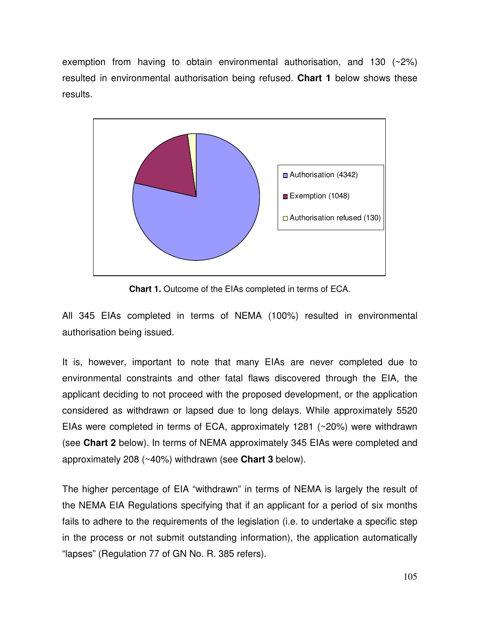exemption from having to obtain environmental authorisation, and 130 (~2%) resulted in environmental authorisation being refused. **Chart 1** below shows these results.



**Chart 1.** Outcome of the EIAs completed in terms of ECA.

All 345 EIAs completed in terms of NEMA (100%) resulted in environmental authorisation being issued.

It is, however, important to note that many EIAs are never completed due to environmental constraints and other fatal flaws discovered through the EIA, the applicant deciding to not proceed with the proposed development, or the application considered as withdrawn or lapsed due to long delays. While approximately 5520 EIAs were completed in terms of ECA, approximately 1281 (~20%) were withdrawn (see **Chart 2** below). In terms of NEMA approximately 345 EIAs were completed and approximately 208 (~40%) withdrawn (see **Chart 3** below).

The higher percentage of EIA "withdrawn" in terms of NEMA is largely the result of the NEMA EIA Regulations specifying that if an applicant for a period of six months fails to adhere to the requirements of the legislation (i.e. to undertake a specific step in the process or not submit outstanding information), the application automatically "lapses" (Regulation 77 of GN No. R. 385 refers).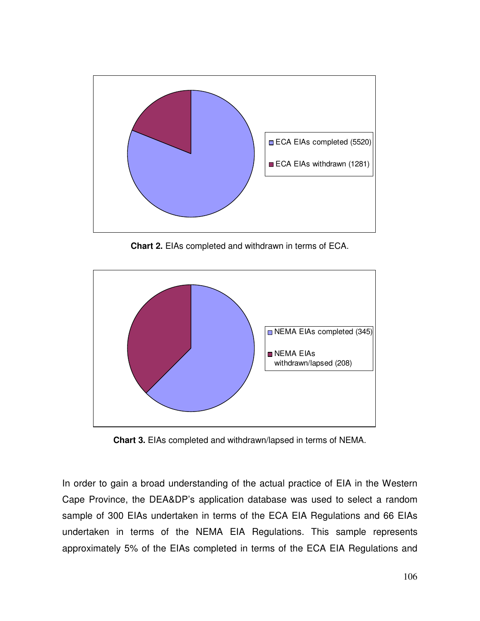

**Chart 2.** EIAs completed and withdrawn in terms of ECA.



**Chart 3.** EIAs completed and withdrawn/lapsed in terms of NEMA.

In order to gain a broad understanding of the actual practice of EIA in the Western Cape Province, the DEA&DP's application database was used to select a random sample of 300 EIAs undertaken in terms of the ECA EIA Regulations and 66 EIAs undertaken in terms of the NEMA EIA Regulations. This sample represents approximately 5% of the EIAs completed in terms of the ECA EIA Regulations and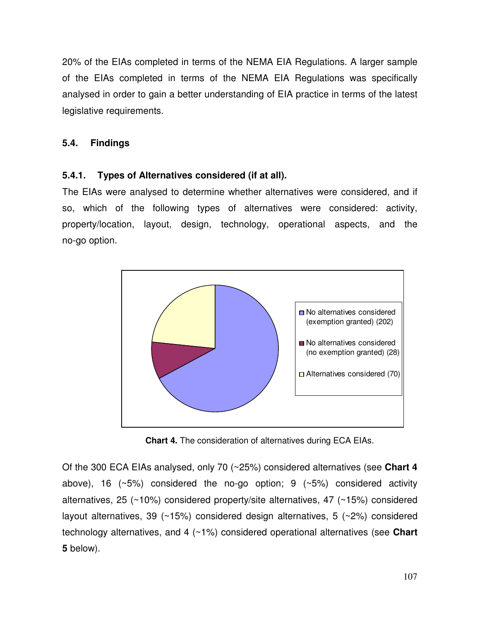20% of the EIAs completed in terms of the NEMA EIA Regulations. A larger sample of the EIAs completed in terms of the NEMA EIA Regulations was specifically analysed in order to gain a better understanding of EIA practice in terms of the latest legislative requirements.

## **5.4. Findings**

## **5.4.1. Types of Alternatives considered (if at all).**

The EIAs were analysed to determine whether alternatives were considered, and if so, which of the following types of alternatives were considered: activity, property/location, layout, design, technology, operational aspects, and the no-go option.



**Chart 4.** The consideration of alternatives during ECA EIAs.

Of the 300 ECA EIAs analysed, only 70 (~25%) considered alternatives (see **Chart 4** above), 16 ( $\sim$ 5%) considered the no-go option; 9 ( $\sim$ 5%) considered activity alternatives, 25 (~10%) considered property/site alternatives, 47 (~15%) considered layout alternatives, 39 (~15%) considered design alternatives, 5 (~2%) considered technology alternatives, and 4 (~1%) considered operational alternatives (see **Chart 5** below).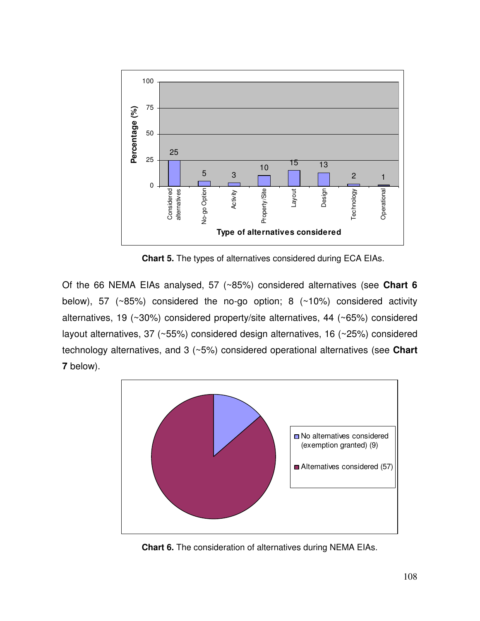

**Chart 5.** The types of alternatives considered during ECA EIAs.

Of the 66 NEMA EIAs analysed, 57 (~85%) considered alternatives (see **Chart 6** below), 57 (~85%) considered the no-go option; 8 (~10%) considered activity alternatives, 19 (~30%) considered property/site alternatives, 44 (~65%) considered layout alternatives, 37 (~55%) considered design alternatives, 16 (~25%) considered technology alternatives, and 3 (~5%) considered operational alternatives (see **Chart 7** below).



**Chart 6.** The consideration of alternatives during NEMA EIAs.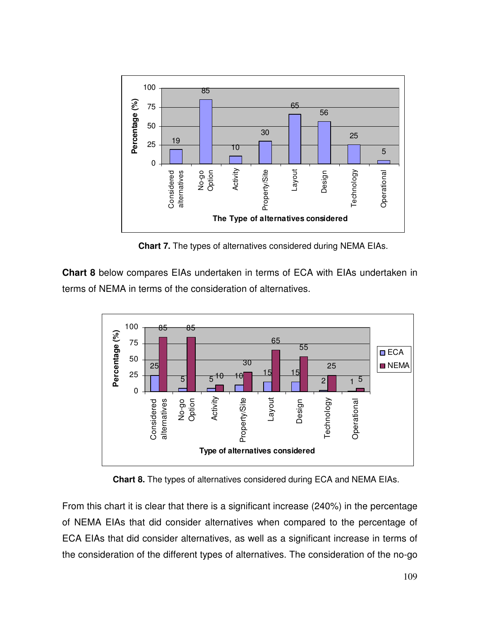

**Chart 7.** The types of alternatives considered during NEMA EIAs.

**Chart 8** below compares EIAs undertaken in terms of ECA with EIAs undertaken in terms of NEMA in terms of the consideration of alternatives.



**Chart 8.** The types of alternatives considered during ECA and NEMA EIAs.

From this chart it is clear that there is a significant increase (240%) in the percentage of NEMA EIAs that did consider alternatives when compared to the percentage of ECA EIAs that did consider alternatives, as well as a significant increase in terms of the consideration of the different types of alternatives. The consideration of the no-go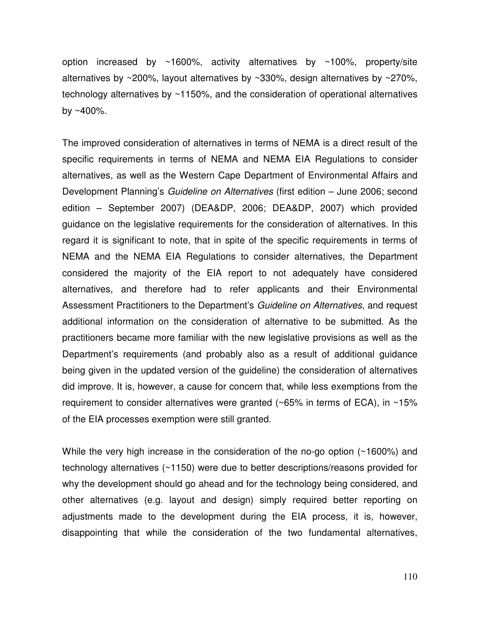option increased by ~1600%, activity alternatives by ~100%, property/site alternatives by ~200%, layout alternatives by ~330%, design alternatives by ~270%, technology alternatives by ~1150%, and the consideration of operational alternatives by  $~100\%$ .

The improved consideration of alternatives in terms of NEMA is a direct result of the specific requirements in terms of NEMA and NEMA EIA Regulations to consider alternatives, as well as the Western Cape Department of Environmental Affairs and Development Planning's *Guideline on Alternatives* (first edition – June 2006; second edition – September 2007) (DEA&DP, 2006; DEA&DP, 2007) which provided guidance on the legislative requirements for the consideration of alternatives. In this regard it is significant to note, that in spite of the specific requirements in terms of NEMA and the NEMA EIA Regulations to consider alternatives, the Department considered the majority of the EIA report to not adequately have considered alternatives, and therefore had to refer applicants and their Environmental Assessment Practitioners to the Department's *Guideline on Alternatives*, and request additional information on the consideration of alternative to be submitted. As the practitioners became more familiar with the new legislative provisions as well as the Department's requirements (and probably also as a result of additional guidance being given in the updated version of the guideline) the consideration of alternatives did improve. It is, however, a cause for concern that, while less exemptions from the requirement to consider alternatives were granted (~65% in terms of ECA), in ~15% of the EIA processes exemption were still granted.

While the very high increase in the consideration of the no-go option (~1600%) and technology alternatives (~1150) were due to better descriptions/reasons provided for why the development should go ahead and for the technology being considered, and other alternatives (e.g. layout and design) simply required better reporting on adjustments made to the development during the EIA process, it is, however, disappointing that while the consideration of the two fundamental alternatives,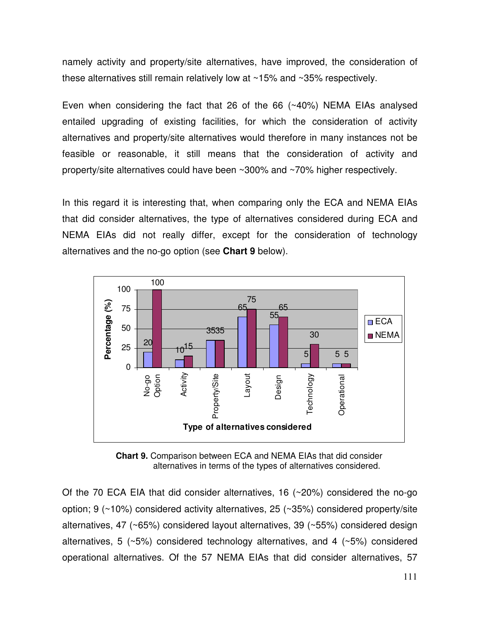namely activity and property/site alternatives, have improved, the consideration of these alternatives still remain relatively low at ~15% and ~35% respectively.

Even when considering the fact that 26 of the 66 (~40%) NEMA EIAs analysed entailed upgrading of existing facilities, for which the consideration of activity alternatives and property/site alternatives would therefore in many instances not be feasible or reasonable, it still means that the consideration of activity and property/site alternatives could have been ~300% and ~70% higher respectively.

In this regard it is interesting that, when comparing only the ECA and NEMA EIAs that did consider alternatives, the type of alternatives considered during ECA and NEMA EIAs did not really differ, except for the consideration of technology alternatives and the no-go option (see **Chart 9** below).



**Chart 9.** Comparison between ECA and NEMA EIAs that did consider alternatives in terms of the types of alternatives considered.

Of the 70 ECA EIA that did consider alternatives, 16 (~20%) considered the no-go option; 9 (~10%) considered activity alternatives, 25 (~35%) considered property/site alternatives, 47 (~65%) considered layout alternatives, 39 (~55%) considered design alternatives, 5 (~5%) considered technology alternatives, and 4 (~5%) considered operational alternatives. Of the 57 NEMA EIAs that did consider alternatives, 57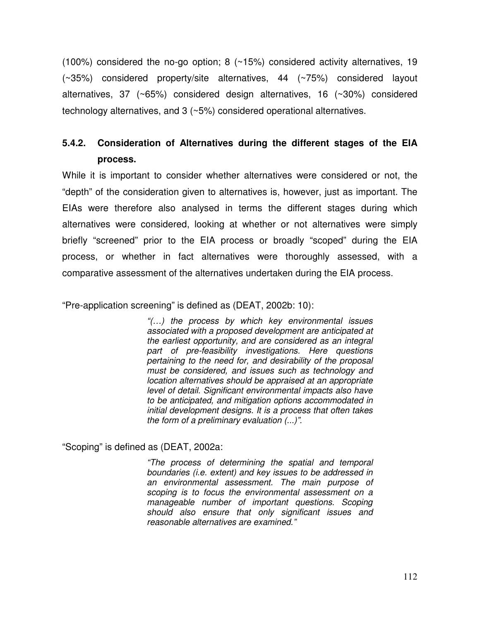(100%) considered the no-go option; 8 (~15%) considered activity alternatives, 19 (~35%) considered property/site alternatives, 44 (~75%) considered layout alternatives, 37 (~65%) considered design alternatives, 16 (~30%) considered technology alternatives, and 3 (~5%) considered operational alternatives.

## **5.4.2. Consideration of Alternatives during the different stages of the EIA process.**

While it is important to consider whether alternatives were considered or not, the "depth" of the consideration given to alternatives is, however, just as important. The EIAs were therefore also analysed in terms the different stages during which alternatives were considered, looking at whether or not alternatives were simply briefly "screened" prior to the EIA process or broadly "scoped" during the EIA process, or whether in fact alternatives were thoroughly assessed, with a comparative assessment of the alternatives undertaken during the EIA process.

"Pre-application screening" is defined as (DEAT, 2002b: 10):

*"(…) the process by which key environmental issues associated with a proposed development are anticipated at the earliest opportunity, and are considered as an integral part of pre-feasibility investigations. Here questions pertaining to the need for, and desirability of the proposal must be considered, and issues such as technology and location alternatives should be appraised at an appropriate level of detail. Significant environmental impacts also have to be anticipated, and mitigation options accommodated in initial development designs. It is a process that often takes the form of a preliminary evaluation (...)".*

"Scoping" is defined as (DEAT, 2002a:

*"The process of determining the spatial and temporal boundaries (i.e. extent) and key issues to be addressed in an environmental assessment. The main purpose of scoping is to focus the environmental assessment on a manageable number of important questions. Scoping should also ensure that only significant issues and reasonable alternatives are examined."*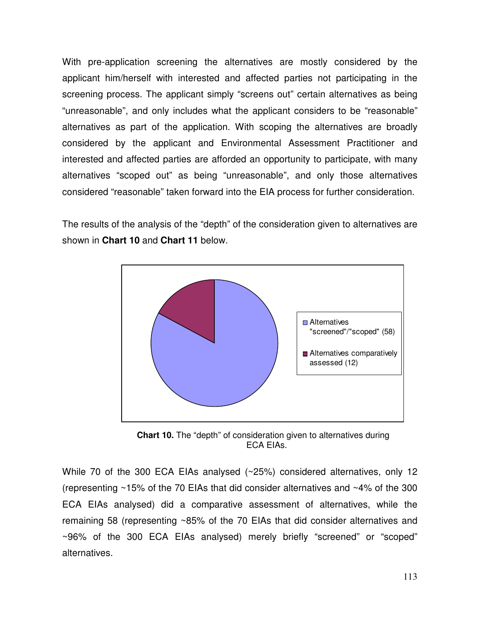With pre-application screening the alternatives are mostly considered by the applicant him/herself with interested and affected parties not participating in the screening process. The applicant simply "screens out" certain alternatives as being "unreasonable", and only includes what the applicant considers to be "reasonable" alternatives as part of the application. With scoping the alternatives are broadly considered by the applicant and Environmental Assessment Practitioner and interested and affected parties are afforded an opportunity to participate, with many alternatives "scoped out" as being "unreasonable", and only those alternatives considered "reasonable" taken forward into the EIA process for further consideration.

The results of the analysis of the "depth" of the consideration given to alternatives are shown in **Chart 10** and **Chart 11** below.



**Chart 10.** The "depth" of consideration given to alternatives during ECA EIAs.

While 70 of the 300 ECA EIAs analysed (~25%) considered alternatives, only 12 (representing ~15% of the 70 EIAs that did consider alternatives and ~4% of the 300 ECA EIAs analysed) did a comparative assessment of alternatives, while the remaining 58 (representing ~85% of the 70 EIAs that did consider alternatives and ~96% of the 300 ECA EIAs analysed) merely briefly "screened" or "scoped" alternatives.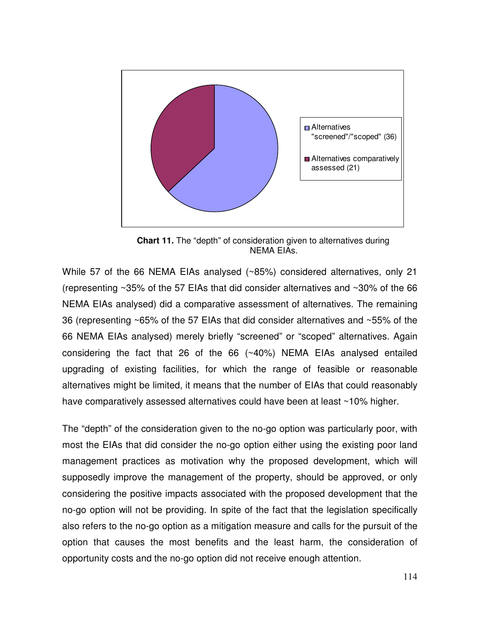

**Chart 11.** The "depth" of consideration given to alternatives during NEMA EIAs.

While 57 of the 66 NEMA EIAs analysed (~85%) considered alternatives, only 21 (representing ~35% of the 57 EIAs that did consider alternatives and ~30% of the 66 NEMA EIAs analysed) did a comparative assessment of alternatives. The remaining 36 (representing ~65% of the 57 EIAs that did consider alternatives and ~55% of the 66 NEMA EIAs analysed) merely briefly "screened" or "scoped" alternatives. Again considering the fact that 26 of the 66 (~40%) NEMA EIAs analysed entailed upgrading of existing facilities, for which the range of feasible or reasonable alternatives might be limited, it means that the number of EIAs that could reasonably have comparatively assessed alternatives could have been at least ~10% higher.

The "depth" of the consideration given to the no-go option was particularly poor, with most the EIAs that did consider the no-go option either using the existing poor land management practices as motivation why the proposed development, which will supposedly improve the management of the property, should be approved, or only considering the positive impacts associated with the proposed development that the no-go option will not be providing. In spite of the fact that the legislation specifically also refers to the no-go option as a mitigation measure and calls for the pursuit of the option that causes the most benefits and the least harm, the consideration of opportunity costs and the no-go option did not receive enough attention.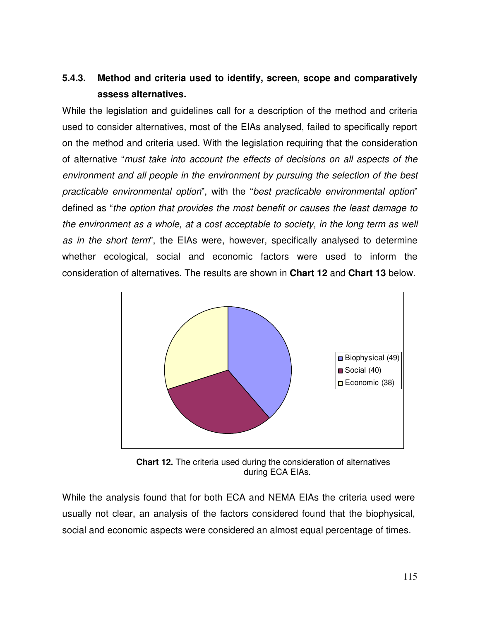# **5.4.3. Method and criteria used to identify, screen, scope and comparatively assess alternatives.**

While the legislation and guidelines call for a description of the method and criteria used to consider alternatives, most of the EIAs analysed, failed to specifically report on the method and criteria used. With the legislation requiring that the consideration of alternative "*must take into account the effects of decisions on all aspects of the environment and all people in the environment by pursuing the selection of the best practicable environmental option*", with the "*best practicable environmental option*" defined as "*the option that provides the most benefit or causes the least damage to the environment as a whole, at a cost acceptable to society, in the long term as well as in the short term*", the EIAs were, however, specifically analysed to determine whether ecological, social and economic factors were used to inform the consideration of alternatives. The results are shown in **Chart 12** and **Chart 13** below.



**Chart 12.** The criteria used during the consideration of alternatives during ECA EIAs.

While the analysis found that for both ECA and NEMA EIAs the criteria used were usually not clear, an analysis of the factors considered found that the biophysical, social and economic aspects were considered an almost equal percentage of times.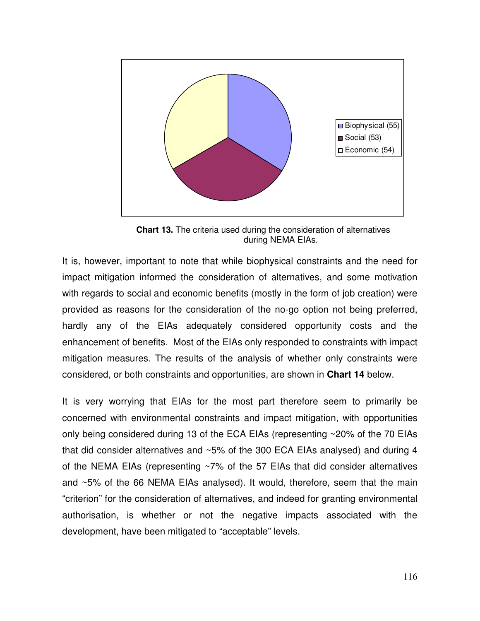

**Chart 13.** The criteria used during the consideration of alternatives during NEMA EIAs.

It is, however, important to note that while biophysical constraints and the need for impact mitigation informed the consideration of alternatives, and some motivation with regards to social and economic benefits (mostly in the form of job creation) were provided as reasons for the consideration of the no-go option not being preferred, hardly any of the EIAs adequately considered opportunity costs and the enhancement of benefits. Most of the EIAs only responded to constraints with impact mitigation measures. The results of the analysis of whether only constraints were considered, or both constraints and opportunities, are shown in **Chart 14** below.

It is very worrying that EIAs for the most part therefore seem to primarily be concerned with environmental constraints and impact mitigation, with opportunities only being considered during 13 of the ECA EIAs (representing ~20% of the 70 EIAs that did consider alternatives and ~5% of the 300 ECA EIAs analysed) and during 4 of the NEMA EIAs (representing ~7% of the 57 EIAs that did consider alternatives and ~5% of the 66 NEMA EIAs analysed). It would, therefore, seem that the main "criterion" for the consideration of alternatives, and indeed for granting environmental authorisation, is whether or not the negative impacts associated with the development, have been mitigated to "acceptable" levels.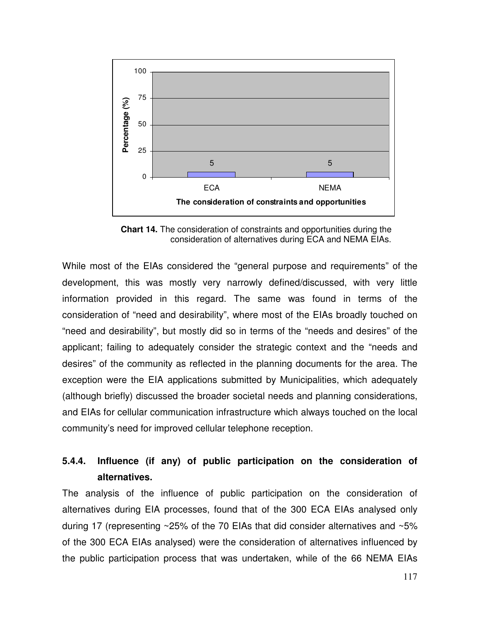

**Chart 14.** The consideration of constraints and opportunities during the consideration of alternatives during ECA and NEMA EIAs.

While most of the EIAs considered the "general purpose and requirements" of the development, this was mostly very narrowly defined/discussed, with very little information provided in this regard. The same was found in terms of the consideration of "need and desirability", where most of the EIAs broadly touched on "need and desirability", but mostly did so in terms of the "needs and desires" of the applicant; failing to adequately consider the strategic context and the "needs and desires" of the community as reflected in the planning documents for the area. The exception were the EIA applications submitted by Municipalities, which adequately (although briefly) discussed the broader societal needs and planning considerations, and EIAs for cellular communication infrastructure which always touched on the local community's need for improved cellular telephone reception.

## **5.4.4. Influence (if any) of public participation on the consideration of alternatives.**

The analysis of the influence of public participation on the consideration of alternatives during EIA processes, found that of the 300 ECA EIAs analysed only during 17 (representing ~25% of the 70 EIAs that did consider alternatives and ~5% of the 300 ECA EIAs analysed) were the consideration of alternatives influenced by the public participation process that was undertaken, while of the 66 NEMA EIAs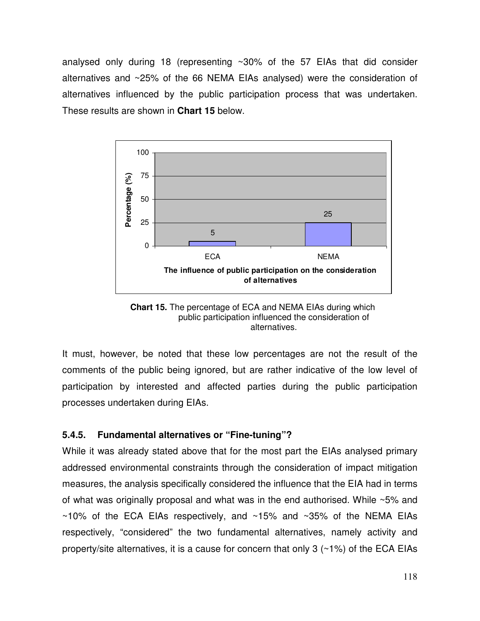analysed only during 18 (representing  $\sim$ 30% of the 57 EIAs that did consider alternatives and ~25% of the 66 NEMA EIAs analysed) were the consideration of alternatives influenced by the public participation process that was undertaken. These results are shown in **Chart 15** below.



**Chart 15.** The percentage of ECA and NEMA EIAs during which public participation influenced the consideration of alternatives.

It must, however, be noted that these low percentages are not the result of the comments of the public being ignored, but are rather indicative of the low level of participation by interested and affected parties during the public participation processes undertaken during EIAs.

## **5.4.5. Fundamental alternatives or "Fine-tuning"?**

While it was already stated above that for the most part the EIAs analysed primary addressed environmental constraints through the consideration of impact mitigation measures, the analysis specifically considered the influence that the EIA had in terms of what was originally proposal and what was in the end authorised. While ~5% and  $\sim$ 10% of the ECA EIAs respectively, and  $\sim$ 15% and  $\sim$ 35% of the NEMA EIAs respectively, "considered" the two fundamental alternatives, namely activity and property/site alternatives, it is a cause for concern that only 3 (~1%) of the ECA EIAs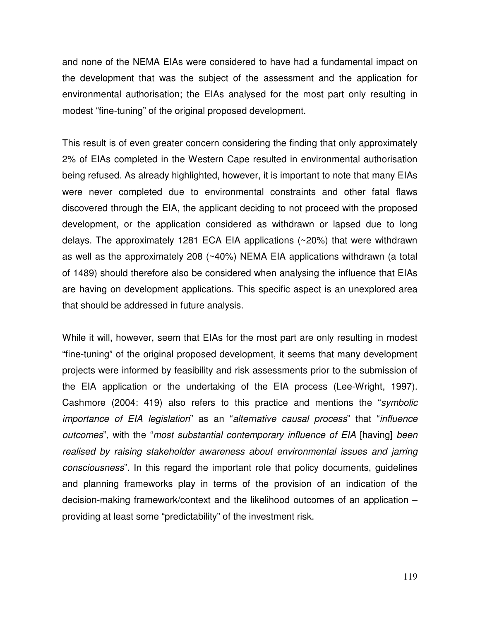and none of the NEMA EIAs were considered to have had a fundamental impact on the development that was the subject of the assessment and the application for environmental authorisation; the EIAs analysed for the most part only resulting in modest "fine-tuning" of the original proposed development.

This result is of even greater concern considering the finding that only approximately 2% of EIAs completed in the Western Cape resulted in environmental authorisation being refused. As already highlighted, however, it is important to note that many EIAs were never completed due to environmental constraints and other fatal flaws discovered through the EIA, the applicant deciding to not proceed with the proposed development, or the application considered as withdrawn or lapsed due to long delays. The approximately 1281 ECA EIA applications (~20%) that were withdrawn as well as the approximately 208 (~40%) NEMA EIA applications withdrawn (a total of 1489) should therefore also be considered when analysing the influence that EIAs are having on development applications. This specific aspect is an unexplored area that should be addressed in future analysis.

While it will, however, seem that EIAs for the most part are only resulting in modest "fine-tuning" of the original proposed development, it seems that many development projects were informed by feasibility and risk assessments prior to the submission of the EIA application or the undertaking of the EIA process (Lee-Wright, 1997). Cashmore (2004: 419) also refers to this practice and mentions the "*symbolic importance of EIA legislation*" as an "*alternative causal process*" that "*influence outcomes*", with the "*most substantial contemporary influence of EIA* [having] *been realised by raising stakeholder awareness about environmental issues and jarring consciousness*". In this regard the important role that policy documents, guidelines and planning frameworks play in terms of the provision of an indication of the decision-making framework/context and the likelihood outcomes of an application – providing at least some "predictability" of the investment risk.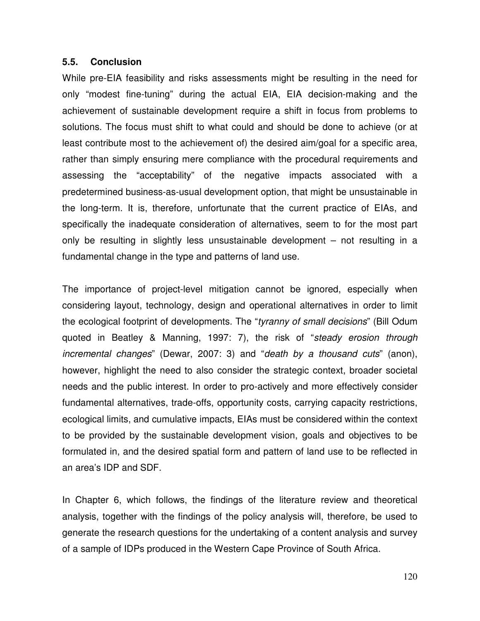#### **5.5. Conclusion**

While pre-EIA feasibility and risks assessments might be resulting in the need for only "modest fine-tuning" during the actual EIA, EIA decision-making and the achievement of sustainable development require a shift in focus from problems to solutions. The focus must shift to what could and should be done to achieve (or at least contribute most to the achievement of) the desired aim/goal for a specific area, rather than simply ensuring mere compliance with the procedural requirements and assessing the "acceptability" of the negative impacts associated with a predetermined business-as-usual development option, that might be unsustainable in the long-term. It is, therefore, unfortunate that the current practice of EIAs, and specifically the inadequate consideration of alternatives, seem to for the most part only be resulting in slightly less unsustainable development – not resulting in a fundamental change in the type and patterns of land use.

The importance of project-level mitigation cannot be ignored, especially when considering layout, technology, design and operational alternatives in order to limit the ecological footprint of developments. The "*tyranny of small decisions*" (Bill Odum quoted in Beatley & Manning, 1997: 7), the risk of "*steady erosion through incremental changes*" (Dewar, 2007: 3) and "*death by a thousand cuts*" (anon), however, highlight the need to also consider the strategic context, broader societal needs and the public interest. In order to pro-actively and more effectively consider fundamental alternatives, trade-offs, opportunity costs, carrying capacity restrictions, ecological limits, and cumulative impacts, EIAs must be considered within the context to be provided by the sustainable development vision, goals and objectives to be formulated in, and the desired spatial form and pattern of land use to be reflected in an area's IDP and SDF.

In Chapter 6, which follows, the findings of the literature review and theoretical analysis, together with the findings of the policy analysis will, therefore, be used to generate the research questions for the undertaking of a content analysis and survey of a sample of IDPs produced in the Western Cape Province of South Africa.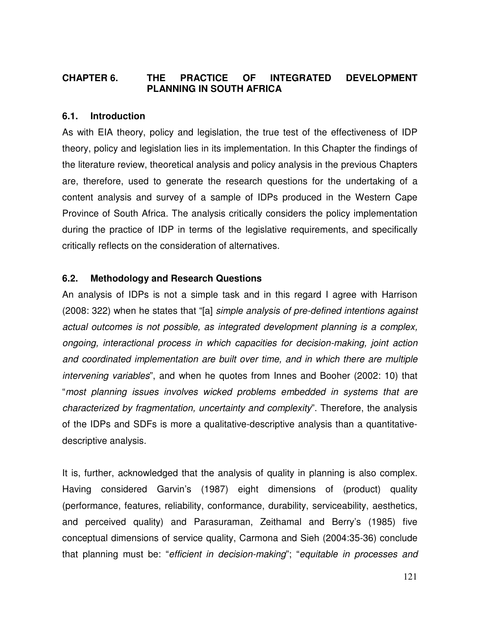## **CHAPTER 6. THE PRACTICE OF INTEGRATED DEVELOPMENT PLANNING IN SOUTH AFRICA**

### **6.1. Introduction**

As with EIA theory, policy and legislation, the true test of the effectiveness of IDP theory, policy and legislation lies in its implementation. In this Chapter the findings of the literature review, theoretical analysis and policy analysis in the previous Chapters are, therefore, used to generate the research questions for the undertaking of a content analysis and survey of a sample of IDPs produced in the Western Cape Province of South Africa. The analysis critically considers the policy implementation during the practice of IDP in terms of the legislative requirements, and specifically critically reflects on the consideration of alternatives.

### **6.2. Methodology and Research Questions**

An analysis of IDPs is not a simple task and in this regard I agree with Harrison (2008: 322) when he states that "[a] *simple analysis of pre-defined intentions against actual outcomes is not possible, as integrated development planning is a complex, ongoing, interactional process in which capacities for decision-making, joint action and coordinated implementation are built over time, and in which there are multiple intervening variables*", and when he quotes from Innes and Booher (2002: 10) that "*most planning issues involves wicked problems embedded in systems that are characterized by fragmentation, uncertainty and complexity*". Therefore, the analysis of the IDPs and SDFs is more a qualitative-descriptive analysis than a quantitativedescriptive analysis.

It is, further, acknowledged that the analysis of quality in planning is also complex. Having considered Garvin's (1987) eight dimensions of (product) quality (performance, features, reliability, conformance, durability, serviceability, aesthetics, and perceived quality) and Parasuraman, Zeithamal and Berry's (1985) five conceptual dimensions of service quality, Carmona and Sieh (2004:35-36) conclude that planning must be: "*efficient in decision-making*"; "*equitable in processes and*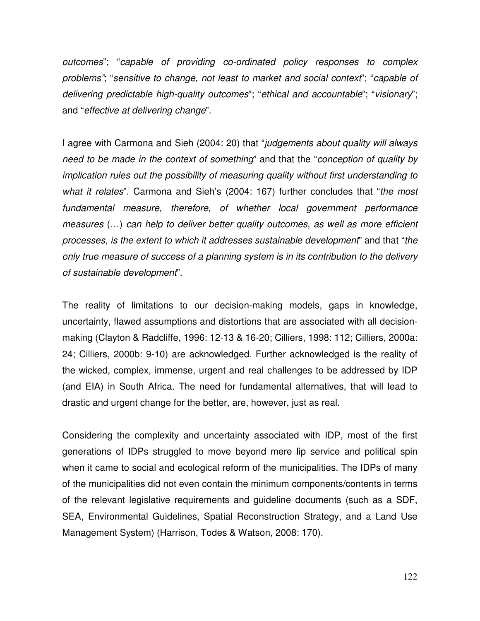*outcomes*"; "*capable of providing co-ordinated policy responses to complex problems"*; "*sensitive to change, not least to market and social context*"; "*capable of delivering predictable high-quality outcomes*"; "*ethical and accountable*"; "*visionary*"; and "*effective at delivering change*".

I agree with Carmona and Sieh (2004: 20) that "*judgements about quality will always need to be made in the context of something*" and that the "*conception of quality by implication rules out the possibility of measuring quality without first understanding to what it relates*". Carmona and Sieh's (2004: 167) further concludes that "*the most fundamental measure, therefore, of whether local government performance measures* (…) *can help to deliver better quality outcomes, as well as more efficient processes, is the extent to which it addresses sustainable development*" and that "*the only true measure of success of a planning system is in its contribution to the delivery of sustainable development*".

The reality of limitations to our decision-making models, gaps in knowledge, uncertainty, flawed assumptions and distortions that are associated with all decisionmaking (Clayton & Radcliffe, 1996: 12-13 & 16-20; Cilliers, 1998: 112; Cilliers, 2000a: 24; Cilliers, 2000b: 9-10) are acknowledged. Further acknowledged is the reality of the wicked, complex, immense, urgent and real challenges to be addressed by IDP (and EIA) in South Africa. The need for fundamental alternatives, that will lead to drastic and urgent change for the better, are, however, just as real.

Considering the complexity and uncertainty associated with IDP, most of the first generations of IDPs struggled to move beyond mere lip service and political spin when it came to social and ecological reform of the municipalities. The IDPs of many of the municipalities did not even contain the minimum components/contents in terms of the relevant legislative requirements and guideline documents (such as a SDF, SEA, Environmental Guidelines, Spatial Reconstruction Strategy, and a Land Use Management System) (Harrison, Todes & Watson, 2008: 170).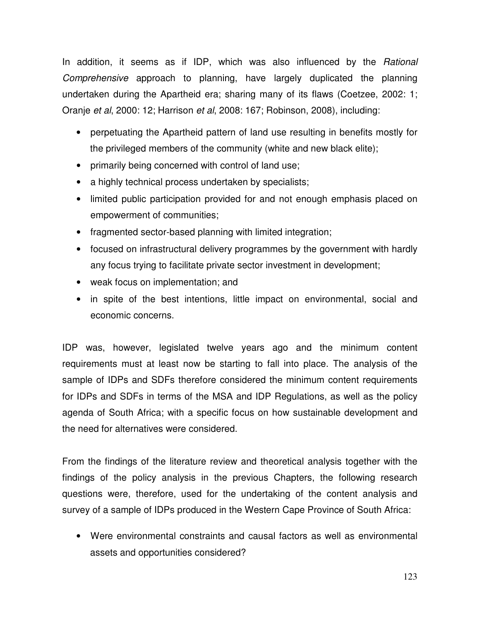In addition, it seems as if IDP, which was also influenced by the *Rational Comprehensive* approach to planning, have largely duplicated the planning undertaken during the Apartheid era; sharing many of its flaws (Coetzee, 2002: 1; Oranje *et al*, 2000: 12; Harrison *et al*, 2008: 167; Robinson, 2008), including:

- perpetuating the Apartheid pattern of land use resulting in benefits mostly for the privileged members of the community (white and new black elite);
- primarily being concerned with control of land use;
- a highly technical process undertaken by specialists;
- limited public participation provided for and not enough emphasis placed on empowerment of communities;
- fragmented sector-based planning with limited integration;
- focused on infrastructural delivery programmes by the government with hardly any focus trying to facilitate private sector investment in development;
- weak focus on implementation; and
- in spite of the best intentions, little impact on environmental, social and economic concerns.

IDP was, however, legislated twelve years ago and the minimum content requirements must at least now be starting to fall into place. The analysis of the sample of IDPs and SDFs therefore considered the minimum content requirements for IDPs and SDFs in terms of the MSA and IDP Regulations, as well as the policy agenda of South Africa; with a specific focus on how sustainable development and the need for alternatives were considered.

From the findings of the literature review and theoretical analysis together with the findings of the policy analysis in the previous Chapters, the following research questions were, therefore, used for the undertaking of the content analysis and survey of a sample of IDPs produced in the Western Cape Province of South Africa:

• Were environmental constraints and causal factors as well as environmental assets and opportunities considered?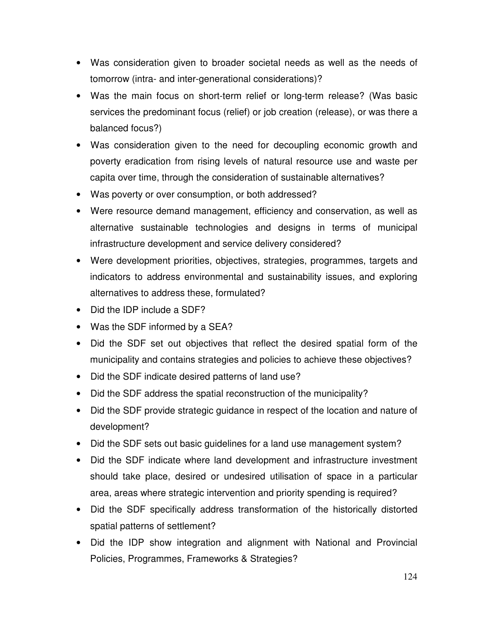- Was consideration given to broader societal needs as well as the needs of tomorrow (intra- and inter-generational considerations)?
- Was the main focus on short-term relief or long-term release? (Was basic services the predominant focus (relief) or job creation (release), or was there a balanced focus?)
- Was consideration given to the need for decoupling economic growth and poverty eradication from rising levels of natural resource use and waste per capita over time, through the consideration of sustainable alternatives?
- Was poverty or over consumption, or both addressed?
- Were resource demand management, efficiency and conservation, as well as alternative sustainable technologies and designs in terms of municipal infrastructure development and service delivery considered?
- Were development priorities, objectives, strategies, programmes, targets and indicators to address environmental and sustainability issues, and exploring alternatives to address these, formulated?
- Did the IDP include a SDF?
- Was the SDF informed by a SEA?
- Did the SDF set out objectives that reflect the desired spatial form of the municipality and contains strategies and policies to achieve these objectives?
- Did the SDF indicate desired patterns of land use?
- Did the SDF address the spatial reconstruction of the municipality?
- Did the SDF provide strategic guidance in respect of the location and nature of development?
- Did the SDF sets out basic guidelines for a land use management system?
- Did the SDF indicate where land development and infrastructure investment should take place, desired or undesired utilisation of space in a particular area, areas where strategic intervention and priority spending is required?
- Did the SDF specifically address transformation of the historically distorted spatial patterns of settlement?
- Did the IDP show integration and alignment with National and Provincial Policies, Programmes, Frameworks & Strategies?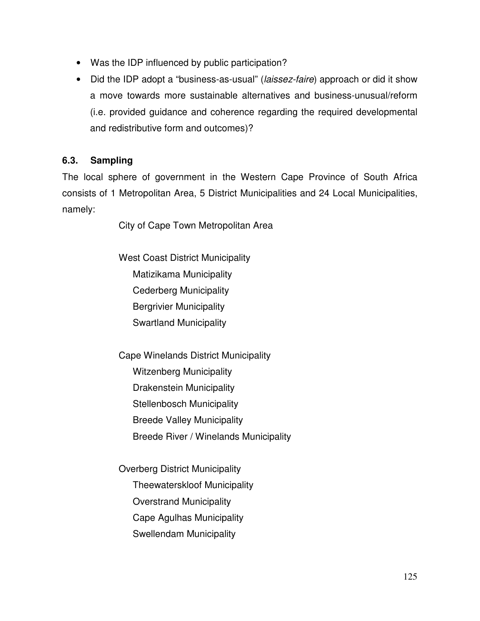- Was the IDP influenced by public participation?
- Did the IDP adopt a "business-as-usual" (*laissez-faire*) approach or did it show a move towards more sustainable alternatives and business-unusual/reform (i.e. provided guidance and coherence regarding the required developmental and redistributive form and outcomes)?

## **6.3. Sampling**

The local sphere of government in the Western Cape Province of South Africa consists of 1 Metropolitan Area, 5 District Municipalities and 24 Local Municipalities, namely:

City of Cape Town Metropolitan Area

West Coast District Municipality Matizikama Municipality Cederberg Municipality Bergrivier Municipality Swartland Municipality

Cape Winelands District Municipality Witzenberg Municipality Drakenstein Municipality Stellenbosch Municipality Breede Valley Municipality Breede River / Winelands Municipality

Overberg District Municipality Theewaterskloof Municipality Overstrand Municipality Cape Agulhas Municipality Swellendam Municipality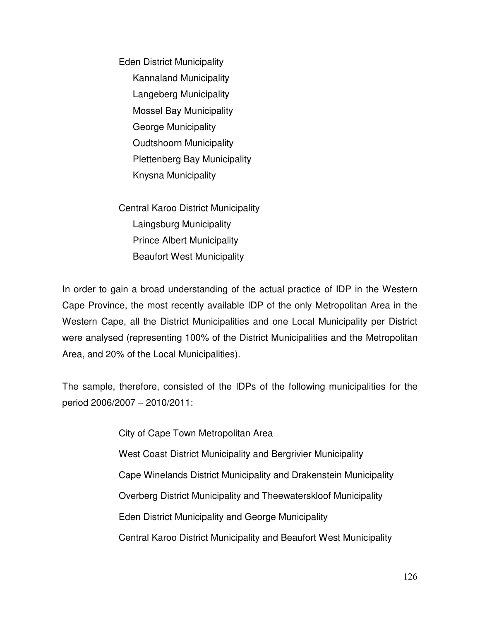Eden District Municipality Kannaland Municipality Langeberg Municipality Mossel Bay Municipality George Municipality Oudtshoorn Municipality Plettenberg Bay Municipality Knysna Municipality

Central Karoo District Municipality Laingsburg Municipality Prince Albert Municipality Beaufort West Municipality

In order to gain a broad understanding of the actual practice of IDP in the Western Cape Province, the most recently available IDP of the only Metropolitan Area in the Western Cape, all the District Municipalities and one Local Municipality per District were analysed (representing 100% of the District Municipalities and the Metropolitan Area, and 20% of the Local Municipalities).

The sample, therefore, consisted of the IDPs of the following municipalities for the period 2006/2007 – 2010/2011:

> City of Cape Town Metropolitan Area West Coast District Municipality and Bergrivier Municipality Cape Winelands District Municipality and Drakenstein Municipality Overberg District Municipality and Theewaterskloof Municipality Eden District Municipality and George Municipality Central Karoo District Municipality and Beaufort West Municipality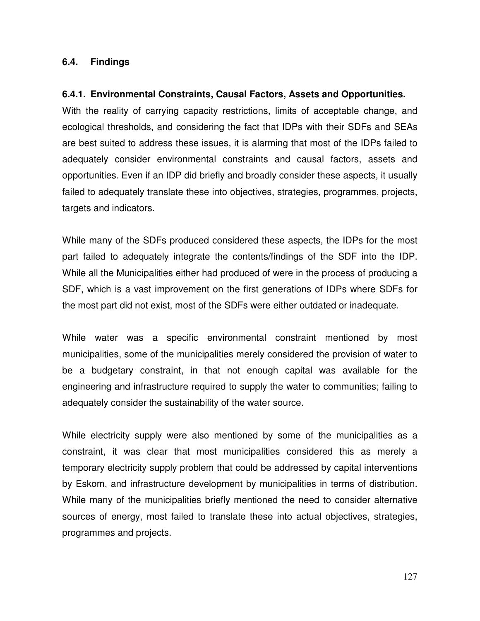#### **6.4. Findings**

#### **6.4.1. Environmental Constraints, Causal Factors, Assets and Opportunities.**

With the reality of carrying capacity restrictions, limits of acceptable change, and ecological thresholds, and considering the fact that IDPs with their SDFs and SEAs are best suited to address these issues, it is alarming that most of the IDPs failed to adequately consider environmental constraints and causal factors, assets and opportunities. Even if an IDP did briefly and broadly consider these aspects, it usually failed to adequately translate these into objectives, strategies, programmes, projects, targets and indicators.

While many of the SDFs produced considered these aspects, the IDPs for the most part failed to adequately integrate the contents/findings of the SDF into the IDP. While all the Municipalities either had produced of were in the process of producing a SDF, which is a vast improvement on the first generations of IDPs where SDFs for the most part did not exist, most of the SDFs were either outdated or inadequate.

While water was a specific environmental constraint mentioned by most municipalities, some of the municipalities merely considered the provision of water to be a budgetary constraint, in that not enough capital was available for the engineering and infrastructure required to supply the water to communities; failing to adequately consider the sustainability of the water source.

While electricity supply were also mentioned by some of the municipalities as a constraint, it was clear that most municipalities considered this as merely a temporary electricity supply problem that could be addressed by capital interventions by Eskom, and infrastructure development by municipalities in terms of distribution. While many of the municipalities briefly mentioned the need to consider alternative sources of energy, most failed to translate these into actual objectives, strategies, programmes and projects.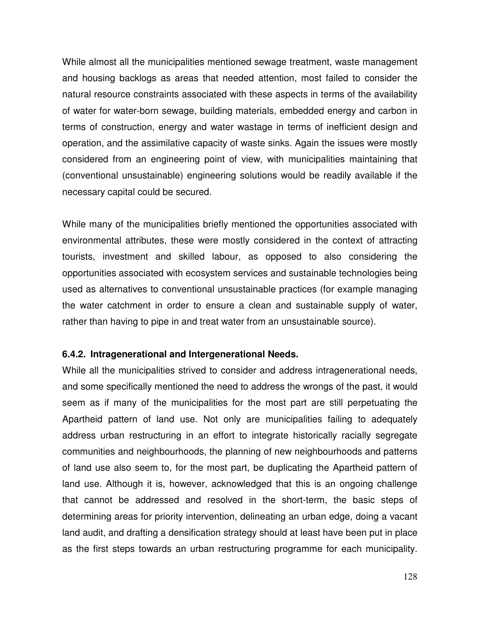While almost all the municipalities mentioned sewage treatment, waste management and housing backlogs as areas that needed attention, most failed to consider the natural resource constraints associated with these aspects in terms of the availability of water for water-born sewage, building materials, embedded energy and carbon in terms of construction, energy and water wastage in terms of inefficient design and operation, and the assimilative capacity of waste sinks. Again the issues were mostly considered from an engineering point of view, with municipalities maintaining that (conventional unsustainable) engineering solutions would be readily available if the necessary capital could be secured.

While many of the municipalities briefly mentioned the opportunities associated with environmental attributes, these were mostly considered in the context of attracting tourists, investment and skilled labour, as opposed to also considering the opportunities associated with ecosystem services and sustainable technologies being used as alternatives to conventional unsustainable practices (for example managing the water catchment in order to ensure a clean and sustainable supply of water, rather than having to pipe in and treat water from an unsustainable source).

#### **6.4.2. Intragenerational and Intergenerational Needs.**

While all the municipalities strived to consider and address intragenerational needs, and some specifically mentioned the need to address the wrongs of the past, it would seem as if many of the municipalities for the most part are still perpetuating the Apartheid pattern of land use. Not only are municipalities failing to adequately address urban restructuring in an effort to integrate historically racially segregate communities and neighbourhoods, the planning of new neighbourhoods and patterns of land use also seem to, for the most part, be duplicating the Apartheid pattern of land use. Although it is, however, acknowledged that this is an ongoing challenge that cannot be addressed and resolved in the short-term, the basic steps of determining areas for priority intervention, delineating an urban edge, doing a vacant land audit, and drafting a densification strategy should at least have been put in place as the first steps towards an urban restructuring programme for each municipality.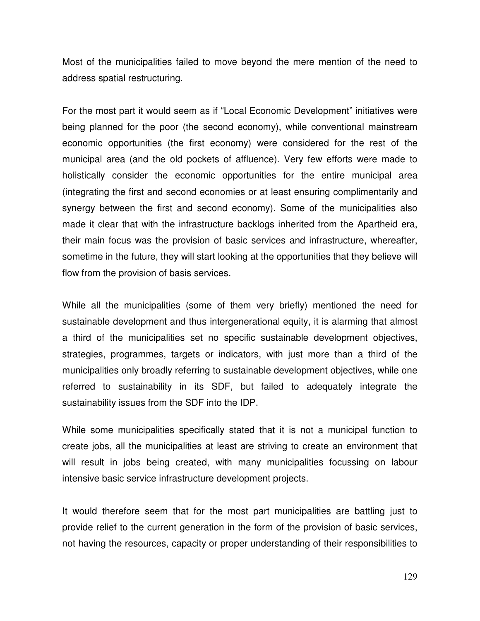Most of the municipalities failed to move beyond the mere mention of the need to address spatial restructuring.

For the most part it would seem as if "Local Economic Development" initiatives were being planned for the poor (the second economy), while conventional mainstream economic opportunities (the first economy) were considered for the rest of the municipal area (and the old pockets of affluence). Very few efforts were made to holistically consider the economic opportunities for the entire municipal area (integrating the first and second economies or at least ensuring complimentarily and synergy between the first and second economy). Some of the municipalities also made it clear that with the infrastructure backlogs inherited from the Apartheid era, their main focus was the provision of basic services and infrastructure, whereafter, sometime in the future, they will start looking at the opportunities that they believe will flow from the provision of basis services.

While all the municipalities (some of them very briefly) mentioned the need for sustainable development and thus intergenerational equity, it is alarming that almost a third of the municipalities set no specific sustainable development objectives, strategies, programmes, targets or indicators, with just more than a third of the municipalities only broadly referring to sustainable development objectives, while one referred to sustainability in its SDF, but failed to adequately integrate the sustainability issues from the SDF into the IDP.

While some municipalities specifically stated that it is not a municipal function to create jobs, all the municipalities at least are striving to create an environment that will result in jobs being created, with many municipalities focussing on labour intensive basic service infrastructure development projects.

It would therefore seem that for the most part municipalities are battling just to provide relief to the current generation in the form of the provision of basic services, not having the resources, capacity or proper understanding of their responsibilities to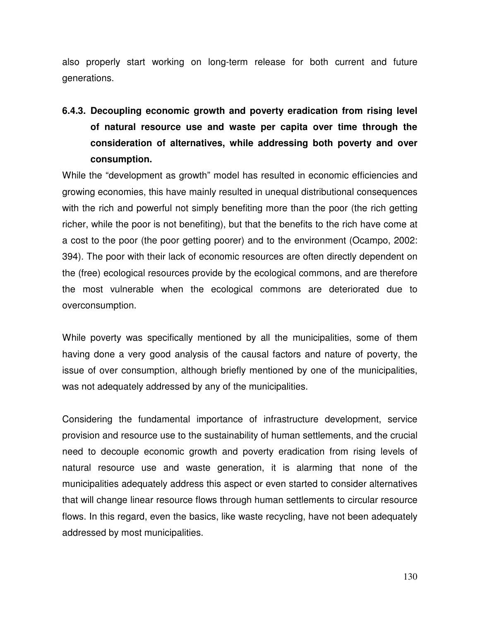also properly start working on long-term release for both current and future generations.

# **6.4.3. Decoupling economic growth and poverty eradication from rising level of natural resource use and waste per capita over time through the consideration of alternatives, while addressing both poverty and over consumption.**

While the "development as growth" model has resulted in economic efficiencies and growing economies, this have mainly resulted in unequal distributional consequences with the rich and powerful not simply benefiting more than the poor (the rich getting richer, while the poor is not benefiting), but that the benefits to the rich have come at a cost to the poor (the poor getting poorer) and to the environment (Ocampo, 2002: 394). The poor with their lack of economic resources are often directly dependent on the (free) ecological resources provide by the ecological commons, and are therefore the most vulnerable when the ecological commons are deteriorated due to overconsumption.

While poverty was specifically mentioned by all the municipalities, some of them having done a very good analysis of the causal factors and nature of poverty, the issue of over consumption, although briefly mentioned by one of the municipalities, was not adequately addressed by any of the municipalities.

Considering the fundamental importance of infrastructure development, service provision and resource use to the sustainability of human settlements, and the crucial need to decouple economic growth and poverty eradication from rising levels of natural resource use and waste generation, it is alarming that none of the municipalities adequately address this aspect or even started to consider alternatives that will change linear resource flows through human settlements to circular resource flows. In this regard, even the basics, like waste recycling, have not been adequately addressed by most municipalities.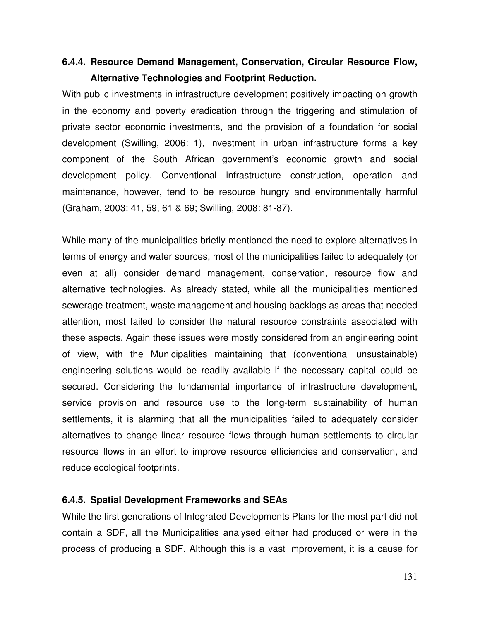## **6.4.4. Resource Demand Management, Conservation, Circular Resource Flow, Alternative Technologies and Footprint Reduction.**

With public investments in infrastructure development positively impacting on growth in the economy and poverty eradication through the triggering and stimulation of private sector economic investments, and the provision of a foundation for social development (Swilling, 2006: 1), investment in urban infrastructure forms a key component of the South African government's economic growth and social development policy. Conventional infrastructure construction, operation and maintenance, however, tend to be resource hungry and environmentally harmful (Graham, 2003: 41, 59, 61 & 69; Swilling, 2008: 81-87).

While many of the municipalities briefly mentioned the need to explore alternatives in terms of energy and water sources, most of the municipalities failed to adequately (or even at all) consider demand management, conservation, resource flow and alternative technologies. As already stated, while all the municipalities mentioned sewerage treatment, waste management and housing backlogs as areas that needed attention, most failed to consider the natural resource constraints associated with these aspects. Again these issues were mostly considered from an engineering point of view, with the Municipalities maintaining that (conventional unsustainable) engineering solutions would be readily available if the necessary capital could be secured. Considering the fundamental importance of infrastructure development, service provision and resource use to the long-term sustainability of human settlements, it is alarming that all the municipalities failed to adequately consider alternatives to change linear resource flows through human settlements to circular resource flows in an effort to improve resource efficiencies and conservation, and reduce ecological footprints.

#### **6.4.5. Spatial Development Frameworks and SEAs**

While the first generations of Integrated Developments Plans for the most part did not contain a SDF, all the Municipalities analysed either had produced or were in the process of producing a SDF. Although this is a vast improvement, it is a cause for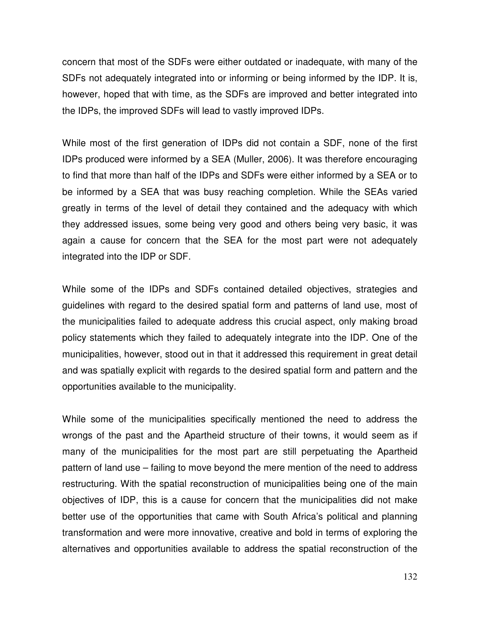concern that most of the SDFs were either outdated or inadequate, with many of the SDFs not adequately integrated into or informing or being informed by the IDP. It is, however, hoped that with time, as the SDFs are improved and better integrated into the IDPs, the improved SDFs will lead to vastly improved IDPs.

While most of the first generation of IDPs did not contain a SDF, none of the first IDPs produced were informed by a SEA (Muller, 2006). It was therefore encouraging to find that more than half of the IDPs and SDFs were either informed by a SEA or to be informed by a SEA that was busy reaching completion. While the SEAs varied greatly in terms of the level of detail they contained and the adequacy with which they addressed issues, some being very good and others being very basic, it was again a cause for concern that the SEA for the most part were not adequately integrated into the IDP or SDF.

While some of the IDPs and SDFs contained detailed objectives, strategies and guidelines with regard to the desired spatial form and patterns of land use, most of the municipalities failed to adequate address this crucial aspect, only making broad policy statements which they failed to adequately integrate into the IDP. One of the municipalities, however, stood out in that it addressed this requirement in great detail and was spatially explicit with regards to the desired spatial form and pattern and the opportunities available to the municipality.

While some of the municipalities specifically mentioned the need to address the wrongs of the past and the Apartheid structure of their towns, it would seem as if many of the municipalities for the most part are still perpetuating the Apartheid pattern of land use – failing to move beyond the mere mention of the need to address restructuring. With the spatial reconstruction of municipalities being one of the main objectives of IDP, this is a cause for concern that the municipalities did not make better use of the opportunities that came with South Africa's political and planning transformation and were more innovative, creative and bold in terms of exploring the alternatives and opportunities available to address the spatial reconstruction of the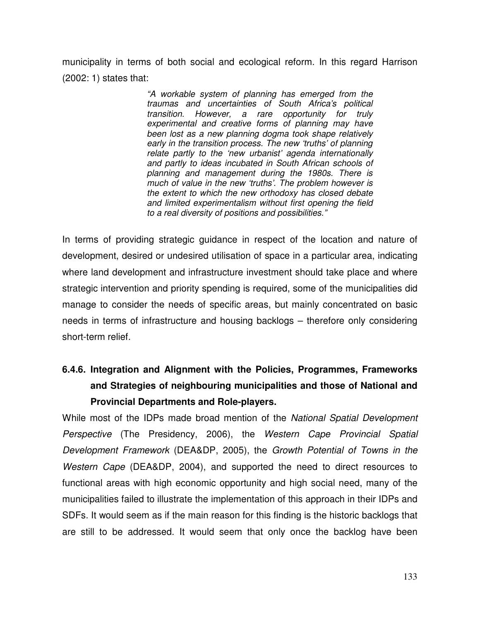municipality in terms of both social and ecological reform. In this regard Harrison (2002: 1) states that:

> *"A workable system of planning has emerged from the traumas and uncertainties of South Africa's political transition. However, a rare opportunity for truly experimental and creative forms of planning may have been lost as a new planning dogma took shape relatively early in the transition process. The new 'truths' of planning relate partly to the 'new urbanist' agenda internationally and partly to ideas incubated in South African schools of planning and management during the 1980s. There is much of value in the new 'truths'. The problem however is the extent to which the new orthodoxy has closed debate and limited experimentalism without first opening the field to a real diversity of positions and possibilities."*

In terms of providing strategic guidance in respect of the location and nature of development, desired or undesired utilisation of space in a particular area, indicating where land development and infrastructure investment should take place and where strategic intervention and priority spending is required, some of the municipalities did manage to consider the needs of specific areas, but mainly concentrated on basic needs in terms of infrastructure and housing backlogs – therefore only considering short-term relief.

# **6.4.6. Integration and Alignment with the Policies, Programmes, Frameworks and Strategies of neighbouring municipalities and those of National and Provincial Departments and Role-players.**

While most of the IDPs made broad mention of the *National Spatial Development Perspective* (The Presidency, 2006), the *Western Cape Provincial Spatial Development Framework* (DEA&DP, 2005), the *Growth Potential of Towns in the Western Cape* (DEA&DP, 2004), and supported the need to direct resources to functional areas with high economic opportunity and high social need, many of the municipalities failed to illustrate the implementation of this approach in their IDPs and SDFs. It would seem as if the main reason for this finding is the historic backlogs that are still to be addressed. It would seem that only once the backlog have been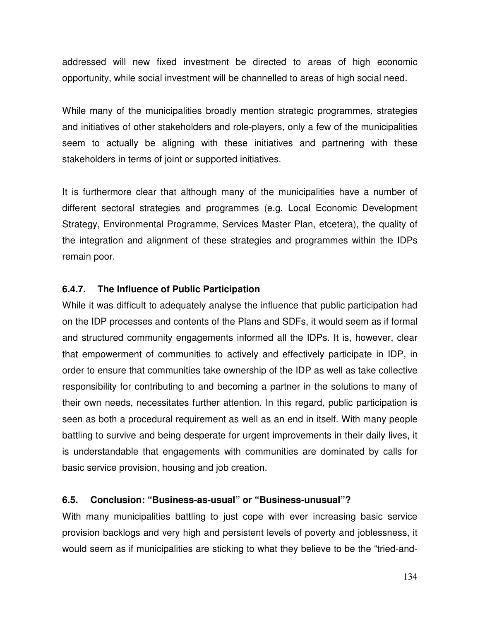addressed will new fixed investment be directed to areas of high economic opportunity, while social investment will be channelled to areas of high social need.

While many of the municipalities broadly mention strategic programmes, strategies and initiatives of other stakeholders and role-players, only a few of the municipalities seem to actually be aligning with these initiatives and partnering with these stakeholders in terms of joint or supported initiatives.

It is furthermore clear that although many of the municipalities have a number of different sectoral strategies and programmes (e.g. Local Economic Development Strategy, Environmental Programme, Services Master Plan, etcetera), the quality of the integration and alignment of these strategies and programmes within the IDPs remain poor.

## **6.4.7. The Influence of Public Participation**

While it was difficult to adequately analyse the influence that public participation had on the IDP processes and contents of the Plans and SDFs, it would seem as if formal and structured community engagements informed all the IDPs. It is, however, clear that empowerment of communities to actively and effectively participate in IDP, in order to ensure that communities take ownership of the IDP as well as take collective responsibility for contributing to and becoming a partner in the solutions to many of their own needs, necessitates further attention. In this regard, public participation is seen as both a procedural requirement as well as an end in itself. With many people battling to survive and being desperate for urgent improvements in their daily lives, it is understandable that engagements with communities are dominated by calls for basic service provision, housing and job creation.

## **6.5. Conclusion: "Business-as-usual" or "Business-unusual"?**

With many municipalities battling to just cope with ever increasing basic service provision backlogs and very high and persistent levels of poverty and joblessness, it would seem as if municipalities are sticking to what they believe to be the "tried-and-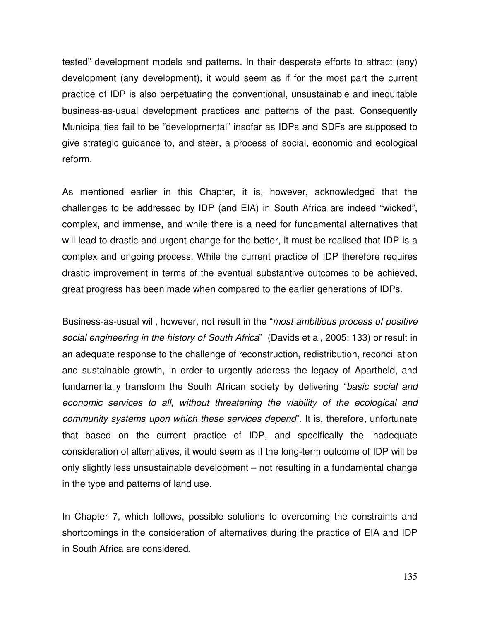tested" development models and patterns. In their desperate efforts to attract (any) development (any development), it would seem as if for the most part the current practice of IDP is also perpetuating the conventional, unsustainable and inequitable business-as-usual development practices and patterns of the past. Consequently Municipalities fail to be "developmental" insofar as IDPs and SDFs are supposed to give strategic guidance to, and steer, a process of social, economic and ecological reform.

As mentioned earlier in this Chapter, it is, however, acknowledged that the challenges to be addressed by IDP (and EIA) in South Africa are indeed "wicked", complex, and immense, and while there is a need for fundamental alternatives that will lead to drastic and urgent change for the better, it must be realised that IDP is a complex and ongoing process. While the current practice of IDP therefore requires drastic improvement in terms of the eventual substantive outcomes to be achieved, great progress has been made when compared to the earlier generations of IDPs.

Business-as-usual will, however, not result in the "*most ambitious process of positive social engineering in the history of South Africa*" (Davids et al, 2005: 133) or result in an adequate response to the challenge of reconstruction, redistribution, reconciliation and sustainable growth, in order to urgently address the legacy of Apartheid, and fundamentally transform the South African society by delivering "*basic social and economic services to all, without threatening the viability of the ecological and community systems upon which these services depend*". It is, therefore, unfortunate that based on the current practice of IDP, and specifically the inadequate consideration of alternatives, it would seem as if the long-term outcome of IDP will be only slightly less unsustainable development – not resulting in a fundamental change in the type and patterns of land use.

In Chapter 7, which follows, possible solutions to overcoming the constraints and shortcomings in the consideration of alternatives during the practice of EIA and IDP in South Africa are considered.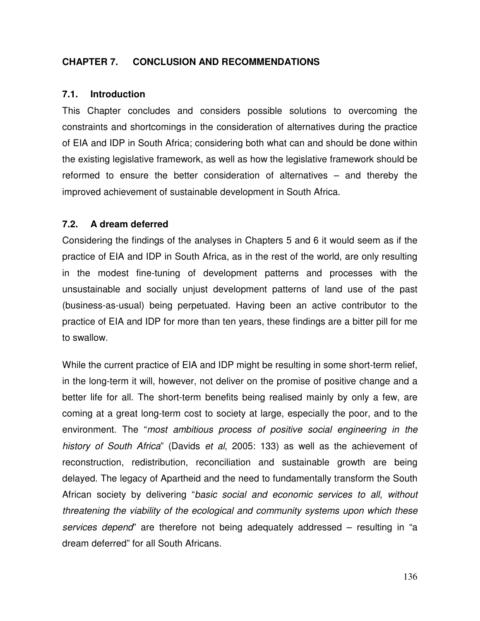## **CHAPTER 7. CONCLUSION AND RECOMMENDATIONS**

#### **7.1. Introduction**

This Chapter concludes and considers possible solutions to overcoming the constraints and shortcomings in the consideration of alternatives during the practice of EIA and IDP in South Africa; considering both what can and should be done within the existing legislative framework, as well as how the legislative framework should be reformed to ensure the better consideration of alternatives – and thereby the improved achievement of sustainable development in South Africa.

#### **7.2. A dream deferred**

Considering the findings of the analyses in Chapters 5 and 6 it would seem as if the practice of EIA and IDP in South Africa, as in the rest of the world, are only resulting in the modest fine-tuning of development patterns and processes with the unsustainable and socially unjust development patterns of land use of the past (business-as-usual) being perpetuated. Having been an active contributor to the practice of EIA and IDP for more than ten years, these findings are a bitter pill for me to swallow.

While the current practice of EIA and IDP might be resulting in some short-term relief, in the long-term it will, however, not deliver on the promise of positive change and a better life for all. The short-term benefits being realised mainly by only a few, are coming at a great long-term cost to society at large, especially the poor, and to the environment. The "*most ambitious process of positive social engineering in the history of South Africa*" (Davids *et al*, 2005: 133) as well as the achievement of reconstruction, redistribution, reconciliation and sustainable growth are being delayed. The legacy of Apartheid and the need to fundamentally transform the South African society by delivering "*basic social and economic services to all, without threatening the viability of the ecological and community systems upon which these services depend*" are therefore not being adequately addressed – resulting in "a dream deferred" for all South Africans.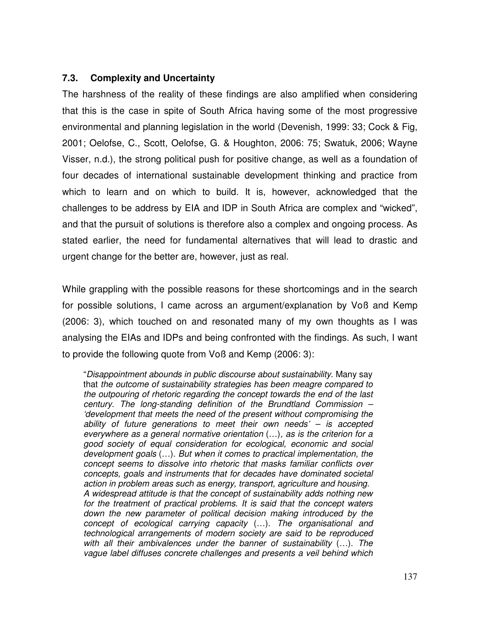# **7.3. Complexity and Uncertainty**

The harshness of the reality of these findings are also amplified when considering that this is the case in spite of South Africa having some of the most progressive environmental and planning legislation in the world (Devenish, 1999: 33; Cock & Fig, 2001; Oelofse, C., Scott, Oelofse, G. & Houghton, 2006: 75; Swatuk, 2006; Wayne Visser, n.d.), the strong political push for positive change, as well as a foundation of four decades of international sustainable development thinking and practice from which to learn and on which to build. It is, however, acknowledged that the challenges to be address by EIA and IDP in South Africa are complex and "wicked", and that the pursuit of solutions is therefore also a complex and ongoing process. As stated earlier, the need for fundamental alternatives that will lead to drastic and urgent change for the better are, however, just as real.

While grappling with the possible reasons for these shortcomings and in the search for possible solutions, I came across an argument/explanation by Voß and Kemp (2006: 3), which touched on and resonated many of my own thoughts as I was analysing the EIAs and IDPs and being confronted with the findings. As such, I want to provide the following quote from Voß and Kemp (2006: 3):

"*Disappointment abounds in public discourse about sustainability*. Many say that *the outcome of sustainability strategies has been meagre compared to the outpouring of rhetoric regarding the concept towards the end of the last century. The long-standing definition of the Brundtland Commission – 'development that meets the need of the present without compromising the ability of future generations to meet their own needs' – is accepted everywhere as a general normative orientation* (…)*, as is the criterion for a good society of equal consideration for ecological, economic and social development goals* (…). *But when it comes to practical implementation, the concept seems to dissolve into rhetoric that masks familiar conflicts over concepts, goals and instruments that for decades have dominated societal action in problem areas such as energy, transport, agriculture and housing. A widespread attitude is that the concept of sustainability adds nothing new for the treatment of practical problems. It is said that the concept waters down the new parameter of political decision making introduced by the concept of ecological carrying capacity* (…). *The organisational and technological arrangements of modern society are said to be reproduced with all their ambivalences under the banner of sustainability* (…). *The vague label diffuses concrete challenges and presents a veil behind which*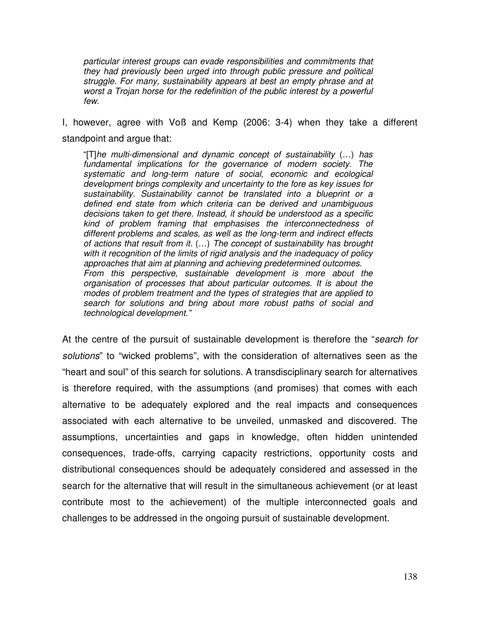*particular interest groups can evade responsibilities and commitments that they had previously been urged into through public pressure and political struggle. For many, sustainability appears at best an empty phrase and at worst a Trojan horse for the redefinition of the public interest by a powerful few.*

I, however, agree with Voß and Kemp (2006: 3-4) when they take a different standpoint and argue that:

"[T]*he multi-dimensional and dynamic concept of sustainability* (…) *has fundamental implications for the governance of modern society. The systematic and long-term nature of social, economic and ecological development brings complexity and uncertainty to the fore as key issues for sustainability. Sustainability cannot be translated into a blueprint or a defined end state from which criteria can be derived and unambiguous decisions taken to get there. Instead, it should be understood as a specific kind of problem framing that emphasises the interconnectedness of different problems and scales, as well as the long-term and indirect effects of actions that result from it.* (…) *The concept of sustainability has brought with it recognition of the limits of rigid analysis and the inadequacy of policy approaches that aim at planning and achieving predetermined outcomes. From this perspective, sustainable development is more about the organisation of processes that about particular outcomes. It is about the modes of problem treatment and the types of strategies that are applied to search for solutions and bring about more robust paths of social and technological development."*

At the centre of the pursuit of sustainable development is therefore the "*search for solutions*" to "wicked problems", with the consideration of alternatives seen as the "heart and soul" of this search for solutions. A transdisciplinary search for alternatives is therefore required, with the assumptions (and promises) that comes with each alternative to be adequately explored and the real impacts and consequences associated with each alternative to be unveiled, unmasked and discovered. The assumptions, uncertainties and gaps in knowledge, often hidden unintended consequences, trade-offs, carrying capacity restrictions, opportunity costs and distributional consequences should be adequately considered and assessed in the search for the alternative that will result in the simultaneous achievement (or at least contribute most to the achievement) of the multiple interconnected goals and challenges to be addressed in the ongoing pursuit of sustainable development.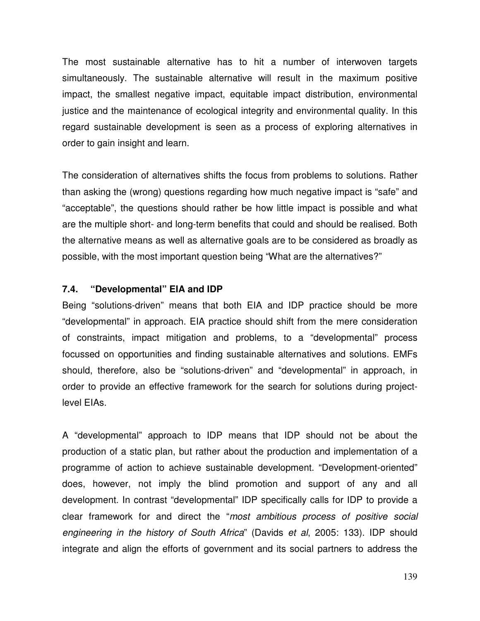The most sustainable alternative has to hit a number of interwoven targets simultaneously. The sustainable alternative will result in the maximum positive impact, the smallest negative impact, equitable impact distribution, environmental justice and the maintenance of ecological integrity and environmental quality. In this regard sustainable development is seen as a process of exploring alternatives in order to gain insight and learn.

The consideration of alternatives shifts the focus from problems to solutions. Rather than asking the (wrong) questions regarding how much negative impact is "safe" and "acceptable", the questions should rather be how little impact is possible and what are the multiple short- and long-term benefits that could and should be realised. Both the alternative means as well as alternative goals are to be considered as broadly as possible, with the most important question being "What are the alternatives?"

#### **7.4. "Developmental" EIA and IDP**

Being "solutions-driven" means that both EIA and IDP practice should be more "developmental" in approach. EIA practice should shift from the mere consideration of constraints, impact mitigation and problems, to a "developmental" process focussed on opportunities and finding sustainable alternatives and solutions. EMFs should, therefore, also be "solutions-driven" and "developmental" in approach, in order to provide an effective framework for the search for solutions during projectlevel EIAs.

A "developmental" approach to IDP means that IDP should not be about the production of a static plan, but rather about the production and implementation of a programme of action to achieve sustainable development. "Development-oriented" does, however, not imply the blind promotion and support of any and all development. In contrast "developmental" IDP specifically calls for IDP to provide a clear framework for and direct the "*most ambitious process of positive social engineering in the history of South Africa*" (Davids *et al*, 2005: 133). IDP should integrate and align the efforts of government and its social partners to address the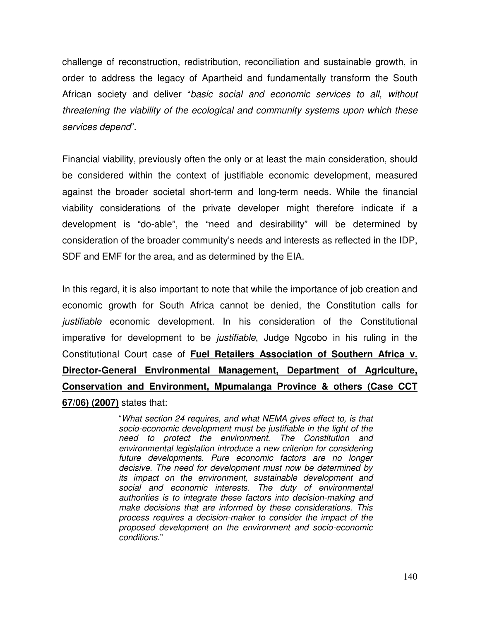challenge of reconstruction, redistribution, reconciliation and sustainable growth, in order to address the legacy of Apartheid and fundamentally transform the South African society and deliver "*basic social and economic services to all, without threatening the viability of the ecological and community systems upon which these services depend*".

Financial viability, previously often the only or at least the main consideration, should be considered within the context of justifiable economic development, measured against the broader societal short-term and long-term needs. While the financial viability considerations of the private developer might therefore indicate if a development is "do-able", the "need and desirability" will be determined by consideration of the broader community's needs and interests as reflected in the IDP, SDF and EMF for the area, and as determined by the EIA.

In this regard, it is also important to note that while the importance of job creation and economic growth for South Africa cannot be denied, the Constitution calls for *justifiable* economic development. In his consideration of the Constitutional imperative for development to be *justifiable*, Judge Ngcobo in his ruling in the Constitutional Court case of **Fuel Retailers Association of Southern Africa v. Director-General Environmental Management, Department of Agriculture, Conservation and Environment, Mpumalanga Province & others (Case CCT 67/06) (2007)** states that:

> "*What section 24 requires, and what NEMA gives effect to, is that socio-economic development must be justifiable in the light of the need to protect the environment. The Constitution and environmental legislation introduce a new criterion for considering future developments. Pure economic factors are no longer decisive. The need for development must now be determined by its impact on the environment, sustainable development and social and economic interests. The duty of environmental authorities is to integrate these factors into decision-making and make decisions that are informed by these considerations. This process requires a decision-maker to consider the impact of the proposed development on the environment and socio-economic conditions*."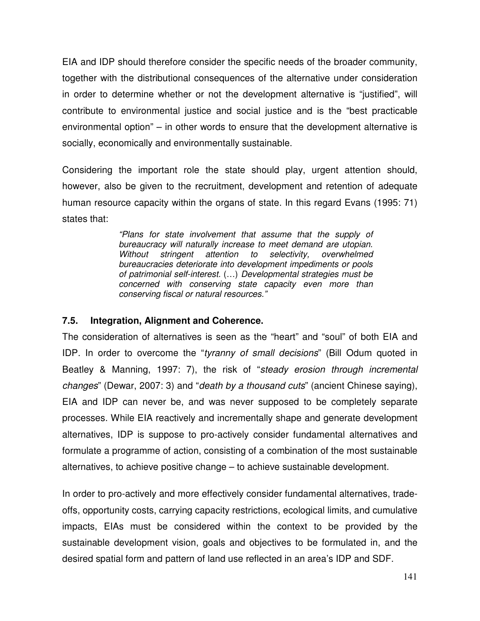EIA and IDP should therefore consider the specific needs of the broader community, together with the distributional consequences of the alternative under consideration in order to determine whether or not the development alternative is "justified", will contribute to environmental justice and social justice and is the "best practicable environmental option" – in other words to ensure that the development alternative is socially, economically and environmentally sustainable.

Considering the important role the state should play, urgent attention should, however, also be given to the recruitment, development and retention of adequate human resource capacity within the organs of state. In this regard Evans (1995: 71) states that:

> *"Plans for state involvement that assume that the supply of bureaucracy will naturally increase to meet demand are utopian. Without stringent attention to selectivity, overwhelmed bureaucracies deteriorate into development impediments or pools of patrimonial self-interest.* (…) *Developmental strategies must be concerned with conserving state capacity even more than conserving fiscal or natural resources."*

#### **7.5. Integration, Alignment and Coherence.**

The consideration of alternatives is seen as the "heart" and "soul" of both EIA and IDP. In order to overcome the "*tyranny of small decisions*" (Bill Odum quoted in Beatley & Manning, 1997: 7), the risk of "*steady erosion through incremental changes*" (Dewar, 2007: 3) and "*death by a thousand cuts*" (ancient Chinese saying), EIA and IDP can never be, and was never supposed to be completely separate processes. While EIA reactively and incrementally shape and generate development alternatives, IDP is suppose to pro-actively consider fundamental alternatives and formulate a programme of action, consisting of a combination of the most sustainable alternatives, to achieve positive change – to achieve sustainable development.

In order to pro-actively and more effectively consider fundamental alternatives, tradeoffs, opportunity costs, carrying capacity restrictions, ecological limits, and cumulative impacts, EIAs must be considered within the context to be provided by the sustainable development vision, goals and objectives to be formulated in, and the desired spatial form and pattern of land use reflected in an area's IDP and SDF.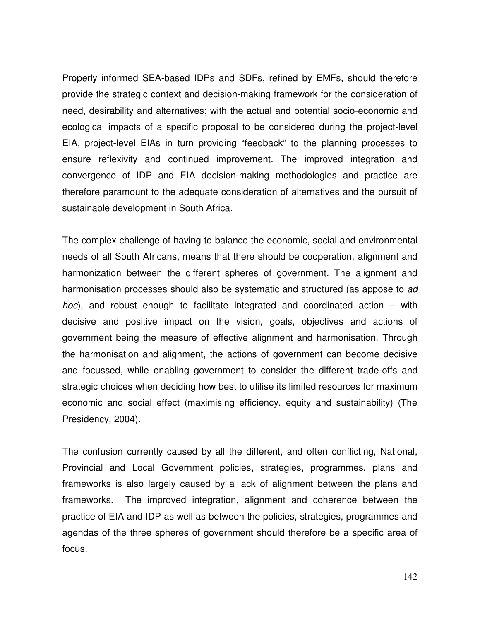Properly informed SEA-based IDPs and SDFs, refined by EMFs, should therefore provide the strategic context and decision-making framework for the consideration of need, desirability and alternatives; with the actual and potential socio-economic and ecological impacts of a specific proposal to be considered during the project-level EIA, project-level EIAs in turn providing "feedback" to the planning processes to ensure reflexivity and continued improvement. The improved integration and convergence of IDP and EIA decision-making methodologies and practice are therefore paramount to the adequate consideration of alternatives and the pursuit of sustainable development in South Africa.

The complex challenge of having to balance the economic, social and environmental needs of all South Africans, means that there should be cooperation, alignment and harmonization between the different spheres of government. The alignment and harmonisation processes should also be systematic and structured (as appose to *ad hoc*), and robust enough to facilitate integrated and coordinated action – with decisive and positive impact on the vision, goals, objectives and actions of government being the measure of effective alignment and harmonisation. Through the harmonisation and alignment, the actions of government can become decisive and focussed, while enabling government to consider the different trade-offs and strategic choices when deciding how best to utilise its limited resources for maximum economic and social effect (maximising efficiency, equity and sustainability) (The Presidency, 2004).

The confusion currently caused by all the different, and often conflicting, National, Provincial and Local Government policies, strategies, programmes, plans and frameworks is also largely caused by a lack of alignment between the plans and frameworks. The improved integration, alignment and coherence between the practice of EIA and IDP as well as between the policies, strategies, programmes and agendas of the three spheres of government should therefore be a specific area of focus.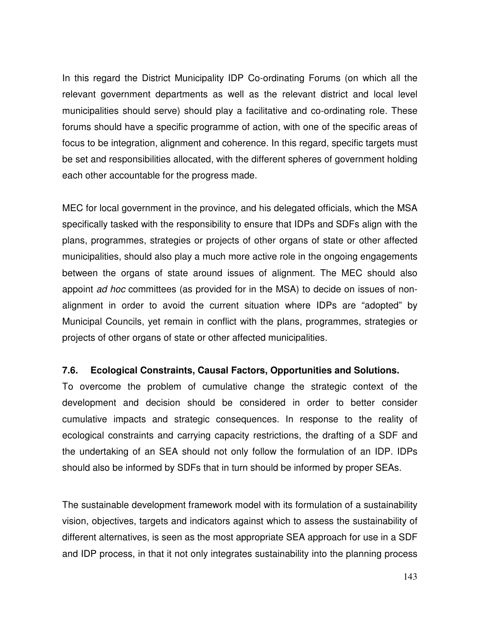In this regard the District Municipality IDP Co-ordinating Forums (on which all the relevant government departments as well as the relevant district and local level municipalities should serve) should play a facilitative and co-ordinating role. These forums should have a specific programme of action, with one of the specific areas of focus to be integration, alignment and coherence. In this regard, specific targets must be set and responsibilities allocated, with the different spheres of government holding each other accountable for the progress made.

MEC for local government in the province, and his delegated officials, which the MSA specifically tasked with the responsibility to ensure that IDPs and SDFs align with the plans, programmes, strategies or projects of other organs of state or other affected municipalities, should also play a much more active role in the ongoing engagements between the organs of state around issues of alignment. The MEC should also appoint *ad hoc* committees (as provided for in the MSA) to decide on issues of nonalignment in order to avoid the current situation where IDPs are "adopted" by Municipal Councils, yet remain in conflict with the plans, programmes, strategies or projects of other organs of state or other affected municipalities.

#### **7.6. Ecological Constraints, Causal Factors, Opportunities and Solutions.**

To overcome the problem of cumulative change the strategic context of the development and decision should be considered in order to better consider cumulative impacts and strategic consequences. In response to the reality of ecological constraints and carrying capacity restrictions, the drafting of a SDF and the undertaking of an SEA should not only follow the formulation of an IDP. IDPs should also be informed by SDFs that in turn should be informed by proper SEAs.

The sustainable development framework model with its formulation of a sustainability vision, objectives, targets and indicators against which to assess the sustainability of different alternatives, is seen as the most appropriate SEA approach for use in a SDF and IDP process, in that it not only integrates sustainability into the planning process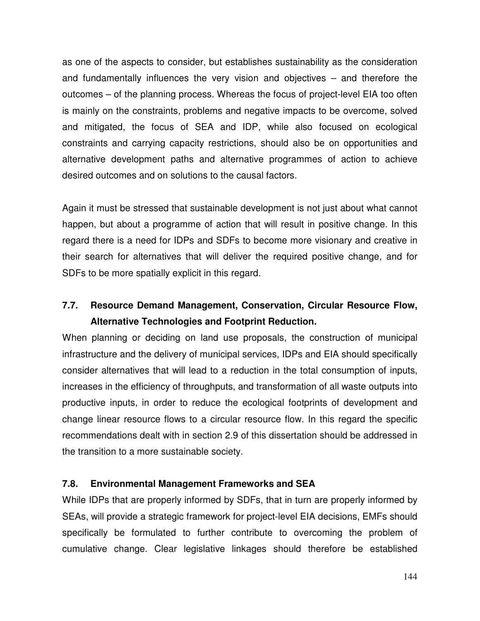as one of the aspects to consider, but establishes sustainability as the consideration and fundamentally influences the very vision and objectives – and therefore the outcomes – of the planning process. Whereas the focus of project-level EIA too often is mainly on the constraints, problems and negative impacts to be overcome, solved and mitigated, the focus of SEA and IDP, while also focused on ecological constraints and carrying capacity restrictions, should also be on opportunities and alternative development paths and alternative programmes of action to achieve desired outcomes and on solutions to the causal factors.

Again it must be stressed that sustainable development is not just about what cannot happen, but about a programme of action that will result in positive change. In this regard there is a need for IDPs and SDFs to become more visionary and creative in their search for alternatives that will deliver the required positive change, and for SDFs to be more spatially explicit in this regard.

# **7.7. Resource Demand Management, Conservation, Circular Resource Flow, Alternative Technologies and Footprint Reduction.**

When planning or deciding on land use proposals, the construction of municipal infrastructure and the delivery of municipal services, IDPs and EIA should specifically consider alternatives that will lead to a reduction in the total consumption of inputs, increases in the efficiency of throughputs, and transformation of all waste outputs into productive inputs, in order to reduce the ecological footprints of development and change linear resource flows to a circular resource flow. In this regard the specific recommendations dealt with in section 2.9 of this dissertation should be addressed in the transition to a more sustainable society.

# **7.8. Environmental Management Frameworks and SEA**

While IDPs that are properly informed by SDFs, that in turn are properly informed by SEAs, will provide a strategic framework for project-level EIA decisions, EMFs should specifically be formulated to further contribute to overcoming the problem of cumulative change. Clear legislative linkages should therefore be established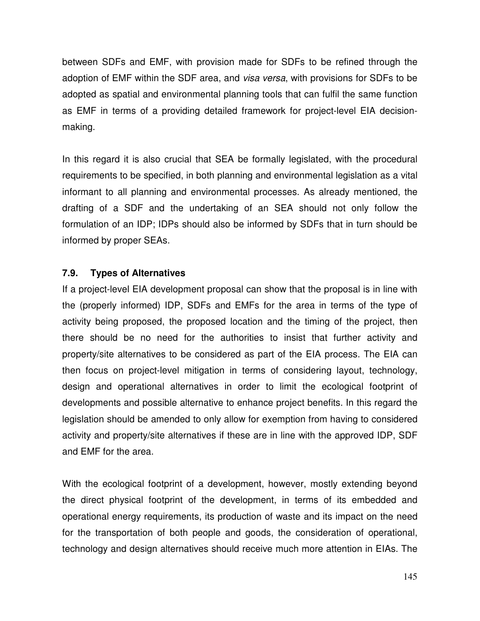between SDFs and EMF, with provision made for SDFs to be refined through the adoption of EMF within the SDF area, and *visa versa*, with provisions for SDFs to be adopted as spatial and environmental planning tools that can fulfil the same function as EMF in terms of a providing detailed framework for project-level EIA decisionmaking.

In this regard it is also crucial that SEA be formally legislated, with the procedural requirements to be specified, in both planning and environmental legislation as a vital informant to all planning and environmental processes. As already mentioned, the drafting of a SDF and the undertaking of an SEA should not only follow the formulation of an IDP; IDPs should also be informed by SDFs that in turn should be informed by proper SEAs.

# **7.9. Types of Alternatives**

If a project-level EIA development proposal can show that the proposal is in line with the (properly informed) IDP, SDFs and EMFs for the area in terms of the type of activity being proposed, the proposed location and the timing of the project, then there should be no need for the authorities to insist that further activity and property/site alternatives to be considered as part of the EIA process. The EIA can then focus on project-level mitigation in terms of considering layout, technology, design and operational alternatives in order to limit the ecological footprint of developments and possible alternative to enhance project benefits. In this regard the legislation should be amended to only allow for exemption from having to considered activity and property/site alternatives if these are in line with the approved IDP, SDF and EMF for the area.

With the ecological footprint of a development, however, mostly extending beyond the direct physical footprint of the development, in terms of its embedded and operational energy requirements, its production of waste and its impact on the need for the transportation of both people and goods, the consideration of operational, technology and design alternatives should receive much more attention in EIAs. The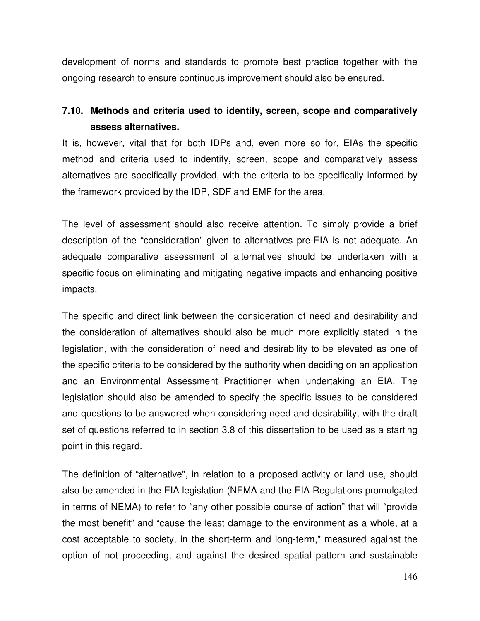development of norms and standards to promote best practice together with the ongoing research to ensure continuous improvement should also be ensured.

# **7.10. Methods and criteria used to identify, screen, scope and comparatively assess alternatives.**

It is, however, vital that for both IDPs and, even more so for, EIAs the specific method and criteria used to indentify, screen, scope and comparatively assess alternatives are specifically provided, with the criteria to be specifically informed by the framework provided by the IDP, SDF and EMF for the area.

The level of assessment should also receive attention. To simply provide a brief description of the "consideration" given to alternatives pre-EIA is not adequate. An adequate comparative assessment of alternatives should be undertaken with a specific focus on eliminating and mitigating negative impacts and enhancing positive impacts.

The specific and direct link between the consideration of need and desirability and the consideration of alternatives should also be much more explicitly stated in the legislation, with the consideration of need and desirability to be elevated as one of the specific criteria to be considered by the authority when deciding on an application and an Environmental Assessment Practitioner when undertaking an EIA. The legislation should also be amended to specify the specific issues to be considered and questions to be answered when considering need and desirability, with the draft set of questions referred to in section 3.8 of this dissertation to be used as a starting point in this regard.

The definition of "alternative", in relation to a proposed activity or land use, should also be amended in the EIA legislation (NEMA and the EIA Regulations promulgated in terms of NEMA) to refer to "any other possible course of action" that will "provide the most benefit" and "cause the least damage to the environment as a whole, at a cost acceptable to society, in the short-term and long-term," measured against the option of not proceeding, and against the desired spatial pattern and sustainable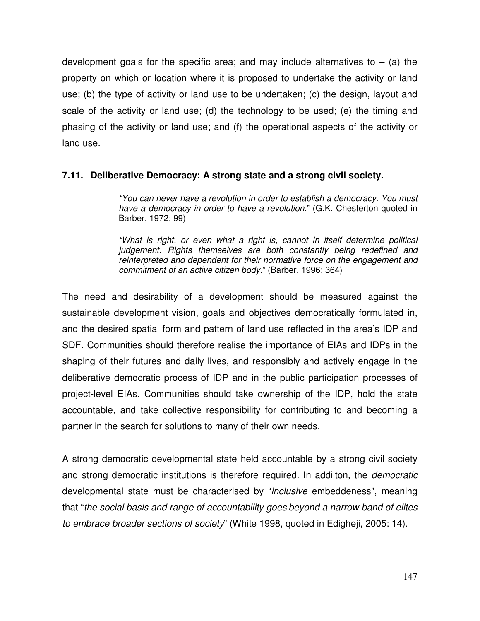development goals for the specific area; and may include alternatives to  $-$  (a) the property on which or location where it is proposed to undertake the activity or land use; (b) the type of activity or land use to be undertaken; (c) the design, layout and scale of the activity or land use; (d) the technology to be used; (e) the timing and phasing of the activity or land use; and (f) the operational aspects of the activity or land use.

## **7.11. Deliberative Democracy: A strong state and a strong civil society.**

*"You can never have a revolution in order to establish a democracy. You must have a democracy in order to have a revolution*." (G.K. Chesterton quoted in Barber, 1972: 99)

*"What is right, or even what a right is, cannot in itself determine political judgement. Rights themselves are both constantly being redefined and reinterpreted and dependent for their normative force on the engagement and commitment of an active citizen body*." (Barber, 1996: 364)

The need and desirability of a development should be measured against the sustainable development vision, goals and objectives democratically formulated in, and the desired spatial form and pattern of land use reflected in the area's IDP and SDF. Communities should therefore realise the importance of EIAs and IDPs in the shaping of their futures and daily lives, and responsibly and actively engage in the deliberative democratic process of IDP and in the public participation processes of project-level EIAs. Communities should take ownership of the IDP, hold the state accountable, and take collective responsibility for contributing to and becoming a partner in the search for solutions to many of their own needs.

A strong democratic developmental state held accountable by a strong civil society and strong democratic institutions is therefore required. In addiiton, the *democratic* developmental state must be characterised by "*inclusive* embeddeness", meaning that "*the social basis and range of accountability goes beyond a narrow band of elites to embrace broader sections of society*" (White 1998, quoted in Edigheji, 2005: 14).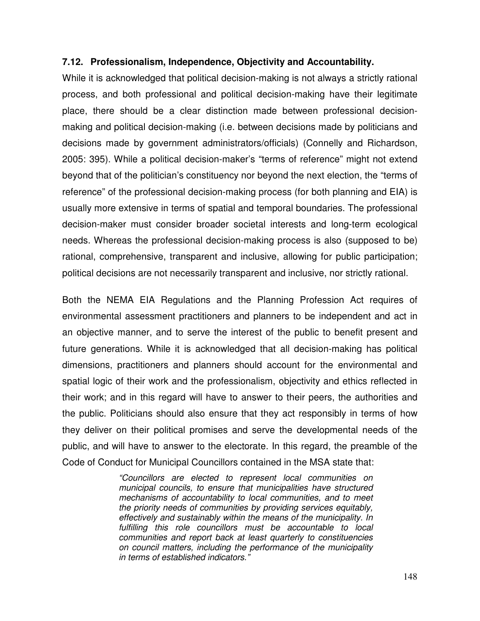## **7.12. Professionalism, Independence, Objectivity and Accountability.**

While it is acknowledged that political decision-making is not always a strictly rational process, and both professional and political decision-making have their legitimate place, there should be a clear distinction made between professional decisionmaking and political decision-making (i.e. between decisions made by politicians and decisions made by government administrators/officials) (Connelly and Richardson, 2005: 395). While a political decision-maker's "terms of reference" might not extend beyond that of the politician's constituency nor beyond the next election, the "terms of reference" of the professional decision-making process (for both planning and EIA) is usually more extensive in terms of spatial and temporal boundaries. The professional decision-maker must consider broader societal interests and long-term ecological needs. Whereas the professional decision-making process is also (supposed to be) rational, comprehensive, transparent and inclusive, allowing for public participation; political decisions are not necessarily transparent and inclusive, nor strictly rational.

Both the NEMA EIA Regulations and the Planning Profession Act requires of environmental assessment practitioners and planners to be independent and act in an objective manner, and to serve the interest of the public to benefit present and future generations. While it is acknowledged that all decision-making has political dimensions, practitioners and planners should account for the environmental and spatial logic of their work and the professionalism, objectivity and ethics reflected in their work; and in this regard will have to answer to their peers, the authorities and the public. Politicians should also ensure that they act responsibly in terms of how they deliver on their political promises and serve the developmental needs of the public, and will have to answer to the electorate. In this regard, the preamble of the Code of Conduct for Municipal Councillors contained in the MSA state that:

> *"Councillors are elected to represent local communities on municipal councils, to ensure that municipalities have structured mechanisms of accountability to local communities, and to meet the priority needs of communities by providing services equitably, effectively and sustainably within the means of the municipality. In fulfilling this role councillors must be accountable to local communities and report back at least quarterly to constituencies on council matters, including the performance of the municipality in terms of established indicators."*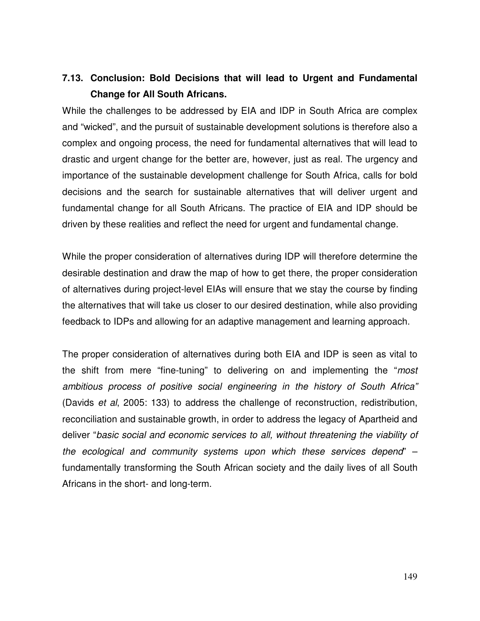# **7.13. Conclusion: Bold Decisions that will lead to Urgent and Fundamental Change for All South Africans.**

While the challenges to be addressed by EIA and IDP in South Africa are complex and "wicked", and the pursuit of sustainable development solutions is therefore also a complex and ongoing process, the need for fundamental alternatives that will lead to drastic and urgent change for the better are, however, just as real. The urgency and importance of the sustainable development challenge for South Africa, calls for bold decisions and the search for sustainable alternatives that will deliver urgent and fundamental change for all South Africans. The practice of EIA and IDP should be driven by these realities and reflect the need for urgent and fundamental change.

While the proper consideration of alternatives during IDP will therefore determine the desirable destination and draw the map of how to get there, the proper consideration of alternatives during project-level EIAs will ensure that we stay the course by finding the alternatives that will take us closer to our desired destination, while also providing feedback to IDPs and allowing for an adaptive management and learning approach.

The proper consideration of alternatives during both EIA and IDP is seen as vital to the shift from mere "fine-tuning" to delivering on and implementing the "*most ambitious process of positive social engineering in the history of South Africa"* (Davids *et al*, 2005: 133) to address the challenge of reconstruction, redistribution, reconciliation and sustainable growth, in order to address the legacy of Apartheid and deliver "*basic social and economic services to all, without threatening the viability of the ecological and community systems upon which these services depend*" – fundamentally transforming the South African society and the daily lives of all South Africans in the short- and long-term.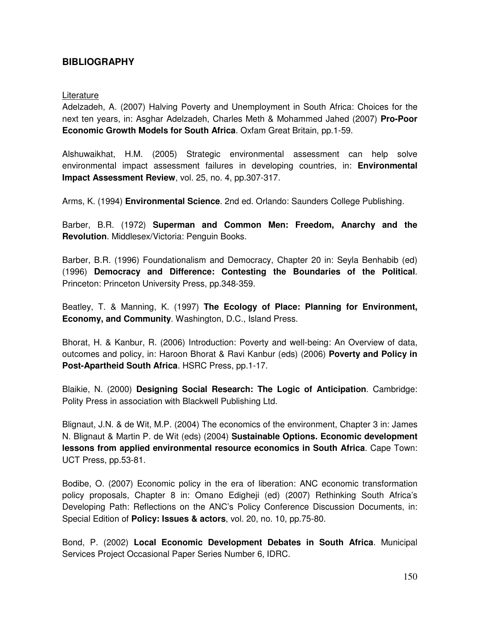## **BIBLIOGRAPHY**

#### Literature

Adelzadeh, A. (2007) Halving Poverty and Unemployment in South Africa: Choices for the next ten years, in: Asghar Adelzadeh, Charles Meth & Mohammed Jahed (2007) **Pro-Poor Economic Growth Models for South Africa**. Oxfam Great Britain, pp.1-59.

Alshuwaikhat, H.M. (2005) Strategic environmental assessment can help solve environmental impact assessment failures in developing countries, in: **Environmental Impact Assessment Review**, vol. 25, no. 4, pp.307-317.

Arms, K. (1994) **Environmental Science**. 2nd ed. Orlando: Saunders College Publishing.

Barber, B.R. (1972) **Superman and Common Men: Freedom, Anarchy and the Revolution**. Middlesex/Victoria: Penguin Books.

Barber, B.R. (1996) Foundationalism and Democracy, Chapter 20 in: Seyla Benhabib (ed) (1996) **Democracy and Difference: Contesting the Boundaries of the Political**. Princeton: Princeton University Press, pp.348-359.

Beatley, T. & Manning, K. (1997) **The Ecology of Place: Planning for Environment, Economy, and Community**. Washington, D.C., Island Press.

Bhorat, H. & Kanbur, R. (2006) Introduction: Poverty and well-being: An Overview of data, outcomes and policy, in: Haroon Bhorat & Ravi Kanbur (eds) (2006) **Poverty and Policy in Post-Apartheid South Africa**. HSRC Press, pp.1-17.

Blaikie, N. (2000) **Designing Social Research: The Logic of Anticipation**. Cambridge: Polity Press in association with Blackwell Publishing Ltd.

Blignaut, J.N. & de Wit, M.P. (2004) The economics of the environment, Chapter 3 in: James N. Blignaut & Martin P. de Wit (eds) (2004) **Sustainable Options. Economic development lessons from applied environmental resource economics in South Africa**. Cape Town: UCT Press, pp.53-81.

Bodibe, O. (2007) Economic policy in the era of liberation: ANC economic transformation policy proposals, Chapter 8 in: Omano Edigheji (ed) (2007) Rethinking South Africa's Developing Path: Reflections on the ANC's Policy Conference Discussion Documents, in: Special Edition of **Policy: Issues & actors**, vol. 20, no. 10, pp.75-80.

Bond, P. (2002) **Local Economic Development Debates in South Africa**. Municipal Services Project Occasional Paper Series Number 6, IDRC.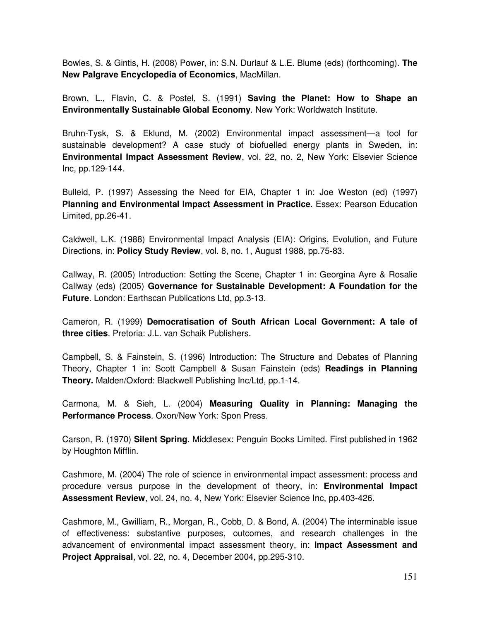Bowles, S. & Gintis, H. (2008) Power, in: S.N. Durlauf & L.E. Blume (eds) (forthcoming). **The New Palgrave Encyclopedia of Economics**, MacMillan.

Brown, L., Flavin, C. & Postel, S. (1991) **Saving the Planet: How to Shape an Environmentally Sustainable Global Economy**. New York: Worldwatch Institute.

Bruhn-Tysk, S. & Eklund, M. (2002) Environmental impact assessment—a tool for sustainable development? A case study of biofuelled energy plants in Sweden, in: **Environmental Impact Assessment Review**, vol. 22, no. 2, New York: Elsevier Science Inc, pp.129-144.

Bulleid, P. (1997) Assessing the Need for EIA, Chapter 1 in: Joe Weston (ed) (1997) **Planning and Environmental Impact Assessment in Practice**. Essex: Pearson Education Limited, pp.26-41.

Caldwell, L.K. (1988) Environmental Impact Analysis (EIA): Origins, Evolution, and Future Directions, in: **Policy Study Review**, vol. 8, no. 1, August 1988, pp.75-83.

Callway, R. (2005) Introduction: Setting the Scene, Chapter 1 in: Georgina Ayre & Rosalie Callway (eds) (2005) **Governance for Sustainable Development: A Foundation for the Future**. London: Earthscan Publications Ltd, pp.3-13.

Cameron, R. (1999) **Democratisation of South African Local Government: A tale of three cities**. Pretoria: J.L. van Schaik Publishers.

Campbell, S. & Fainstein, S. (1996) Introduction: The Structure and Debates of Planning Theory, Chapter 1 in: Scott Campbell & Susan Fainstein (eds) **Readings in Planning Theory.** Malden/Oxford: Blackwell Publishing Inc/Ltd, pp.1-14.

Carmona, M. & Sieh, L. (2004) **Measuring Quality in Planning: Managing the Performance Process**. Oxon/New York: Spon Press.

Carson, R. (1970) **Silent Spring**. Middlesex: Penguin Books Limited. First published in 1962 by Houghton Mifflin.

Cashmore, M. (2004) The role of science in environmental impact assessment: process and procedure versus purpose in the development of theory, in: **Environmental Impact Assessment Review**, vol. 24, no. 4, New York: Elsevier Science Inc, pp.403-426.

Cashmore, M., Gwilliam, R., Morgan, R., Cobb, D. & Bond, A. (2004) The interminable issue of effectiveness: substantive purposes, outcomes, and research challenges in the advancement of environmental impact assessment theory, in: **Impact Assessment and Project Appraisal**, vol. 22, no. 4, December 2004, pp.295-310.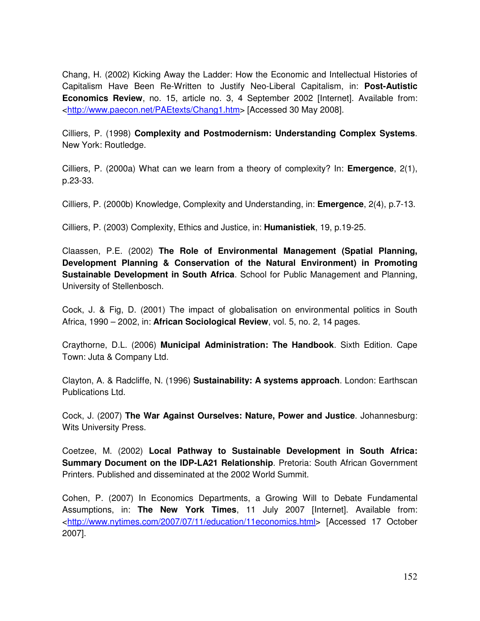Chang, H. (2002) Kicking Away the Ladder: How the Economic and Intellectual Histories of Capitalism Have Been Re-Written to Justify Neo-Liberal Capitalism, in: **Post-Autistic Economics Review**, no. 15, article no. 3, 4 September 2002 [Internet]. Available from: <http://www.paecon.net/PAEtexts/Chang1.htm> [Accessed 30 May 2008].

Cilliers, P. (1998) **Complexity and Postmodernism: Understanding Complex Systems**. New York: Routledge.

Cilliers, P. (2000a) What can we learn from a theory of complexity? In: **Emergence**, 2(1), p.23-33.

Cilliers, P. (2000b) Knowledge, Complexity and Understanding, in: **Emergence**, 2(4), p.7-13.

Cilliers, P. (2003) Complexity, Ethics and Justice, in: **Humanistiek**, 19, p.19-25.

Claassen, P.E. (2002) **The Role of Environmental Management (Spatial Planning, Development Planning & Conservation of the Natural Environment) in Promoting Sustainable Development in South Africa**. School for Public Management and Planning, University of Stellenbosch.

Cock, J. & Fig, D. (2001) The impact of globalisation on environmental politics in South Africa, 1990 – 2002, in: **African Sociological Review**, vol. 5, no. 2, 14 pages.

Craythorne, D.L. (2006) **Municipal Administration: The Handbook**. Sixth Edition. Cape Town: Juta & Company Ltd.

Clayton, A. & Radcliffe, N. (1996) **Sustainability: A systems approach**. London: Earthscan Publications Ltd.

Cock, J. (2007) **The War Against Ourselves: Nature, Power and Justice**. Johannesburg: Wits University Press.

Coetzee, M. (2002) **Local Pathway to Sustainable Development in South Africa: Summary Document on the IDP-LA21 Relationship**. Pretoria: South African Government Printers. Published and disseminated at the 2002 World Summit.

Cohen, P. (2007) In Economics Departments, a Growing Will to Debate Fundamental Assumptions, in: **The New York Times**, 11 July 2007 [Internet]. Available from: <http://www.nytimes.com/2007/07/11/education/11economics.html> [Accessed 17 October 2007].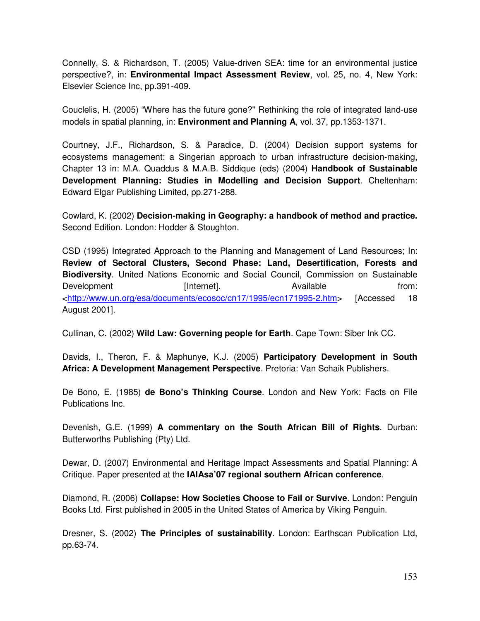Connelly, S. & Richardson, T. (2005) Value-driven SEA: time for an environmental justice perspective?, in: **Environmental Impact Assessment Review**, vol. 25, no. 4, New York: Elsevier Science Inc, pp.391-409.

Couclelis, H. (2005) "Where has the future gone?'' Rethinking the role of integrated land-use models in spatial planning, in: **Environment and Planning A**, vol. 37, pp.1353-1371.

Courtney, J.F., Richardson, S. & Paradice, D. (2004) Decision support systems for ecosystems management: a Singerian approach to urban infrastructure decision-making, Chapter 13 in: M.A. Quaddus & M.A.B. Siddique (eds) (2004) **Handbook of Sustainable Development Planning: Studies in Modelling and Decision Support**. Cheltenham: Edward Elgar Publishing Limited, pp.271-288.

Cowlard, K. (2002) **Decision-making in Geography: a handbook of method and practice.** Second Edition. London: Hodder & Stoughton.

CSD (1995) Integrated Approach to the Planning and Management of Land Resources; In: **Review of Sectoral Clusters, Second Phase: Land, Desertification, Forests and Biodiversity**. United Nations Economic and Social Council, Commission on Sustainable Development **Example 1** [Internet]. Available **Available** from: <http://www.un.org/esa/documents/ecosoc/cn17/1995/ecn171995-2.htm> [Accessed 18 August 2001].

Cullinan, C. (2002) **Wild Law: Governing people for Earth**. Cape Town: Siber Ink CC.

Davids, I., Theron, F. & Maphunye, K.J. (2005) **Participatory Development in South Africa: A Development Management Perspective**. Pretoria: Van Schaik Publishers.

De Bono, E. (1985) **de Bono's Thinking Course**. London and New York: Facts on File Publications Inc.

Devenish, G.E. (1999) **A commentary on the South African Bill of Rights**. Durban: Butterworths Publishing (Pty) Ltd.

Dewar, D. (2007) Environmental and Heritage Impact Assessments and Spatial Planning: A Critique. Paper presented at the **IAIAsa'07 regional southern African conference**.

Diamond, R. (2006) **Collapse: How Societies Choose to Fail or Survive**. London: Penguin Books Ltd. First published in 2005 in the United States of America by Viking Penguin.

Dresner, S. (2002) **The Principles of sustainability**. London: Earthscan Publication Ltd, pp.63-74.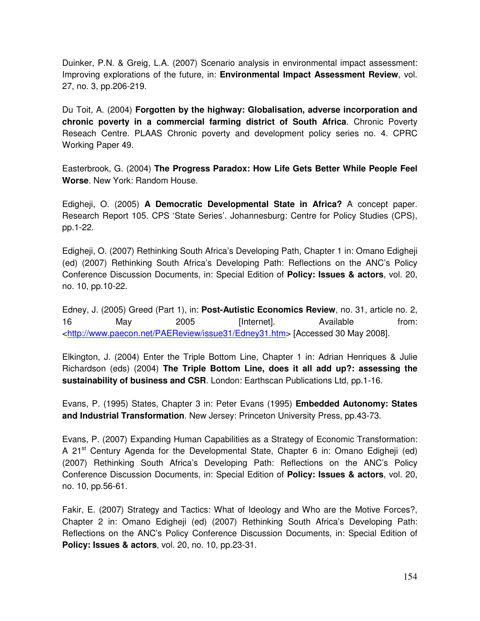Duinker, P.N. & Greig, L.A. (2007) Scenario analysis in environmental impact assessment: Improving explorations of the future, in: **Environmental Impact Assessment Review**, vol. 27, no. 3, pp.206-219.

Du Toit, A. (2004) **Forgotten by the highway: Globalisation, adverse incorporation and chronic poverty in a commercial farming district of South Africa**. Chronic Poverty Reseach Centre. PLAAS Chronic poverty and development policy series no. 4. CPRC Working Paper 49.

Easterbrook, G. (2004) **The Progress Paradox: How Life Gets Better While People Feel Worse**. New York: Random House.

Edigheji, O. (2005) **A Democratic Developmental State in Africa?** A concept paper. Research Report 105. CPS 'State Series'. Johannesburg: Centre for Policy Studies (CPS), pp.1-22.

Edigheji, O. (2007) Rethinking South Africa's Developing Path, Chapter 1 in: Omano Edigheji (ed) (2007) Rethinking South Africa's Developing Path: Reflections on the ANC's Policy Conference Discussion Documents, in: Special Edition of **Policy: Issues & actors**, vol. 20, no. 10, pp.10-22.

Edney, J. (2005) Greed (Part 1), in: **Post-Autistic Economics Review**, no. 31, article no. 2, 16 May 2005 [Internet]. Available from: <http://www.paecon.net/PAEReview/issue31/Edney31.htm> [Accessed 30 May 2008].

Elkington, J. (2004) Enter the Triple Bottom Line, Chapter 1 in: Adrian Henriques & Julie Richardson (eds) (2004) **The Triple Bottom Line, does it all add up?: assessing the sustainability of business and CSR**. London: Earthscan Publications Ltd, pp.1-16.

Evans, P. (1995) States, Chapter 3 in: Peter Evans (1995) **Embedded Autonomy: States and Industrial Transformation**. New Jersey: Princeton University Press, pp.43-73.

Evans, P. (2007) Expanding Human Capabilities as a Strategy of Economic Transformation: A 21<sup>st</sup> Century Agenda for the Developmental State, Chapter 6 in: Omano Edigheji (ed) (2007) Rethinking South Africa's Developing Path: Reflections on the ANC's Policy Conference Discussion Documents, in: Special Edition of **Policy: Issues & actors**, vol. 20, no. 10, pp.56-61.

Fakir, E. (2007) Strategy and Tactics: What of Ideology and Who are the Motive Forces?, Chapter 2 in: Omano Edigheji (ed) (2007) Rethinking South Africa's Developing Path: Reflections on the ANC's Policy Conference Discussion Documents, in: Special Edition of **Policy: Issues & actors**, vol. 20, no. 10, pp.23-31.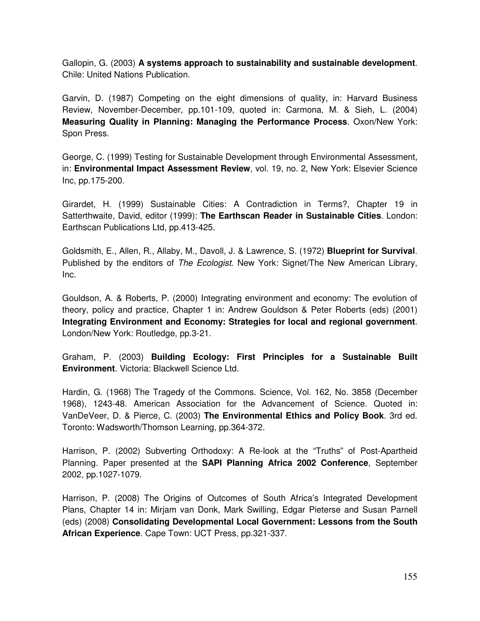Gallopin, G. (2003) **A systems approach to sustainability and sustainable development**. Chile: United Nations Publication.

Garvin, D. (1987) Competing on the eight dimensions of quality, in: Harvard Business Review, November-December, pp.101-109, quoted in: Carmona, M. & Sieh, L. (2004) **Measuring Quality in Planning: Managing the Performance Process**. Oxon/New York: Spon Press.

George, C. (1999) Testing for Sustainable Development through Environmental Assessment, in: **Environmental Impact Assessment Review**, vol. 19, no. 2, New York: Elsevier Science Inc, pp.175-200.

Girardet, H. (1999) Sustainable Cities: A Contradiction in Terms?, Chapter 19 in Satterthwaite, David, editor (1999): **The Earthscan Reader in Sustainable Cities**. London: Earthscan Publications Ltd, pp.413-425.

Goldsmith, E., Allen, R., Allaby, M., Davoll, J. & Lawrence, S. (1972) **Blueprint for Survival**. Published by the enditors of *The Ecologist*. New York: Signet/The New American Library, Inc.

Gouldson, A. & Roberts, P. (2000) Integrating environment and economy: The evolution of theory, policy and practice, Chapter 1 in: Andrew Gouldson & Peter Roberts (eds) (2001) **Integrating Environment and Economy: Strategies for local and regional government**. London/New York: Routledge, pp.3-21.

Graham, P. (2003) **Building Ecology: First Principles for a Sustainable Built Environment**. Victoria: Blackwell Science Ltd.

Hardin, G. (1968) The Tragedy of the Commons. Science, Vol. 162, No. 3858 (December 1968), 1243-48. American Association for the Advancement of Science. Quoted in: VanDeVeer, D. & Pierce, C. (2003) **The Environmental Ethics and Policy Book**. 3rd ed. Toronto: Wadsworth/Thomson Learning, pp.364-372.

Harrison, P. (2002) Subverting Orthodoxy: A Re-look at the "Truths" of Post-Apartheid Planning. Paper presented at the **SAPI Planning Africa 2002 Conference**, September 2002, pp.1027-1079.

Harrison, P. (2008) The Origins of Outcomes of South Africa's Integrated Development Plans, Chapter 14 in: Mirjam van Donk, Mark Swilling, Edgar Pieterse and Susan Parnell (eds) (2008) **Consolidating Developmental Local Government: Lessons from the South African Experience**. Cape Town: UCT Press, pp.321-337.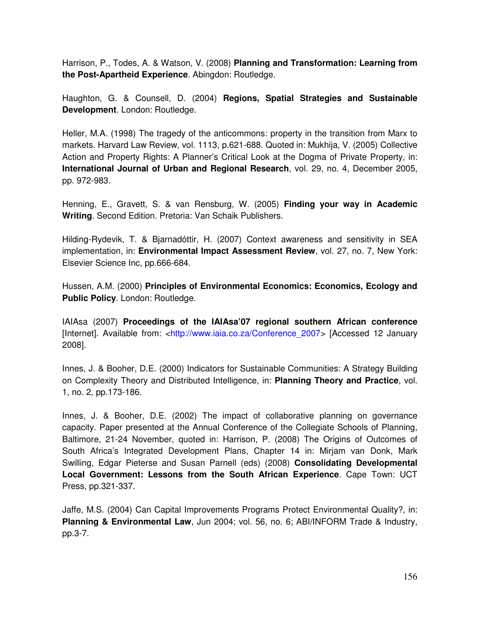Harrison, P., Todes, A. & Watson, V. (2008) **Planning and Transformation: Learning from the Post-Apartheid Experience**. Abingdon: Routledge.

Haughton, G. & Counsell, D. (2004) **Regions, Spatial Strategies and Sustainable Development**. London: Routledge.

Heller, M.A. (1998) The tragedy of the anticommons: property in the transition from Marx to markets. Harvard Law Review, vol. 1113, p.621-688. Quoted in: Mukhija, V. (2005) Collective Action and Property Rights: A Planner's Critical Look at the Dogma of Private Property, in: **International Journal of Urban and Regional Research**, vol. 29, no. 4, December 2005, pp. 972-983.

Henning, E., Gravett, S. & van Rensburg, W. (2005) **Finding your way in Academic Writing**. Second Edition. Pretoria: Van Schaik Publishers.

Hilding-Rydevik, T. & Bjarnadóttir, H. (2007) Context awareness and sensitivity in SEA implementation, in: **Environmental Impact Assessment Review**, vol. 27, no. 7, New York: Elsevier Science Inc, pp.666-684.

Hussen, A.M. (2000) **Principles of Environmental Economics: Economics, Ecology and Public Policy**. London: Routledge.

IAIAsa (2007) **Proceedings of the IAIAsa'07 regional southern African conference** [Internet]. Available from: <http://www.iaia.co.za/Conference 2007> [Accessed 12 January 2008].

Innes, J. & Booher, D.E. (2000) Indicators for Sustainable Communities: A Strategy Building on Complexity Theory and Distributed Intelligence, in: **Planning Theory and Practice**, vol. 1, no. 2, pp.173-186.

Innes, J. & Booher, D.E. (2002) The impact of collaborative planning on governance capacity. Paper presented at the Annual Conference of the Collegiate Schools of Planning, Baltimore, 21-24 November, quoted in: Harrison, P. (2008) The Origins of Outcomes of South Africa's Integrated Development Plans, Chapter 14 in: Mirjam van Donk, Mark Swilling, Edgar Pieterse and Susan Parnell (eds) (2008) **Consolidating Developmental Local Government: Lessons from the South African Experience**. Cape Town: UCT Press, pp.321-337.

Jaffe, M.S. (2004) Can Capital Improvements Programs Protect Environmental Quality?, in: **Planning & Environmental Law**, Jun 2004; vol. 56, no. 6; ABI/INFORM Trade & Industry, pp.3-7.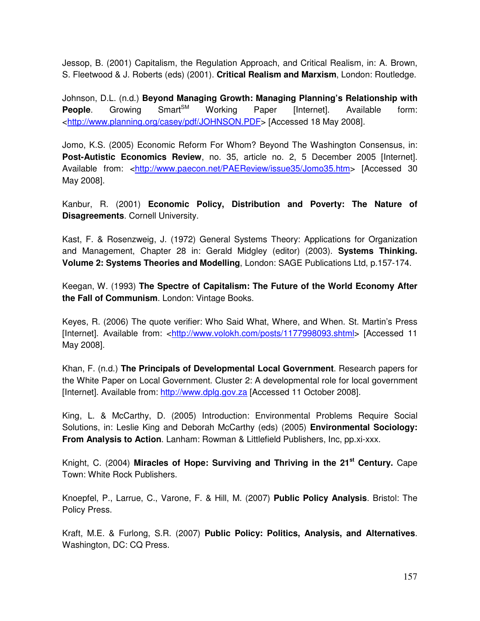Jessop, B. (2001) Capitalism, the Regulation Approach, and Critical Realism, in: A. Brown, S. Fleetwood & J. Roberts (eds) (2001). **Critical Realism and Marxism**, London: Routledge.

Johnson, D.L. (n.d.) **Beyond Managing Growth: Managing Planning's Relationship with People.** Growing Smart<sup>SM</sup> Working Paper [Internet]. Available form: <http://www.planning.org/casey/pdf/JOHNSON.PDF> [Accessed 18 May 2008].

Jomo, K.S. (2005) Economic Reform For Whom? Beyond The Washington Consensus, in: **Post-Autistic Economics Review**, no. 35, article no. 2, 5 December 2005 [Internet]. Available from: <http://www.paecon.net/PAEReview/issue35/Jomo35.htm> [Accessed 30 May 2008].

Kanbur, R. (2001) **Economic Policy, Distribution and Poverty: The Nature of Disagreements**. Cornell University.

Kast, F. & Rosenzweig, J. (1972) General Systems Theory: Applications for Organization and Management, Chapter 28 in: Gerald Midgley (editor) (2003). **Systems Thinking. Volume 2: Systems Theories and Modelling**, London: SAGE Publications Ltd, p.157-174.

Keegan, W. (1993) **The Spectre of Capitalism: The Future of the World Economy After the Fall of Communism**. London: Vintage Books.

Keyes, R. (2006) The quote verifier: Who Said What, Where, and When. St. Martin's Press [Internet]. Available from: <http://www.volokh.com/posts/1177998093.shtml> [Accessed 11 May 2008].

Khan, F. (n.d.) **The Principals of Developmental Local Government**. Research papers for the White Paper on Local Government. Cluster 2: A developmental role for local government [Internet]. Available from: http://www.dplg.gov.za [Accessed 11 October 2008].

King, L. & McCarthy, D. (2005) Introduction: Environmental Problems Require Social Solutions, in: Leslie King and Deborah McCarthy (eds) (2005) **Environmental Sociology: From Analysis to Action**. Lanham: Rowman & Littlefield Publishers, Inc, pp.xi-xxx.

Knight, C. (2004) **Miracles of Hope: Surviving and Thriving in the 21 st Century.** Cape Town: White Rock Publishers.

Knoepfel, P., Larrue, C., Varone, F. & Hill, M. (2007) **Public Policy Analysis**. Bristol: The Policy Press.

Kraft, M.E. & Furlong, S.R. (2007) **Public Policy: Politics, Analysis, and Alternatives**. Washington, DC: CQ Press.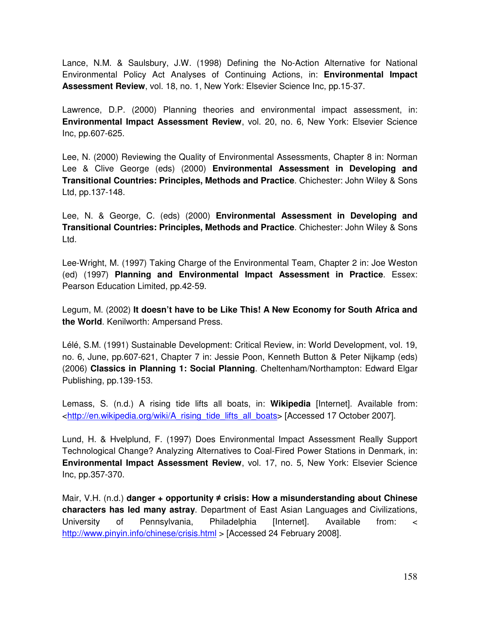Lance, N.M. & Saulsbury, J.W. (1998) Defining the No-Action Alternative for National Environmental Policy Act Analyses of Continuing Actions, in: **Environmental Impact Assessment Review**, vol. 18, no. 1, New York: Elsevier Science Inc, pp.15-37.

Lawrence, D.P. (2000) Planning theories and environmental impact assessment, in: **Environmental Impact Assessment Review**, vol. 20, no. 6, New York: Elsevier Science Inc, pp.607-625.

Lee, N. (2000) Reviewing the Quality of Environmental Assessments, Chapter 8 in: Norman Lee & Clive George (eds) (2000) **Environmental Assessment in Developing and Transitional Countries: Principles, Methods and Practice**. Chichester: John Wiley & Sons Ltd, pp.137-148.

Lee, N. & George, C. (eds) (2000) **Environmental Assessment in Developing and Transitional Countries: Principles, Methods and Practice**. Chichester: John Wiley & Sons Ltd.

Lee-Wright, M. (1997) Taking Charge of the Environmental Team, Chapter 2 in: Joe Weston (ed) (1997) **Planning and Environmental Impact Assessment in Practice**. Essex: Pearson Education Limited, pp.42-59.

Legum, M. (2002) **It doesn't have to be Like This! A New Economy for South Africa and the World**. Kenilworth: Ampersand Press.

Lélé, S.M. (1991) Sustainable Development: Critical Review, in: World Development, vol. 19, no. 6, June, pp.607-621, Chapter 7 in: Jessie Poon, Kenneth Button & Peter Nijkamp (eds) (2006) **Classics in Planning 1: Social Planning**. Cheltenham/Northampton: Edward Elgar Publishing, pp.139-153.

Lemass, S. (n.d.) A rising tide lifts all boats, in: **Wikipedia** [Internet]. Available from: <http://en.wikipedia.org/wiki/A\_rising\_tide\_lifts\_all\_boats> [Accessed 17 October 2007].

Lund, H. & Hvelplund, F. (1997) Does Environmental Impact Assessment Really Support Technological Change? Analyzing Alternatives to Coal-Fired Power Stations in Denmark, in: **Environmental Impact Assessment Review**, vol. 17, no. 5, New York: Elsevier Science Inc, pp.357-370.

Mair, V.H. (n.d.) **danger + opportunity crisis: How a misunderstanding about Chinese characters has led many astray**. Department of East Asian Languages and Civilizations, University of Pennsylvania, Philadelphia [Internet]. Available from: < http://www.pinyin.info/chinese/crisis.html > [Accessed 24 February 2008].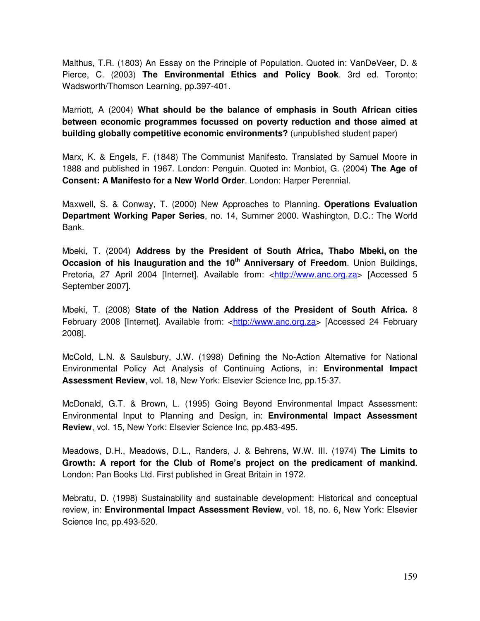Malthus, T.R. (1803) An Essay on the Principle of Population. Quoted in: VanDeVeer, D. & Pierce, C. (2003) **The Environmental Ethics and Policy Book**. 3rd ed. Toronto: Wadsworth/Thomson Learning, pp.397-401.

Marriott, A (2004) **What should be the balance of emphasis in South African cities between economic programmes focussed on poverty reduction and those aimed at building globally competitive economic environments?** (unpublished student paper)

Marx, K. & Engels, F. (1848) The Communist Manifesto. Translated by Samuel Moore in 1888 and published in 1967. London: Penguin. Quoted in: Monbiot, G. (2004) **The Age of Consent: A Manifesto for a New World Order**. London: Harper Perennial.

Maxwell, S. & Conway, T. (2000) New Approaches to Planning. **Operations Evaluation Department Working Paper Series**, no. 14, Summer 2000. Washington, D.C.: The World Bank.

Mbeki, T. (2004) **Address by the President of South Africa, Thabo Mbeki, on the Occasion of his Inauguration and the 10 th Anniversary of Freedom**. Union Buildings, Pretoria, 27 April 2004 [Internet]. Available from: <http://www.anc.org.za> [Accessed 5 September 2007].

Mbeki, T. (2008) **State of the Nation Address of the President of South Africa.** 8 February 2008 [Internet]. Available from: <http://www.anc.org.za> [Accessed 24 February 2008].

McCold, L.N. & Saulsbury, J.W. (1998) Defining the No-Action Alternative for National Environmental Policy Act Analysis of Continuing Actions, in: **Environmental Impact Assessment Review**, vol. 18, New York: Elsevier Science Inc, pp.15-37.

McDonald, G.T. & Brown, L. (1995) Going Beyond Environmental Impact Assessment: Environmental Input to Planning and Design, in: **Environmental Impact Assessment Review**, vol. 15, New York: Elsevier Science Inc, pp.483-495.

Meadows, D.H., Meadows, D.L., Randers, J. & Behrens, W.W. III. (1974) **The Limits to Growth: A report for the Club of Rome's project on the predicament of mankind**. London: Pan Books Ltd. First published in Great Britain in 1972.

Mebratu, D. (1998) Sustainability and sustainable development: Historical and conceptual review, in: **Environmental Impact Assessment Review**, vol. 18, no. 6, New York: Elsevier Science Inc, pp.493-520.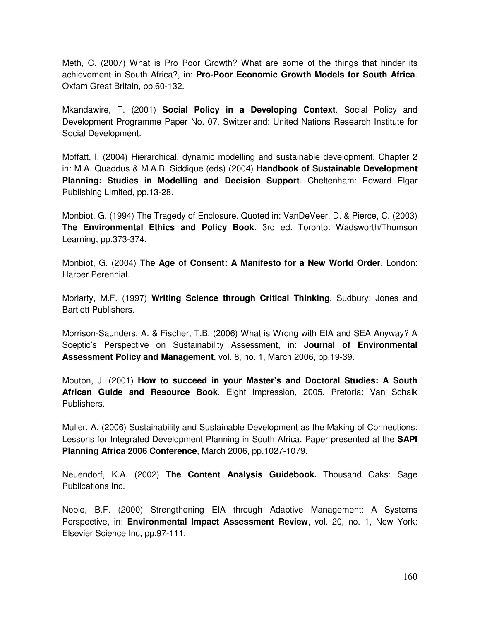Meth, C. (2007) What is Pro Poor Growth? What are some of the things that hinder its achievement in South Africa?, in: **Pro-Poor Economic Growth Models for South Africa**. Oxfam Great Britain, pp.60-132.

Mkandawire, T. (2001) **Social Policy in a Developing Context**. Social Policy and Development Programme Paper No. 07. Switzerland: United Nations Research Institute for Social Development.

Moffatt, I. (2004) Hierarchical, dynamic modelling and sustainable development, Chapter 2 in: M.A. Quaddus & M.A.B. Siddique (eds) (2004) **Handbook of Sustainable Development Planning: Studies in Modelling and Decision Support**. Cheltenham: Edward Elgar Publishing Limited, pp.13-28.

Monbiot, G. (1994) The Tragedy of Enclosure. Quoted in: VanDeVeer, D. & Pierce, C. (2003) **The Environmental Ethics and Policy Book**. 3rd ed. Toronto: Wadsworth/Thomson Learning, pp.373-374.

Monbiot, G. (2004) **The Age of Consent: A Manifesto for a New World Order**. London: Harper Perennial.

Moriarty, M.F. (1997) **Writing Science through Critical Thinking**. Sudbury: Jones and Bartlett Publishers.

Morrison-Saunders, A. & Fischer, T.B. (2006) What is Wrong with EIA and SEA Anyway? A Sceptic's Perspective on Sustainability Assessment, in: **Journal of Environmental Assessment Policy and Management**, vol. 8, no. 1, March 2006, pp.19-39.

Mouton, J. (2001) **How to succeed in your Master's and Doctoral Studies: A South African Guide and Resource Book**. Eight Impression, 2005. Pretoria: Van Schaik Publishers.

Muller, A. (2006) Sustainability and Sustainable Development as the Making of Connections: Lessons for Integrated Development Planning in South Africa. Paper presented at the **SAPI Planning Africa 2006 Conference**, March 2006, pp.1027-1079.

Neuendorf, K.A. (2002) **The Content Analysis Guidebook.** Thousand Oaks: Sage Publications Inc.

Noble, B.F. (2000) Strengthening EIA through Adaptive Management: A Systems Perspective, in: **Environmental Impact Assessment Review**, vol. 20, no. 1, New York: Elsevier Science Inc, pp.97-111.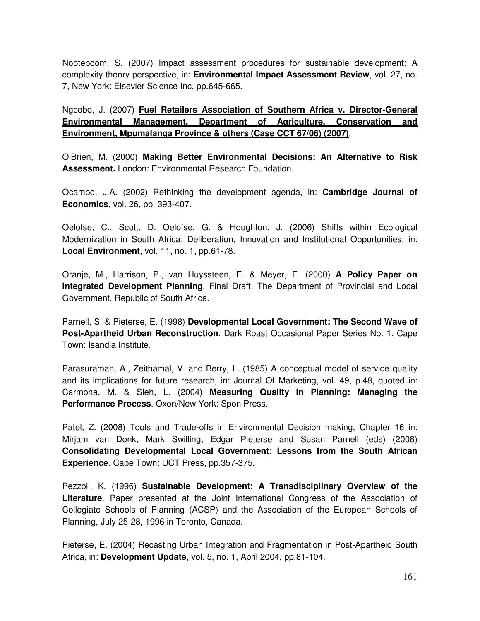Nooteboom, S. (2007) Impact assessment procedures for sustainable development: A complexity theory perspective, in: **Environmental Impact Assessment Review**, vol. 27, no. 7, New York: Elsevier Science Inc, pp.645-665.

Ngcobo, J. (2007) **Fuel Retailers Association of Southern Africa v. Director-General Environmental Management, Department of Agriculture, Conservation and Environment, Mpumalanga Province & others (Case CCT 67/06) (2007)**.

O'Brien, M. (2000) **Making Better Environmental Decisions: An Alternative to Risk Assessment.** London: Environmental Research Foundation.

Ocampo, J.A. (2002) Rethinking the development agenda, in: **Cambridge Journal of Economics**, vol. 26, pp. 393-407.

Oelofse, C., Scott, D. Oelofse, G. & Houghton, J. (2006) Shifts within Ecological Modernization in South Africa: Deliberation, Innovation and Institutional Opportunities, in: **Local Environment**, vol. 11, no. 1, pp.61-78.

Oranje, M., Harrison, P., van Huyssteen, E. & Meyer, E. (2000) **A Policy Paper on Integrated Development Planning**. Final Draft. The Department of Provincial and Local Government, Republic of South Africa.

Parnell, S. & Pieterse, E. (1998) **Developmental Local Government: The Second Wave of Post-Apartheid Urban Reconstruction**. Dark Roast Occasional Paper Series No. 1. Cape Town: Isandla Institute.

Parasuraman, A., Zeithamal, V. and Berry, L. (1985) A conceptual model of service quality and its implications for future research, in: Journal Of Marketing, vol. 49, p.48, quoted in: Carmona, M. & Sieh, L. (2004) **Measuring Quality in Planning: Managing the Performance Process**. Oxon/New York: Spon Press.

Patel, Z. (2008) Tools and Trade-offs in Environmental Decision making, Chapter 16 in: Mirjam van Donk, Mark Swilling, Edgar Pieterse and Susan Parnell (eds) (2008) **Consolidating Developmental Local Government: Lessons from the South African Experience**. Cape Town: UCT Press, pp.357-375.

Pezzoli, K. (1996) **Sustainable Development: A Transdisciplinary Overview of the Literature**. Paper presented at the Joint International Congress of the Association of Collegiate Schools of Planning (ACSP) and the Association of the European Schools of Planning, July 25-28, 1996 in Toronto, Canada.

Pieterse, E. (2004) Recasting Urban Integration and Fragmentation in Post-Apartheid South Africa, in: **Development Update**, vol. 5, no. 1, April 2004, pp.81-104.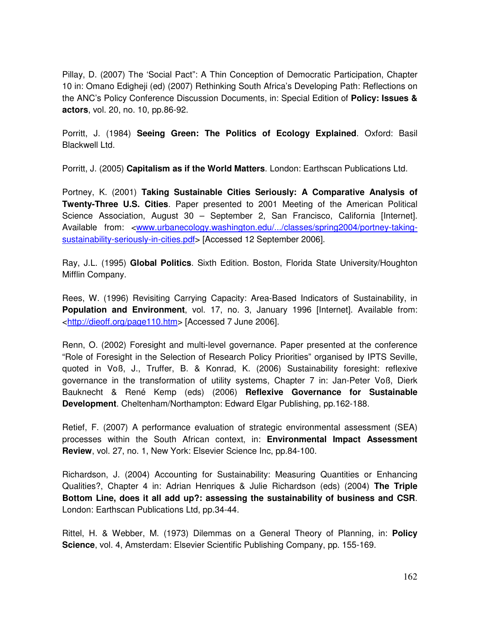Pillay, D. (2007) The 'Social Pact": A Thin Conception of Democratic Participation, Chapter 10 in: Omano Edigheji (ed) (2007) Rethinking South Africa's Developing Path: Reflections on the ANC's Policy Conference Discussion Documents, in: Special Edition of **Policy: Issues & actors**, vol. 20, no. 10, pp.86-92.

Porritt, J. (1984) **Seeing Green: The Politics of Ecology Explained**. Oxford: Basil Blackwell Ltd.

Porritt, J. (2005) **Capitalism as if the World Matters**. London: Earthscan Publications Ltd.

Portney, K. (2001) **Taking Sustainable Cities Seriously: A Comparative Analysis of Twenty-Three U.S. Cities**. Paper presented to 2001 Meeting of the American Political Science Association, August 30 – September 2, San Francisco, California [Internet]. Available from: <www.urbanecology.washington.edu/.../classes/spring2004/portney-takingsustainability-seriously-in-cities.pdf> [Accessed 12 September 2006].

Ray, J.L. (1995) **Global Politics**. Sixth Edition. Boston, Florida State University/Houghton Mifflin Company.

Rees, W. (1996) Revisiting Carrying Capacity: Area-Based Indicators of Sustainability, in **Population and Environment**, vol. 17, no. 3, January 1996 [Internet]. Available from: <http://dieoff.org/page110.htm> [Accessed 7 June 2006].

Renn, O. (2002) Foresight and multi-level governance. Paper presented at the conference "Role of Foresight in the Selection of Research Policy Priorities" organised by IPTS Seville, quoted in Voß, J., Truffer, B. & Konrad, K. (2006) Sustainability foresight: reflexive governance in the transformation of utility systems, Chapter 7 in: Jan-Peter Voß, Dierk Bauknecht & René Kemp (eds) (2006) **Reflexive Governance for Sustainable Development**. Cheltenham/Northampton: Edward Elgar Publishing, pp.162-188.

Retief, F. (2007) A performance evaluation of strategic environmental assessment (SEA) processes within the South African context, in: **Environmental Impact Assessment Review**, vol. 27, no. 1, New York: Elsevier Science Inc, pp.84-100.

Richardson, J. (2004) Accounting for Sustainability: Measuring Quantities or Enhancing Qualities?, Chapter 4 in: Adrian Henriques & Julie Richardson (eds) (2004) **The Triple Bottom Line, does it all add up?: assessing the sustainability of business and CSR**. London: Earthscan Publications Ltd, pp.34-44.

Rittel, H. & Webber, M. (1973) Dilemmas on a General Theory of Planning, in: **Policy Science**, vol. 4, Amsterdam: Elsevier Scientific Publishing Company, pp. 155-169.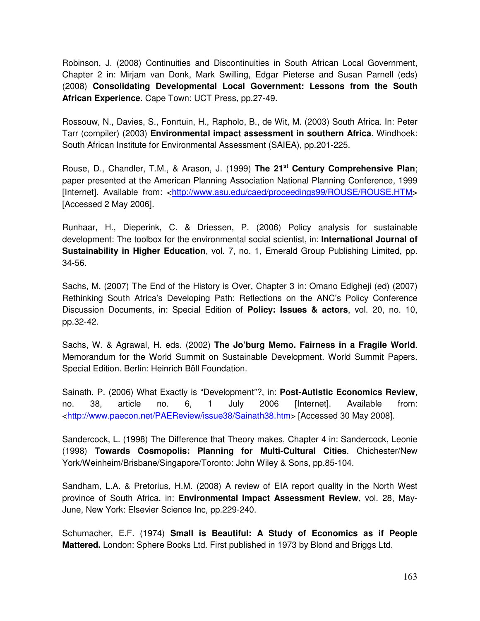Robinson, J. (2008) Continuities and Discontinuities in South African Local Government, Chapter 2 in: Mirjam van Donk, Mark Swilling, Edgar Pieterse and Susan Parnell (eds) (2008) **Consolidating Developmental Local Government: Lessons from the South African Experience**. Cape Town: UCT Press, pp.27-49.

Rossouw, N., Davies, S., Fonrtuin, H., Rapholo, B., de Wit, M. (2003) South Africa. In: Peter Tarr (compiler) (2003) **Environmental impact assessment in southern Africa**. Windhoek: South African Institute for Environmental Assessment (SAIEA), pp.201-225.

Rouse, D., Chandler, T.M., & Arason, J. (1999) **The 21 st Century Comprehensive Plan**; paper presented at the American Planning Association National Planning Conference, 1999 [Internet]. Available from: <http://www.asu.edu/caed/proceedings99/ROUSE/ROUSE.HTM> [Accessed 2 May 2006].

Runhaar, H., Dieperink, C. & Driessen, P. (2006) Policy analysis for sustainable development: The toolbox for the environmental social scientist, in: **International Journal of Sustainability in Higher Education**, vol. 7, no. 1, Emerald Group Publishing Limited, pp. 34-56.

Sachs, M. (2007) The End of the History is Over, Chapter 3 in: Omano Edigheji (ed) (2007) Rethinking South Africa's Developing Path: Reflections on the ANC's Policy Conference Discussion Documents, in: Special Edition of **Policy: Issues & actors**, vol. 20, no. 10, pp.32-42.

Sachs, W. & Agrawal, H. eds. (2002) **The Jo'burg Memo. Fairness in a Fragile World**. Memorandum for the World Summit on Sustainable Development. World Summit Papers. Special Edition. Berlin: Heinrich Böll Foundation.

Sainath, P. (2006) What Exactly is "Development"?, in: **Post-Autistic Economics Review**, no. 38, article no. 6, 1 July 2006 [Internet]. Available from: <http://www.paecon.net/PAEReview/issue38/Sainath38.htm> [Accessed 30 May 2008].

Sandercock, L. (1998) The Difference that Theory makes, Chapter 4 in: Sandercock, Leonie (1998) **Towards Cosmopolis: Planning for Multi-Cultural Cities**. Chichester/New York/Weinheim/Brisbane/Singapore/Toronto: John Wiley & Sons, pp.85-104.

Sandham, L.A. & Pretorius, H.M. (2008) A review of EIA report quality in the North West province of South Africa, in: **Environmental Impact Assessment Review**, vol. 28, May-June, New York: Elsevier Science Inc, pp.229-240.

Schumacher, E.F. (1974) **Small is Beautiful: A Study of Economics as if People Mattered.** London: Sphere Books Ltd. First published in 1973 by Blond and Briggs Ltd.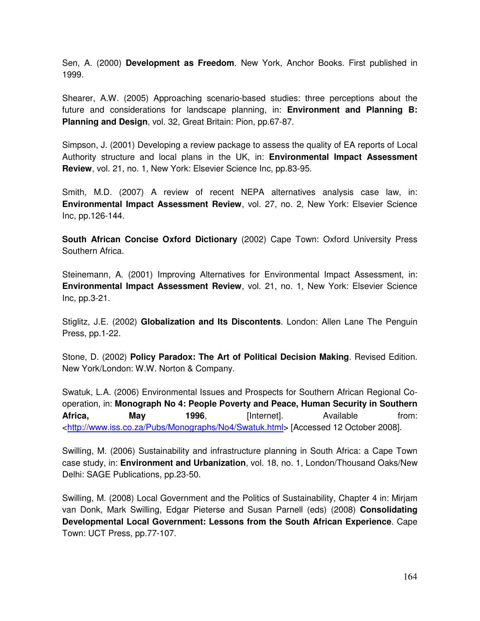Sen, A. (2000) **Development as Freedom**. New York, Anchor Books. First published in 1999.

Shearer, A.W. (2005) Approaching scenario-based studies: three perceptions about the future and considerations for landscape planning, in: **Environment and Planning B: Planning and Design**, vol. 32, Great Britain: Pion, pp.67-87.

Simpson, J. (2001) Developing a review package to assess the quality of EA reports of Local Authority structure and local plans in the UK, in: **Environmental Impact Assessment Review**, vol. 21, no. 1, New York: Elsevier Science Inc, pp.83-95.

Smith, M.D. (2007) A review of recent NEPA alternatives analysis case law, in: **Environmental Impact Assessment Review**, vol. 27, no. 2, New York: Elsevier Science Inc, pp.126-144.

**South African Concise Oxford Dictionary** (2002) Cape Town: Oxford University Press Southern Africa.

Steinemann, A. (2001) Improving Alternatives for Environmental Impact Assessment, in: **Environmental Impact Assessment Review**, vol. 21, no. 1, New York: Elsevier Science Inc, pp.3-21.

Stiglitz, J.E. (2002) **Globalization and Its Discontents**. London: Allen Lane The Penguin Press, pp.1-22.

Stone, D. (2002) **Policy Paradox: The Art of Political Decision Making**. Revised Edition. New York/London: W.W. Norton & Company.

Swatuk, L.A. (2006) Environmental Issues and Prospects for Southern African Regional Cooperation, in: **Monograph No 4: People Poverty and Peace, Human Security in Southern Africa, May 1996**, [Internet]. Available from: <http://www.iss.co.za/Pubs/Monographs/No4/Swatuk.html> [Accessed 12 October 2008].

Swilling, M. (2006) Sustainability and infrastructure planning in South Africa: a Cape Town case study, in: **Environment and Urbanization**, vol. 18, no. 1, London/Thousand Oaks/New Delhi: SAGE Publications, pp.23-50.

Swilling, M. (2008) Local Government and the Politics of Sustainability, Chapter 4 in: Mirjam van Donk, Mark Swilling, Edgar Pieterse and Susan Parnell (eds) (2008) **Consolidating Developmental Local Government: Lessons from the South African Experience**. Cape Town: UCT Press, pp.77-107.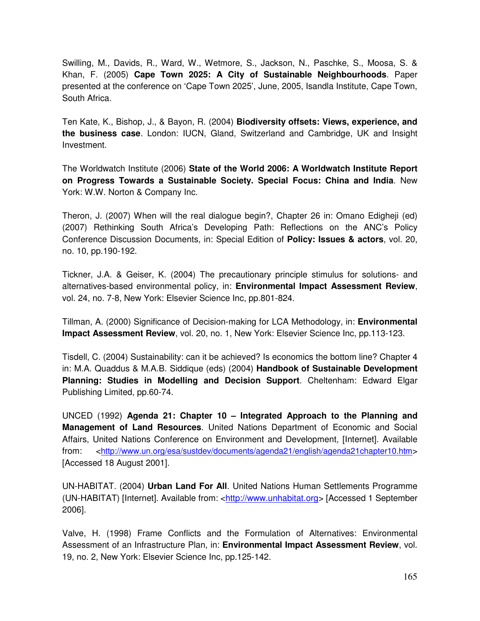Swilling, M., Davids, R., Ward, W., Wetmore, S., Jackson, N., Paschke, S., Moosa, S. & Khan, F. (2005) **Cape Town 2025: A City of Sustainable Neighbourhoods**. Paper presented at the conference on 'Cape Town 2025', June, 2005, Isandla Institute, Cape Town, South Africa.

Ten Kate, K., Bishop, J., & Bayon, R. (2004) **Biodiversity offsets: Views, experience, and the business case**. London: IUCN, Gland, Switzerland and Cambridge, UK and Insight Investment.

The Worldwatch Institute (2006) **State of the World 2006: A Worldwatch Institute Report on Progress Towards a Sustainable Society. Special Focus: China and India**. New York: W.W. Norton & Company Inc.

Theron, J. (2007) When will the real dialogue begin?, Chapter 26 in: Omano Edigheji (ed) (2007) Rethinking South Africa's Developing Path: Reflections on the ANC's Policy Conference Discussion Documents, in: Special Edition of **Policy: Issues & actors**, vol. 20, no. 10, pp.190-192.

Tickner, J.A. & Geiser, K. (2004) The precautionary principle stimulus for solutions- and alternatives-based environmental policy, in: **Environmental Impact Assessment Review**, vol. 24, no. 7-8, New York: Elsevier Science Inc, pp.801-824.

Tillman, A. (2000) Significance of Decision-making for LCA Methodology, in: **Environmental Impact Assessment Review**, vol. 20, no. 1, New York: Elsevier Science Inc, pp.113-123.

Tisdell, C. (2004) Sustainability: can it be achieved? Is economics the bottom line? Chapter 4 in: M.A. Quaddus & M.A.B. Siddique (eds) (2004) **Handbook of Sustainable Development Planning: Studies in Modelling and Decision Support**. Cheltenham: Edward Elgar Publishing Limited, pp.60-74.

UNCED (1992) **Agenda 21: Chapter 10 – Integrated Approach to the Planning and Management of Land Resources**. United Nations Department of Economic and Social Affairs, United Nations Conference on Environment and Development, [Internet]. Available from: <http://www.un.org/esa/sustdev/documents/agenda21/english/agenda21chapter10.htm> [Accessed 18 August 2001].

UN-HABITAT. (2004) **Urban Land For All**. United Nations Human Settlements Programme (UN-HABITAT) [Internet]. Available from: <http://www.unhabitat.org> [Accessed 1 September 2006].

Valve, H. (1998) Frame Conflicts and the Formulation of Alternatives: Environmental Assessment of an Infrastructure Plan, in: **Environmental Impact Assessment Review**, vol. 19, no. 2, New York: Elsevier Science Inc, pp.125-142.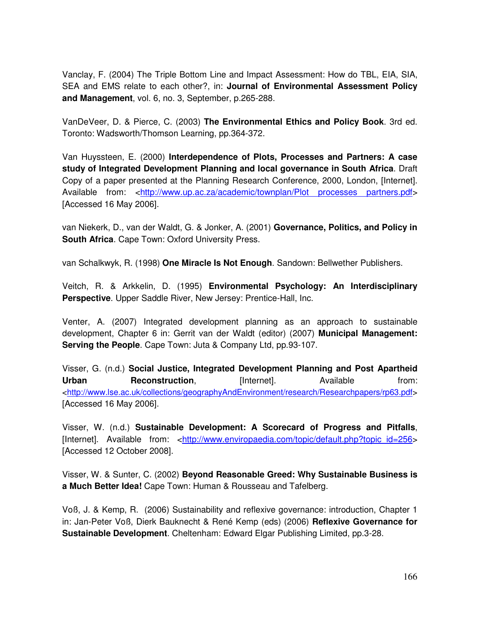Vanclay, F. (2004) The Triple Bottom Line and Impact Assessment: How do TBL, EIA, SIA, SEA and EMS relate to each other?, in: **Journal of Environmental Assessment Policy and Management**, vol. 6, no. 3, September, p.265-288.

VanDeVeer, D. & Pierce, C. (2003) **The Environmental Ethics and Policy Book**. 3rd ed. Toronto: Wadsworth/Thomson Learning, pp.364-372.

Van Huyssteen, E. (2000) **Interdependence of Plots, Processes and Partners: A case study of Integrated Development Planning and local governance in South Africa**. Draft Copy of a paper presented at the Planning Research Conference, 2000, London, [Internet]. Available from: <http://www.up.ac.za/academic/townplan/Plot processes partners.pdf> [Accessed 16 May 2006].

van Niekerk, D., van der Waldt, G. & Jonker, A. (2001) **Governance, Politics, and Policy in South Africa**. Cape Town: Oxford University Press.

van Schalkwyk, R. (1998) **One Miracle Is Not Enough**. Sandown: Bellwether Publishers.

Veitch, R. & Arkkelin, D. (1995) **Environmental Psychology: An Interdisciplinary Perspective**. Upper Saddle River, New Jersey: Prentice-Hall, Inc.

Venter, A. (2007) Integrated development planning as an approach to sustainable development, Chapter 6 in: Gerrit van der Waldt (editor) (2007) **Municipal Management: Serving the People**. Cape Town: Juta & Company Ltd, pp.93-107.

Visser, G. (n.d.) **Social Justice, Integrated Development Planning and Post Apartheid Urban Reconstruction**, **Example 1** [Internet]. Available from: <http://www.lse.ac.uk/collections/geographyAndEnvironment/research/Researchpapers/rp63.pdf> [Accessed 16 May 2006].

Visser, W. (n.d.) **Sustainable Development: A Scorecard of Progress and Pitfalls**, [Internet]. Available from: <http://www.enviropaedia.com/topic/default.php?topic\_id=256> [Accessed 12 October 2008].

Visser, W. & Sunter, C. (2002) **Beyond Reasonable Greed: Why Sustainable Business is a Much Better Idea!** Cape Town: Human & Rousseau and Tafelberg.

Voß, J. & Kemp, R. (2006) Sustainability and reflexive governance: introduction, Chapter 1 in: Jan-Peter Voß, Dierk Bauknecht & René Kemp (eds) (2006) **Reflexive Governance for Sustainable Development**. Cheltenham: Edward Elgar Publishing Limited, pp.3-28.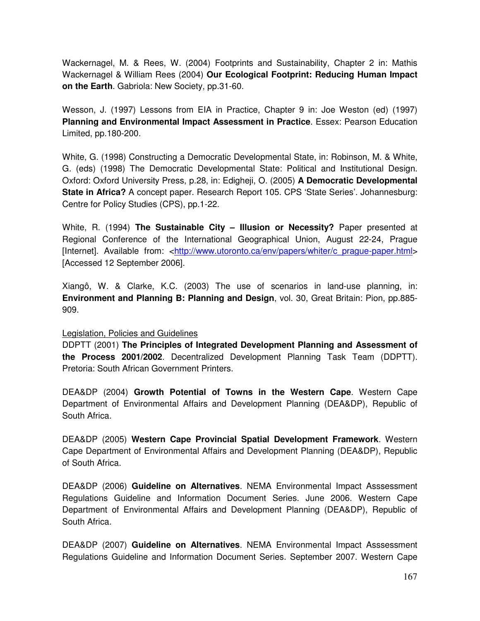Wackernagel, M. & Rees, W. (2004) Footprints and Sustainability, Chapter 2 in: Mathis Wackernagel & William Rees (2004) **Our Ecological Footprint: Reducing Human Impact on the Earth**. Gabriola: New Society, pp.31-60.

Wesson, J. (1997) Lessons from EIA in Practice, Chapter 9 in: Joe Weston (ed) (1997) **Planning and Environmental Impact Assessment in Practice**. Essex: Pearson Education Limited, pp.180-200.

White, G. (1998) Constructing a Democratic Developmental State, in: Robinson, M. & White, G. (eds) (1998) The Democratic Developmental State: Political and Institutional Design. Oxford: Oxford University Press, p.28, in: Edigheji, O. (2005) **A Democratic Developmental State in Africa?** A concept paper. Research Report 105. CPS 'State Series'. Johannesburg: Centre for Policy Studies (CPS), pp.1-22.

White, R. (1994) **The Sustainable City – Illusion or Necessity?** Paper presented at Regional Conference of the International Geographical Union, August 22-24, Prague [Internet]. Available from: <http://www.utoronto.ca/env/papers/whiter/c\_prague-paper.html> [Accessed 12 September 2006].

Xiangô, W. & Clarke, K.C. (2003) The use of scenarios in land-use planning, in: **Environment and Planning B: Planning and Design**, vol. 30, Great Britain: Pion, pp.885- 909.

#### Legislation, Policies and Guidelines

DDPTT (2001) **The Principles of Integrated Development Planning and Assessment of the Process 2001/2002**. Decentralized Development Planning Task Team (DDPTT). Pretoria: South African Government Printers.

DEA&DP (2004) **Growth Potential of Towns in the Western Cape**. Western Cape Department of Environmental Affairs and Development Planning (DEA&DP), Republic of South Africa.

DEA&DP (2005) **Western Cape Provincial Spatial Development Framework**. Western Cape Department of Environmental Affairs and Development Planning (DEA&DP), Republic of South Africa.

DEA&DP (2006) **Guideline on Alternatives**. NEMA Environmental Impact Asssessment Regulations Guideline and Information Document Series. June 2006. Western Cape Department of Environmental Affairs and Development Planning (DEA&DP), Republic of South Africa.

DEA&DP (2007) **Guideline on Alternatives**. NEMA Environmental Impact Asssessment Regulations Guideline and Information Document Series. September 2007. Western Cape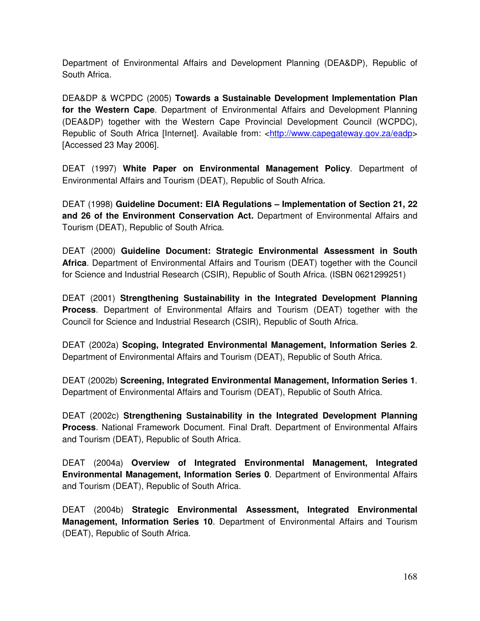Department of Environmental Affairs and Development Planning (DEA&DP), Republic of South Africa.

DEA&DP & WCPDC (2005) **Towards a Sustainable Development Implementation Plan for the Western Cape**. Department of Environmental Affairs and Development Planning (DEA&DP) together with the Western Cape Provincial Development Council (WCPDC), Republic of South Africa [Internet]. Available from: <http://www.capegateway.gov.za/eadp> [Accessed 23 May 2006].

DEAT (1997) **White Paper on Environmental Management Policy**. Department of Environmental Affairs and Tourism (DEAT), Republic of South Africa.

DEAT (1998) **Guideline Document: EIA Regulations – Implementation of Section 21, 22 and 26 of the Environment Conservation Act.** Department of Environmental Affairs and Tourism (DEAT), Republic of South Africa.

DEAT (2000) **Guideline Document: Strategic Environmental Assessment in South Africa**. Department of Environmental Affairs and Tourism (DEAT) together with the Council for Science and Industrial Research (CSIR), Republic of South Africa. (ISBN 0621299251)

DEAT (2001) **Strengthening Sustainability in the Integrated Development Planning Process**. Department of Environmental Affairs and Tourism (DEAT) together with the Council for Science and Industrial Research (CSIR), Republic of South Africa.

DEAT (2002a) **Scoping, Integrated Environmental Management, Information Series 2**. Department of Environmental Affairs and Tourism (DEAT), Republic of South Africa.

DEAT (2002b) **Screening, Integrated Environmental Management, Information Series 1**. Department of Environmental Affairs and Tourism (DEAT), Republic of South Africa.

DEAT (2002c) **Strengthening Sustainability in the Integrated Development Planning Process**. National Framework Document. Final Draft. Department of Environmental Affairs and Tourism (DEAT), Republic of South Africa.

DEAT (2004a) **Overview of Integrated Environmental Management, Integrated Environmental Management, Information Series 0**. Department of Environmental Affairs and Tourism (DEAT), Republic of South Africa.

DEAT (2004b) **Strategic Environmental Assessment, Integrated Environmental Management, Information Series 10**. Department of Environmental Affairs and Tourism (DEAT), Republic of South Africa.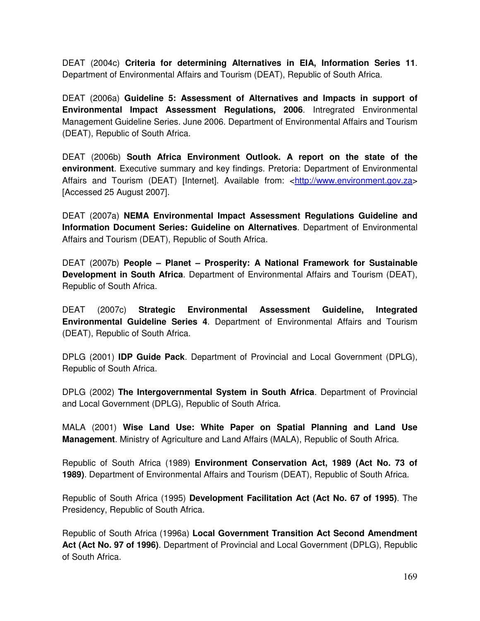DEAT (2004c) **Criteria for determining Alternatives in EIA, Information Series 11**. Department of Environmental Affairs and Tourism (DEAT), Republic of South Africa.

DEAT (2006a) **Guideline 5: Assessment of Alternatives and Impacts in support of Environmental Impact Assessment Regulations, 2006**. Intregrated Environmental Management Guideline Series. June 2006. Department of Environmental Affairs and Tourism (DEAT), Republic of South Africa.

DEAT (2006b) **South Africa Environment Outlook. A report on the state of the environment**. Executive summary and key findings. Pretoria: Department of Environmental Affairs and Tourism (DEAT) [Internet]. Available from: <http://www.environment.gov.za> [Accessed 25 August 2007].

DEAT (2007a) **NEMA Environmental Impact Assessment Regulations Guideline and Information Document Series: Guideline on Alternatives**. Department of Environmental Affairs and Tourism (DEAT), Republic of South Africa.

DEAT (2007b) **People – Planet – Prosperity: A National Framework for Sustainable Development in South Africa**. Department of Environmental Affairs and Tourism (DEAT), Republic of South Africa.

DEAT (2007c) **Strategic Environmental Assessment Guideline, Integrated Environmental Guideline Series 4**. Department of Environmental Affairs and Tourism (DEAT), Republic of South Africa.

DPLG (2001) **IDP Guide Pack**. Department of Provincial and Local Government (DPLG), Republic of South Africa.

DPLG (2002) **The Intergovernmental System in South Africa**. Department of Provincial and Local Government (DPLG), Republic of South Africa.

MALA (2001) **Wise Land Use: White Paper on Spatial Planning and Land Use Management**. Ministry of Agriculture and Land Affairs (MALA), Republic of South Africa.

Republic of South Africa (1989) **Environment Conservation Act, 1989 (Act No. 73 of 1989)**. Department of Environmental Affairs and Tourism (DEAT), Republic of South Africa.

Republic of South Africa (1995) **Development Facilitation Act (Act No. 67 of 1995)**. The Presidency, Republic of South Africa.

Republic of South Africa (1996a) **Local Government Transition Act Second Amendment Act (Act No. 97 of 1996)**. Department of Provincial and Local Government (DPLG), Republic of South Africa.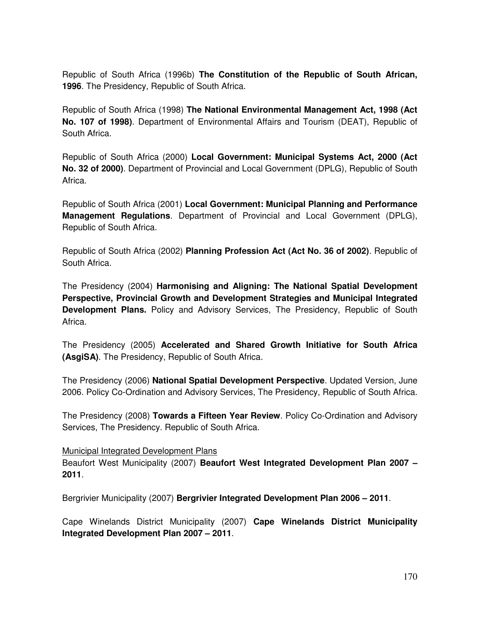Republic of South Africa (1996b) **The Constitution of the Republic of South African, 1996**. The Presidency, Republic of South Africa.

Republic of South Africa (1998) **The National Environmental Management Act, 1998 (Act No. 107 of 1998)**. Department of Environmental Affairs and Tourism (DEAT), Republic of South Africa.

Republic of South Africa (2000) **Local Government: Municipal Systems Act, 2000 (Act No. 32 of 2000)**. Department of Provincial and Local Government (DPLG), Republic of South Africa.

Republic of South Africa (2001) **Local Government: Municipal Planning and Performance Management Regulations**. Department of Provincial and Local Government (DPLG), Republic of South Africa.

Republic of South Africa (2002) **Planning Profession Act (Act No. 36 of 2002)**. Republic of South Africa.

The Presidency (2004) **Harmonising and Aligning: The National Spatial Development Perspective, Provincial Growth and Development Strategies and Municipal Integrated Development Plans.** Policy and Advisory Services, The Presidency, Republic of South Africa.

The Presidency (2005) **Accelerated and Shared Growth Initiative for South Africa (AsgiSA)**. The Presidency, Republic of South Africa.

The Presidency (2006) **National Spatial Development Perspective**. Updated Version, June 2006. Policy Co-Ordination and Advisory Services, The Presidency, Republic of South Africa.

The Presidency (2008) **Towards a Fifteen Year Review**. Policy Co-Ordination and Advisory Services, The Presidency. Republic of South Africa.

Municipal Integrated Development Plans

Beaufort West Municipality (2007) **Beaufort West Integrated Development Plan 2007 – 2011**.

Bergrivier Municipality (2007) **Bergrivier Integrated Development Plan 2006 – 2011**.

Cape Winelands District Municipality (2007) **Cape Winelands District Municipality Integrated Development Plan 2007 – 2011**.